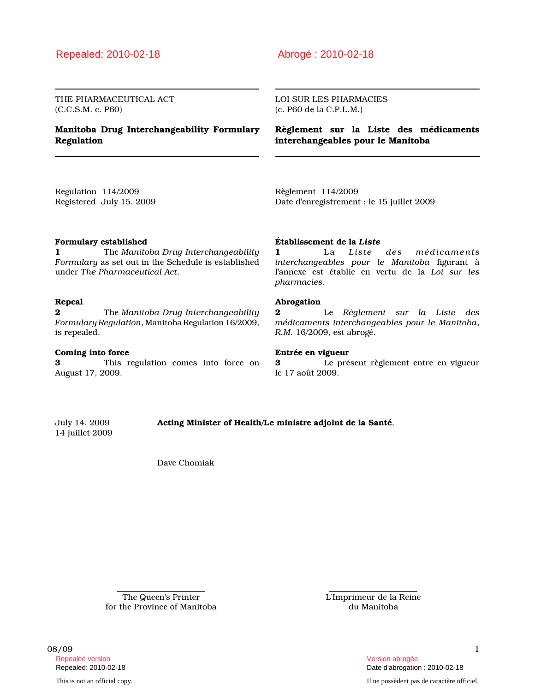## Repealed: 2010-02-18 Abrogé : 2010-02-18

THE PHARMACEUTICAL ACT (C.C.S.M. c. P60)

### Manitoba Drug Interchangeability Formulary Regulation

#### LOI SUR LES PHARMACIES (c. P60 de la C.P.L.M.)

Règlement sur la Liste des médicaments interchangeables pour le Manitoba

Regulation 114/2009 Registered July 15, 2009 Règlement 114/2009 Date d'enregistrement : le 15 juillet 2009

#### Formulary established

1 The Manitoba Drug Interchangeability Formulary as set out in the Schedule is established under The Pharmaceutical Act.

### Repeal

**2** The Manitoba Drug Interchangeability Formulary Regulation, Manitoba Regulation 16/2009, is repealed.

#### Coming into force

3 This regulation comes into force on August 17, 2009.

### Établissement de la Liste

1 La Liste des médicaments interchangeables pour le Manitoba figurant à l'annexe est établie en vertu de la Loi sur les pharmacies.

#### Abrogation

2 Le Règlement sur la Liste des médicaments interchangeables pour le Manitoba, R.M. 16/2009, est abrogé.

#### Entrée en vigueur

3 Le présent règlement entre en vigueur le 17 août 2009.

14 juillet 2009

July 14, 2009 Acting Minister of Health/Le ministre adjoint de la Santé,

Dave Chomiak

The Queen's Printer for the Province of Manitoba L'Imprimeur de la Reine du Manitoba

08/09 1 and 1 and 1 and 1 and 1 and 1 and 1 and 1 and 1 and 1 and 1 and 1 and 1 and 1 and 1 and 1 and 1 and 1 Repealed version abrogée et al. Alian abrogée et al. Alian abrogée et al. Alian abrogée et al. Alian abrogée e

This is not an official copy. Il ne possèdent pas de caractère officiel.

Repealed: 2010-02-18 Date d'abrogation : 2010-02-18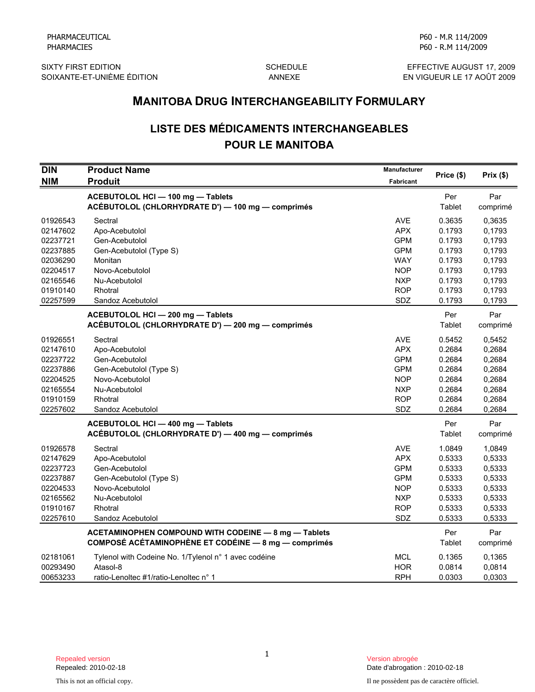SIXTY FIRST EDITION SCHEDULE EFFECTIVE AUGUST 17, 2009

P60 - R.M 114/2009

P60 - M.R 114/2009

EN VIGUEUR LE 17 AOÛT 2009

# LISTE DES MÉDICAMENTS INTERCHANGEABLES POUR LE MANITOBA

|                                                                                              | <b>MANITOBA DRUG INTERCHANGEABILITY FORMULARY</b>                                                                                          |                                                                                                       |                                                                              |                                                                              |  |
|----------------------------------------------------------------------------------------------|--------------------------------------------------------------------------------------------------------------------------------------------|-------------------------------------------------------------------------------------------------------|------------------------------------------------------------------------------|------------------------------------------------------------------------------|--|
|                                                                                              | <b>LISTE DES MÉDICAMENTS INTERCHANGEABLES</b><br><b>POUR LE MANITOBA</b>                                                                   |                                                                                                       |                                                                              |                                                                              |  |
| <b>DIN</b><br><b>NIM</b>                                                                     | <b>Product Name</b><br><b>Produit</b>                                                                                                      | <b>Manufacturer</b><br>Fabricant                                                                      | Price (\$)                                                                   | Prix(\$)                                                                     |  |
|                                                                                              | ACEBUTOLOL HCI - 100 mg - Tablets<br>ACÉBUTOLOL (CHLORHYDRATE D') - 100 mg - comprimés                                                     |                                                                                                       | Per<br>Tablet                                                                | Par<br>comprimé                                                              |  |
| 01926543<br>02147602<br>02237721<br>02237885<br>02036290<br>02204517                         | Sectral<br>Apo-Acebutolol<br>Gen-Acebutolol<br>Gen-Acebutolol (Type S)<br>Monitan<br>Novo-Acebutolol                                       | <b>AVE</b><br><b>APX</b><br><b>GPM</b><br><b>GPM</b><br><b>WAY</b><br><b>NOP</b>                      | 0.3635<br>0.1793<br>0.1793<br>0.1793<br>0.1793<br>0.1793                     | 0,3635<br>0,1793<br>0,1793<br>0,1793<br>0,1793<br>0,1793                     |  |
| 02165546<br>01910140<br>02257599                                                             | Nu-Acebutolol<br>Rhotral<br>Sandoz Acebutolol                                                                                              | <b>NXP</b><br><b>ROP</b><br>SDZ                                                                       | 0.1793<br>0.1793<br>0.1793                                                   | 0,1793<br>0,1793<br>0,1793                                                   |  |
|                                                                                              | ACEBUTOLOL HCI - 200 mg - Tablets<br>ACÉBUTOLOL (CHLORHYDRATE D') - 200 mg - comprimés                                                     |                                                                                                       | Per<br>Tablet                                                                | Par<br>comprimé                                                              |  |
| 01926551<br>02147610<br>02237722<br>02237886<br>02204525<br>02165554<br>01910159<br>02257602 | Sectral<br>Apo-Acebutolol<br>Gen-Acebutolol<br>Gen-Acebutolol (Type S)<br>Novo-Acebutolol<br>Nu-Acebutolol<br>Rhotral<br>Sandoz Acebutolol | <b>AVE</b><br><b>APX</b><br><b>GPM</b><br><b>GPM</b><br><b>NOP</b><br><b>NXP</b><br><b>ROP</b><br>SDZ | 0.5452<br>0.2684<br>0.2684<br>0.2684<br>0.2684<br>0.2684<br>0.2684<br>0.2684 | 0,5452<br>0,2684<br>0,2684<br>0,2684<br>0,2684<br>0,2684<br>0,2684<br>0,2684 |  |
|                                                                                              | ACEBUTOLOL HCI - 400 mg - Tablets<br>ACÉBUTOLOL (CHLORHYDRATE D') - 400 mg - comprimés                                                     |                                                                                                       | Per<br>Tablet                                                                | Par<br>comprimé                                                              |  |
| 01926578<br>02147629<br>02237723<br>02237887<br>02204533<br>02165562<br>01910167<br>02257610 | Sectral<br>Apo-Acebutolol<br>Gen-Acebutolol<br>Gen-Acebutolol (Type S)<br>Novo-Acebutolol<br>Nu-Acebutolol<br>Rhotral<br>Sandoz Acebutolol | <b>AVE</b><br><b>APX</b><br><b>GPM</b><br><b>GPM</b><br><b>NOP</b><br><b>NXP</b><br><b>ROP</b><br>SDZ | 1.0849<br>0.5333<br>0.5333<br>0.5333<br>0.5333<br>0.5333<br>0.5333<br>0.5333 | 1,0849<br>0,5333<br>0,5333<br>0,5333<br>0,5333<br>0,5333<br>0,5333<br>0,5333 |  |
|                                                                                              | ACETAMINOPHEN COMPOUND WITH CODEINE - 8 mg - Tablets<br><b>COMPOSÉ ACÉTAMINOPHÈNE ET CODÉINE - 8 mg - comprimés</b>                        |                                                                                                       | Per<br>Tablet                                                                | Par<br>comprimé                                                              |  |
| 02181061<br>00293490<br>00653233                                                             | Tylenol with Codeine No. 1/Tylenol n° 1 avec codéine<br>Atasol-8<br>ratio-Lenoltec #1/ratio-Lenoltec n° 1                                  | <b>MCL</b><br><b>HOR</b><br><b>RPH</b>                                                                | 0.1365<br>0.0814<br>0.0303                                                   | 0,1365<br>0,0814<br>0,0303                                                   |  |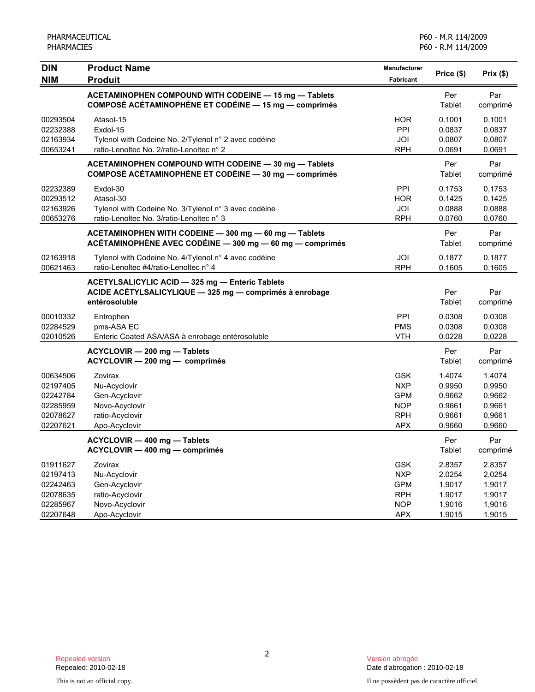| <b>DIN</b><br><b>NIM</b>                                             | <b>Product Name</b>                                                                                                              | Manufacturer<br>Fabricant                                                        | Price (\$)                                               | Prix(\$)                                                 |
|----------------------------------------------------------------------|----------------------------------------------------------------------------------------------------------------------------------|----------------------------------------------------------------------------------|----------------------------------------------------------|----------------------------------------------------------|
|                                                                      | <b>Produit</b><br>ACETAMINOPHEN COMPOUND WITH CODEINE - 15 mg - Tablets<br>COMPOSÉ ACÉTAMINOPHÈNE ET CODÉINE - 15 mg - comprimés |                                                                                  | Per<br>Tablet                                            | Par<br>comprimé                                          |
| 00293504<br>02232388<br>02163934<br>00653241                         | Atasol-15<br>Exdol-15<br>Tylenol with Codeine No. 2/Tylenol n° 2 avec codéine<br>ratio-Lenoltec No. 2/ratio-Lenoltec n° 2        | <b>HOR</b><br>PPI<br>JOI<br><b>RPH</b>                                           | 0.1001<br>0.0837<br>0.0807<br>0.0691                     | 0,1001<br>0,0837<br>0,0807<br>0,0691                     |
|                                                                      | ACETAMINOPHEN COMPOUND WITH CODEINE - 30 mg - Tablets<br>COMPOSÉ ACÉTAMINOPHÈNE ET CODÉINE - 30 mg - comprimés                   |                                                                                  | Per<br>Tablet                                            | Par<br>comprimé                                          |
| 02232389<br>00293512<br>02163926<br>00653276                         | Exdol-30<br>Atasol-30<br>Tylenol with Codeine No. 3/Tylenol n° 3 avec codéine<br>ratio-Lenoltec No. 3/ratio-Lenoltec n° 3        | PPI<br><b>HOR</b><br>JOI<br><b>RPH</b>                                           | 0.1753<br>0.1425<br>0.0888<br>0.0760                     | 0.1753<br>0,1425<br>0,0888<br>0,0760                     |
|                                                                      | ACETAMINOPHEN WITH CODEINE - 300 mg - 60 mg - Tablets<br>ACÉTAMINOPHÈNE AVEC CODÉINE - 300 mg - 60 mg - comprimés                |                                                                                  | Per<br>Tablet                                            | Par<br>comprimé                                          |
| 02163918<br>00621463                                                 | Tylenol with Codeine No. 4/Tylenol n° 4 avec codéine<br>ratio-Lenoltec #4/ratio-Lenoltec n° 4                                    | JOI<br><b>RPH</b>                                                                | 0.1877<br>0.1605                                         | 0,1877<br>0.1605                                         |
|                                                                      | ACETYLSALICYLIC ACID - 325 mg - Enteric Tablets<br>ACIDE ACETYLSALICYLIQUE - 325 mg - comprimés à enrobage<br>entérosoluble      |                                                                                  | Per<br>Tablet                                            | Par<br>comprimé                                          |
| 00010332<br>02284529<br>02010526                                     | Entrophen<br>pms-ASA EC<br>Enteric Coated ASA/ASA à enrobage entérosoluble                                                       | PPI<br><b>PMS</b><br><b>VTH</b>                                                  | 0.0308<br>0.0308<br>0.0228                               | 0.0308<br>0,0308<br>0,0228                               |
|                                                                      | ACYCLOVIR - 200 mg - Tablets<br>ACYCLOVIR - 200 mg - comprimés                                                                   |                                                                                  | Per<br>Tablet                                            | Par<br>comprimé                                          |
| 00634506<br>02197405<br>02242784<br>02285959<br>02078627<br>02207621 | Zovirax<br>Nu-Acyclovir<br>Gen-Acyclovir<br>Novo-Acyclovir<br>ratio-Acyclovir<br>Apo-Acyclovir                                   | <b>GSK</b><br><b>NXP</b><br><b>GPM</b><br><b>NOP</b><br><b>RPH</b><br><b>APX</b> | 1.4074<br>0.9950<br>0.9662<br>0.9661<br>0.9661<br>0.9660 | 1,4074<br>0,9950<br>0,9662<br>0,9661<br>0,9661<br>0,9660 |
|                                                                      | ACYCLOVIR - 400 mg - Tablets<br>ACYCLOVIR - 400 mg - comprimés                                                                   |                                                                                  | Per<br>Tablet                                            | Par<br>comprimé                                          |
| 01911627<br>02197413<br>02242463<br>02078635<br>02285967<br>02207648 | Zovirax<br>Nu-Acyclovir<br>Gen-Acyclovir<br>ratio-Acyclovir<br>Novo-Acyclovir<br>Apo-Acyclovir                                   | <b>GSK</b><br><b>NXP</b><br><b>GPM</b><br><b>RPH</b><br><b>NOP</b><br><b>APX</b> | 2.8357<br>2.0254<br>1.9017<br>1.9017<br>1.9016<br>1.9015 | 2,8357<br>2,0254<br>1,9017<br>1,9017<br>1,9016<br>1,9015 |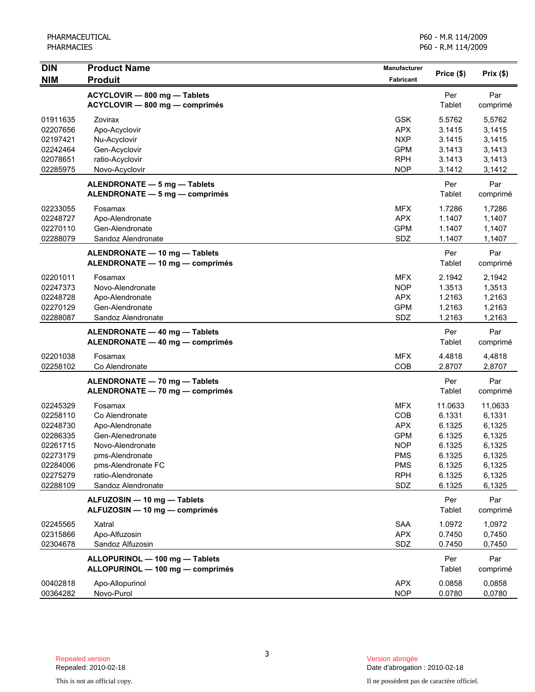| <b>DIN</b>                                                                                               | <b>Product Name</b>                                                                                                                                                      | <b>Manufacturer</b>                                                                                   | Price (\$)                                                                              | Prix(\$)                                                                                |
|----------------------------------------------------------------------------------------------------------|--------------------------------------------------------------------------------------------------------------------------------------------------------------------------|-------------------------------------------------------------------------------------------------------|-----------------------------------------------------------------------------------------|-----------------------------------------------------------------------------------------|
| <b>NIM</b>                                                                                               | <b>Produit</b>                                                                                                                                                           | <b>Fabricant</b>                                                                                      |                                                                                         |                                                                                         |
|                                                                                                          | ACYCLOVIR - 800 mg - Tablets<br>ACYCLOVIR - 800 mg - comprimés                                                                                                           |                                                                                                       | Per<br>Tablet                                                                           | Par<br>comprimé                                                                         |
| 01911635<br>02207656<br>02197421<br>02242464<br>02078651                                                 | Zovirax<br>Apo-Acyclovir<br>Nu-Acyclovir<br>Gen-Acyclovir<br>ratio-Acyclovir                                                                                             | <b>GSK</b><br><b>APX</b><br><b>NXP</b><br><b>GPM</b><br><b>RPH</b>                                    | 5.5762<br>3.1415<br>3.1415<br>3.1413<br>3.1413                                          | 5,5762<br>3,1415<br>3,1415<br>3,1413<br>3,1413                                          |
| 02285975                                                                                                 | Novo-Acyclovir<br>ALENDRONATE - 5 mg - Tablets<br>ALENDRONATE - 5 mg - comprimés                                                                                         | <b>NOP</b>                                                                                            | 3.1412<br>Per<br>Tablet                                                                 | 3,1412<br>Par<br>comprimé                                                               |
| 02233055<br>02248727<br>02270110<br>02288079                                                             | Fosamax<br>Apo-Alendronate<br>Gen-Alendronate<br>Sandoz Alendronate                                                                                                      | MFX.<br><b>APX</b><br><b>GPM</b><br>SDZ                                                               | 1.7286<br>1.1407<br>1.1407<br>1.1407                                                    | 1,7286<br>1,1407<br>1,1407<br>1,1407                                                    |
|                                                                                                          | ALENDRONATE - 10 mg - Tablets<br>ALENDRONATE - 10 mg - comprimés                                                                                                         |                                                                                                       | Per<br>Tablet                                                                           | Par<br>comprimé                                                                         |
| 02201011<br>02247373<br>02248728<br>02270129<br>02288087                                                 | Fosamax<br>Novo-Alendronate<br>Apo-Alendronate<br>Gen-Alendronate<br>Sandoz Alendronate                                                                                  | <b>MFX</b><br><b>NOP</b><br><b>APX</b><br><b>GPM</b><br>SDZ                                           | 2.1942<br>1.3513<br>1.2163<br>1.2163<br>1.2163                                          | 2,1942<br>1,3513<br>1,2163<br>1,2163<br>1,2163                                          |
|                                                                                                          | ALENDRONATE - 40 mg - Tablets<br>ALENDRONATE - 40 mg - comprimés                                                                                                         |                                                                                                       | Per<br>Tablet                                                                           | Par<br>comprimé                                                                         |
| 02201038<br>02258102                                                                                     | Fosamax<br>Co Alendronate                                                                                                                                                | <b>MFX</b><br>COB                                                                                     | 4.4818<br>2.8707                                                                        | 4,4818<br>2,8707                                                                        |
|                                                                                                          | ALENDRONATE - 70 mg - Tablets<br>ALENDRONATE - 70 mg - comprimés                                                                                                         |                                                                                                       | Per<br>Tablet                                                                           | Par<br>comprimé                                                                         |
| 02245329<br>02258110<br>02248730<br>02286335<br>02261715<br>02273179<br>02284006<br>02275279<br>02288109 | Fosamax<br>Co Alendronate<br>Apo-Alendronate<br>Gen-Alenedronate<br>Novo-Alendronate<br>pms-Alendronate<br>pms-Alendronate FC<br>ratio-Alendronate<br>Sandoz Alendronate | MFX<br>COB<br><b>APX</b><br><b>GPM</b><br><b>NOP</b><br><b>PMS</b><br><b>PMS</b><br><b>RPH</b><br>SDZ | 11.0633<br>6.1331<br>6.1325<br>6.1325<br>6.1325<br>6.1325<br>6.1325<br>6.1325<br>6.1325 | 11,0633<br>6,1331<br>6,1325<br>6,1325<br>6,1325<br>6,1325<br>6,1325<br>6,1325<br>6,1325 |
|                                                                                                          | ALFUZOSIN - 10 mg - Tablets<br>ALFUZOSIN - 10 mg - comprimés                                                                                                             |                                                                                                       | Per<br>Tablet                                                                           | Par<br>comprimé                                                                         |
| 02245565<br>02315866<br>02304678                                                                         | Xatral<br>Apo-Alfuzosin<br>Sandoz Alfuzosin                                                                                                                              | SAA<br><b>APX</b><br>SDZ                                                                              | 1.0972<br>0.7450<br>0.7450                                                              | 1,0972<br>0,7450<br>0,7450                                                              |
|                                                                                                          | ALLOPURINOL - 100 mg - Tablets<br>ALLOPURINOL - 100 mg - comprimés                                                                                                       |                                                                                                       | Per<br>Tablet                                                                           | Par<br>comprimé                                                                         |
| 00402818<br>00364282                                                                                     | Apo-Allopurinol<br>Novo-Purol                                                                                                                                            | <b>APX</b><br><b>NOP</b>                                                                              | 0.0858<br>0.0780                                                                        | 0,0858<br>0,0780                                                                        |

3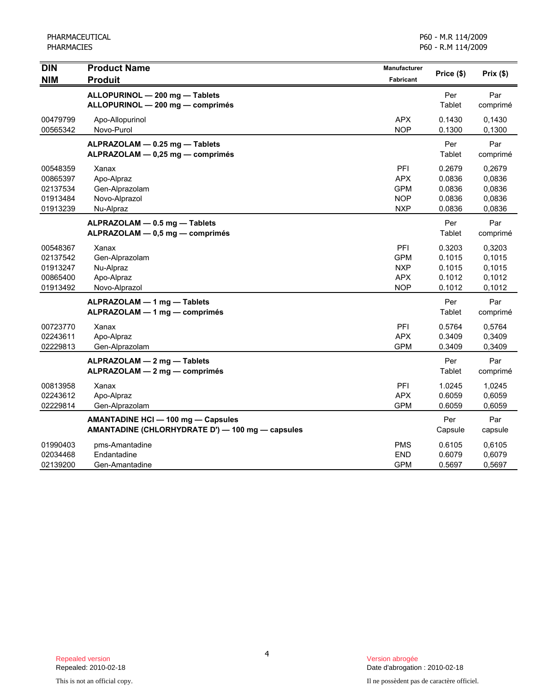PHARMACEUTICAL PHARMACIES

| <b>DIN</b><br><b>NIM</b>                                 | <b>Product Name</b><br><b>Produit</b>                                                         | Manufacturer<br><b>Fabricant</b>                            | Price (\$)                                     | Prix(\$)                                       |
|----------------------------------------------------------|-----------------------------------------------------------------------------------------------|-------------------------------------------------------------|------------------------------------------------|------------------------------------------------|
|                                                          | ALLOPURINOL - 200 mg - Tablets<br>ALLOPURINOL - 200 mg - comprimés                            |                                                             | Per<br>Tablet                                  | Par<br>comprimé                                |
| 00479799<br>00565342                                     | Apo-Allopurinol<br>Novo-Purol                                                                 | <b>APX</b><br><b>NOP</b>                                    | 0.1430<br>0.1300                               | 0,1430<br>0,1300                               |
|                                                          | ALPRAZOLAM - 0.25 mg - Tablets<br>ALPRAZOLAM - 0,25 mg - comprimés                            |                                                             | Per<br>Tablet                                  | Par<br>comprimé                                |
| 00548359<br>00865397<br>02137534<br>01913484<br>01913239 | Xanax<br>Apo-Alpraz<br>Gen-Alprazolam<br>Novo-Alprazol<br>Nu-Alpraz                           | PFI<br><b>APX</b><br><b>GPM</b><br><b>NOP</b><br><b>NXP</b> | 0.2679<br>0.0836<br>0.0836<br>0.0836<br>0.0836 | 0,2679<br>0,0836<br>0,0836<br>0,0836<br>0,0836 |
|                                                          | ALPRAZOLAM - 0.5 mg - Tablets<br>ALPRAZOLAM - 0,5 mg - comprimés                              |                                                             | Per<br>Tablet                                  | Par<br>comprimé                                |
| 00548367<br>02137542<br>01913247<br>00865400<br>01913492 | Xanax<br>Gen-Alprazolam<br>Nu-Alpraz<br>Apo-Alpraz<br>Novo-Alprazol                           | PFI<br><b>GPM</b><br><b>NXP</b><br><b>APX</b><br><b>NOP</b> | 0.3203<br>0.1015<br>0.1015<br>0.1012<br>0.1012 | 0,3203<br>0,1015<br>0,1015<br>0,1012<br>0,1012 |
|                                                          | ALPRAZOLAM - 1 mg - Tablets<br>ALPRAZOLAM - 1 mg - comprimés                                  |                                                             | Per<br>Tablet                                  | Par<br>comprimé                                |
| 00723770<br>02243611<br>02229813                         | Xanax<br>Apo-Alpraz<br>Gen-Alprazolam                                                         | PFI<br><b>APX</b><br><b>GPM</b>                             | 0.5764<br>0.3409<br>0.3409                     | 0,5764<br>0,3409<br>0,3409                     |
|                                                          | ALPRAZOLAM - 2 mg - Tablets<br>ALPRAZOLAM - 2 mg - comprimés                                  |                                                             | Per<br>Tablet                                  | Par<br>comprimé                                |
| 00813958<br>02243612<br>02229814                         | Xanax<br>Apo-Alpraz<br>Gen-Alprazolam                                                         | PFI<br><b>APX</b><br><b>GPM</b>                             | 1.0245<br>0.6059<br>0.6059                     | 1,0245<br>0,6059<br>0,6059                     |
|                                                          | <b>AMANTADINE HCI - 100 mg - Capsules</b><br>AMANTADINE (CHLORHYDRATE D') - 100 mg - capsules |                                                             | Per<br>Capsule                                 | Par<br>capsule                                 |
| 01990403<br>02034468<br>02139200                         | pms-Amantadine<br>Endantadine<br>Gen-Amantadine                                               | <b>PMS</b><br><b>END</b><br><b>GPM</b>                      | 0.6105<br>0.6079<br>0.5697                     | 0,6105<br>0,6079<br>0,5697                     |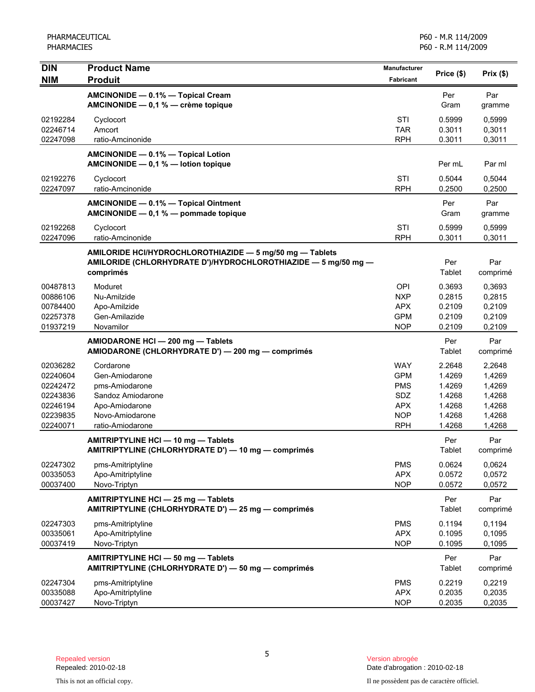| DIN                              | <b>Product Name</b>                                                                                                                     | Manufacturer                    | Price (\$)                 |                            |
|----------------------------------|-----------------------------------------------------------------------------------------------------------------------------------------|---------------------------------|----------------------------|----------------------------|
| <b>NIM</b>                       | <b>Produit</b>                                                                                                                          | <b>Fabricant</b>                |                            | Prix $(\$)$                |
|                                  | AMCINONIDE - 0.1% - Topical Cream<br>AMCINONIDE - 0,1 % - crème topique                                                                 |                                 | Per<br>Gram                | Par<br>gramme              |
| 02192284<br>02246714<br>02247098 | Cyclocort<br>Amcort<br>ratio-Amcinonide                                                                                                 | STI<br><b>TAR</b><br><b>RPH</b> | 0.5999<br>0.3011<br>0.3011 | 0,5999<br>0,3011<br>0,3011 |
|                                  |                                                                                                                                         |                                 |                            |                            |
|                                  | AMCINONIDE - 0.1% - Topical Lotion<br>AMCINONIDE $-0.1 %$ - lotion topique                                                              |                                 | Per mL                     | Par ml                     |
| 02192276<br>02247097             | Cyclocort<br>ratio-Amcinonide                                                                                                           | STI<br><b>RPH</b>               | 0.5044<br>0.2500           | 0,5044<br>0,2500           |
|                                  | AMCINONIDE - 0.1% - Topical Ointment<br>AMCINONIDE - 0,1 % - pommade topique                                                            |                                 | Per<br>Gram                | Par<br>gramme              |
| 02192268<br>02247096             | Cyclocort<br>ratio-Amcinonide                                                                                                           | STI<br><b>RPH</b>               | 0.5999<br>0.3011           | 0,5999<br>0.3011           |
|                                  | AMILORIDE HCI/HYDROCHLOROTHIAZIDE - 5 mg/50 mg - Tablets<br>AMILORIDE (CHLORHYDRATE D')/HYDROCHLOROTHIAZIDE - 5 mg/50 mg -<br>comprimés |                                 | Per<br>Tablet              | Par<br>comprimé            |
| 00487813                         | Moduret                                                                                                                                 | OPI                             | 0.3693                     | 0,3693                     |
| 00886106                         | Nu-Amilzide                                                                                                                             | <b>NXP</b>                      | 0.2815                     | 0,2815                     |
| 00784400                         | Apo-Amilzide                                                                                                                            | <b>APX</b>                      | 0.2109                     | 0,2109                     |
| 02257378<br>01937219             | Gen-Amilazide<br>Novamilor                                                                                                              | <b>GPM</b><br><b>NOP</b>        | 0.2109<br>0.2109           | 0,2109<br>0,2109           |
|                                  | AMIODARONE HCI - 200 mg - Tablets<br>AMIODARONE (CHLORHYDRATE D') — 200 mg — comprimés                                                  |                                 | Per<br>Tablet              | Par<br>comprimé            |
| 02036282                         | Cordarone                                                                                                                               | <b>WAY</b>                      | 2.2648                     | 2,2648                     |
| 02240604                         | Gen-Amiodarone                                                                                                                          | <b>GPM</b>                      | 1.4269                     | 1,4269                     |
| 02242472                         | pms-Amiodarone                                                                                                                          | <b>PMS</b>                      | 1.4269                     | 1,4269                     |
| 02243836                         | Sandoz Amiodarone                                                                                                                       | <b>SDZ</b>                      | 1.4268                     | 1,4268                     |
| 02246194                         | Apo-Amiodarone                                                                                                                          | <b>APX</b>                      | 1.4268                     | 1,4268                     |
| 02239835                         | Novo-Amiodarone                                                                                                                         | <b>NOP</b>                      | 1.4268                     | 1,4268                     |
| 02240071                         | ratio-Amiodarone                                                                                                                        | <b>RPH</b>                      | 1.4268                     | 1,4268                     |
|                                  | AMITRIPTYLINE HCI - 10 mg - Tablets<br>AMITRIPTYLINE (CHLORHYDRATE D') - 10 mg - comprimés                                              |                                 | Per<br><b>Tablet</b>       | Par<br>comprimé            |
| 02247302                         | pms-Amitriptyline                                                                                                                       | <b>PMS</b>                      | 0.0624                     | 0,0624                     |
| 00335053                         | Apo-Amitriptyline                                                                                                                       | <b>APX</b>                      | 0.0572                     | 0,0572                     |
| 00037400                         | Novo-Triptyn                                                                                                                            | <b>NOP</b>                      | 0.0572                     | 0,0572                     |
|                                  | AMITRIPTYLINE HCI - 25 mg - Tablets<br>AMITRIPTYLINE (CHLORHYDRATE D') - 25 mg - comprimés                                              |                                 | Per<br>Tablet              | Par<br>comprimé            |
| 02247303                         | pms-Amitriptyline                                                                                                                       | <b>PMS</b>                      | 0.1194                     | 0,1194                     |
| 00335061                         | Apo-Amitriptyline                                                                                                                       | <b>APX</b>                      | 0.1095                     | 0,1095                     |
| 00037419                         | Novo-Triptyn                                                                                                                            | <b>NOP</b>                      | 0.1095                     | 0,1095                     |
|                                  | AMITRIPTYLINE HCI - 50 mg - Tablets<br>AMITRIPTYLINE (CHLORHYDRATE D') - 50 mg - comprimés                                              |                                 | Per<br>Tablet              | Par<br>comprimé            |
| 02247304                         | pms-Amitriptyline                                                                                                                       | <b>PMS</b>                      | 0.2219                     | 0,2219                     |
| 00335088                         | Apo-Amitriptyline                                                                                                                       | <b>APX</b>                      | 0.2035                     | 0,2035                     |
| 00037427                         | Novo-Triptyn                                                                                                                            | <b>NOP</b>                      | 0.2035                     | 0,2035                     |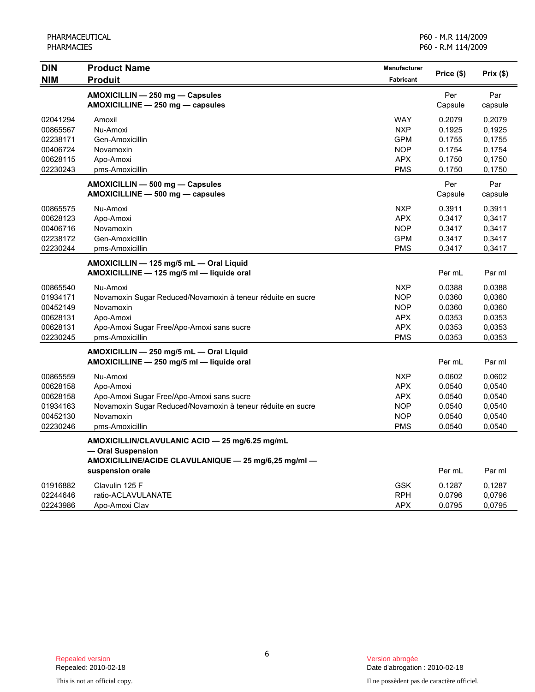| <b>DIN</b> | <b>Product Name</b>                                         | Manufacturer     | Price (\$) | Prix(\$) |
|------------|-------------------------------------------------------------|------------------|------------|----------|
| <b>NIM</b> | <b>Produit</b>                                              | <b>Fabricant</b> |            |          |
|            | AMOXICILLIN - 250 mg - Capsules                             |                  | Per        | Par      |
|            | AMOXICILLINE - 250 mg - capsules                            |                  | Capsule    | capsule  |
| 02041294   | Amoxil                                                      | <b>WAY</b>       | 0.2079     | 0,2079   |
| 00865567   | Nu-Amoxi                                                    | <b>NXP</b>       | 0.1925     | 0.1925   |
| 02238171   | Gen-Amoxicillin                                             | <b>GPM</b>       | 0.1755     | 0.1755   |
| 00406724   | Novamoxin                                                   | <b>NOP</b>       | 0.1754     | 0,1754   |
| 00628115   | Apo-Amoxi                                                   | <b>APX</b>       | 0.1750     | 0,1750   |
| 02230243   | pms-Amoxicillin                                             | <b>PMS</b>       | 0.1750     | 0,1750   |
|            | AMOXICILLIN - 500 mg - Capsules                             |                  | Per        | Par      |
|            | AMOXICILLINE - 500 mg - capsules                            |                  | Capsule    | capsule  |
| 00865575   | Nu-Amoxi                                                    | <b>NXP</b>       | 0.3911     | 0,3911   |
| 00628123   | Apo-Amoxi                                                   | <b>APX</b>       | 0.3417     | 0,3417   |
| 00406716   | Novamoxin                                                   | <b>NOP</b>       | 0.3417     | 0,3417   |
| 02238172   | Gen-Amoxicillin                                             | <b>GPM</b>       | 0.3417     | 0,3417   |
| 02230244   | pms-Amoxicillin                                             | <b>PMS</b>       | 0.3417     | 0,3417   |
|            | AMOXICILLIN - 125 mg/5 mL - Oral Liquid                     |                  |            |          |
|            | AMOXICILLINE - 125 mg/5 ml - liquide oral                   |                  | Per mL     | Par ml   |
| 00865540   | Nu-Amoxi                                                    | <b>NXP</b>       | 0.0388     | 0,0388   |
| 01934171   | Novamoxin Sugar Reduced/Novamoxin à teneur réduite en sucre | <b>NOP</b>       | 0.0360     | 0,0360   |
| 00452149   | Novamoxin                                                   | <b>NOP</b>       | 0.0360     | 0,0360   |
| 00628131   | Apo-Amoxi                                                   | <b>APX</b>       | 0.0353     | 0,0353   |
| 00628131   | Apo-Amoxi Sugar Free/Apo-Amoxi sans sucre                   | <b>APX</b>       | 0.0353     | 0,0353   |
| 02230245   | pms-Amoxicillin                                             | <b>PMS</b>       | 0.0353     | 0,0353   |
|            | AMOXICILLIN - 250 mg/5 mL - Oral Liquid                     |                  |            |          |
|            | AMOXICILLINE - 250 mg/5 ml - liquide oral                   |                  | Per mL     | Par ml   |
| 00865559   | Nu-Amoxi                                                    | <b>NXP</b>       | 0.0602     | 0,0602   |
| 00628158   | Apo-Amoxi                                                   | <b>APX</b>       | 0.0540     | 0,0540   |
| 00628158   | Apo-Amoxi Sugar Free/Apo-Amoxi sans sucre                   | <b>APX</b>       | 0.0540     | 0,0540   |
| 01934163   | Novamoxin Sugar Reduced/Novamoxin à teneur réduite en sucre | <b>NOP</b>       | 0.0540     | 0,0540   |
| 00452130   | Novamoxin                                                   | <b>NOP</b>       | 0.0540     | 0,0540   |
| 02230246   | pms-Amoxicillin                                             | <b>PMS</b>       | 0.0540     | 0,0540   |
|            | AMOXICILLIN/CLAVULANIC ACID - 25 mg/6.25 mg/mL              |                  |            |          |
|            | - Oral Suspension                                           |                  |            |          |
|            | AMOXICILLINE/ACIDE CLAVULANIQUE - 25 mg/6,25 mg/ml -        |                  |            |          |
|            | suspension orale                                            |                  | Per mL     | Par ml   |
| 01916882   | Clavulin 125 F                                              | <b>GSK</b>       | 0.1287     | 0,1287   |
| 02244646   | ratio-ACLAVULANATE                                          | <b>RPH</b>       | 0.0796     | 0,0796   |
| 02243986   | Apo-Amoxi Clav                                              | <b>APX</b>       | 0.0795     | 0,0795   |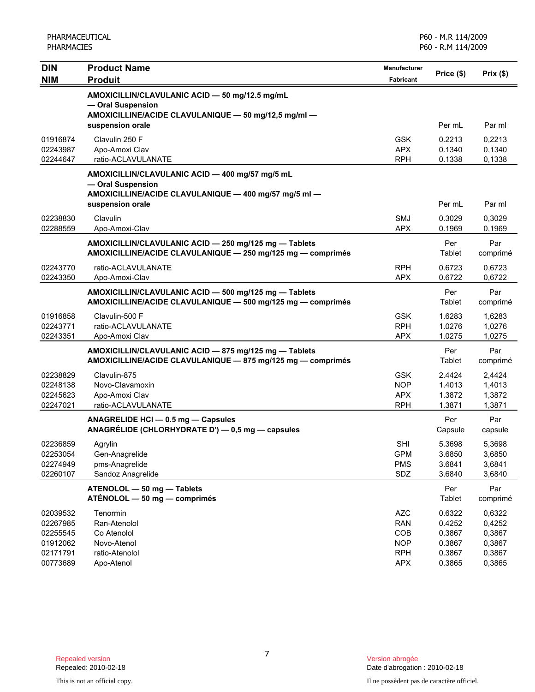| <b>DIN</b>           | <b>Product Name</b>                                                                    | <b>Manufacturer</b>      | Price (\$)       | Prix(\$)         |
|----------------------|----------------------------------------------------------------------------------------|--------------------------|------------------|------------------|
| <b>NIM</b>           | <b>Produit</b>                                                                         | Fabricant                |                  |                  |
|                      | AMOXICILLIN/CLAVULANIC ACID - 50 mg/12.5 mg/mL<br>- Oral Suspension                    |                          |                  |                  |
|                      | AMOXICILLINE/ACIDE CLAVULANIQUE - 50 mg/12,5 mg/ml -                                   |                          |                  |                  |
|                      | suspension orale                                                                       |                          | Per mL           | Par ml           |
| 01916874             | Clavulin 250 F                                                                         | <b>GSK</b>               | 0.2213           | 0,2213           |
| 02243987             | Apo-Amoxi Clav                                                                         | <b>APX</b>               | 0.1340           | 0,1340           |
| 02244647             | ratio-ACLAVULANATE                                                                     | <b>RPH</b>               | 0.1338           | 0,1338           |
|                      | AMOXICILLIN/CLAVULANIC ACID - 400 mg/57 mg/5 mL                                        |                          |                  |                  |
|                      | - Oral Suspension<br>AMOXICILLINE/ACIDE CLAVULANIQUE - 400 mg/57 mg/5 ml -             |                          |                  |                  |
|                      | suspension orale                                                                       |                          | Per mL           | Par ml           |
| 02238830             | Clavulin                                                                               | SMJ                      | 0.3029           | 0,3029           |
| 02288559             | Apo-Amoxi-Clav                                                                         | <b>APX</b>               | 0.1969           | 0,1969           |
|                      | AMOXICILLIN/CLAVULANIC ACID - 250 mg/125 mg - Tablets                                  |                          | Per              | Par              |
|                      | AMOXICILLINE/ACIDE CLAVULANIQUE - 250 mg/125 mg - comprimés                            |                          | Tablet           | comprimé         |
| 02243770             | ratio-ACLAVULANATE                                                                     | <b>RPH</b>               | 0.6723           | 0,6723           |
| 02243350             | Apo-Amoxi-Clav                                                                         | <b>APX</b>               | 0.6722           | 0,6722           |
|                      | AMOXICILLIN/CLAVULANIC ACID - 500 mg/125 mg - Tablets                                  |                          | Per              | Par              |
|                      | AMOXICILLINE/ACIDE CLAVULANIQUE - 500 mg/125 mg - comprimés                            |                          | Tablet           | comprimé         |
| 01916858             | Clavulin-500 F                                                                         | <b>GSK</b>               | 1.6283           | 1,6283           |
| 02243771<br>02243351 | ratio-ACLAVULANATE<br>Apo-Amoxi Clav                                                   | <b>RPH</b><br><b>APX</b> | 1.0276<br>1.0275 | 1,0276<br>1,0275 |
|                      | AMOXICILLIN/CLAVULANIC ACID - 875 mg/125 mg - Tablets                                  |                          | Per              | Par              |
|                      | AMOXICILLINE/ACIDE CLAVULANIQUE - 875 mg/125 mg - comprimés                            |                          | Tablet           | comprimé         |
| 02238829             | Clavulin-875                                                                           | <b>GSK</b>               | 2.4424           | 2,4424           |
| 02248138             | Novo-Clavamoxin                                                                        | <b>NOP</b>               | 1.4013           | 1,4013           |
| 02245623             | Apo-Amoxi Clav                                                                         | <b>APX</b>               | 1.3872           | 1,3872           |
| 02247021             | ratio-ACLAVULANATE                                                                     | <b>RPH</b>               | 1.3871           | 1,3871           |
|                      | ANAGRELIDE HCI - 0.5 mg - Capsules<br>ANAGRÉLIDE (CHLORHYDRATE D') - 0,5 mg - capsules |                          | Per<br>Capsule   | Par<br>capsule   |
|                      |                                                                                        |                          |                  |                  |
| 02236859<br>02253054 | Agrylin<br>Gen-Anagrelide                                                              | <b>SHI</b><br><b>GPM</b> | 5.3698<br>3.6850 | 5,3698<br>3,6850 |
| 02274949             | pms-Anagrelide                                                                         | <b>PMS</b>               | 3.6841           | 3,6841           |
| 02260107             | Sandoz Anagrelide                                                                      | SDZ                      | 3.6840           | 3,6840           |
|                      | ATENOLOL - 50 mg - Tablets                                                             |                          | Per              | Par              |
|                      | ATÉNOLOL - 50 mg - comprimés                                                           |                          | Tablet           | comprimé         |
| 02039532             | Tenormin                                                                               | <b>AZC</b>               | 0.6322           | 0,6322           |
| 02267985<br>02255545 | Ran-Atenolol<br>Co Atenolol                                                            | <b>RAN</b><br>COB        | 0.4252<br>0.3867 | 0,4252<br>0,3867 |
| 01912062             | Novo-Atenol                                                                            | <b>NOP</b>               | 0.3867           | 0,3867           |
| 02171791             | ratio-Atenolol                                                                         | <b>RPH</b>               | 0.3867           | 0,3867           |
| 00773689             | Apo-Atenol                                                                             | <b>APX</b>               | 0.3865           | 0,3865           |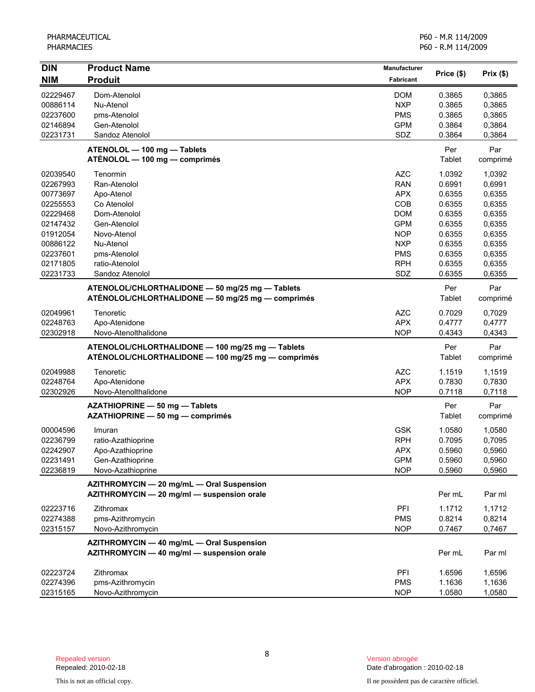PHARMACEUTICAL PHARMACIES

| <b>DIN</b><br><b>NIM</b> | <b>Product Name</b><br><b>Produit</b>                                                                  | <b>Manufacturer</b><br>Fabricant | Price (\$)    | Prix(\$)        |
|--------------------------|--------------------------------------------------------------------------------------------------------|----------------------------------|---------------|-----------------|
| 02229467                 | Dom-Atenolol                                                                                           | <b>DOM</b>                       | 0.3865        | 0,3865          |
| 00886114                 | Nu-Atenol                                                                                              | <b>NXP</b>                       | 0.3865        | 0,3865          |
| 02237600                 | pms-Atenolol                                                                                           | <b>PMS</b>                       | 0.3865        | 0,3865          |
| 02146894                 | Gen-Atenolol                                                                                           | <b>GPM</b>                       | 0.3864        | 0,3864          |
| 02231731                 | Sandoz Atenolol                                                                                        | SDZ                              | 0.3864        | 0,3864          |
|                          | ATENOLOL - 100 mg - Tablets<br>ATÉNOLOL - 100 mg - comprimés                                           |                                  | Per<br>Tablet | Par<br>comprimé |
| 02039540                 | Tenormin                                                                                               | <b>AZC</b>                       | 1.0392        | 1,0392          |
| 02267993                 | Ran-Atenolol                                                                                           | <b>RAN</b>                       | 0.6991        | 0,6991          |
| 00773697                 | Apo-Atenol                                                                                             | <b>APX</b>                       | 0.6355        | 0,6355          |
| 02255553                 | Co Atenolol                                                                                            | COB                              | 0.6355        | 0,6355          |
| 02229468                 | Dom-Atenolol                                                                                           | <b>DOM</b>                       | 0.6355        | 0,6355          |
| 02147432                 | Gen-Atenolol                                                                                           | <b>GPM</b>                       | 0.6355        | 0,6355          |
| 01912054                 | Novo-Atenol                                                                                            | <b>NOP</b>                       | 0.6355        | 0,6355          |
| 00886122                 | Nu-Atenol                                                                                              | <b>NXP</b>                       | 0.6355        | 0,6355          |
| 02237601                 | pms-Atenolol                                                                                           | <b>PMS</b>                       | 0.6355        | 0,6355          |
| 02171805                 | ratio-Atenolol                                                                                         | <b>RPH</b>                       | 0.6355        | 0,6355          |
| 02231733                 | Sandoz Atenolol                                                                                        | SDZ                              | 0.6355        | 0,6355          |
|                          | ATENOLOL/CHLORTHALIDONE - 50 mg/25 mg - Tablets<br>ATÉNOLOL/CHLORTHALIDONE - 50 mg/25 mg - comprimés   |                                  | Per<br>Tablet | Par<br>comprimé |
| 02049961                 | Tenoretic                                                                                              | <b>AZC</b>                       | 0.7029        | 0,7029          |
| 02248763                 | Apo-Atenidone                                                                                          | <b>APX</b>                       | 0.4777        | 0,4777          |
| 02302918                 | Novo-Atenolthalidone                                                                                   | <b>NOP</b>                       | 0.4343        | 0,4343          |
|                          | ATENOLOL/CHLORTHALIDONE - 100 mg/25 mg - Tablets<br>ATÉNOLOL/CHLORTHALIDONE - 100 mg/25 mg - comprimés |                                  | Per<br>Tablet | Par<br>comprimé |
| 02049988                 | Tenoretic                                                                                              | <b>AZC</b>                       | 1.1519        | 1,1519          |
| 02248764                 | Apo-Atenidone                                                                                          | <b>APX</b>                       | 0.7830        | 0,7830          |
| 02302926                 | Novo-Atenolthalidone                                                                                   | <b>NOP</b>                       | 0.7118        | 0,7118          |
|                          | AZATHIOPRINE - 50 mg - Tablets<br>AZATHIOPRINE - 50 mg - comprimés                                     |                                  | Per<br>Tablet | Par<br>comprimé |
| 00004596                 | Imuran                                                                                                 | <b>GSK</b>                       | 1.0580        | 1,0580          |
| 02236799                 | ratio-Azathioprine                                                                                     | <b>RPH</b>                       | 0.7095        | 0,7095          |
| 02242907                 | Apo-Azathioprine                                                                                       | <b>APX</b>                       | 0.5960        | 0,5960          |
| 02231491                 | Gen-Azathioprine                                                                                       | <b>GPM</b>                       | 0.5960        | 0,5960          |
| 02236819                 | Novo-Azathioprine                                                                                      | <b>NOP</b>                       | 0.5960        | 0,5960          |
|                          | AZITHROMYCIN - 20 mg/mL - Oral Suspension<br>AZITHROMYCIN - 20 mg/ml - suspension orale                |                                  | Per mL        | Par ml          |
| 02223716                 | Zithromax                                                                                              | PFI                              | 1.1712        | 1,1712          |
| 02274388                 | pms-Azithromycin                                                                                       | <b>PMS</b>                       | 0.8214        | 0,8214          |
| 02315157                 | Novo-Azithromycin                                                                                      | <b>NOP</b>                       | 0.7467        | 0,7467          |
|                          | AZITHROMYCIN - 40 mg/mL - Oral Suspension<br>AZITHROMYCIN - 40 mg/ml - suspension orale                |                                  | Per mL        | Par ml          |
| 02223724                 | Zithromax                                                                                              | PFI                              | 1.6596        | 1,6596          |
| 02274396                 | pms-Azithromycin                                                                                       | <b>PMS</b>                       | 1.1636        | 1,1636          |
| 02315165                 | Novo-Azithromycin                                                                                      | <b>NOP</b>                       | 1.0580        | 1,0580          |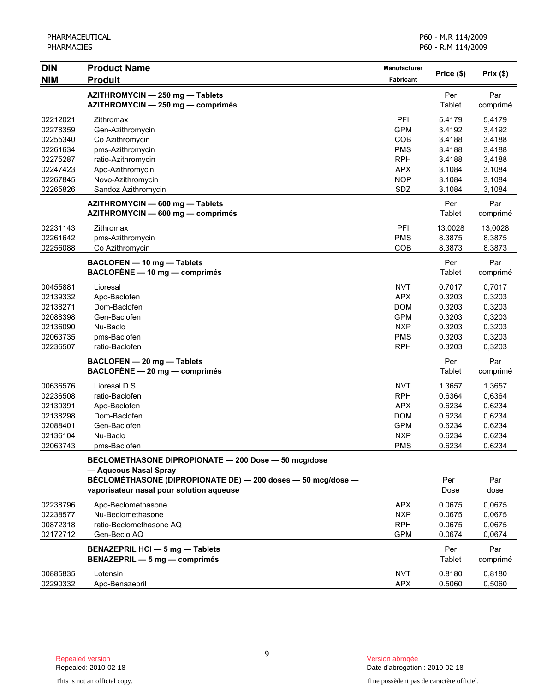| DIN                  | <b>Product Name</b>                                                                                                               | Manufacturer      |                  |                  |
|----------------------|-----------------------------------------------------------------------------------------------------------------------------------|-------------------|------------------|------------------|
| <b>NIM</b>           | <b>Produit</b>                                                                                                                    | <b>Fabricant</b>  | Price (\$)       | Prix(\$)         |
|                      | AZITHROMYCIN - 250 mg - Tablets<br>AZITHROMYCIN - 250 mg - comprimés                                                              |                   | Per<br>Tablet    | Par<br>comprimé  |
| 02212021<br>02278359 | Zithromax<br>Gen-Azithromycin                                                                                                     | PFI<br><b>GPM</b> | 5.4179<br>3.4192 | 5,4179<br>3,4192 |
| 02255340             | Co Azithromycin                                                                                                                   | COB               | 3.4188           | 3,4188           |
| 02261634             | pms-Azithromycin                                                                                                                  | <b>PMS</b>        | 3.4188           | 3,4188           |
| 02275287             | ratio-Azithromycin                                                                                                                | <b>RPH</b>        | 3.4188           | 3,4188           |
| 02247423             | Apo-Azithromycin                                                                                                                  | <b>APX</b>        | 3.1084           | 3,1084           |
| 02267845             | Novo-Azithromycin                                                                                                                 | <b>NOP</b>        | 3.1084           | 3,1084           |
| 02265826             | Sandoz Azithromycin                                                                                                               | SDZ               | 3.1084           | 3,1084           |
|                      | AZITHROMYCIN - 600 mg - Tablets<br>AZITHROMYCIN - 600 mg - comprimés                                                              |                   | Per<br>Tablet    | Par<br>comprimé  |
| 02231143             | Zithromax                                                                                                                         | PFI               | 13.0028          | 13,0028          |
| 02261642             | pms-Azithromycin                                                                                                                  | <b>PMS</b>        | 8.3875           | 8,3875           |
| 02256088             | Co Azithromycin                                                                                                                   | COB               | 8.3873           | 8.3873           |
|                      | BACLOFEN - 10 mg - Tablets<br>BACLOFÈNE - 10 mg - comprimés                                                                       |                   | Per<br>Tablet    | Par<br>comprimé  |
| 00455881             | Lioresal                                                                                                                          | <b>NVT</b>        | 0.7017           | 0,7017           |
| 02139332             | Apo-Baclofen                                                                                                                      | <b>APX</b>        | 0.3203           | 0,3203           |
| 02138271             | Dom-Baclofen                                                                                                                      | <b>DOM</b>        | 0.3203           | 0,3203           |
| 02088398             | Gen-Baclofen                                                                                                                      | <b>GPM</b>        | 0.3203           | 0,3203           |
| 02136090             | Nu-Baclo                                                                                                                          | <b>NXP</b>        | 0.3203           | 0,3203           |
| 02063735             | pms-Baclofen                                                                                                                      | <b>PMS</b>        | 0.3203           | 0,3203           |
| 02236507             | ratio-Baclofen                                                                                                                    | <b>RPH</b>        | 0.3203           | 0,3203           |
|                      | BACLOFEN - 20 mg - Tablets                                                                                                        |                   | Per              | Par              |
|                      | BACLOFÈNE - 20 mg - comprimés                                                                                                     |                   | Tablet           | comprimé         |
| 00636576             | Lioresal D.S.                                                                                                                     | <b>NVT</b>        | 1.3657           | 1,3657           |
| 02236508             | ratio-Baclofen                                                                                                                    | <b>RPH</b>        | 0.6364           | 0,6364           |
| 02139391             | Apo-Baclofen                                                                                                                      | <b>APX</b>        | 0.6234           | 0,6234           |
| 02138298             | Dom-Baclofen                                                                                                                      | <b>DOM</b>        | 0.6234           | 0,6234           |
| 02088401             | Gen-Baclofen                                                                                                                      | <b>GPM</b>        | 0.6234           | 0,6234           |
| 02136104             | Nu-Baclo                                                                                                                          | <b>NXP</b>        | 0.6234           | 0,6234           |
| 02063743             | pms-Baclofen                                                                                                                      | <b>PMS</b>        | 0.6234           | 0,6234           |
|                      | BECLOMETHASONE DIPROPIONATE - 200 Dose - 50 mcg/dose                                                                              |                   |                  |                  |
|                      | - Aqueous Nasal Spray<br>BÉCLOMÉTHASONE (DIPROPIONATE DE) - 200 doses - 50 mcg/dose -<br>vaporisateur nasal pour solution aqueuse |                   | Per<br>Dose      | Par<br>dose      |
| 02238796             | Apo-Beclomethasone                                                                                                                | <b>APX</b>        | 0.0675           | 0,0675           |
| 02238577             | Nu-Beclomethasone                                                                                                                 | <b>NXP</b>        | 0.0675           | 0,0675           |
| 00872318             | ratio-Beclomethasone AQ                                                                                                           | <b>RPH</b>        | 0.0675           | 0,0675           |
| 02172712             | Gen-Beclo AQ                                                                                                                      | <b>GPM</b>        | 0.0674           | 0,0674           |
|                      | <b>BENAZEPRIL HCI - 5 mg - Tablets</b><br>BENAZEPRIL - 5 mg - comprimés                                                           |                   | Per<br>Tablet    | Par<br>comprimé  |
| 00885835             | Lotensin                                                                                                                          | <b>NVT</b>        | 0.8180           | 0,8180           |
| 02290332             | Apo-Benazepril                                                                                                                    | <b>APX</b>        | 0.5060           | 0,5060           |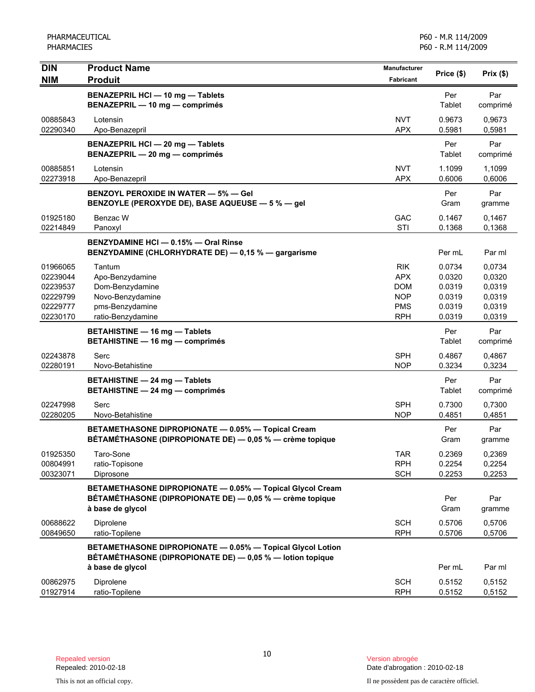| <b>DIN</b>                                               | <b>Product Name</b>                                                                                                                         | <b>Manufacturer</b>                                         | Price (\$)                                     | $Prix($ \$)                                    |
|----------------------------------------------------------|---------------------------------------------------------------------------------------------------------------------------------------------|-------------------------------------------------------------|------------------------------------------------|------------------------------------------------|
| <b>NIM</b>                                               | <b>Produit</b>                                                                                                                              | <b>Fabricant</b>                                            |                                                |                                                |
|                                                          | <b>BENAZEPRIL HCI - 10 mg - Tablets</b><br>BENAZEPRIL - 10 mg - comprimés                                                                   |                                                             | Per<br>Tablet                                  | Par<br>comprimé                                |
| 00885843<br>02290340                                     | Lotensin<br>Apo-Benazepril                                                                                                                  | <b>NVT</b><br><b>APX</b>                                    | 0.9673<br>0.5981                               | 0,9673<br>0,5981                               |
|                                                          | BENAZEPRIL HCI - 20 mg - Tablets<br>BENAZEPRIL - 20 mg - comprimés                                                                          |                                                             | Per<br>Tablet                                  | Par<br>comprimé                                |
| 00885851<br>02273918                                     | Lotensin<br>Apo-Benazepril                                                                                                                  | <b>NVT</b><br><b>APX</b>                                    | 1.1099<br>0.6006                               | 1,1099<br>0,6006                               |
|                                                          | <b>BENZOYL PEROXIDE IN WATER - 5% - Gel</b><br>BENZOYLE (PEROXYDE DE), BASE AQUEUSE - 5 % - gel                                             |                                                             | Per<br>Gram                                    | Par<br>gramme                                  |
| 01925180<br>02214849                                     | Benzac W<br>Panoxyl                                                                                                                         | <b>GAC</b><br>STI                                           | 0.1467<br>0.1368                               | 0,1467<br>0,1368                               |
|                                                          | BENZYDAMINE HCI - 0.15% - Oral Rinse<br>BENZYDAMINE (CHLORHYDRATE DE) - 0,15 % - gargarisme                                                 |                                                             | Per mL                                         | Par ml                                         |
| 01966065<br>02239044<br>02239537<br>02229799<br>02229777 | Tantum<br>Apo-Benzydamine<br>Dom-Benzydamine<br>Novo-Benzydamine<br>pms-Benzydamine                                                         | <b>RIK</b><br><b>APX</b><br>DOM<br><b>NOP</b><br><b>PMS</b> | 0.0734<br>0.0320<br>0.0319<br>0.0319<br>0.0319 | 0,0734<br>0,0320<br>0,0319<br>0,0319<br>0,0319 |
| 02230170                                                 | ratio-Benzydamine<br><b>BETAHISTINE - 16 mg - Tablets</b><br><b>BETAHISTINE - 16 mg - comprimés</b>                                         | <b>RPH</b>                                                  | 0.0319<br>Per<br>Tablet                        | 0,0319<br>Par<br>comprimé                      |
| 02243878<br>02280191                                     | Serc<br>Novo-Betahistine                                                                                                                    | <b>SPH</b><br><b>NOP</b>                                    | 0.4867<br>0.3234                               | 0,4867<br>0,3234                               |
|                                                          | <b>BETAHISTINE - 24 mg - Tablets</b><br><b>BETAHISTINE - 24 mg - comprimés</b>                                                              |                                                             | Per<br>Tablet                                  | Par<br>comprimé                                |
| 02247998<br>02280205                                     | Serc<br>Novo-Betahistine                                                                                                                    | <b>SPH</b><br><b>NOP</b>                                    | 0.7300<br>0.4851                               | 0,7300<br>0,4851                               |
|                                                          | BETAMETHASONE DIPROPIONATE - 0.05% - Topical Cream<br>BÉTAMÉTHASONE (DIPROPIONATE DE) — 0,05 % — crème topique                              |                                                             | Per<br>Gram                                    | Par<br>gramme                                  |
| 01925350<br>00804991<br>00323071                         | Taro-Sone<br>ratio-Topisone<br>Diprosone                                                                                                    | <b>TAR</b><br><b>RPH</b><br><b>SCH</b>                      | 0.2369<br>0.2254<br>0.2253                     | 0,2369<br>0,2254<br>0,2253                     |
|                                                          | BETAMETHASONE DIPROPIONATE - 0.05% - Topical Glycol Cream<br>BÉTAMÉTHASONE (DIPROPIONATE DE) — 0,05 % — crème topique<br>à base de glycol   |                                                             | Per<br>Gram                                    | Par<br>gramme                                  |
| 00688622<br>00849650                                     | Diprolene<br>ratio-Topilene                                                                                                                 | <b>SCH</b><br><b>RPH</b>                                    | 0.5706<br>0.5706                               | 0,5706<br>0,5706                               |
|                                                          | BETAMETHASONE DIPROPIONATE - 0.05% - Topical Glycol Lotion<br>BÉTAMÉTHASONE (DIPROPIONATE DE) - 0,05 % - lotion topique<br>à base de glycol |                                                             | Per mL                                         | Par ml                                         |
| 00862975<br>01927914                                     | Diprolene<br>ratio-Topilene                                                                                                                 | <b>SCH</b><br><b>RPH</b>                                    | 0.5152<br>0.5152                               | 0,5152<br>0,5152                               |

Date d'abrogation : 2010-02-18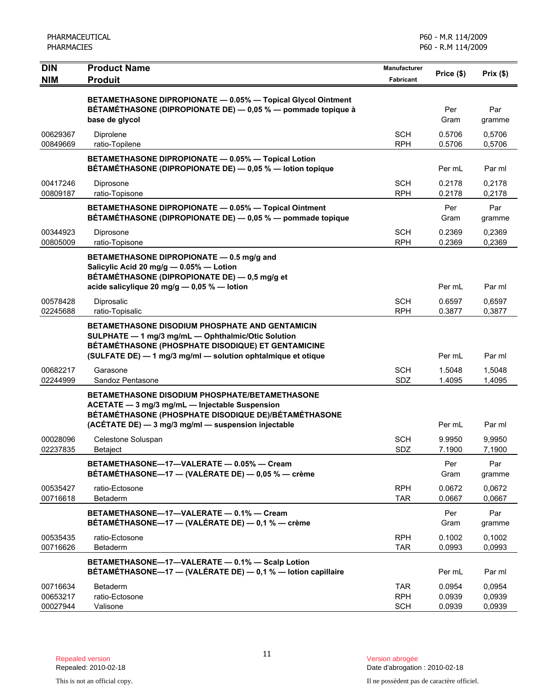| <b>DIN</b><br><b>NIM</b>         | <b>Product Name</b><br><b>Produit</b>                                                                                                                                                                                       | <b>Manufacturer</b><br><b>Fabricant</b> | Price (\$)                 | Prix(\$)                   |
|----------------------------------|-----------------------------------------------------------------------------------------------------------------------------------------------------------------------------------------------------------------------------|-----------------------------------------|----------------------------|----------------------------|
|                                  | BETAMETHASONE DIPROPIONATE - 0.05% - Topical Glycol Ointment<br>BÉTAMÉTHASONE (DIPROPIONATE DE) — 0,05 % — pommade topique à<br>base de glycol                                                                              |                                         | Per<br>Gram                | Par<br>gramme              |
| 00629367<br>00849669             | Diprolene<br>ratio-Topilene                                                                                                                                                                                                 | <b>SCH</b><br><b>RPH</b>                | 0.5706<br>0.5706           | 0,5706<br>0,5706           |
|                                  | BETAMETHASONE DIPROPIONATE - 0.05% - Topical Lotion<br>BÉTAMÉTHASONE (DIPROPIONATE DE) - 0,05 % - lotion topique                                                                                                            |                                         | Per mL                     | Par ml                     |
| 00417246<br>00809187             | Diprosone<br>ratio-Topisone                                                                                                                                                                                                 | <b>SCH</b><br><b>RPH</b>                | 0.2178<br>0.2178           | 0,2178<br>0,2178           |
|                                  | BETAMETHASONE DIPROPIONATE - 0.05% - Topical Ointment<br>BÉTAMÉTHASONE (DIPROPIONATE DE) — 0,05 % — pommade topique                                                                                                         |                                         | Per<br>Gram                | Par<br>gramme              |
| 00344923<br>00805009             | Diprosone<br>ratio-Topisone                                                                                                                                                                                                 | <b>SCH</b><br><b>RPH</b>                | 0.2369<br>0.2369           | 0,2369<br>0,2369           |
|                                  | BETAMETHASONE DIPROPIONATE - 0.5 mg/g and<br>Salicylic Acid 20 mg/g - 0.05% - Lotion<br>BÉTAMÉTHASONE (DIPROPIONATE DE) - 0,5 mg/g et<br>acide salicylique 20 mg/g - 0,05 % - lotion                                        |                                         | Per mL                     |                            |
| 00578428<br>02245688             | Diprosalic<br>ratio-Topisalic                                                                                                                                                                                               | <b>SCH</b><br><b>RPH</b>                | 0.6597<br>0.3877           | Par ml<br>0,6597<br>0,3877 |
|                                  | BETAMETHASONE DISODIUM PHOSPHATE AND GENTAMICIN<br>SULPHATE - 1 mg/3 mg/mL - Ophthalmic/Otic Solution<br>BÉTAMÉTHASONE (PHOSPHATE DISODIQUE) ET GENTAMICINE<br>(SULFATE DE) - 1 mg/3 mg/ml - solution ophtalmique et otique |                                         | Per mL                     | Par ml                     |
| 00682217<br>02244999             | Garasone<br>Sandoz Pentasone                                                                                                                                                                                                | <b>SCH</b><br>SDZ                       | 1.5048<br>1.4095           | 1,5048<br>1,4095           |
|                                  | <b>BETAMETHASONE DISODIUM PHOSPHATE/BETAMETHASONE</b><br>ACETATE - 3 mg/3 mg/mL - Injectable Suspension<br>BÉTAMÉTHASONE (PHOSPHATE DISODIQUE DE)/BÉTAMÉTHASONE                                                             |                                         |                            |                            |
| 00028096<br>02237835             | (ACÉTATE DE) - 3 mg/3 mg/ml - suspension injectable<br>Celestone Soluspan<br>Betaject                                                                                                                                       | <b>SCH</b><br>SDZ                       | Per mL<br>9.9950<br>7.1900 | Par ml<br>9,9950<br>7,1900 |
|                                  | BETAMETHASONE-17-VALERATE - 0.05% - Cream<br>BÉTAMÉTHASONE-17 - (VALÉRATE DE) - 0,05 % - crème                                                                                                                              |                                         | Per<br>Gram                | Par<br>gramme              |
| 00535427<br>00716618             | ratio-Ectosone<br><b>Betaderm</b>                                                                                                                                                                                           | <b>RPH</b><br><b>TAR</b>                | 0.0672<br>0.0667           | 0.0672<br>0,0667           |
|                                  | BETAMETHASONE-17-VALERATE - 0.1% - Cream<br>BÉTAMÉTHASONE-17 - (VALÉRATE DE) - 0,1 % - crème                                                                                                                                |                                         | Per<br>Gram                | Par<br>gramme              |
| 00535435<br>00716626             | ratio-Ectosone<br>Betaderm                                                                                                                                                                                                  | <b>RPH</b><br><b>TAR</b>                | 0.1002<br>0.0993           | 0,1002<br>0,0993           |
|                                  | BETAMETHASONE-17-VALERATE - 0.1% - Scalp Lotion<br>BÉTAMÉTHASONE-17 - (VALÉRATE DE) - 0,1 % - lotion capillaire                                                                                                             |                                         | Per mL                     | Par ml                     |
| 00716634<br>00653217<br>00027944 | Betaderm<br>ratio-Ectosone<br>Valisone                                                                                                                                                                                      | <b>TAR</b><br><b>RPH</b><br><b>SCH</b>  | 0.0954<br>0.0939<br>0.0939 | 0,0954<br>0,0939<br>0,0939 |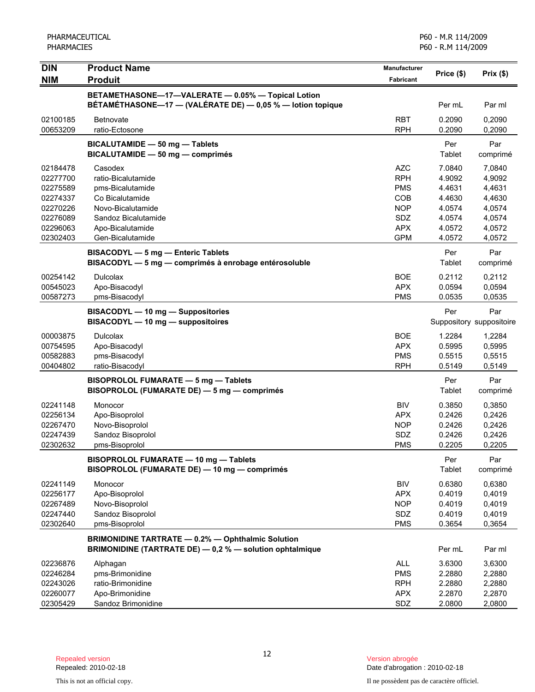| <b>DIN</b>                                                                       | <b>Product Name</b>                                                                                                                  | Manufacturer                                                                     |                                                                    |                                                                    |
|----------------------------------------------------------------------------------|--------------------------------------------------------------------------------------------------------------------------------------|----------------------------------------------------------------------------------|--------------------------------------------------------------------|--------------------------------------------------------------------|
| <b>NIM</b>                                                                       | <b>Produit</b>                                                                                                                       | <b>Fabricant</b>                                                                 | Price (\$)                                                         | Prix(\$)                                                           |
|                                                                                  | BETAMETHASONE-17-VALERATE - 0.05% - Topical Lotion<br>BÉTAMÉTHASONE-17 - (VALÉRATE DE) - 0,05 % - lotion topique                     |                                                                                  | Per mL                                                             | Par ml                                                             |
| 02100185<br>00653209                                                             | Betnovate<br>ratio-Ectosone                                                                                                          | <b>RBT</b><br><b>RPH</b>                                                         | 0.2090<br>0.2090                                                   | 0,2090<br>0,2090                                                   |
|                                                                                  | BICALUTAMIDE - 50 mg - Tablets<br>BICALUTAMIDE - 50 mg - comprimés                                                                   |                                                                                  | Per<br>Tablet                                                      | Par<br>comprimé                                                    |
| 02184478<br>02277700<br>02275589<br>02274337<br>02270226<br>02276089<br>02296063 | Casodex<br>ratio-Bicalutamide<br>pms-Bicalutamide<br>Co Bicalutamide<br>Novo-Bicalutamide<br>Sandoz Bicalutamide<br>Apo-Bicalutamide | <b>AZC</b><br><b>RPH</b><br><b>PMS</b><br>COB<br><b>NOP</b><br>SDZ<br><b>APX</b> | 7.0840<br>4.9092<br>4.4631<br>4.4630<br>4.0574<br>4.0574<br>4.0572 | 7,0840<br>4,9092<br>4,4631<br>4,4630<br>4,0574<br>4,0574<br>4,0572 |
| 02302403                                                                         | Gen-Bicalutamide<br>BISACODYL - 5 mg - Enteric Tablets<br>BISACODYL - 5 mg - comprimés à enrobage entérosoluble                      | <b>GPM</b>                                                                       | 4.0572<br>Per<br>Tablet                                            | 4,0572<br>Par<br>comprimé                                          |
| 00254142<br>00545023<br>00587273                                                 | <b>Dulcolax</b><br>Apo-Bisacodyl<br>pms-Bisacodyl                                                                                    | <b>BOE</b><br><b>APX</b><br><b>PMS</b>                                           | 0.2112<br>0.0594<br>0.0535                                         | 0,2112<br>0,0594<br>0,0535                                         |
|                                                                                  | BISACODYL - 10 mg - Suppositories<br>BISACODYL - 10 mg - suppositoires                                                               |                                                                                  | Per                                                                | Par<br>Suppository suppositoire                                    |
| 00003875<br>00754595<br>00582883<br>00404802                                     | <b>Dulcolax</b><br>Apo-Bisacodyl<br>pms-Bisacodyl<br>ratio-Bisacodyl                                                                 | <b>BOE</b><br><b>APX</b><br><b>PMS</b><br><b>RPH</b>                             | 1.2284<br>0.5995<br>0.5515<br>0.5149                               | 1,2284<br>0,5995<br>0,5515<br>0,5149                               |
|                                                                                  | BISOPROLOL FUMARATE - 5 mg - Tablets<br>BISOPROLOL (FUMARATE DE) - 5 mg - comprimés                                                  |                                                                                  | Per<br>Tablet                                                      | Par<br>comprimé                                                    |
| 02241148<br>02256134<br>02267470<br>02247439<br>02302632                         | Monocor<br>Apo-Bisoprolol<br>Novo-Bisoprolol<br>Sandoz Bisoprolol<br>pms-Bisoprolol                                                  | <b>BIV</b><br><b>APX</b><br><b>NOP</b><br>SDZ<br><b>PMS</b>                      | 0.3850<br>0.2426<br>0.2426<br>0.2426<br>0.2205                     | 0,3850<br>0,2426<br>0,2426<br>0,2426<br>0,2205                     |
|                                                                                  | BISOPROLOL FUMARATE - 10 mg - Tablets<br>BISOPROLOL (FUMARATE DE) - 10 mg - comprimés                                                |                                                                                  | Per<br><b>Tablet</b>                                               | Par<br>comprimé                                                    |
| 02241149<br>02256177<br>02267489<br>02247440<br>02302640                         | Monocor<br>Apo-Bisoprolol<br>Novo-Bisoprolol<br>Sandoz Bisoprolol<br>pms-Bisoprolol                                                  | <b>BIV</b><br><b>APX</b><br><b>NOP</b><br>SDZ<br><b>PMS</b>                      | 0.6380<br>0.4019<br>0.4019<br>0.4019<br>0.3654                     | 0,6380<br>0,4019<br>0,4019<br>0,4019<br>0,3654                     |
|                                                                                  | <b>BRIMONIDINE TARTRATE - 0.2% - Ophthalmic Solution</b><br>BRIMONIDINE (TARTRATE DE) - 0,2 % - solution ophtalmique                 |                                                                                  | Per mL                                                             | Par ml                                                             |
| 02236876<br>02246284<br>02243026<br>02260077<br>02305429                         | Alphagan<br>pms-Brimonidine<br>ratio-Brimonidine<br>Apo-Brimonidine<br>Sandoz Brimonidine                                            | <b>ALL</b><br><b>PMS</b><br><b>RPH</b><br><b>APX</b><br>SDZ                      | 3.6300<br>2.2880<br>2.2880<br>2.2870<br>2.0800                     | 3,6300<br>2,2880<br>2,2880<br>2,2870<br>2,0800                     |

Date d'abrogation : 2010-02-18

This is not an official copy. Il ne possèdent pas de caractère officiel.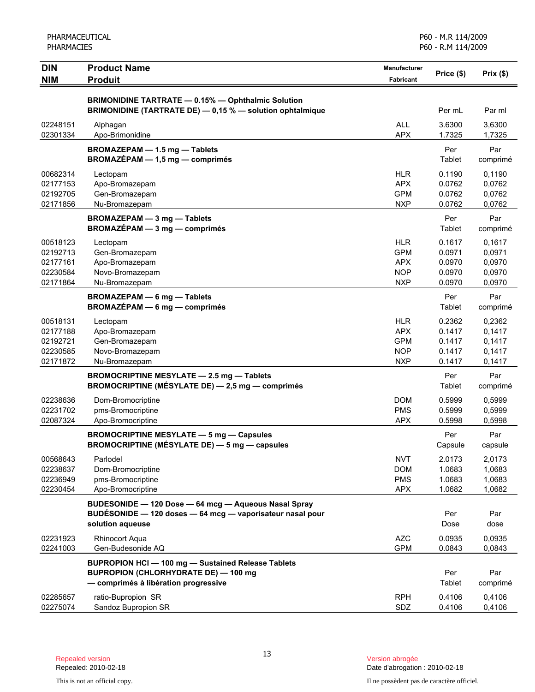| PHARMACEUTICAL<br><b>PHARMACIES</b>                      |                                                                                                                                           |                                                                    | P60 - M.R 114/2009<br>P60 - R.M 114/2009       |                                                |
|----------------------------------------------------------|-------------------------------------------------------------------------------------------------------------------------------------------|--------------------------------------------------------------------|------------------------------------------------|------------------------------------------------|
| <b>DIN</b><br><b>NIM</b>                                 | <b>Product Name</b><br><b>Produit</b>                                                                                                     | <b>Manufacturer</b><br><b>Fabricant</b>                            | Price (\$)                                     | Prix(\$)                                       |
|                                                          | <b>BRIMONIDINE TARTRATE - 0.15% - Ophthalmic Solution</b><br>BRIMONIDINE (TARTRATE DE) - 0,15 % - solution ophtalmique                    |                                                                    | Per mL                                         | Par ml                                         |
| 02248151<br>02301334                                     | Alphagan<br>Apo-Brimonidine                                                                                                               | <b>ALL</b><br><b>APX</b>                                           | 3.6300<br>1.7325                               | 3,6300<br>1,7325                               |
|                                                          | BROMAZEPAM - 1.5 mg - Tablets<br><b>BROMAZÉPAM - 1,5 mg - comprimés</b>                                                                   |                                                                    | Per<br>Tablet                                  | Par<br>comprimé                                |
| 00682314<br>02177153<br>02192705<br>02171856             | Lectopam<br>Apo-Bromazepam<br>Gen-Bromazepam<br>Nu-Bromazepam                                                                             | <b>HLR</b><br><b>APX</b><br><b>GPM</b><br><b>NXP</b>               | 0.1190<br>0.0762<br>0.0762<br>0.0762           | 0,1190<br>0,0762<br>0,0762<br>0,0762           |
|                                                          | BROMAZEPAM - 3 mg - Tablets<br>$BROMAZÉPAM - 3 mg - comprimés$                                                                            |                                                                    | Per<br>Tablet                                  | Par<br>comprimé                                |
| 00518123<br>02192713<br>02177161<br>02230584<br>02171864 | Lectopam<br>Gen-Bromazepam<br>Apo-Bromazepam<br>Novo-Bromazepam<br>Nu-Bromazepam                                                          | <b>HLR</b><br><b>GPM</b><br><b>APX</b><br><b>NOP</b><br><b>NXP</b> | 0.1617<br>0.0971<br>0.0970<br>0.0970<br>0.0970 | 0,1617<br>0,0971<br>0,0970<br>0,0970<br>0,0970 |
|                                                          | <b>BROMAZEPAM - 6 mg - Tablets</b><br><b>BROMAZÉPAM - 6 mg - comprimés</b>                                                                |                                                                    | Per<br>Tablet                                  | Par<br>comprimé                                |
| 00518131<br>02177188<br>02192721<br>02230585<br>02171872 | Lectopam<br>Apo-Bromazepam<br>Gen-Bromazepam<br>Novo-Bromazepam<br>Nu-Bromazepam                                                          | <b>HLR</b><br><b>APX</b><br><b>GPM</b><br><b>NOP</b><br><b>NXP</b> | 0.2362<br>0.1417<br>0.1417<br>0.1417<br>0.1417 | 0,2362<br>0,1417<br>0,1417<br>0,1417<br>0,1417 |
|                                                          | BROMOCRIPTINE MESYLATE - 2.5 mg - Tablets<br>BROMOCRIPTINE (MÉSYLATE DE) - 2,5 mg - comprimés                                             |                                                                    | Per<br>Tablet                                  | Par<br>comprimé                                |
| 02238636<br>02231702<br>02087324                         | Dom-Bromocriptine<br>pms-Bromocriptine<br>Apo-Bromocriptine                                                                               | <b>DOM</b><br><b>PMS</b><br><b>APX</b>                             | 0.5999<br>0.5999<br>0.5998                     | 0,5999<br>0,5999<br>0,5998                     |
|                                                          | <b>BROMOCRIPTINE MESYLATE - 5 mg - Capsules</b><br>BROMOCRIPTINE (MÉSYLATE DE) - 5 mg - capsules                                          |                                                                    | Per<br>Capsule                                 | Par<br>capsule                                 |
| 00568643<br>02238637<br>02236949<br>02230454             | Parlodel<br>Dom-Bromocriptine<br>pms-Bromocriptine<br>Apo-Bromocriptine                                                                   | <b>NVT</b><br><b>DOM</b><br><b>PMS</b><br><b>APX</b>               | 2.0173<br>1.0683<br>1.0683<br>1.0682           | 2,0173<br>1,0683<br>1,0683<br>1,0682           |
|                                                          | BUDESONIDE - 120 Dose - 64 mcg - Aqueous Nasal Spray<br>BUDÉSONIDE - 120 doses - 64 mcg - vaporisateur nasal pour<br>solution aqueuse     |                                                                    | Per<br>Dose                                    | Par<br>dose                                    |
| 02231923<br>02241003                                     | <b>Rhinocort Aqua</b><br>Gen-Budesonide AQ                                                                                                | <b>AZC</b><br><b>GPM</b>                                           | 0.0935<br>0.0843                               | 0,0935<br>0,0843                               |
|                                                          | BUPROPION HCI - 100 mg - Sustained Release Tablets<br><b>BUPROPION (CHLORHYDRATE DE) - 100 mg</b><br>- comprimés à libération progressive |                                                                    | Per<br>Tablet                                  | Par<br>comprimé                                |
| 02285657<br>02275074                                     | ratio-Bupropion SR<br>Sandoz Bupropion SR                                                                                                 | <b>RPH</b><br>SDZ                                                  | 0.4106<br>0.4106                               | 0,4106<br>0,4106                               |

Version abrogée<br>Date d'abrogation : 2010-02-18

This is not an official copy. Il ne possèdent pas de caractère officiel.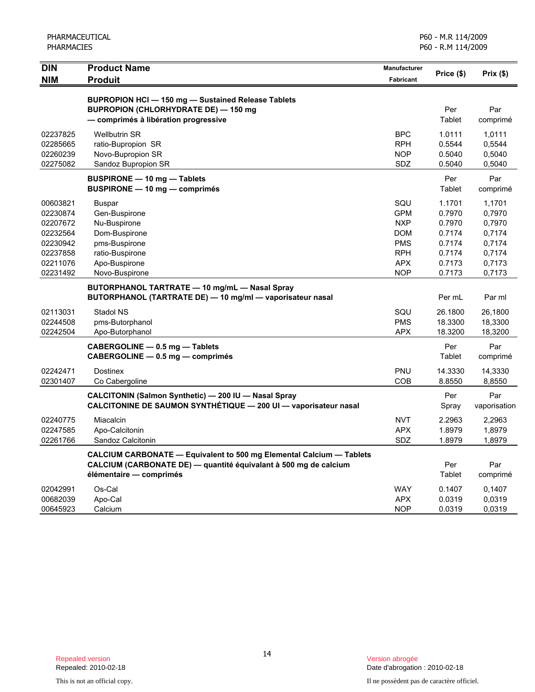|                                                                                              | PHARMACEUTICAL<br><b>PHARMACIES</b>                                                                                                                                 |                                                                                                       | P60 - M.R 114/2009<br>P60 - R.M 114/2009                                     |                                                                              |  |
|----------------------------------------------------------------------------------------------|---------------------------------------------------------------------------------------------------------------------------------------------------------------------|-------------------------------------------------------------------------------------------------------|------------------------------------------------------------------------------|------------------------------------------------------------------------------|--|
| <b>DIN</b><br><b>NIM</b>                                                                     | <b>Product Name</b><br><b>Produit</b>                                                                                                                               | <b>Manufacturer</b><br>Fabricant                                                                      | Price (\$)                                                                   | $Prix($ \$)                                                                  |  |
|                                                                                              | BUPROPION HCI - 150 mg - Sustained Release Tablets<br><b>BUPROPION (CHLORHYDRATE DE) - 150 mg</b><br>- comprimés à libération progressive                           |                                                                                                       | Per<br>Tablet                                                                | Par<br>comprimé                                                              |  |
| 02237825<br>02285665<br>02260239<br>02275082                                                 | <b>Wellbutrin SR</b><br>ratio-Bupropion SR<br>Novo-Bupropion SR<br>Sandoz Bupropion SR                                                                              | <b>BPC</b><br><b>RPH</b><br><b>NOP</b><br>SDZ                                                         | 1.0111<br>0.5544<br>0.5040<br>0.5040                                         | 1,0111<br>0,5544<br>0,5040<br>0,5040                                         |  |
|                                                                                              | <b>BUSPIRONE - 10 mg - Tablets</b><br><b>BUSPIRONE - 10 mg - comprimés</b>                                                                                          |                                                                                                       | Per<br>Tablet                                                                | Par<br>comprimé                                                              |  |
| 00603821<br>02230874<br>02207672<br>02232564<br>02230942<br>02237858<br>02211076<br>02231492 | <b>Buspar</b><br>Gen-Buspirone<br>Nu-Buspirone<br>Dom-Buspirone<br>pms-Buspirone<br>ratio-Buspirone<br>Apo-Buspirone<br>Novo-Buspirone                              | SQU<br><b>GPM</b><br><b>NXP</b><br><b>DOM</b><br><b>PMS</b><br><b>RPH</b><br><b>APX</b><br><b>NOP</b> | 1.1701<br>0.7970<br>0.7970<br>0.7174<br>0.7174<br>0.7174<br>0.7173<br>0.7173 | 1,1701<br>0,7970<br>0,7970<br>0,7174<br>0,7174<br>0,7174<br>0,7173<br>0,7173 |  |
|                                                                                              | BUTORPHANOL TARTRATE - 10 mg/mL - Nasal Spray<br>BUTORPHANOL (TARTRATE DE) - 10 mg/ml - vaporisateur nasal                                                          |                                                                                                       | Per mL                                                                       | Par ml                                                                       |  |
| 02113031<br>02244508<br>02242504                                                             | Stadol NS<br>pms-Butorphanol<br>Apo-Butorphanol                                                                                                                     | SQU<br><b>PMS</b><br><b>APX</b>                                                                       | 26.1800<br>18.3300<br>18.3200                                                | 26,1800<br>18,3300<br>18,3200                                                |  |
|                                                                                              | CABERGOLINE - 0.5 mg - Tablets<br>CABERGOLINE - 0.5 mg - comprimés                                                                                                  |                                                                                                       | Per<br>Tablet                                                                | Par<br>comprimé                                                              |  |
| 02242471<br>02301407                                                                         | <b>Dostinex</b><br>Co Cabergoline                                                                                                                                   | PNU<br>COB                                                                                            | 14.3330<br>8.8550                                                            | 14,3330<br>8,8550                                                            |  |
|                                                                                              | CALCITONIN (Salmon Synthetic) - 200 IU - Nasal Spray<br>CALCITONINE DE SAUMON SYNTHÉTIQUE - 200 UI - vaporisateur nasal                                             |                                                                                                       | Per<br>Spray                                                                 | Par<br>vaporisation                                                          |  |
| 02240775<br>02247585<br>02261766                                                             | Miacalcin<br>Apo-Calcitonin<br>Sandoz Calcitonin                                                                                                                    | <b>NVT</b><br><b>APX</b><br>SDZ                                                                       | 2.2963<br>1.8979<br>1.8979                                                   | 2,2963<br>1,8979<br>1,8979                                                   |  |
|                                                                                              | CALCIUM CARBONATE - Equivalent to 500 mg Elemental Calcium - Tablets<br>CALCIUM (CARBONATE DE) — quantité équivalant à 500 mg de calcium<br>élémentaire - comprimés |                                                                                                       | Per<br>Tablet                                                                | Par<br>comprimé                                                              |  |
| 02042991<br>00682039<br>00645923                                                             | Os-Cal<br>Apo-Cal<br>Calcium                                                                                                                                        | <b>WAY</b><br><b>APX</b><br><b>NOP</b>                                                                | 0.1407<br>0.0319<br>0.0319                                                   | 0,1407<br>0,0319<br>0,0319                                                   |  |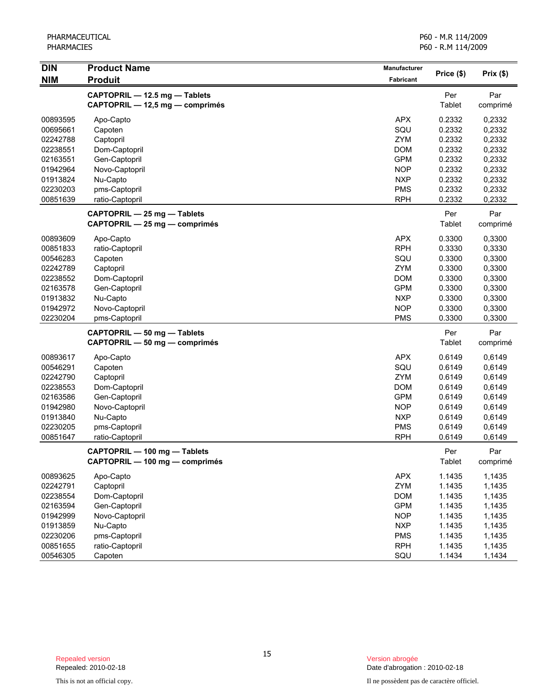| <b>DIN</b><br><b>NIM</b> | <b>Product Name</b><br><b>Produit</b> | Manufacturer<br><b>Fabricant</b> | Price (\$)    | Prix (\$) |
|--------------------------|---------------------------------------|----------------------------------|---------------|-----------|
|                          | CAPTOPRIL - 12.5 mg - Tablets         |                                  | Per           | Par       |
|                          | CAPTOPRIL - 12,5 mg - comprimés       |                                  | Tablet        | comprimé  |
| 00893595                 | Apo-Capto                             | <b>APX</b>                       | 0.2332        | 0,2332    |
| 00695661                 | Capoten                               | SQU                              | 0.2332        | 0,2332    |
| 02242788                 | Captopril                             | ZYM                              | 0.2332        | 0,2332    |
| 02238551                 | Dom-Captopril                         | <b>DOM</b>                       | 0.2332        | 0,2332    |
| 02163551                 | Gen-Captopril                         | <b>GPM</b>                       | 0.2332        | 0,2332    |
| 01942964                 | Novo-Captopril                        | <b>NOP</b>                       | 0.2332        | 0,2332    |
| 01913824                 | Nu-Capto                              | <b>NXP</b>                       | 0.2332        | 0,2332    |
| 02230203                 | pms-Captopril                         | <b>PMS</b>                       | 0.2332        | 0,2332    |
| 00851639                 | ratio-Captopril                       | <b>RPH</b>                       | 0.2332        | 0,2332    |
|                          | CAPTOPRIL - 25 mg - Tablets           |                                  | Per           | Par       |
|                          | CAPTOPRIL - 25 mg - comprimés         |                                  | <b>Tablet</b> | comprimé  |
| 00893609                 | Apo-Capto                             | <b>APX</b>                       | 0.3300        | 0,3300    |
| 00851833                 | ratio-Captopril                       | <b>RPH</b>                       | 0.3330        | 0,3330    |
| 00546283                 | Capoten                               | SQU                              | 0.3300        | 0,3300    |
| 02242789                 | Captopril                             | <b>ZYM</b>                       | 0.3300        | 0,3300    |
| 02238552                 | Dom-Captopril                         | <b>DOM</b>                       | 0.3300        | 0,3300    |
| 02163578                 | Gen-Captopril                         | <b>GPM</b>                       | 0.3300        | 0,3300    |
| 01913832                 | Nu-Capto                              | <b>NXP</b>                       | 0.3300        | 0,3300    |
| 01942972                 | Novo-Captopril                        | <b>NOP</b>                       | 0.3300        | 0,3300    |
| 02230204                 | pms-Captopril                         | <b>PMS</b>                       | 0.3300        | 0,3300    |
|                          | CAPTOPRIL - 50 mg - Tablets           |                                  | Per           | Par       |
|                          | CAPTOPRIL - 50 mg - comprimés         |                                  | <b>Tablet</b> | comprimé  |
| 00893617                 | Apo-Capto                             | <b>APX</b>                       | 0.6149        | 0,6149    |
| 00546291                 | Capoten                               | SQU                              | 0.6149        | 0,6149    |
| 02242790                 | Captopril                             | <b>ZYM</b>                       | 0.6149        | 0,6149    |
| 02238553                 | Dom-Captopril                         | <b>DOM</b>                       | 0.6149        | 0,6149    |
| 02163586                 | Gen-Captopril                         | <b>GPM</b>                       | 0.6149        | 0,6149    |
| 01942980                 | Novo-Captopril                        | <b>NOP</b>                       | 0.6149        | 0,6149    |
| 01913840                 | Nu-Capto                              | <b>NXP</b>                       | 0.6149        | 0,6149    |
| 02230205                 | pms-Captopril                         | <b>PMS</b>                       | 0.6149        | 0,6149    |
| 00851647                 | ratio-Captopril                       | <b>RPH</b>                       | 0.6149        | 0,6149    |
|                          | CAPTOPRIL - 100 mg - Tablets          |                                  | Per           | Par       |
|                          | CAPTOPRIL - 100 mg - comprimés        |                                  | Tablet        | comprimé  |
| 00893625                 | Apo-Capto                             | <b>APX</b>                       | 1.1435        | 1,1435    |
| 02242791                 | Captopril                             | ZYM                              | 1.1435        | 1,1435    |
| 02238554                 | Dom-Captopril                         | <b>DOM</b>                       | 1.1435        | 1,1435    |
| 02163594                 | Gen-Captopril                         | <b>GPM</b>                       | 1.1435        | 1,1435    |
| 01942999                 | Novo-Captopril                        | <b>NOP</b>                       | 1.1435        | 1,1435    |
| 01913859                 | Nu-Capto                              | <b>NXP</b>                       | 1.1435        | 1,1435    |
| 02230206                 | pms-Captopril                         | <b>PMS</b>                       | 1.1435        | 1,1435    |
| 00851655                 | ratio-Captopril                       | <b>RPH</b>                       | 1.1435        | 1,1435    |
| 00546305                 | Capoten                               | SQU                              | 1.1434        | 1,1434    |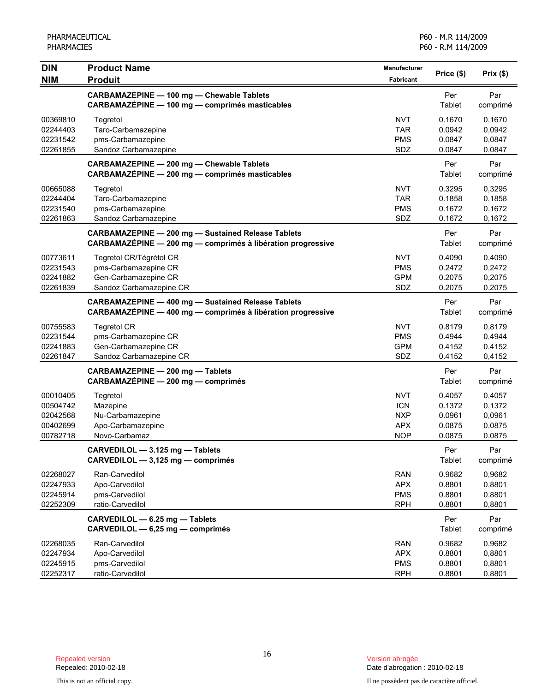| <b>DIN</b> | <b>Product Name</b>                                         | Manufacturer | Price (\$) | Prix $(\$)$ |
|------------|-------------------------------------------------------------|--------------|------------|-------------|
| <b>NIM</b> | <b>Produit</b>                                              | Fabricant    |            |             |
|            | CARBAMAZEPINE - 100 mg - Chewable Tablets                   |              | Per        | Par         |
|            | CARBAMAZÉPINE - 100 mg - comprimés masticables              |              | Tablet     | comprimé    |
| 00369810   | Tegretol                                                    | <b>NVT</b>   | 0.1670     | 0,1670      |
| 02244403   | Taro-Carbamazepine                                          | <b>TAR</b>   | 0.0942     | 0,0942      |
| 02231542   | pms-Carbamazepine                                           | <b>PMS</b>   | 0.0847     | 0,0847      |
| 02261855   | Sandoz Carbamazepine                                        | SDZ          | 0.0847     | 0,0847      |
|            | CARBAMAZEPINE - 200 mg - Chewable Tablets                   |              | Per        | Par         |
|            | CARBAMAZÉPINE - 200 mg - comprimés masticables              |              | Tablet     | comprimé    |
| 00665088   | Tegretol                                                    | <b>NVT</b>   | 0.3295     | 0,3295      |
| 02244404   | Taro-Carbamazepine                                          | <b>TAR</b>   | 0.1858     | 0,1858      |
| 02231540   | pms-Carbamazepine                                           | <b>PMS</b>   | 0.1672     | 0,1672      |
| 02261863   | Sandoz Carbamazepine                                        | SDZ          | 0.1672     | 0,1672      |
|            | <b>CARBAMAZEPINE - 200 mg - Sustained Release Tablets</b>   |              | Per        | Par         |
|            | CARBAMAZÉPINE - 200 mg - comprimés à libération progressive |              | Tablet     | comprimé    |
| 00773611   | Tegretol CR/Tégrétol CR                                     | <b>NVT</b>   | 0.4090     | 0,4090      |
| 02231543   | pms-Carbamazepine CR                                        | <b>PMS</b>   | 0.2472     | 0,2472      |
| 02241882   | Gen-Carbamazepine CR                                        | <b>GPM</b>   | 0.2075     | 0,2075      |
| 02261839   | Sandoz Carbamazepine CR                                     | SDZ          | 0.2075     | 0,2075      |
|            | <b>CARBAMAZEPINE - 400 mg - Sustained Release Tablets</b>   |              | Per        | Par         |
|            | CARBAMAZÉPINE - 400 mg - comprimés à libération progressive |              | Tablet     | comprimé    |
| 00755583   | <b>Tegretol CR</b>                                          | <b>NVT</b>   | 0.8179     | 0,8179      |
| 02231544   | pms-Carbamazepine CR                                        | <b>PMS</b>   | 0.4944     | 0,4944      |
| 02241883   | Gen-Carbamazepine CR                                        | <b>GPM</b>   | 0.4152     | 0,4152      |
| 02261847   | Sandoz Carbamazepine CR                                     | SDZ          | 0.4152     | 0,4152      |
|            | CARBAMAZEPINE - 200 mg - Tablets                            |              | Per        | Par         |
|            | CARBAMAZÉPINE - 200 mg - comprimés                          |              | Tablet     | comprimé    |
| 00010405   | Tegretol                                                    | <b>NVT</b>   | 0.4057     | 0,4057      |
| 00504742   | Mazepine                                                    | <b>ICN</b>   | 0.1372     | 0,1372      |
| 02042568   | Nu-Carbamazepine                                            | <b>NXP</b>   | 0.0961     | 0,0961      |
| 00402699   | Apo-Carbamazepine                                           | <b>APX</b>   | 0.0875     | 0,0875      |
| 00782718   | Novo-Carbamaz                                               | <b>NOP</b>   | 0.0875     | 0,0875      |
|            | CARVEDILOL - 3.125 mg - Tablets                             |              | Per        | Par         |
|            | CARVEDILOL - 3,125 mg - comprimés                           |              | Tablet     | comprimé    |
| 02268027   | Ran-Carvedilol                                              | <b>RAN</b>   | 0.9682     | 0,9682      |
| 02247933   | Apo-Carvedilol                                              | <b>APX</b>   | 0.8801     | 0,8801      |
| 02245914   | pms-Carvedilol                                              | <b>PMS</b>   | 0.8801     | 0,8801      |
| 02252309   | ratio-Carvedilol                                            | <b>RPH</b>   | 0.8801     | 0,8801      |
|            | CARVEDILOL - 6.25 mg - Tablets                              |              | Per        | Par         |
|            | CARVEDILOL - 6,25 mg - comprimés                            |              | Tablet     | comprimé    |
| 02268035   | Ran-Carvedilol                                              | <b>RAN</b>   | 0.9682     | 0,9682      |
| 02247934   | Apo-Carvedilol                                              | <b>APX</b>   | 0.8801     | 0,8801      |
| 02245915   | pms-Carvedilol                                              | <b>PMS</b>   | 0.8801     | 0,8801      |
| 02252317   | ratio-Carvedilol                                            | <b>RPH</b>   | 0.8801     | 0,8801      |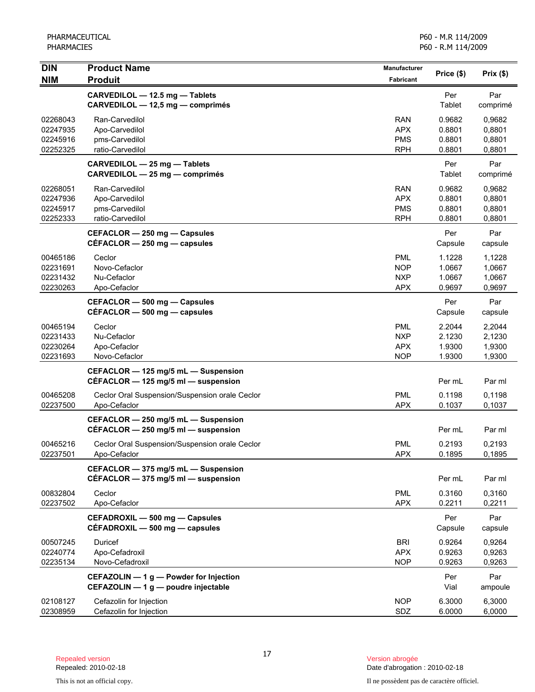| <b>DIN</b><br><b>NIM</b>                     | <b>Product Name</b><br><b>Produit</b>                                          | <b>Manufacturer</b><br>Fabricant                     | Price (\$)                           | Prix(\$)                             |
|----------------------------------------------|--------------------------------------------------------------------------------|------------------------------------------------------|--------------------------------------|--------------------------------------|
|                                              | CARVEDILOL - 12.5 mg - Tablets<br>CARVEDILOL - 12,5 mg - comprimés             |                                                      | Per<br>Tablet                        | Par<br>comprimé                      |
| 02268043<br>02247935<br>02245916<br>02252325 | Ran-Carvedilol<br>Apo-Carvedilol<br>pms-Carvedilol<br>ratio-Carvedilol         | <b>RAN</b><br><b>APX</b><br><b>PMS</b><br><b>RPH</b> | 0.9682<br>0.8801<br>0.8801<br>0.8801 | 0.9682<br>0,8801<br>0,8801<br>0,8801 |
|                                              | CARVEDILOL - 25 mg - Tablets<br>CARVEDILOL - 25 mg - comprimés                 |                                                      | Per<br>Tablet                        | Par<br>comprimé                      |
| 02268051<br>02247936<br>02245917<br>02252333 | Ran-Carvedilol<br>Apo-Carvedilol<br>pms-Carvedilol<br>ratio-Carvedilol         | <b>RAN</b><br><b>APX</b><br><b>PMS</b><br><b>RPH</b> | 0.9682<br>0.8801<br>0.8801<br>0.8801 | 0,9682<br>0,8801<br>0,8801<br>0,8801 |
|                                              | CEFACLOR - 250 mg - Capsules<br>$CEFACLOR - 250$ mg $-$ capsules               |                                                      | Per<br>Capsule                       | Par<br>capsule                       |
| 00465186<br>02231691<br>02231432<br>02230263 | Ceclor<br>Novo-Cefaclor<br>Nu-Cefaclor<br>Apo-Cefaclor                         | <b>PML</b><br><b>NOP</b><br><b>NXP</b><br>APX        | 1.1228<br>1.0667<br>1.0667<br>0.9697 | 1,1228<br>1,0667<br>1,0667<br>0,9697 |
|                                              | CEFACLOR - 500 mg - Capsules<br>$CEFACLOR - 500$ mg $-$ capsules               |                                                      | Per<br>Capsule                       | Par<br>capsule                       |
| 00465194<br>02231433<br>02230264<br>02231693 | Ceclor<br>Nu-Cefaclor<br>Apo-Cefaclor<br>Novo-Cefaclor                         | <b>PML</b><br><b>NXP</b><br><b>APX</b><br><b>NOP</b> | 2.2044<br>2.1230<br>1.9300<br>1.9300 | 2,2044<br>2,1230<br>1,9300<br>1,9300 |
|                                              | CEFACLOR - 125 mg/5 mL - Suspension<br>CÉFACLOR - 125 mg/5 ml - suspension     |                                                      | Per mL                               | Par ml                               |
| 00465208<br>02237500                         | Ceclor Oral Suspension/Suspension orale Ceclor<br>Apo-Cefaclor                 | <b>PML</b><br><b>APX</b>                             | 0.1198<br>0.1037                     | 0.1198<br>0,1037                     |
|                                              | CEFACLOR - 250 mg/5 mL - Suspension<br>CÉFACLOR - 250 mg/5 ml - suspension     |                                                      | Per mL                               | Par ml                               |
| 00465216<br>02237501                         | Ceclor Oral Suspension/Suspension orale Ceclor<br>Apo-Cefaclor                 | <b>PML</b><br>APX                                    | 0.2193<br>0.1895                     | 0,2193<br>0,1895                     |
|                                              | CEFACLOR - 375 mg/5 mL - Suspension<br>CEFACLOR $-$ 375 mg/5 ml $-$ suspension |                                                      | Per mL                               | Par ml                               |
| 00832804<br>02237502                         | Ceclor<br>Apo-Cefaclor                                                         | <b>PML</b><br><b>APX</b>                             | 0.3160<br>0.2211                     | 0,3160<br>0,2211                     |
|                                              | CEFADROXIL - 500 mg - Capsules<br>CEFADROXIL - 500 mg - capsules               |                                                      | Per<br>Capsule                       | Par<br>capsule                       |
| 00507245<br>02240774<br>02235134             | Duricef<br>Apo-Cefadroxil<br>Novo-Cefadroxil                                   | <b>BRI</b><br><b>APX</b><br><b>NOP</b>               | 0.9264<br>0.9263<br>0.9263           | 0,9264<br>0,9263<br>0,9263           |
|                                              | CEFAZOLIN - 1 g - Powder for Injection<br>CEFAZOLIN - 1 g - poudre injectable  |                                                      | Per<br>Vial                          | Par<br>ampoule                       |
| 02108127<br>02308959                         | Cefazolin for Injection<br>Cefazolin for Injection                             | <b>NOP</b><br>SDZ                                    | 6.3000<br>6.0000                     | 6,3000<br>6,0000                     |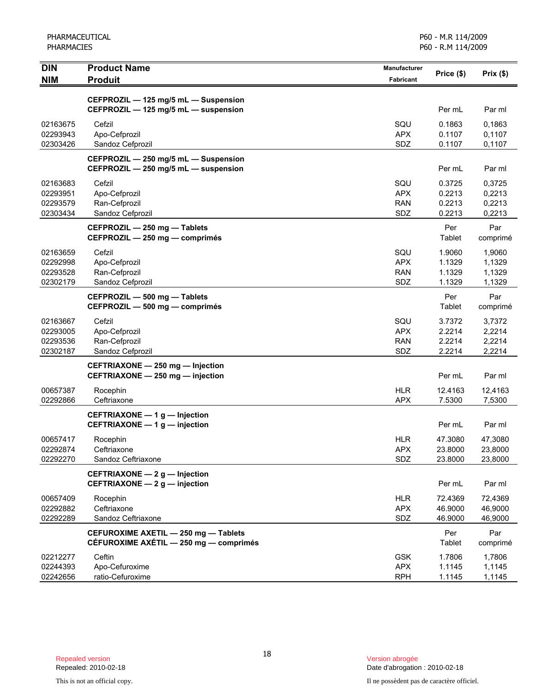| <b>DIN</b><br><b>NIM</b> | <b>Product Name</b><br><b>Produit</b>                                          | Manufacturer<br><b>Fabricant</b> | Price (\$)         | Prix(\$)           |
|--------------------------|--------------------------------------------------------------------------------|----------------------------------|--------------------|--------------------|
|                          |                                                                                |                                  |                    |                    |
|                          | CEFPROZIL - 125 mg/5 mL - Suspension                                           |                                  |                    |                    |
|                          | CEFPROZIL - 125 mg/5 mL - suspension                                           |                                  | Per mL             | Par ml             |
| 02163675                 | Cefzil                                                                         | SQU                              | 0.1863             | 0.1863             |
| 02293943                 | Apo-Cefprozil                                                                  | <b>APX</b>                       | 0.1107             | 0,1107             |
| 02303426                 | Sandoz Cefprozil                                                               | SDZ                              | 0.1107             | 0,1107             |
|                          | CEFPROZIL - 250 mg/5 mL - Suspension                                           |                                  |                    |                    |
|                          | CEFPROZIL - 250 mg/5 mL - suspension                                           |                                  | Per mL             | Par ml             |
| 02163683                 | Cefzil                                                                         | SQU                              | 0.3725             | 0,3725             |
| 02293951<br>02293579     | Apo-Cefprozil<br>Ran-Cefprozil                                                 | <b>APX</b><br><b>RAN</b>         | 0.2213<br>0.2213   | 0,2213<br>0,2213   |
| 02303434                 | Sandoz Cefprozil                                                               | SDZ                              | 0.2213             | 0,2213             |
|                          | CEFPROZIL - 250 mg - Tablets                                                   |                                  | Per                | Par                |
|                          | CEFPROZIL - 250 mg - comprimés                                                 |                                  | Tablet             | comprimé           |
| 02163659                 | Cefzil                                                                         | SQU                              | 1.9060             | 1,9060             |
| 02292998                 | Apo-Cefprozil                                                                  | <b>APX</b>                       | 1.1329             | 1,1329             |
| 02293528                 | Ran-Cefprozil                                                                  | <b>RAN</b>                       | 1.1329             | 1,1329             |
| 02302179                 | Sandoz Cefprozil                                                               | SDZ                              | 1.1329             | 1,1329             |
|                          | CEFPROZIL - 500 mg - Tablets                                                   |                                  | Per                | Par                |
|                          | CEFPROZIL - 500 mg - comprimés                                                 |                                  | Tablet             | comprimé           |
| 02163667                 | Cefzil                                                                         | SQU                              | 3.7372             | 3,7372             |
| 02293005                 | Apo-Cefprozil                                                                  | <b>APX</b>                       | 2.2214             | 2,2214             |
| 02293536                 | Ran-Cefprozil                                                                  | <b>RAN</b>                       | 2.2214             | 2,2214             |
| 02302187                 | Sandoz Cefprozil                                                               | SDZ                              | 2.2214             | 2,2214             |
|                          | CEFTRIAXONE - 250 mg - Injection                                               |                                  |                    |                    |
|                          | CEFTRIAXONE - 250 mg - injection                                               |                                  | Per mL             | Par ml             |
| 00657387                 | Rocephin                                                                       | <b>HLR</b>                       | 12.4163            | 12,4163            |
| 02292866                 | Ceftriaxone                                                                    | <b>APX</b>                       | 7.5300             | 7,5300             |
|                          | CEFTRIAXONE - 1 g - Injection                                                  |                                  |                    |                    |
|                          | CEFTRIAXONE - 1 g - injection                                                  |                                  | Per mL             | Par ml             |
| 00657417                 | Rocephin                                                                       | <b>HLR</b>                       | 47.3080            | 47,3080            |
| 02292874<br>02292270     | Ceftriaxone                                                                    | <b>APX</b><br>SDZ                | 23.8000<br>23.8000 | 23,8000<br>23,8000 |
|                          | Sandoz Ceftriaxone                                                             |                                  |                    |                    |
|                          | CEFTRIAXONE - 2 g - Injection<br>CEFTRIAXONE - 2 g - injection                 |                                  | Per mL             | Par ml             |
|                          |                                                                                |                                  |                    |                    |
| 00657409                 | Rocephin                                                                       | <b>HLR</b>                       | 72.4369<br>46.9000 | 72,4369            |
| 02292882<br>02292289     | Ceftriaxone<br>Sandoz Ceftriaxone                                              | <b>APX</b><br>SDZ                | 46.9000            | 46,9000<br>46,9000 |
|                          |                                                                                |                                  |                    |                    |
|                          | CEFUROXIME AXETIL - 250 mg - Tablets<br>CÉFUROXIME AXÉTIL - 250 mg - comprimés |                                  | Per<br>Tablet      | Par<br>comprimé    |
|                          | Ceftin                                                                         | <b>GSK</b>                       |                    |                    |
| 02212277<br>02244393     | Apo-Cefuroxime                                                                 | <b>APX</b>                       | 1.7806<br>1.1145   | 1,7806<br>1,1145   |
| 02242656                 | ratio-Cefuroxime                                                               | <b>RPH</b>                       | 1.1145             | 1,1145             |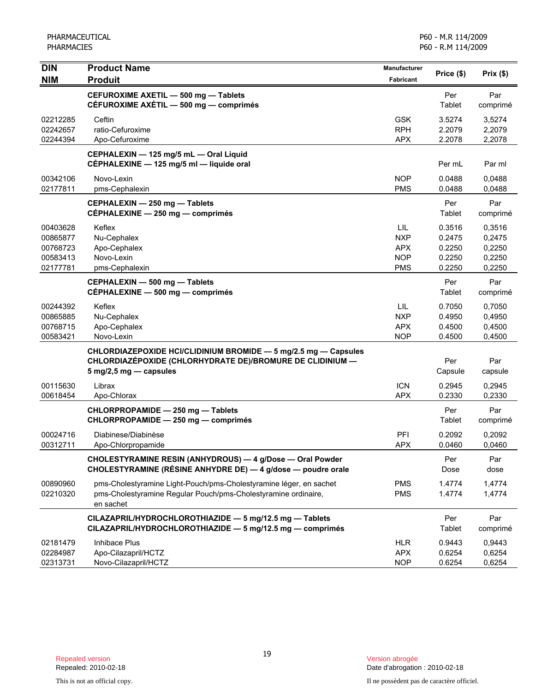| <b>DIN</b>                                               | <b>Product Name</b>                                                                                                                                                       | <b>Manufacturer</b>                                         | Price (\$)                                     | Prix(\$)                                       |
|----------------------------------------------------------|---------------------------------------------------------------------------------------------------------------------------------------------------------------------------|-------------------------------------------------------------|------------------------------------------------|------------------------------------------------|
| <b>NIM</b>                                               | <b>Produit</b>                                                                                                                                                            | <b>Fabricant</b>                                            |                                                |                                                |
|                                                          | CEFUROXIME AXETIL - 500 mg - Tablets<br>CÉFUROXIME AXÉTIL - 500 mg - comprimés                                                                                            |                                                             | Per<br>Tablet                                  | Par<br>comprimé                                |
| 02212285<br>02242657<br>02244394                         | Ceftin<br>ratio-Cefuroxime<br>Apo-Cefuroxime                                                                                                                              | <b>GSK</b><br><b>RPH</b><br><b>APX</b>                      | 3.5274<br>2.2079<br>2.2078                     | 3,5274<br>2,2079<br>2,2078                     |
|                                                          | CEPHALEXIN - 125 mg/5 mL - Oral Liquid<br>CÉPHALEXINE - 125 mg/5 ml - liquide oral                                                                                        |                                                             | Per mL                                         | Par ml                                         |
| 00342106<br>02177811                                     | Novo-Lexin<br>pms-Cephalexin                                                                                                                                              | <b>NOP</b><br><b>PMS</b>                                    | 0.0488<br>0.0488                               | 0,0488<br>0,0488                               |
|                                                          | CEPHALEXIN - 250 mg - Tablets<br>CÉPHALEXINE - 250 mg - comprimés                                                                                                         |                                                             | Per<br>Tablet                                  | Par<br>comprimé                                |
| 00403628<br>00865877<br>00768723<br>00583413<br>02177781 | Keflex<br>Nu-Cephalex<br>Apo-Cephalex<br>Novo-Lexin<br>pms-Cephalexin                                                                                                     | LIL<br><b>NXP</b><br><b>APX</b><br><b>NOP</b><br><b>PMS</b> | 0.3516<br>0.2475<br>0.2250<br>0.2250<br>0.2250 | 0,3516<br>0,2475<br>0,2250<br>0,2250<br>0,2250 |
|                                                          | CEPHALEXIN - 500 mg - Tablets<br>CÉPHALEXINE - 500 mg - comprimés                                                                                                         |                                                             | Per<br>Tablet                                  | Par<br>comprimé                                |
| 00244392<br>00865885<br>00768715<br>00583421             | Keflex<br>Nu-Cephalex<br>Apo-Cephalex<br>Novo-Lexin                                                                                                                       | <b>LIL</b><br><b>NXP</b><br><b>APX</b><br><b>NOP</b>        | 0.7050<br>0.4950<br>0.4500<br>0.4500           | 0,7050<br>0,4950<br>0,4500<br>0,4500           |
|                                                          | CHLORDIAZEPOXIDE HCI/CLIDINIUM BROMIDE - 5 mg/2.5 mg - Capsules<br>CHLORDIAZÉPOXIDE (CHLORHYDRATE DE)/BROMURE DE CLIDINIUM —<br>$5 \text{ mg}/2, 5 \text{ mg}$ - capsules |                                                             | Per<br>Capsule                                 | Par<br>capsule                                 |
| 00115630<br>00618454                                     | Librax<br>Apo-Chlorax                                                                                                                                                     | <b>ICN</b><br><b>APX</b>                                    | 0.2945<br>0.2330                               | 0,2945<br>0,2330                               |
|                                                          | CHLORPROPAMIDE - 250 mg - Tablets<br>CHLORPROPAMIDE - 250 mg - comprimés                                                                                                  |                                                             | Per<br>Tablet                                  | Par<br>comprimé                                |
| 00024716<br>00312711                                     | Diabinese/Diabinèse<br>Apo-Chlorpropamide                                                                                                                                 | PFI<br><b>APX</b>                                           | 0.2092<br>0.0460                               | 0,2092<br>0,0460                               |
|                                                          | CHOLESTYRAMINE RESIN (ANHYDROUS) - 4 g/Dose - Oral Powder<br>CHOLESTYRAMINE (RÉSINE ANHYDRE DE) - 4 g/dose - poudre orale                                                 |                                                             | Per<br>Dose                                    | Par<br>dose                                    |
| 00890960<br>02210320                                     | pms-Cholestyramine Light-Pouch/pms-Cholestyramine léger, en sachet<br>pms-Cholestyramine Regular Pouch/pms-Cholestyramine ordinaire,<br>en sachet                         | <b>PMS</b><br><b>PMS</b>                                    | 1.4774<br>1.4774                               | 1,4774<br>1,4774                               |
|                                                          | CILAZAPRIL/HYDROCHLOROTHIAZIDE - 5 mg/12.5 mg - Tablets<br>CILAZAPRIL/HYDROCHLOROTHIAZIDE - 5 mg/12.5 mg - comprimés                                                      |                                                             | Per<br>Tablet                                  | Par<br>comprimé                                |
| 02181479<br>02284987<br>02313731                         | Inhibace Plus<br>Apo-Cilazapril/HCTZ<br>Novo-Cilazapril/HCTZ                                                                                                              | <b>HLR</b><br><b>APX</b><br><b>NOP</b>                      | 0.9443<br>0.6254<br>0.6254                     | 0,9443<br>0,6254<br>0,6254                     |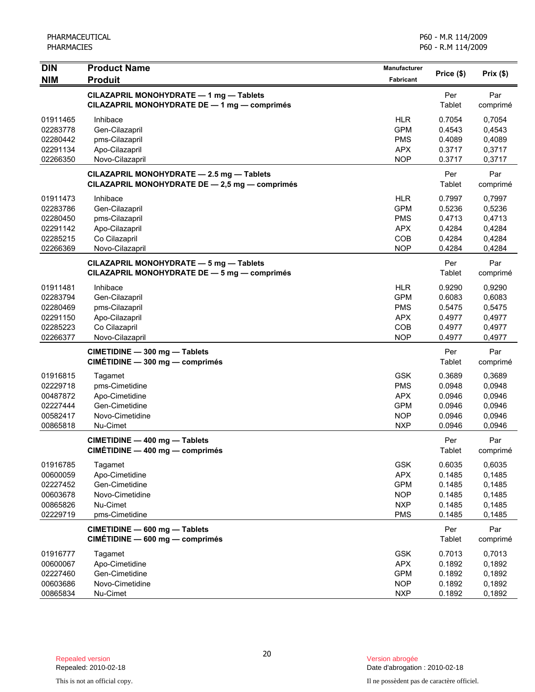| <b>DIN</b>                                                           | <b>Product Name</b>                                                                                | <b>Manufacturer</b><br>Price (\$)                                                | Prix(\$)                                                 |                                                          |
|----------------------------------------------------------------------|----------------------------------------------------------------------------------------------------|----------------------------------------------------------------------------------|----------------------------------------------------------|----------------------------------------------------------|
| <b>NIM</b>                                                           | <b>Produit</b>                                                                                     | Fabricant                                                                        |                                                          |                                                          |
|                                                                      | CILAZAPRIL MONOHYDRATE - 1 mg - Tablets<br>CILAZAPRIL MONOHYDRATE DE - 1 mg - comprimés            |                                                                                  | Per<br>Tablet                                            | Par<br>comprimé                                          |
| 01911465<br>02283778<br>02280442<br>02291134<br>02266350             | Inhibace<br>Gen-Cilazapril<br>pms-Cilazapril<br>Apo-Cilazapril<br>Novo-Cilazapril                  | <b>HLR</b><br><b>GPM</b><br><b>PMS</b><br><b>APX</b><br><b>NOP</b>               | 0.7054<br>0.4543<br>0.4089<br>0.3717<br>0.3717           | 0,7054<br>0,4543<br>0,4089<br>0,3717<br>0,3717           |
|                                                                      | CILAZAPRIL MONOHYDRATE - 2.5 mg - Tablets<br>CILAZAPRIL MONOHYDRATE DE - 2,5 mg - comprimés        |                                                                                  | Per<br>Tablet                                            | Par<br>comprimé                                          |
| 01911473<br>02283786<br>02280450<br>02291142<br>02285215<br>02266369 | Inhibace<br>Gen-Cilazapril<br>pms-Cilazapril<br>Apo-Cilazapril<br>Co Cilazapril<br>Novo-Cilazapril | <b>HLR</b><br><b>GPM</b><br><b>PMS</b><br><b>APX</b><br>COB<br><b>NOP</b>        | 0.7997<br>0.5236<br>0.4713<br>0.4284<br>0.4284<br>0.4284 | 0,7997<br>0,5236<br>0,4713<br>0,4284<br>0,4284<br>0,4284 |
|                                                                      | CILAZAPRIL MONOHYDRATE - 5 mg - Tablets<br>CILAZAPRIL MONOHYDRATE DE - 5 mg - comprimés            |                                                                                  | Per<br>Tablet                                            | Par<br>comprimé                                          |
| 01911481<br>02283794<br>02280469<br>02291150<br>02285223<br>02266377 | Inhibace<br>Gen-Cilazapril<br>pms-Cilazapril<br>Apo-Cilazapril<br>Co Cilazapril<br>Novo-Cilazapril | <b>HLR</b><br><b>GPM</b><br><b>PMS</b><br><b>APX</b><br>COB<br><b>NOP</b>        | 0.9290<br>0.6083<br>0.5475<br>0.4977<br>0.4977<br>0.4977 | 0,9290<br>0,6083<br>0,5475<br>0,4977<br>0,4977<br>0,4977 |
|                                                                      | CIMETIDINE - 300 mg - Tablets<br>CIMÉTIDINE - 300 mg - comprimés                                   |                                                                                  | Per<br>Tablet                                            | Par<br>comprimé                                          |
| 01916815<br>02229718<br>00487872<br>02227444<br>00582417<br>00865818 | Tagamet<br>pms-Cimetidine<br>Apo-Cimetidine<br>Gen-Cimetidine<br>Novo-Cimetidine<br>Nu-Cimet       | <b>GSK</b><br><b>PMS</b><br><b>APX</b><br><b>GPM</b><br><b>NOP</b><br><b>NXP</b> | 0.3689<br>0.0948<br>0.0946<br>0.0946<br>0.0946<br>0.0946 | 0,3689<br>0,0948<br>0,0946<br>0,0946<br>0,0946<br>0,0946 |
|                                                                      | CIMETIDINE - 400 mg - Tablets<br>CIMÉTIDINE - 400 mg - comprimés                                   |                                                                                  | Per<br><b>Tablet</b>                                     | Par<br>comprimé                                          |
| 01916785<br>00600059<br>02227452<br>00603678<br>00865826<br>02229719 | Tagamet<br>Apo-Cimetidine<br>Gen-Cimetidine<br>Novo-Cimetidine<br>Nu-Cimet<br>pms-Cimetidine       | <b>GSK</b><br><b>APX</b><br><b>GPM</b><br><b>NOP</b><br><b>NXP</b><br><b>PMS</b> | 0.6035<br>0.1485<br>0.1485<br>0.1485<br>0.1485<br>0.1485 | 0,6035<br>0,1485<br>0,1485<br>0,1485<br>0,1485<br>0,1485 |
|                                                                      | CIMETIDINE - 600 mg - Tablets<br>CIMÉTIDINE - 600 mg - comprimés                                   |                                                                                  | Per<br>Tablet                                            | Par<br>comprimé                                          |
| 01916777<br>00600067<br>02227460<br>00603686<br>00865834             | Tagamet<br>Apo-Cimetidine<br>Gen-Cimetidine<br>Novo-Cimetidine<br>Nu-Cimet                         | <b>GSK</b><br><b>APX</b><br><b>GPM</b><br><b>NOP</b><br><b>NXP</b>               | 0.7013<br>0.1892<br>0.1892<br>0.1892<br>0.1892           | 0,7013<br>0,1892<br>0,1892<br>0,1892<br>0,1892           |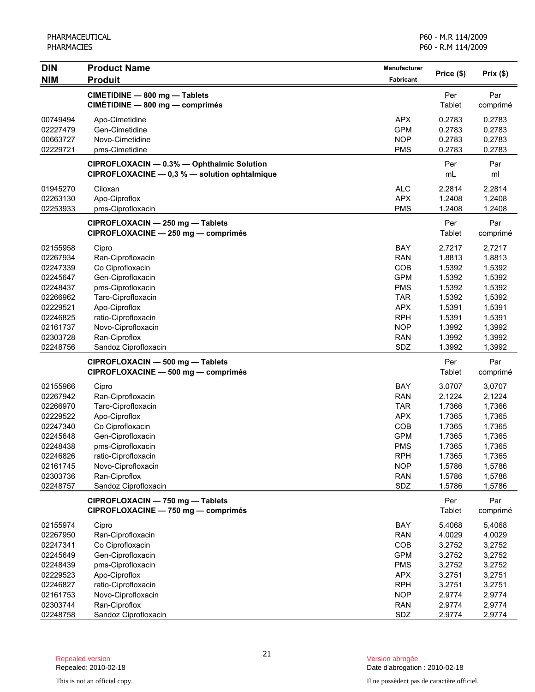| <b>DIN</b> | <b>Product Name</b>                                                                         | <b>Manufacturer</b> | Price (\$)           | Prix(\$)        |
|------------|---------------------------------------------------------------------------------------------|---------------------|----------------------|-----------------|
| <b>NIM</b> | <b>Produit</b>                                                                              | <b>Fabricant</b>    |                      |                 |
|            | CIMETIDINE - 800 mg - Tablets                                                               |                     | Per                  | Par             |
|            | CIMÉTIDINE - 800 mg - comprimés                                                             |                     | Tablet               | comprimé        |
| 00749494   | Apo-Cimetidine                                                                              | <b>APX</b>          | 0.2783               | 0,2783          |
| 02227479   | Gen-Cimetidine                                                                              | <b>GPM</b>          | 0.2783               | 0,2783          |
| 00663727   | Novo-Cimetidine                                                                             | <b>NOP</b>          | 0.2783               | 0,2783          |
| 02229721   | pms-Cimetidine                                                                              | <b>PMS</b>          | 0.2783               | 0,2783          |
|            | CIPROFLOXACIN - 0.3% - Ophthalmic Solution<br>CIPROFLOXACINE - 0,3 % - solution ophtalmique |                     | Per<br>mL            | Par<br>ml       |
| 01945270   | Ciloxan                                                                                     | <b>ALC</b>          | 2.2814               | 2,2814          |
| 02263130   | Apo-Ciproflox                                                                               | <b>APX</b>          | 1.2408               | 1,2408          |
| 02253933   | pms-Ciprofloxacin                                                                           | <b>PMS</b>          | 1.2408               | 1,2408          |
|            | CIPROFLOXACIN - 250 mg - Tablets<br>CIPROFLOXACINE - 250 mg - comprimés                     |                     | Per<br>Tablet        | Par<br>comprimé |
| 02155958   | Cipro                                                                                       | <b>BAY</b>          | 2.7217               | 2,7217          |
| 02267934   | Ran-Ciprofloxacin                                                                           | <b>RAN</b>          | 1.8813               | 1,8813          |
| 02247339   | Co Ciprofloxacin                                                                            | COB                 | 1.5392               | 1,5392          |
| 02245647   | Gen-Ciprofloxacin                                                                           | <b>GPM</b>          | 1.5392               | 1,5392          |
| 02248437   | pms-Ciprofloxacin                                                                           | <b>PMS</b>          | 1.5392               | 1,5392          |
| 02266962   | Taro-Ciprofloxacin                                                                          | <b>TAR</b>          | 1.5392               | 1,5392          |
| 02229521   | Apo-Ciproflox                                                                               | <b>APX</b>          | 1.5391               | 1,5391          |
| 02246825   | ratio-Ciprofloxacin                                                                         | <b>RPH</b>          | 1.5391               | 1,5391          |
| 02161737   | Novo-Ciprofloxacin                                                                          | <b>NOP</b>          | 1.3992               | 1,3992          |
| 02303728   | Ran-Ciproflox                                                                               | <b>RAN</b>          | 1.3992               | 1,3992          |
| 02248756   | Sandoz Ciprofloxacin                                                                        | SDZ                 | 1.3992               | 1,3992          |
|            | CIPROFLOXACIN - 500 mg - Tablets<br>CIPROFLOXACINE - 500 mg - comprimés                     |                     | Per<br><b>Tablet</b> | Par<br>comprimé |
| 02155966   | Cipro                                                                                       | <b>BAY</b>          | 3.0707               | 3,0707          |
| 02267942   | Ran-Ciprofloxacin                                                                           | <b>RAN</b>          | 2.1224               | 2,1224          |
| 02266970   | Taro-Ciprofloxacin                                                                          | <b>TAR</b>          | 1.7366               | 1,7366          |
| 02229522   | Apo-Ciproflox                                                                               | <b>APX</b>          | 1.7365               | 1,7365          |
| 02247340   | Co Ciprofloxacin                                                                            | COB                 | 1.7365               | 1,7365          |
| 02245648   | Gen-Ciprofloxacin                                                                           | <b>GPM</b>          | 1.7365               | 1,7365          |
| 02248438   | pms-Ciprofloxacin                                                                           | <b>PMS</b>          | 1.7365               | 1,7365          |
| 02246826   | ratio-Ciprofloxacin                                                                         | <b>RPH</b>          | 1.7365               | 1,7365          |
| 02161745   | Novo-Ciprofloxacin                                                                          | <b>NOP</b>          | 1.5786               | 1,5786          |
| 02303736   | Ran-Ciproflox                                                                               | <b>RAN</b>          | 1.5786               | 1,5786          |
| 02248757   | Sandoz Ciprofloxacin                                                                        | SDZ                 | 1.5786               | 1,5786          |
|            | CIPROFLOXACIN - 750 mg - Tablets<br>CIPROFLOXACINE - 750 mg - comprimés                     |                     | Per<br><b>Tablet</b> | Par<br>comprimé |
| 02155974   | Cipro                                                                                       | BAY                 | 5.4068               | 5,4068          |
| 02267950   | Ran-Ciprofloxacin                                                                           | <b>RAN</b>          | 4.0029               | 4,0029          |
| 02247341   | Co Ciprofloxacin                                                                            | COB                 | 3.2752               | 3,2752          |
| 02245649   | Gen-Ciprofloxacin                                                                           | <b>GPM</b>          | 3.2752               | 3,2752          |
| 02248439   | pms-Ciprofloxacin                                                                           | <b>PMS</b>          | 3.2752               | 3,2752          |
| 02229523   | Apo-Ciproflox                                                                               | <b>APX</b>          | 3.2751               | 3,2751          |
| 02246827   | ratio-Ciprofloxacin                                                                         | <b>RPH</b>          | 3.2751               | 3,2751          |
| 02161753   | Novo-Ciprofloxacin                                                                          | <b>NOP</b>          | 2.9774               | 2,9774          |
| 02303744   | Ran-Ciproflox                                                                               | <b>RAN</b>          | 2.9774               | 2,9774          |
| 02248758   | Sandoz Ciprofloxacin                                                                        | SDZ                 | 2.9774               | 2,9774          |

Date d'abrogation : 2010-02-18

This is not an official copy. Il ne possèdent pas de caractère officiel.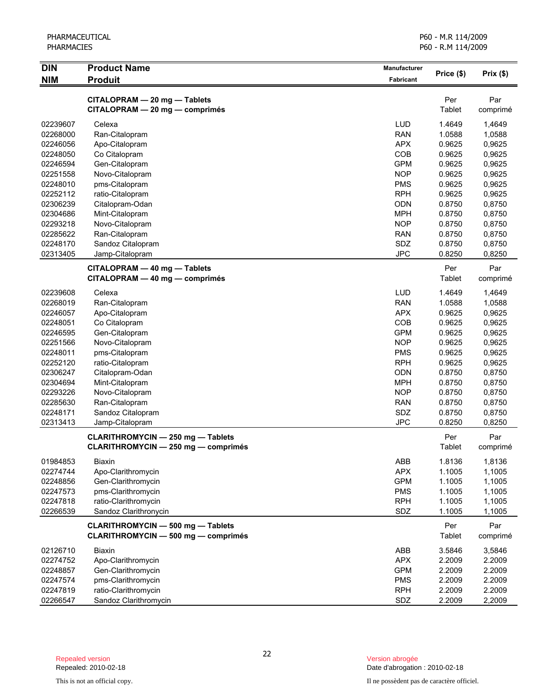| <b>DIN</b> | <b>Product Name</b>                        | <b>Manufacturer</b> | Price (\$)    | Prix(\$) |
|------------|--------------------------------------------|---------------------|---------------|----------|
| <b>NIM</b> | <b>Produit</b>                             | Fabricant           |               |          |
|            | CITALOPRAM - 20 mg - Tablets               |                     | Per           | Par      |
|            | CITALOPRAM - 20 mg - comprimés             |                     | Tablet        | comprimé |
| 02239607   | Celexa                                     | <b>LUD</b>          | 1.4649        | 1,4649   |
| 02268000   | Ran-Citalopram                             | <b>RAN</b>          | 1.0588        | 1,0588   |
| 02246056   | Apo-Citalopram                             | <b>APX</b>          | 0.9625        | 0,9625   |
| 02248050   | Co Citalopram                              | COB                 | 0.9625        | 0,9625   |
| 02246594   | Gen-Citalopram                             | <b>GPM</b>          | 0.9625        | 0,9625   |
| 02251558   | Novo-Citalopram                            | <b>NOP</b>          | 0.9625        | 0,9625   |
| 02248010   | pms-Citalopram                             | <b>PMS</b>          | 0.9625        | 0,9625   |
| 02252112   | ratio-Citalopram                           | <b>RPH</b>          | 0.9625        | 0,9625   |
| 02306239   | Citalopram-Odan                            | <b>ODN</b>          | 0.8750        | 0,8750   |
| 02304686   | Mint-Citalopram                            | <b>MPH</b>          | 0.8750        | 0,8750   |
| 02293218   | Novo-Citalopram                            | <b>NOP</b>          | 0.8750        | 0,8750   |
| 02285622   | Ran-Citalopram                             | <b>RAN</b>          | 0.8750        | 0,8750   |
| 02248170   | Sandoz Citalopram                          | SDZ                 | 0.8750        | 0,8750   |
| 02313405   | Jamp-Citalopram                            | <b>JPC</b>          | 0.8250        | 0,8250   |
|            | CITALOPRAM - 40 mg - Tablets               |                     | Per           | Par      |
|            | CITALOPRAM - 40 mg - comprimés             |                     | Tablet        |          |
|            |                                            |                     |               | comprimé |
| 02239608   | Celexa                                     | <b>LUD</b>          | 1.4649        | 1,4649   |
| 02268019   | Ran-Citalopram                             | <b>RAN</b>          | 1.0588        | 1,0588   |
| 02246057   | Apo-Citalopram                             | <b>APX</b>          | 0.9625        | 0,9625   |
| 02248051   | Co Citalopram                              | COB                 | 0.9625        | 0,9625   |
| 02246595   | Gen-Citalopram                             | <b>GPM</b>          | 0.9625        | 0,9625   |
| 02251566   | Novo-Citalopram                            | <b>NOP</b>          | 0.9625        | 0,9625   |
| 02248011   | pms-Citalopram                             | <b>PMS</b>          | 0.9625        | 0,9625   |
| 02252120   | ratio-Citalopram                           | <b>RPH</b>          | 0.9625        | 0,9625   |
| 02306247   | Citalopram-Odan                            | <b>ODN</b>          | 0.8750        | 0,8750   |
| 02304694   | Mint-Citalopram                            | <b>MPH</b>          | 0.8750        | 0,8750   |
| 02293226   | Novo-Citalopram                            | <b>NOP</b>          | 0.8750        | 0,8750   |
| 02285630   | Ran-Citalopram                             | <b>RAN</b>          | 0.8750        | 0,8750   |
| 02248171   | Sandoz Citalopram                          | SDZ                 | 0.8750        | 0,8750   |
| 02313413   | Jamp-Citalopram                            | <b>JPC</b>          | 0.8250        | 0,8250   |
|            | <b>CLARITHROMYCIN - 250 mg - Tablets</b>   |                     | Per           | Par      |
|            | <b>CLARITHROMYCIN - 250 mg - comprimés</b> |                     | Tablet        | comprimé |
| 01984853   | <b>Biaxin</b>                              | ABB                 | 1.8136        | 1,8136   |
| 02274744   | Apo-Clarithromycin                         | <b>APX</b>          | 1.1005        | 1,1005   |
| 02248856   | Gen-Clarithromycin                         | <b>GPM</b>          | 1.1005        | 1,1005   |
| 02247573   | pms-Clarithromycin                         | <b>PMS</b>          | 1.1005        | 1,1005   |
| 02247818   | ratio-Clarithromycin                       | <b>RPH</b>          | 1.1005        | 1,1005   |
| 02266539   | Sandoz Clarithronycin                      | SDZ                 | 1.1005        | 1,1005   |
|            |                                            |                     |               |          |
|            | <b>CLARITHROMYCIN - 500 mg - Tablets</b>   |                     | Per           | Par      |
|            | <b>CLARITHROMYCIN - 500 mg - comprimés</b> |                     | <b>Tablet</b> | comprimé |
| 02126710   | <b>Biaxin</b>                              | ABB                 | 3.5846        | 3,5846   |
| 02274752   | Apo-Clarithromycin                         | <b>APX</b>          | 2.2009        | 2.2009   |

02248857 Gen-Clarithromycin GPM 2.2009 2.2009<br>02247574 pms-Clarithromycin PMS 2.2009 2.2009 02247574 pms-Clarithromycin enterpretation of the control of the control of the control of the control of the c<br>02247819 ratio-Clarithromycin enterpretation of the control of the control of the control of the control of th 02247819 ratio-Clarithromycin 2.2009 2.2009 2.2009 02266547 Sandoz Clarithromycin SDZ 2.2009 2,2009

This is not an official copy. Il ne possèdent pas de caractère officiel.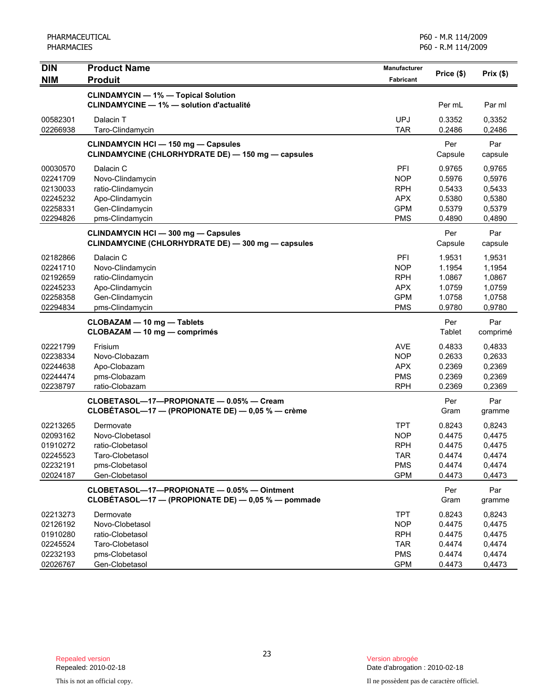| <b>DIN</b>           | <b>Product Name</b>                                | <b>Manufacturer</b>      |                  |          |
|----------------------|----------------------------------------------------|--------------------------|------------------|----------|
| <b>NIM</b>           | <b>Produit</b>                                     | <b>Fabricant</b>         | Price (\$)       | Prix(\$) |
|                      | <b>CLINDAMYCIN - 1% - Topical Solution</b>         |                          |                  |          |
|                      | <b>CLINDAMYCINE - 1% - solution d'actualité</b>    |                          | Per mL           | Par ml   |
|                      |                                                    |                          |                  |          |
| 00582301<br>02266938 | Dalacin T<br>Taro-Clindamycin                      | <b>UPJ</b><br><b>TAR</b> | 0.3352<br>0.2486 | 0,3352   |
|                      |                                                    |                          |                  | 0,2486   |
|                      | <b>CLINDAMYCIN HCI - 150 mg - Capsules</b>         |                          | Per              | Par      |
|                      | CLINDAMYCINE (CHLORHYDRATE DE) - 150 mg - capsules |                          | Capsule          | capsule  |
| 00030570             | Dalacin C                                          | PFI                      | 0.9765           | 0,9765   |
| 02241709             | Novo-Clindamycin                                   | <b>NOP</b>               | 0.5976           | 0,5976   |
| 02130033             | ratio-Clindamycin                                  | <b>RPH</b>               | 0.5433           | 0,5433   |
| 02245232             | Apo-Clindamycin                                    | <b>APX</b>               | 0.5380           | 0,5380   |
| 02258331             | Gen-Clindamycin                                    | <b>GPM</b>               | 0.5379           | 0,5379   |
| 02294826             | pms-Clindamycin                                    | <b>PMS</b>               | 0.4890           | 0,4890   |
|                      | <b>CLINDAMYCIN HCI - 300 mg - Capsules</b>         |                          | Per              | Par      |
|                      | CLINDAMYCINE (CHLORHYDRATE DE) - 300 mg - capsules |                          | Capsule          | capsule  |
| 02182866             | Dalacin C                                          | PFI                      | 1.9531           | 1,9531   |
| 02241710             | Novo-Clindamycin                                   | <b>NOP</b>               | 1.1954           | 1,1954   |
| 02192659             | ratio-Clindamycin                                  | <b>RPH</b>               | 1.0867           | 1,0867   |
| 02245233             | Apo-Clindamycin                                    | <b>APX</b>               | 1.0759           | 1,0759   |
| 02258358             | Gen-Clindamycin                                    | <b>GPM</b>               | 1.0758           | 1,0758   |
| 02294834             | pms-Clindamycin                                    | <b>PMS</b>               | 0.9780           | 0,9780   |
|                      | <b>CLOBAZAM - 10 mg - Tablets</b>                  |                          | Per              | Par      |
|                      | CLOBAZAM - 10 mg - comprimés                       |                          | Tablet           | comprimé |
| 02221799             | Frisium                                            | <b>AVE</b>               | 0.4833           | 0,4833   |
| 02238334             | Novo-Clobazam                                      | <b>NOP</b>               | 0.2633           | 0,2633   |
| 02244638             | Apo-Clobazam                                       | <b>APX</b>               | 0.2369           | 0,2369   |
| 02244474             | pms-Clobazam                                       | <b>PMS</b>               | 0.2369           | 0,2369   |
| 02238797             | ratio-Clobazam                                     | <b>RPH</b>               | 0.2369           | 0,2369   |
|                      | CLOBETASOL-17-PROPIONATE - 0.05% - Cream           |                          | Per              | Par      |
|                      | CLOBÉTASOL-17 - (PROPIONATE DE) - 0,05 % - crème   |                          | Gram             | gramme   |
| 02213265             | Dermovate                                          | <b>TPT</b>               | 0.8243           | 0,8243   |
| 02093162             | Novo-Clobetasol                                    | <b>NOP</b>               | 0.4475           | 0,4475   |
| 01910272             | ratio-Clobetasol                                   | <b>RPH</b>               | 0.4475           | 0,4475   |
| 02245523             | Taro-Clobetasol                                    | TAR                      | 0.4474           | 0,4474   |
| 02232191             | pms-Clobetasol                                     | <b>PMS</b>               | 0.4474           | 0,4474   |
| 02024187             | Gen-Clobetasol                                     | <b>GPM</b>               | 0.4473           | 0,4473   |
|                      | CLOBETASOL-17-PROPIONATE - 0.05% - Ointment        |                          | Per              | Par      |
|                      | CLOBÉTASOL-17 - (PROPIONATE DE) - 0,05 % - pommade |                          | Gram             | gramme   |
| 02213273             | Dermovate                                          | <b>TPT</b>               | 0.8243           | 0,8243   |
| 02126192             | Novo-Clobetasol                                    | <b>NOP</b>               | 0.4475           | 0,4475   |
| 01910280             | ratio-Clobetasol                                   | <b>RPH</b>               | 0.4475           | 0,4475   |
| 02245524             | Taro-Clobetasol                                    | <b>TAR</b>               | 0.4474           | 0,4474   |
| 02232193             | pms-Clobetasol                                     | <b>PMS</b>               | 0.4474           | 0,4474   |
| 02026767             | Gen-Clobetasol                                     | <b>GPM</b>               | 0.4473           | 0,4473   |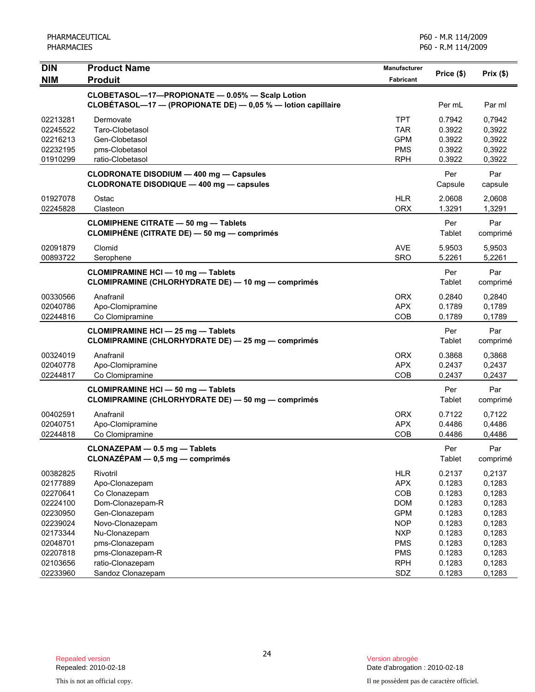| <b>DIN</b>           | <b>Product Name</b>                                                                                             | <b>Manufacturer</b>      | Price (\$)       | Prix(\$)         |
|----------------------|-----------------------------------------------------------------------------------------------------------------|--------------------------|------------------|------------------|
| <b>NIM</b>           | <b>Produit</b>                                                                                                  | Fabricant                |                  |                  |
|                      | CLOBETASOL-17-PROPIONATE - 0.05% - Scalp Lotion<br>CLOBÉTASOL-17 - (PROPIONATE DE) - 0,05 % - lotion capillaire |                          | Per mL           | Par ml           |
| 02213281             | Dermovate                                                                                                       | <b>TPT</b>               | 0.7942           | 0,7942           |
| 02245522             | Taro-Clobetasol                                                                                                 | <b>TAR</b>               | 0.3922           | 0,3922           |
| 02216213             | Gen-Clobetasol                                                                                                  | <b>GPM</b>               | 0.3922           | 0,3922           |
| 02232195             | pms-Clobetasol                                                                                                  | <b>PMS</b>               | 0.3922           | 0,3922           |
| 01910299             | ratio-Clobetasol                                                                                                | <b>RPH</b>               | 0.3922           | 0,3922           |
|                      | <b>CLODRONATE DISODIUM - 400 mg - Capsules</b><br>CLODRONATE DISODIQUE - 400 mg - capsules                      |                          | Per<br>Capsule   | Par<br>capsule   |
| 01927078             | Ostac                                                                                                           | <b>HLR</b>               | 2.0608           | 2,0608           |
| 02245828             | Clasteon                                                                                                        | <b>ORX</b>               | 1.3291           | 1,3291           |
|                      | <b>CLOMIPHENE CITRATE - 50 mg - Tablets</b><br>CLOMIPHÈNE (CITRATE DE) - 50 mg - comprimés                      |                          | Per<br>Tablet    | Par<br>comprimé  |
| 02091879             | Clomid                                                                                                          | <b>AVE</b>               | 5.9503           | 5,9503           |
| 00893722             | Serophene                                                                                                       | <b>SRO</b>               | 5.2261           | 5,2261           |
|                      | <b>CLOMIPRAMINE HCI - 10 mg - Tablets</b><br>CLOMIPRAMINE (CHLORHYDRATE DE) - 10 mg - comprimés                 |                          | Per<br>Tablet    | Par<br>comprimé  |
| 00330566             | Anafranil                                                                                                       | ORX                      | 0.2840           | 0,2840           |
| 02040786             | Apo-Clomipramine                                                                                                | <b>APX</b>               | 0.1789           | 0,1789           |
| 02244816             | Co Clomipramine                                                                                                 | COB                      | 0.1789           | 0,1789           |
|                      | <b>CLOMIPRAMINE HCI - 25 mg - Tablets</b><br>CLOMIPRAMINE (CHLORHYDRATE DE) - 25 mg - comprimés                 |                          | Per<br>Tablet    | Par<br>comprimé  |
| 00324019             | Anafranil                                                                                                       | <b>ORX</b>               | 0.3868           | 0,3868           |
| 02040778             | Apo-Clomipramine                                                                                                | <b>APX</b>               | 0.2437           | 0,2437           |
| 02244817             | Co Clomipramine                                                                                                 | COB                      | 0.2437           | 0,2437           |
|                      | <b>CLOMIPRAMINE HCI - 50 mg - Tablets</b><br>CLOMIPRAMINE (CHLORHYDRATE DE) - 50 mg - comprimés                 |                          | Per<br>Tablet    | Par<br>comprimé  |
| 00402591             | Anafranil                                                                                                       | <b>ORX</b>               | 0.7122           | 0,7122           |
| 02040751             | Apo-Clomipramine                                                                                                | <b>APX</b>               | 0.4486           | 0,4486           |
| 02244818             | Co Clomipramine                                                                                                 | COB                      | 0.4486           | 0,4486           |
|                      | CLONAZEPAM - 0.5 mg - Tablets<br>CLONAZÉPAM - 0,5 mg - comprimés                                                |                          | Per<br>Tablet    | Par<br>comprimé  |
| 00382825             | Rivotril                                                                                                        | <b>HLR</b>               | 0.2137           | 0,2137           |
| 02177889             | Apo-Clonazepam                                                                                                  | <b>APX</b>               | 0.1283           | 0,1283           |
| 02270641             | Co Clonazepam                                                                                                   | COB                      | 0.1283           | 0,1283           |
| 02224100             | Dom-Clonazepam-R                                                                                                | <b>DOM</b>               | 0.1283           | 0,1283           |
| 02230950             | Gen-Clonazepam                                                                                                  | <b>GPM</b>               | 0.1283           | 0,1283           |
| 02239024             | Novo-Clonazepam                                                                                                 | <b>NOP</b>               | 0.1283           | 0,1283           |
| 02173344             | Nu-Clonazepam                                                                                                   | <b>NXP</b>               | 0.1283           | 0,1283           |
| 02048701             | pms-Clonazepam                                                                                                  | <b>PMS</b>               | 0.1283           | 0,1283           |
| 02207818<br>02103656 | pms-Clonazepam-R<br>ratio-Clonazepam                                                                            | <b>PMS</b><br><b>RPH</b> | 0.1283<br>0.1283 | 0,1283<br>0,1283 |
| 02233960             | Sandoz Clonazepam                                                                                               | SDZ                      | 0.1283           | 0,1283           |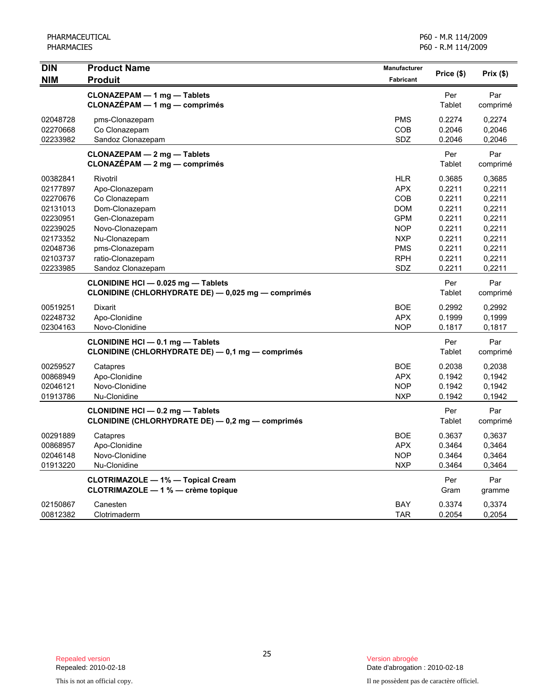| <b>DIN</b> | <b>Product Name</b>                                            | Manufacturer     | Price (\$)    | Prix(\$)        |
|------------|----------------------------------------------------------------|------------------|---------------|-----------------|
| <b>NIM</b> | <b>Produit</b>                                                 | <b>Fabricant</b> |               |                 |
|            | CLONAZEPAM - 1 mg - Tablets<br>$CLONAZÉPAM - 1 mg - comprimés$ |                  | Per<br>Tablet | Par<br>comprimé |
| 02048728   | pms-Clonazepam                                                 | <b>PMS</b>       | 0.2274        | 0.2274          |
| 02270668   | Co Clonazepam                                                  | COB              | 0.2046        | 0,2046          |
| 02233982   | Sandoz Clonazepam                                              | SDZ              | 0.2046        | 0,2046          |
|            | <b>CLONAZEPAM - 2 mg - Tablets</b>                             |                  | Per           | Par             |
|            | $CLONAZÉPAM - 2 mg - comprimés$                                |                  | Tablet        | comprimé        |
| 00382841   | Rivotril                                                       | <b>HLR</b>       | 0.3685        | 0,3685          |
| 02177897   | Apo-Clonazepam                                                 | <b>APX</b>       | 0.2211        | 0,2211          |
| 02270676   | Co Clonazepam                                                  | COB              | 0.2211        | 0,2211          |
| 02131013   | Dom-Clonazepam                                                 | <b>DOM</b>       | 0.2211        | 0,2211          |
| 02230951   | Gen-Clonazepam                                                 | <b>GPM</b>       | 0.2211        | 0,2211          |
| 02239025   | Novo-Clonazepam                                                | <b>NOP</b>       | 0.2211        | 0,2211          |
| 02173352   | Nu-Clonazepam                                                  | <b>NXP</b>       | 0.2211        | 0,2211          |
| 02048736   | pms-Clonazepam                                                 | <b>PMS</b>       | 0.2211        | 0,2211          |
| 02103737   | ratio-Clonazepam                                               | <b>RPH</b>       | 0.2211        | 0,2211          |
| 02233985   | Sandoz Clonazepam                                              | SDZ              | 0.2211        | 0,2211          |
|            | CLONIDINE HCI - 0.025 mg - Tablets                             |                  | Per           | Par             |
|            | CLONIDINE (CHLORHYDRATE DE) - 0,025 mg - comprimés             |                  | Tablet        | comprimé        |
| 00519251   | Dixarit                                                        | <b>BOE</b>       | 0.2992        | 0,2992          |
| 02248732   | Apo-Clonidine                                                  | <b>APX</b>       | 0.1999        | 0,1999          |
| 02304163   | Novo-Clonidine                                                 | <b>NOP</b>       | 0.1817        | 0,1817          |
|            | <b>CLONIDINE HCI - 0.1 mg - Tablets</b>                        |                  | Per           | Par             |
|            | CLONIDINE (CHLORHYDRATE DE) - 0,1 mg - comprimés               |                  | Tablet        | comprimé        |
| 00259527   | Catapres                                                       | <b>BOE</b>       | 0.2038        | 0,2038          |
| 00868949   | Apo-Clonidine                                                  | <b>APX</b>       | 0.1942        | 0,1942          |
| 02046121   | Novo-Clonidine                                                 | <b>NOP</b>       | 0.1942        | 0,1942          |
| 01913786   | Nu-Clonidine                                                   | <b>NXP</b>       | 0.1942        | 0,1942          |
|            | CLONIDINE HCI - 0.2 mg - Tablets                               |                  | Per           | Par             |
|            | CLONIDINE (CHLORHYDRATE DE) - 0,2 mg - comprimés               |                  | Tablet        | comprimé        |
| 00291889   | Catapres                                                       | <b>BOE</b>       | 0.3637        | 0,3637          |
| 00868957   | Apo-Clonidine                                                  | <b>APX</b>       | 0.3464        | 0,3464          |
| 02046148   | Novo-Clonidine                                                 | <b>NOP</b>       | 0.3464        | 0,3464          |
| 01913220   | Nu-Clonidine                                                   | <b>NXP</b>       | 0.3464        | 0,3464          |
|            | <b>CLOTRIMAZOLE - 1% - Topical Cream</b>                       |                  | Per           | Par             |
|            | CLOTRIMAZOLE - 1 % - crème topique                             |                  | Gram          | gramme          |
| 02150867   | Canesten                                                       | BAY              | 0.3374        | 0,3374          |
| 00812382   | Clotrimaderm                                                   | <b>TAR</b>       | 0.2054        | 0,2054          |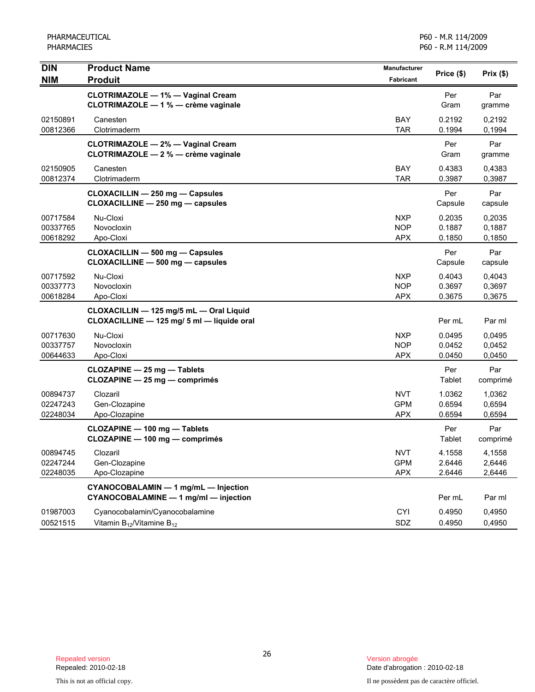PHARMACEUTICAL PHARMACIES

| <b>DIN</b><br><b>NIM</b>         | <b>Product Name</b><br><b>Produit</b>                                                 | <b>Manufacturer</b><br>Fabricant       | Price (\$)                 | Prix(\$)                   |
|----------------------------------|---------------------------------------------------------------------------------------|----------------------------------------|----------------------------|----------------------------|
|                                  | <b>CLOTRIMAZOLE - 1% - Vaginal Cream</b><br>CLOTRIMAZOLE - 1 % - crème vaginale       |                                        | Per<br>Gram                | Par<br>gramme              |
| 02150891<br>00812366             | Canesten<br>Clotrimaderm                                                              | <b>BAY</b><br><b>TAR</b>               | 0.2192<br>0.1994           | 0,2192<br>0,1994           |
|                                  | <b>CLOTRIMAZOLE - 2% - Vaginal Cream</b><br>CLOTRIMAZOLE - 2 % - crème vaginale       |                                        | Per<br>Gram                | Par<br>gramme              |
| 02150905<br>00812374             | Canesten<br>Clotrimaderm                                                              | BAY<br><b>TAR</b>                      | 0.4383<br>0.3987           | 0,4383<br>0,3987           |
|                                  | CLOXACILLIN - 250 mg - Capsules<br>CLOXACILLINE - 250 mg - capsules                   |                                        | Per<br>Capsule             | Par<br>capsule             |
| 00717584<br>00337765<br>00618292 | Nu-Cloxi<br>Novocloxin<br>Apo-Cloxi                                                   | <b>NXP</b><br><b>NOP</b><br><b>APX</b> | 0.2035<br>0.1887<br>0.1850 | 0,2035<br>0,1887<br>0,1850 |
|                                  | CLOXACILLIN - 500 mg - Capsules<br>CLOXACILLINE - 500 mg - capsules                   |                                        | Per<br>Capsule             | Par<br>capsule             |
| 00717592<br>00337773<br>00618284 | Nu-Cloxi<br>Novocloxin<br>Apo-Cloxi                                                   | <b>NXP</b><br><b>NOP</b><br><b>APX</b> | 0.4043<br>0.3697<br>0.3675 | 0,4043<br>0,3697<br>0,3675 |
|                                  | CLOXACILLIN - 125 mg/5 mL - Oral Liquid<br>CLOXACILLINE - 125 mg/ 5 ml - liquide oral |                                        | Per mL                     | Par ml                     |
| 00717630<br>00337757<br>00644633 | Nu-Cloxi<br>Novocloxin<br>Apo-Cloxi                                                   | <b>NXP</b><br><b>NOP</b><br><b>APX</b> | 0.0495<br>0.0452<br>0.0450 | 0,0495<br>0,0452<br>0,0450 |
|                                  | <b>CLOZAPINE - 25 mg - Tablets</b><br>CLOZAPINE - 25 mg - comprimés                   |                                        | Per<br>Tablet              | Par<br>comprimé            |
| 00894737<br>02247243<br>02248034 | Clozaril<br>Gen-Clozapine<br>Apo-Clozapine                                            | <b>NVT</b><br><b>GPM</b><br><b>APX</b> | 1.0362<br>0.6594<br>0.6594 | 1,0362<br>0,6594<br>0,6594 |
|                                  | CLOZAPINE - 100 mg - Tablets<br>CLOZAPINE - 100 mg - comprimés                        |                                        | Per<br>Tablet              | Par<br>comprimé            |
| 00894745<br>02247244<br>02248035 | Clozaril<br>Gen-Clozapine<br>Apo-Clozapine                                            | <b>NVT</b><br><b>GPM</b><br><b>APX</b> | 4.1558<br>2.6446<br>2.6446 | 4,1558<br>2,6446<br>2,6446 |
|                                  | CYANOCOBALAMIN - 1 mg/mL - Injection<br>CYANOCOBALAMINE - 1 mg/ml - injection         |                                        | Per mL                     | Par ml                     |
| 01987003<br>00521515             | Cyanocobalamin/Cyanocobalamine<br>Vitamin $B_{12}$ /Vitamine $B_{12}$                 | <b>CYI</b><br>SDZ                      | 0.4950<br>0.4950           | 0,4950<br>0,4950           |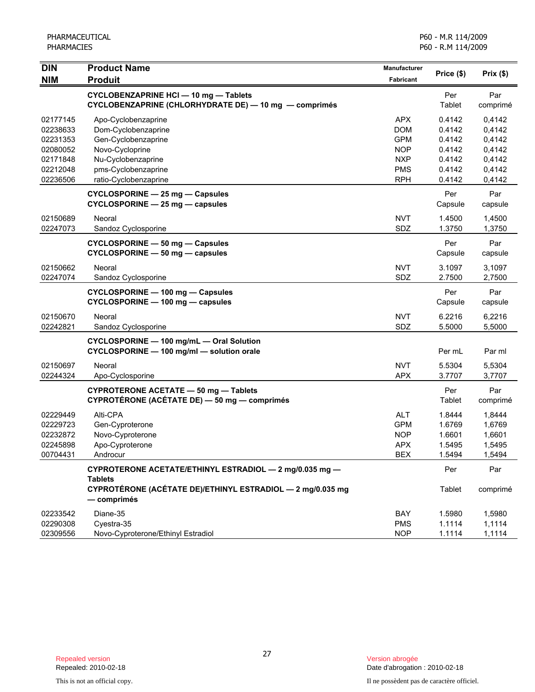| DIN                  | <b>Product Name</b><br><b>Produit</b>                                                                 | Manufacturer             | Price (\$)       | Prix(\$)         |
|----------------------|-------------------------------------------------------------------------------------------------------|--------------------------|------------------|------------------|
| <b>NIM</b>           |                                                                                                       | <b>Fabricant</b>         |                  |                  |
|                      | <b>CYCLOBENZAPRINE HCI - 10 mg - Tablets</b><br>CYCLOBENZAPRINE (CHLORHYDRATE DE) - 10 mg - comprimés |                          | Per<br>Tablet    | Par<br>comprimé  |
| 02177145             | Apo-Cyclobenzaprine                                                                                   | <b>APX</b>               | 0.4142           | 0,4142           |
| 02238633             | Dom-Cyclobenzaprine                                                                                   | <b>DOM</b>               | 0.4142           | 0,4142           |
| 02231353             | Gen-Cyclobenzaprine                                                                                   | <b>GPM</b>               | 0.4142           | 0,4142           |
| 02080052             | Novo-Cycloprine                                                                                       | <b>NOP</b>               | 0.4142           | 0,4142           |
| 02171848             | Nu-Cyclobenzaprine                                                                                    | <b>NXP</b>               | 0.4142           | 0,4142           |
| 02212048             | pms-Cyclobenzaprine                                                                                   | <b>PMS</b>               | 0.4142           | 0,4142           |
| 02236506             | ratio-Cyclobenzaprine                                                                                 | <b>RPH</b>               | 0.4142           | 0,4142           |
|                      | CYCLOSPORINE - 25 mg - Capsules<br>CYCLOSPORINE - 25 mg - capsules                                    |                          | Per<br>Capsule   | Par<br>capsule   |
| 02150689             | Neoral                                                                                                | <b>NVT</b>               | 1.4500           | 1,4500           |
| 02247073             | Sandoz Cyclosporine                                                                                   | SDZ                      | 1.3750           | 1,3750           |
|                      | CYCLOSPORINE - 50 mg - Capsules<br>CYCLOSPORINE - 50 mg - capsules                                    |                          | Per<br>Capsule   | Par<br>capsule   |
| 02150662             | Neoral                                                                                                | <b>NVT</b>               | 3.1097           | 3,1097           |
| 02247074             | Sandoz Cyclosporine                                                                                   | SDZ                      | 2.7500           | 2,7500           |
|                      | CYCLOSPORINE - 100 mg - Capsules                                                                      |                          | Per              | Par              |
|                      | CYCLOSPORINE - 100 mg - capsules                                                                      |                          | Capsule          | capsule          |
| 02150670             | Neoral                                                                                                | <b>NVT</b>               | 6.2216           | 6,2216           |
| 02242821             | Sandoz Cyclosporine                                                                                   | SDZ                      | 5.5000           | 5,5000           |
|                      | CYCLOSPORINE - 100 mg/mL - Oral Solution<br>CYCLOSPORINE - 100 mg/ml - solution orale                 |                          | Per mL           | Par ml           |
| 02150697             | Neoral                                                                                                | <b>NVT</b>               | 5.5304           | 5,5304           |
| 02244324             | Apo-Cyclosporine                                                                                      | <b>APX</b>               | 3.7707           | 3,7707           |
|                      | CYPROTERONE ACETATE - 50 mg - Tablets<br>CYPROTÉRONE (ACÉTATE DE) - 50 mg - comprimés                 |                          | Per<br>Tablet    | Par<br>comprimé  |
|                      |                                                                                                       |                          |                  |                  |
| 02229449             | Alti-CPA                                                                                              | <b>ALT</b>               | 1.8444           | 1,8444           |
| 02229723<br>02232872 | Gen-Cyproterone                                                                                       | <b>GPM</b><br><b>NOP</b> | 1.6769           | 1,6769           |
| 02245898             | Novo-Cyproterone                                                                                      | <b>APX</b>               | 1.6601<br>1.5495 | 1,6601           |
| 00704431             | Apo-Cyproterone<br>Androcur                                                                           | <b>BEX</b>               | 1.5494           | 1,5495<br>1,5494 |
|                      |                                                                                                       |                          |                  |                  |
|                      | CYPROTERONE ACETATE/ETHINYL ESTRADIOL - 2 mg/0.035 mg -<br><b>Tablets</b>                             |                          | Per              | Par              |
|                      | CYPROTÉRONE (ACÉTATE DE)/ETHINYL ESTRADIOL - 2 mg/0.035 mg<br>— comprimés                             |                          | Tablet           | comprimé         |
| 02233542             | Diane-35                                                                                              | BAY                      | 1.5980           | 1,5980           |
| 02290308             | Cyestra-35                                                                                            | <b>PMS</b>               | 1.1114           | 1,1114           |
| 02309556             | Novo-Cyproterone/Ethinyl Estradiol                                                                    | <b>NOP</b>               | 1.1114           | 1,1114           |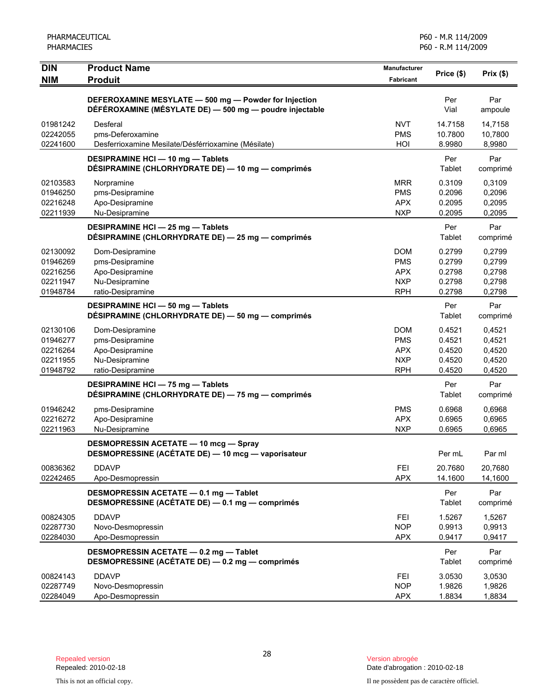| <b>DIN</b><br><b>NIM</b>                                 | <b>Product Name</b><br><b>Produit</b>                                                                            | <b>Manufacturer</b><br><b>Fabricant</b>                            | Price (\$)                                     | Prix(\$)                                       |
|----------------------------------------------------------|------------------------------------------------------------------------------------------------------------------|--------------------------------------------------------------------|------------------------------------------------|------------------------------------------------|
|                                                          | DEFEROXAMINE MESYLATE - 500 mg - Powder for Injection<br>DÉFÉROXAMINE (MÉSYLATE DE) - 500 mg - poudre injectable |                                                                    | Per<br>Vial                                    | Par<br>ampoule                                 |
| 01981242<br>02242055<br>02241600                         | Desferal<br>pms-Deferoxamine<br>Desferrioxamine Mesilate/Désférrioxamine (Mésilate)                              | <b>NVT</b><br><b>PMS</b><br>HOI                                    | 14.7158<br>10.7800<br>8.9980                   | 14,7158<br>10,7800<br>8,9980                   |
|                                                          | DESIPRAMINE HCI - 10 mg - Tablets<br>DÉSIPRAMINE (CHLORHYDRATE DE) - 10 mg - comprimés                           |                                                                    | Per<br>Tablet                                  | Par<br>comprimé                                |
| 02103583<br>01946250<br>02216248<br>02211939             | Norpramine<br>pms-Desipramine<br>Apo-Desipramine<br>Nu-Desipramine                                               | <b>MRR</b><br><b>PMS</b><br><b>APX</b><br><b>NXP</b>               | 0.3109<br>0.2096<br>0.2095<br>0.2095           | 0,3109<br>0,2096<br>0,2095<br>0,2095           |
|                                                          | <b>DESIPRAMINE HCI - 25 mg - Tablets</b><br>DÉSIPRAMINE (CHLORHYDRATE DE) - 25 mg - comprimés                    |                                                                    | Per<br>Tablet                                  | Par<br>comprimé                                |
| 02130092<br>01946269<br>02216256<br>02211947<br>01948784 | Dom-Desipramine<br>pms-Desipramine<br>Apo-Desipramine<br>Nu-Desipramine<br>ratio-Desipramine                     | <b>DOM</b><br><b>PMS</b><br><b>APX</b><br><b>NXP</b><br><b>RPH</b> | 0.2799<br>0.2799<br>0.2798<br>0.2798<br>0.2798 | 0,2799<br>0,2799<br>0,2798<br>0,2798<br>0,2798 |
|                                                          | DESIPRAMINE HCI - 50 mg - Tablets<br>DÉSIPRAMINE (CHLORHYDRATE DE) - 50 mg - comprimés                           |                                                                    | Per<br>Tablet                                  | Par<br>comprimé                                |
| 02130106<br>01946277<br>02216264<br>02211955<br>01948792 | Dom-Desipramine<br>pms-Desipramine<br>Apo-Desipramine<br>Nu-Desipramine<br>ratio-Desipramine                     | <b>DOM</b><br><b>PMS</b><br><b>APX</b><br><b>NXP</b><br><b>RPH</b> | 0.4521<br>0.4521<br>0.4520<br>0.4520<br>0.4520 | 0,4521<br>0,4521<br>0,4520<br>0,4520<br>0,4520 |
|                                                          | <b>DESIPRAMINE HCI - 75 mg - Tablets</b><br>DÉSIPRAMINE (CHLORHYDRATE DE) - 75 mg - comprimés                    |                                                                    | Per<br>Tablet                                  | Par<br>comprimé                                |
| 01946242<br>02216272<br>02211963                         | pms-Desipramine<br>Apo-Desipramine<br>Nu-Desipramine                                                             | <b>PMS</b><br><b>APX</b><br><b>NXP</b>                             | 0.6968<br>0.6965<br>0.6965                     | 0,6968<br>0,6965<br>0,6965                     |
|                                                          | <b>DESMOPRESSIN ACETATE - 10 mcg - Spray</b><br>DESMOPRESSINE (ACÉTATE DE) - 10 mcg - vaporisateur               |                                                                    | Per mL                                         | Par ml                                         |
| 00836362<br>02242465                                     | <b>DDAVP</b><br>Apo-Desmopressin                                                                                 | <b>FEI</b><br><b>APX</b>                                           | 20.7680<br>14.1600                             | 20.7680<br>14,1600                             |
|                                                          | DESMOPRESSIN ACETATE - 0.1 mg - Tablet<br>DESMOPRESSINE (ACÉTATE DE) - 0.1 mg - comprimés                        |                                                                    | Per<br>Tablet                                  | Par<br>comprimé                                |
| 00824305<br>02287730<br>02284030                         | <b>DDAVP</b><br>Novo-Desmopressin<br>Apo-Desmopressin                                                            | <b>FEI</b><br><b>NOP</b><br><b>APX</b>                             | 1.5267<br>0.9913<br>0.9417                     | 1,5267<br>0,9913<br>0,9417                     |
|                                                          | DESMOPRESSIN ACETATE - 0.2 mg - Tablet<br>DESMOPRESSINE (ACÉTATE DE) - 0.2 mg - comprimés                        |                                                                    | Per<br>Tablet                                  | Par<br>comprimé                                |
| 00824143<br>02287749<br>02284049                         | <b>DDAVP</b><br>Novo-Desmopressin<br>Apo-Desmopressin                                                            | <b>FEI</b><br><b>NOP</b><br><b>APX</b>                             | 3.0530<br>1.9826<br>1.8834                     | 3,0530<br>1,9826<br>1,8834                     |

This is not an official copy. Il ne possèdent pas de caractère officiel.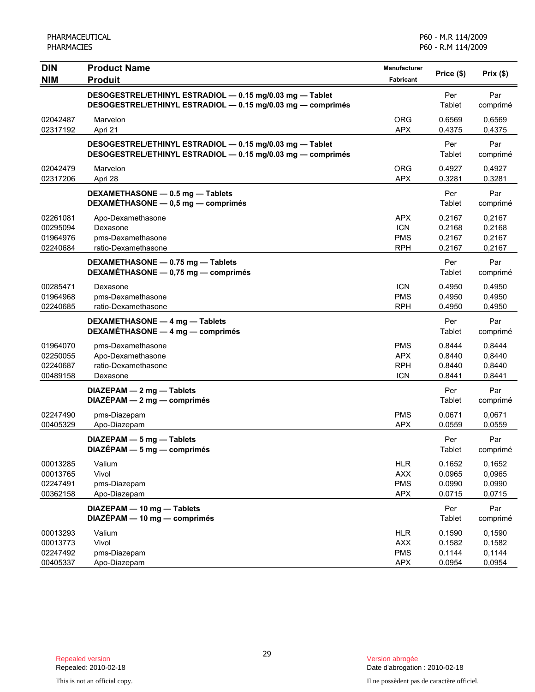| <b>DIN</b>                                   | <b>Product Name</b>                                                                                                     | Manufacturer                                         | Price (\$)                           | Prix(\$)                             |
|----------------------------------------------|-------------------------------------------------------------------------------------------------------------------------|------------------------------------------------------|--------------------------------------|--------------------------------------|
| <b>NIM</b>                                   | <b>Produit</b>                                                                                                          | Fabricant                                            |                                      |                                      |
|                                              | DESOGESTREL/ETHINYL ESTRADIOL - 0.15 mg/0.03 mg - Tablet<br>DESOGESTREL/ETHINYL ESTRADIOL - 0.15 mg/0.03 mg - comprimés |                                                      | Per<br>Tablet                        | Par<br>comprimé                      |
| 02042487<br>02317192                         | Marvelon<br>Apri 21                                                                                                     | <b>ORG</b><br><b>APX</b>                             | 0.6569<br>0.4375                     | 0,6569<br>0,4375                     |
|                                              | DESOGESTREL/ETHINYL ESTRADIOL - 0.15 mg/0.03 mg - Tablet<br>DESOGESTREL/ETHINYL ESTRADIOL - 0.15 mg/0.03 mg - comprimés |                                                      | Per<br>Tablet                        | Par<br>comprimé                      |
| 02042479<br>02317206                         | Marvelon<br>Apri 28                                                                                                     | <b>ORG</b><br><b>APX</b>                             | 0.4927<br>0.3281                     | 0,4927<br>0,3281                     |
|                                              | DEXAMETHASONE - 0.5 mg - Tablets<br>DEXAMÉTHASONE - 0,5 mg - comprimés                                                  |                                                      | Per<br>Tablet                        | Par<br>comprimé                      |
| 02261081<br>00295094<br>01964976<br>02240684 | Apo-Dexamethasone<br>Dexasone<br>pms-Dexamethasone<br>ratio-Dexamethasone                                               | APX<br><b>ICN</b><br><b>PMS</b><br><b>RPH</b>        | 0.2167<br>0.2168<br>0.2167<br>0.2167 | 0,2167<br>0,2168<br>0,2167<br>0,2167 |
|                                              | DEXAMETHASONE - 0.75 mg - Tablets<br>DEXAMÉTHASONE - 0,75 mg - comprimés                                                |                                                      | Per<br>Tablet                        | Par<br>comprimé                      |
| 00285471<br>01964968<br>02240685             | Dexasone<br>pms-Dexamethasone<br>ratio-Dexamethasone                                                                    | <b>ICN</b><br><b>PMS</b><br><b>RPH</b>               | 0.4950<br>0.4950<br>0.4950           | 0.4950<br>0,4950<br>0,4950           |
|                                              | DEXAMETHASONE - 4 mg - Tablets<br>DEXAMÉTHASONE - 4 mg - comprimés                                                      |                                                      | Per<br>Tablet                        | Par<br>comprimé                      |
| 01964070<br>02250055<br>02240687<br>00489158 | pms-Dexamethasone<br>Apo-Dexamethasone<br>ratio-Dexamethasone<br>Dexasone                                               | <b>PMS</b><br><b>APX</b><br><b>RPH</b><br><b>ICN</b> | 0.8444<br>0.8440<br>0.8440<br>0.8441 | 0,8444<br>0,8440<br>0,8440<br>0,8441 |
|                                              | DIAZEPAM - 2 mg - Tablets<br>$DIAZÉPAM - 2 mg - comprimés$                                                              |                                                      | Per<br>Tablet                        | Par<br>comprimé                      |
| 02247490<br>00405329                         | pms-Diazepam<br>Apo-Diazepam                                                                                            | <b>PMS</b><br><b>APX</b>                             | 0.0671<br>0.0559                     | 0,0671<br>0,0559                     |
|                                              | DIAZEPAM - 5 mg - Tablets<br>DIAZÉPAM - 5 mg - comprimés                                                                |                                                      | Per<br>Tablet                        | Par<br>comprimé                      |
| 00013285<br>00013765<br>02247491<br>00362158 | Valium<br>Vivol<br>pms-Diazepam<br>Apo-Diazepam                                                                         | <b>HLR</b><br><b>AXX</b><br><b>PMS</b><br><b>APX</b> | 0.1652<br>0.0965<br>0.0990<br>0.0715 | 0,1652<br>0,0965<br>0,0990<br>0,0715 |
|                                              | DIAZEPAM - 10 mg - Tablets<br>DIAZÉPAM - 10 mg - comprimés                                                              |                                                      | Per<br>Tablet                        | Par<br>comprimé                      |
| 00013293<br>00013773<br>02247492<br>00405337 | Valium<br>Vivol<br>pms-Diazepam<br>Apo-Diazepam                                                                         | <b>HLR</b><br><b>AXX</b><br><b>PMS</b><br><b>APX</b> | 0.1590<br>0.1582<br>0.1144<br>0.0954 | 0,1590<br>0,1582<br>0,1144<br>0,0954 |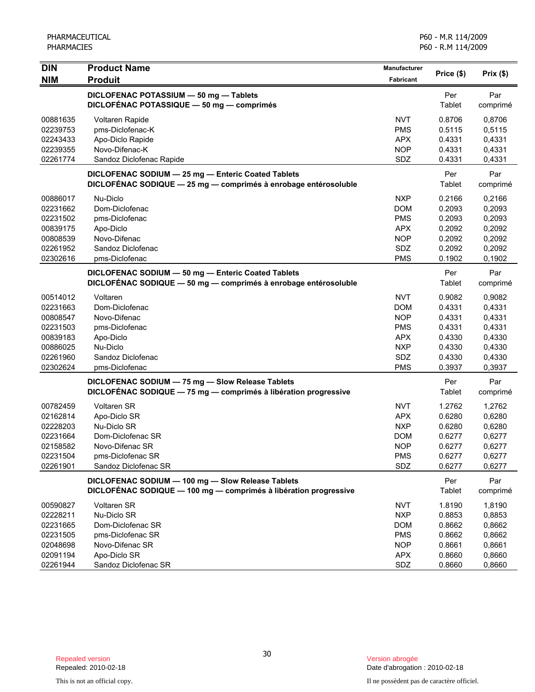| <b>DIN</b> | <b>Product Name</b>                                                                                                   | Manufacturer     | Price (\$)    | Prix(\$)        |
|------------|-----------------------------------------------------------------------------------------------------------------------|------------------|---------------|-----------------|
| <b>NIM</b> | <b>Produit</b>                                                                                                        | <b>Fabricant</b> |               |                 |
|            | DICLOFENAC POTASSIUM - 50 mg - Tablets                                                                                |                  | Per           | Par             |
|            | DICLOFÉNAC POTASSIQUE - 50 mg - comprimés                                                                             |                  | Tablet        | comprimé        |
| 00881635   | <b>Voltaren Rapide</b>                                                                                                | <b>NVT</b>       | 0.8706        | 0,8706          |
| 02239753   | pms-Diclofenac-K                                                                                                      | <b>PMS</b>       | 0.5115        | 0,5115          |
| 02243433   | Apo-Diclo Rapide                                                                                                      | <b>APX</b>       | 0.4331        | 0,4331          |
| 02239355   | Novo-Difenac-K                                                                                                        | <b>NOP</b>       | 0.4331        | 0,4331          |
| 02261774   | Sandoz Diclofenac Rapide                                                                                              | SDZ              | 0.4331        | 0,4331          |
|            | DICLOFENAC SODIUM - 25 mg - Enteric Coated Tablets<br>DICLOFENAC SODIQUE - 25 mg - comprimés à enrobage entérosoluble |                  | Per<br>Tablet | Par<br>comprimé |
| 00886017   | Nu-Diclo                                                                                                              | <b>NXP</b>       | 0.2166        | 0,2166          |
| 02231662   | Dom-Diclofenac                                                                                                        | <b>DOM</b>       | 0.2093        | 0,2093          |
| 02231502   | pms-Diclofenac                                                                                                        | <b>PMS</b>       | 0.2093        | 0,2093          |
| 00839175   | Apo-Diclo                                                                                                             | <b>APX</b>       | 0.2092        | 0,2092          |
| 00808539   | Novo-Difenac                                                                                                          | <b>NOP</b>       | 0.2092        | 0,2092          |
| 02261952   | Sandoz Diclofenac                                                                                                     | SDZ              | 0.2092        | 0,2092          |
| 02302616   | pms-Diclofenac                                                                                                        | <b>PMS</b>       | 0.1902        | 0,1902          |
|            | DICLOFENAC SODIUM - 50 mg - Enteric Coated Tablets                                                                    |                  | Per           | Par             |
|            | DICLOFÉNAC SODIQUE - 50 mg - comprimés à enrobage entérosoluble                                                       |                  | Tablet        | comprimé        |
| 00514012   | Voltaren                                                                                                              | <b>NVT</b>       | 0.9082        | 0,9082          |
| 02231663   | Dom-Diclofenac                                                                                                        | <b>DOM</b>       | 0.4331        | 0,4331          |
| 00808547   | Novo-Difenac                                                                                                          | <b>NOP</b>       | 0.4331        | 0,4331          |
| 02231503   | pms-Diclofenac                                                                                                        | <b>PMS</b>       | 0.4331        | 0,4331          |
| 00839183   | Apo-Diclo                                                                                                             | <b>APX</b>       | 0.4330        | 0,4330          |
| 00886025   | Nu-Diclo                                                                                                              | <b>NXP</b>       | 0.4330        | 0,4330          |
| 02261960   | Sandoz Diclofenac                                                                                                     | SDZ              | 0.4330        | 0,4330          |
| 02302624   | pms-Diclofenac                                                                                                        | <b>PMS</b>       | 0.3937        | 0,3937          |
|            | DICLOFENAC SODIUM - 75 mg - Slow Release Tablets                                                                      |                  | Per           | Par             |
|            | DICLOFÉNAC SODIQUE - 75 mg - comprimés à libération progressive                                                       |                  | Tablet        | comprimé        |
| 00782459   | <b>Voltaren SR</b>                                                                                                    | <b>NVT</b>       | 1.2762        | 1,2762          |
| 02162814   | Apo-Diclo SR                                                                                                          | <b>APX</b>       | 0.6280        | 0,6280          |
| 02228203   | Nu-Diclo SR                                                                                                           | <b>NXP</b>       | 0.6280        | 0,6280          |
| 02231664   | Dom-Diclofenac SR                                                                                                     | <b>DOM</b>       | 0.6277        | 0,6277          |
| 02158582   | Novo-Difenac SR                                                                                                       | <b>NOP</b>       | 0.6277        | 0,6277          |
| 02231504   | pms-Diclofenac SR                                                                                                     | <b>PMS</b>       | 0.6277        | 0,6277          |
| 02261901   | Sandoz Diclofenac SR                                                                                                  | SDZ              | 0.6277        | 0,6277          |
|            | DICLOFENAC SODIUM - 100 mg - Slow Release Tablets                                                                     |                  | Per           | Par             |
|            | DICLOFÉNAC SODIQUE - 100 mg - comprimés à libération progressive                                                      |                  | Tablet        | comprimé        |
| 00590827   | <b>Voltaren SR</b>                                                                                                    | <b>NVT</b>       | 1.8190        | 1,8190          |
| 02228211   | Nu-Diclo SR                                                                                                           | <b>NXP</b>       | 0.8853        | 0,8853          |
| 02231665   | Dom-Diclofenac SR                                                                                                     | <b>DOM</b>       | 0.8662        | 0,8662          |
| 02231505   | pms-Diclofenac SR                                                                                                     | <b>PMS</b>       | 0.8662        | 0,8662          |
| 02048698   | Novo-Difenac SR                                                                                                       | <b>NOP</b>       | 0.8661        | 0,8661          |
| 02091194   | Apo-Diclo SR                                                                                                          | <b>APX</b>       | 0.8660        | 0,8660          |
| 02261944   | Sandoz Diclofenac SR                                                                                                  | SDZ              | 0.8660        | 0,8660          |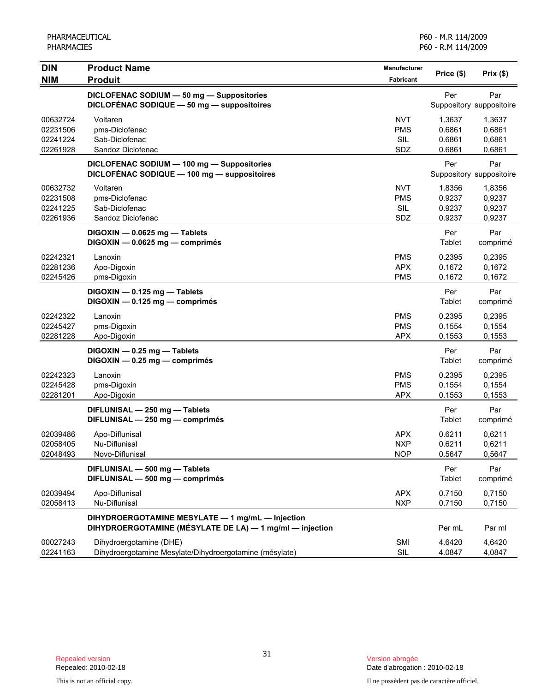| <b>DIN</b><br><b>NIM</b>                     | <b>Product Name</b><br><b>Produit</b>                                                                        | <b>Manufacturer</b><br><b>Fabricant</b>       | Price (\$)                           | Prix $($ \$)                         |
|----------------------------------------------|--------------------------------------------------------------------------------------------------------------|-----------------------------------------------|--------------------------------------|--------------------------------------|
|                                              | DICLOFENAC SODIUM - 50 mg - Suppositories<br>DICLOFÉNAC SODIQUE - 50 mg - suppositoires                      |                                               | Per                                  | Par<br>Suppository suppositoire      |
| 00632724<br>02231506<br>02241224<br>02261928 | Voltaren<br>pms-Diclofenac<br>Sab-Diclofenac<br>Sandoz Diclofenac                                            | <b>NVT</b><br><b>PMS</b><br><b>SIL</b><br>SDZ | 1.3637<br>0.6861<br>0.6861<br>0.6861 | 1,3637<br>0,6861<br>0,6861<br>0,6861 |
|                                              | DICLOFENAC SODIUM - 100 mg - Suppositories<br>DICLOFÉNAC SODIQUE - 100 mg - suppositoires                    |                                               | Per                                  | Par<br>Suppository suppositoire      |
| 00632732<br>02231508<br>02241225<br>02261936 | Voltaren<br>pms-Diclofenac<br>Sab-Diclofenac<br>Sandoz Diclofenac                                            | <b>NVT</b><br><b>PMS</b><br><b>SIL</b><br>SDZ | 1.8356<br>0.9237<br>0.9237<br>0.9237 | 1,8356<br>0,9237<br>0,9237<br>0,9237 |
|                                              | $DIGOXIN - 0.0625 mg - Tables$<br>DIGOXIN - 0.0625 mg - comprimés                                            |                                               | Per<br>Tablet                        | Par<br>comprimé                      |
| 02242321<br>02281236<br>02245426             | Lanoxin<br>Apo-Digoxin<br>pms-Digoxin                                                                        | <b>PMS</b><br><b>APX</b><br><b>PMS</b>        | 0.2395<br>0.1672<br>0.1672           | 0,2395<br>0,1672<br>0,1672           |
|                                              | DIGOXIN - 0.125 mg - Tablets<br>DIGOXIN - 0.125 mg - comprimés                                               |                                               | Per<br>Tablet                        | Par<br>comprimé                      |
| 02242322<br>02245427<br>02281228             | Lanoxin<br>pms-Digoxin<br>Apo-Digoxin                                                                        | <b>PMS</b><br><b>PMS</b><br><b>APX</b>        | 0.2395<br>0.1554<br>0.1553           | 0,2395<br>0,1554<br>0,1553           |
|                                              | $DIGOXIN - 0.25 mg - Tables$<br>DIGOXIN - 0.25 mg - comprimés                                                |                                               | Per<br>Tablet                        | Par<br>comprimé                      |
| 02242323<br>02245428<br>02281201             | Lanoxin<br>pms-Digoxin<br>Apo-Digoxin                                                                        | <b>PMS</b><br><b>PMS</b><br><b>APX</b>        | 0.2395<br>0.1554<br>0.1553           | 0,2395<br>0,1554<br>0,1553           |
|                                              | DIFLUNISAL - 250 mg - Tablets<br>DIFLUNISAL - 250 mg - comprimés                                             |                                               | Per<br>Tablet                        | Par<br>comprimé                      |
| 02039486<br>02058405<br>02048493             | Apo-Diflunisal<br>Nu-Diflunisal<br>Novo-Diflunisal                                                           | <b>APX</b><br><b>NXP</b><br>NOP.              | 0.6211<br>0.6211<br>0.5647           | 0,6211<br>0,6211<br>0,5647           |
|                                              | DIFLUNISAL - 500 mg - Tablets<br>DIFLUNISAL - 500 mg - comprimés                                             |                                               | Per<br>Tablet                        | Par<br>comprimé                      |
| 02039494<br>02058413                         | Apo-Diflunisal<br>Nu-Diflunisal                                                                              | <b>APX</b><br><b>NXP</b>                      | 0.7150<br>0.7150                     | 0,7150<br>0,7150                     |
|                                              | DIHYDROERGOTAMINE MESYLATE - 1 mg/mL - Injection<br>DIHYDROERGOTAMINE (MÉSYLATE DE LA) - 1 mg/ml - injection |                                               | Per mL                               | Par ml                               |
| 00027243<br>02241163                         | Dihydroergotamine (DHE)<br>Dihydroergotamine Mesylate/Dihydroergotamine (mésylate)                           | SMI<br>SIL                                    | 4.6420<br>4.0847                     | 4.6420<br>4,0847                     |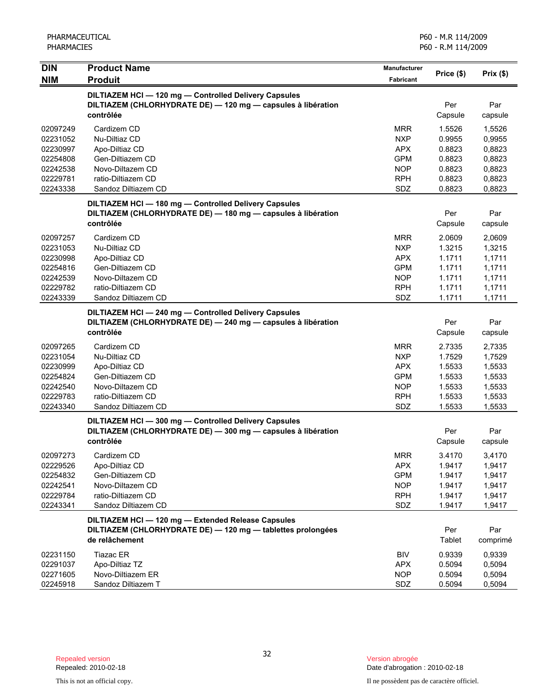| <b>DIN</b>                                                                       | <b>Product Name</b>                                                                                                                 | Manufacturer                                                                            | Price (\$)                                                         | Prix(\$)                                                           |
|----------------------------------------------------------------------------------|-------------------------------------------------------------------------------------------------------------------------------------|-----------------------------------------------------------------------------------------|--------------------------------------------------------------------|--------------------------------------------------------------------|
| <b>NIM</b>                                                                       | <b>Produit</b>                                                                                                                      | <b>Fabricant</b>                                                                        |                                                                    |                                                                    |
|                                                                                  | DILTIAZEM HCI-120 mg-Controlled Delivery Capsules<br>DILTIAZEM (CHLORHYDRATE DE) - 120 mg - capsules à libération<br>contrôlée      |                                                                                         | Per<br>Capsule                                                     | Par<br>capsule                                                     |
| 02097249<br>02231052<br>02230997<br>02254808<br>02242538<br>02229781<br>02243338 | Cardizem CD<br>Nu-Diltiaz CD<br>Apo-Diltiaz CD<br>Gen-Diltiazem CD<br>Novo-Diltazem CD<br>ratio-Diltiazem CD<br>Sandoz Diltiazem CD | <b>MRR</b><br><b>NXP</b><br><b>APX</b><br><b>GPM</b><br><b>NOP</b><br><b>RPH</b><br>SDZ | 1.5526<br>0.9955<br>0.8823<br>0.8823<br>0.8823<br>0.8823<br>0.8823 | 1,5526<br>0,9955<br>0,8823<br>0,8823<br>0,8823<br>0,8823<br>0,8823 |
|                                                                                  | DILTIAZEM HCI-180 mg-Controlled Delivery Capsules<br>DILTIAZEM (CHLORHYDRATE DE) - 180 mg - capsules à libération<br>contrôlée      |                                                                                         | Per<br>Capsule                                                     | Par<br>capsule                                                     |
| 02097257<br>02231053<br>02230998<br>02254816<br>02242539<br>02229782<br>02243339 | Cardizem CD<br>Nu-Diltiaz CD<br>Apo-Diltiaz CD<br>Gen-Diltiazem CD<br>Novo-Diltazem CD<br>ratio-Diltiazem CD<br>Sandoz Diltiazem CD | <b>MRR</b><br><b>NXP</b><br>APX<br><b>GPM</b><br><b>NOP</b><br><b>RPH</b><br>SDZ        | 2.0609<br>1.3215<br>1.1711<br>1.1711<br>1.1711<br>1.1711<br>1.1711 | 2,0609<br>1,3215<br>1,1711<br>1,1711<br>1,1711<br>1,1711<br>1,1711 |
|                                                                                  | DILTIAZEM HCI-240 mg-Controlled Delivery Capsules<br>DILTIAZEM (CHLORHYDRATE DE) - 240 mg - capsules à libération<br>contrôlée      |                                                                                         | Per<br>Capsule                                                     | Par<br>capsule                                                     |
| 02097265<br>02231054<br>02230999<br>02254824<br>02242540<br>02229783<br>02243340 | Cardizem CD<br>Nu-Diltiaz CD<br>Apo-Diltiaz CD<br>Gen-Diltiazem CD<br>Novo-Diltazem CD<br>ratio-Diltiazem CD<br>Sandoz Diltiazem CD | <b>MRR</b><br><b>NXP</b><br><b>APX</b><br><b>GPM</b><br><b>NOP</b><br><b>RPH</b><br>SDZ | 2.7335<br>1.7529<br>1.5533<br>1.5533<br>1.5533<br>1.5533<br>1.5533 | 2,7335<br>1,7529<br>1,5533<br>1,5533<br>1,5533<br>1,5533<br>1,5533 |
|                                                                                  | DILTIAZEM HCI-300 mg-Controlled Delivery Capsules<br>DILTIAZEM (CHLORHYDRATE DE) - 300 mg - capsules à libération<br>contrôlée      |                                                                                         | Per<br>Capsule                                                     | Par<br>capsule                                                     |
| 02097273<br>02229526<br>02254832<br>02242541<br>02229784<br>02243341             | Cardizem CD<br>Apo-Diltiaz CD<br>Gen-Diltiazem CD<br>Novo-Diltazem CD<br>ratio-Diltiazem CD<br>Sandoz Diltiazem CD                  | <b>MRR</b><br><b>APX</b><br><b>GPM</b><br><b>NOP</b><br><b>RPH</b><br>SDZ               | 3.4170<br>1.9417<br>1.9417<br>1.9417<br>1.9417<br>1.9417           | 3,4170<br>1,9417<br>1,9417<br>1,9417<br>1,9417<br>1,9417           |
|                                                                                  | DILTIAZEM HCI - 120 mg - Extended Release Capsules<br>DILTIAZEM (CHLORHYDRATE DE) - 120 mg - tablettes prolongées<br>de relâchement |                                                                                         | Per<br>Tablet                                                      | Par<br>comprimé                                                    |
| 02231150<br>02291037<br>02271605<br>02245918                                     | Tiazac ER<br>Apo-Diltiaz TZ<br>Novo-Diltiazem ER<br>Sandoz Diltiazem T                                                              | BIV<br><b>APX</b><br><b>NOP</b><br>SDZ                                                  | 0.9339<br>0.5094<br>0.5094<br>0.5094                               | 0,9339<br>0,5094<br>0,5094<br>0,5094                               |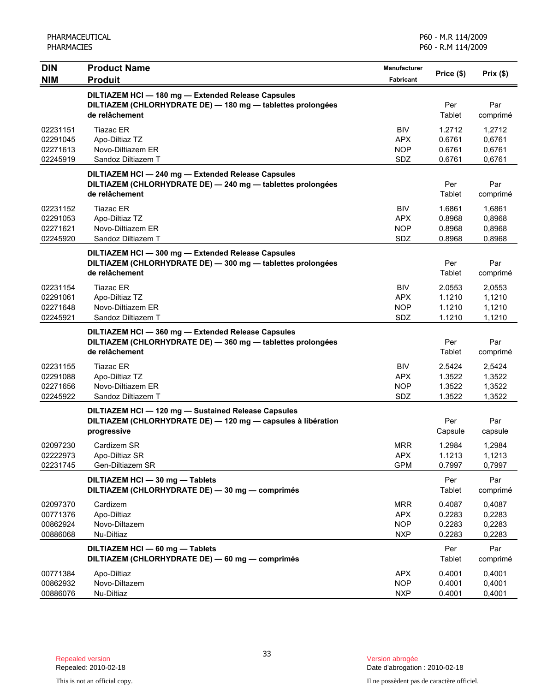| <b>DIN</b><br><b>NIM</b>                     | <b>Product Name</b><br><b>Produit</b>                                                                                               | <b>Manufacturer</b><br>Fabricant                     | Price (\$)                           | $Prix($ \$)                          |
|----------------------------------------------|-------------------------------------------------------------------------------------------------------------------------------------|------------------------------------------------------|--------------------------------------|--------------------------------------|
|                                              | DILTIAZEM HCI - 180 mg - Extended Release Capsules<br>DILTIAZEM (CHLORHYDRATE DE) - 180 mg - tablettes prolongées<br>de relâchement |                                                      | Per<br>Tablet                        | Par<br>comprimé                      |
| 02231151<br>02291045<br>02271613<br>02245919 | <b>Tiazac ER</b><br>Apo-Diltiaz TZ<br>Novo-Diltiazem ER<br>Sandoz Diltiazem T                                                       | <b>BIV</b><br><b>APX</b><br><b>NOP</b><br>SDZ        | 1.2712<br>0.6761<br>0.6761<br>0.6761 | 1,2712<br>0,6761<br>0,6761<br>0,6761 |
|                                              | DILTIAZEM HCI - 240 mg - Extended Release Capsules<br>DILTIAZEM (CHLORHYDRATE DE) - 240 mg - tablettes prolongées<br>de relâchement |                                                      | Per<br>Tablet                        | Par<br>comprimé                      |
| 02231152<br>02291053<br>02271621<br>02245920 | <b>Tiazac ER</b><br>Apo-Diltiaz TZ<br>Novo-Diltiazem ER<br>Sandoz Diltiazem T                                                       | <b>BIV</b><br><b>APX</b><br><b>NOP</b><br>SDZ        | 1.6861<br>0.8968<br>0.8968<br>0.8968 | 1,6861<br>0,8968<br>0,8968<br>0,8968 |
|                                              | DILTIAZEM HCI - 300 mg - Extended Release Capsules<br>DILTIAZEM (CHLORHYDRATE DE) - 300 mg - tablettes prolongées<br>de relâchement |                                                      | Per<br>Tablet                        | Par<br>comprimé                      |
| 02231154<br>02291061<br>02271648<br>02245921 | <b>Tiazac ER</b><br>Apo-Diltiaz TZ<br>Novo-Diltiazem ER<br>Sandoz Diltiazem T                                                       | <b>BIV</b><br><b>APX</b><br><b>NOP</b><br>SDZ        | 2.0553<br>1.1210<br>1.1210<br>1.1210 | 2,0553<br>1,1210<br>1,1210<br>1,1210 |
|                                              | DILTIAZEM HCI-360 mg-Extended Release Capsules<br>DILTIAZEM (CHLORHYDRATE DE) - 360 mg - tablettes prolongées<br>de relâchement     |                                                      | Per<br>Tablet                        | Par<br>comprimé                      |
| 02231155<br>02291088<br>02271656<br>02245922 | <b>Tiazac ER</b><br>Apo-Diltiaz TZ<br>Novo-Diltiazem ER<br>Sandoz Diltiazem T                                                       | <b>BIV</b><br><b>APX</b><br><b>NOP</b><br><b>SDZ</b> | 2.5424<br>1.3522<br>1.3522<br>1.3522 | 2,5424<br>1,3522<br>1,3522<br>1,3522 |
|                                              | DILTIAZEM HCI - 120 mg - Sustained Release Capsules<br>DILTIAZEM (CHLORHYDRATE DE) - 120 mg - capsules à libération<br>progressive  |                                                      | Per<br>Capsule                       | Par<br>capsule                       |
| 02097230<br>02222973<br>02231745             | Cardizem SR<br>Apo-Diltiaz SR<br>Gen-Diltiazem SR                                                                                   | <b>MRR</b><br><b>APX</b><br><b>GPM</b>               | 1.2984<br>1.1213<br>0.7997           | 1.2984<br>1,1213<br>0,7997           |
|                                              | DILTIAZEM HCI - 30 mg - Tablets<br>DILTIAZEM (CHLORHYDRATE DE) - 30 mg - comprimés                                                  |                                                      | Per<br><b>Tablet</b>                 | Par<br>comprimé                      |
| 02097370<br>00771376<br>00862924<br>00886068 | Cardizem<br>Apo-Diltiaz<br>Novo-Diltazem<br>Nu-Diltiaz                                                                              | <b>MRR</b><br><b>APX</b><br><b>NOP</b><br><b>NXP</b> | 0.4087<br>0.2283<br>0.2283<br>0.2283 | 0,4087<br>0,2283<br>0,2283<br>0,2283 |
|                                              | DILTIAZEM HCI - 60 mg - Tablets<br>DILTIAZEM (CHLORHYDRATE DE) - 60 mg - comprimés                                                  |                                                      | Per<br><b>Tablet</b>                 | Par<br>comprimé                      |
| 00771384<br>00862932<br>00886076             | Apo-Diltiaz<br>Novo-Diltazem<br>Nu-Diltiaz                                                                                          | <b>APX</b><br><b>NOP</b><br><b>NXP</b>               | 0.4001<br>0.4001<br>0.4001           | 0,4001<br>0,4001<br>0,4001           |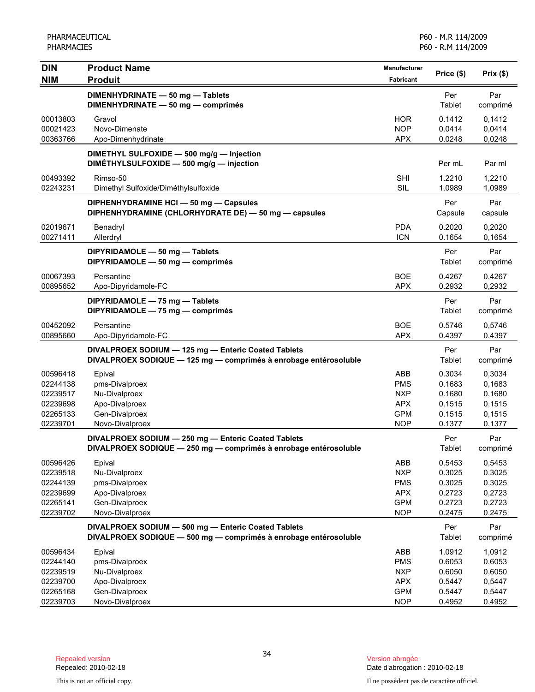| <b>DIN</b>                       | <b>Product Name</b>                                                                                                     | Manufacturer                           |                            |                            |
|----------------------------------|-------------------------------------------------------------------------------------------------------------------------|----------------------------------------|----------------------------|----------------------------|
| <b>NIM</b>                       | <b>Produit</b>                                                                                                          | <b>Fabricant</b>                       | Price (\$)                 | Prix(\$)                   |
|                                  | DIMENHYDRINATE - 50 mg - Tablets<br>DIMENHYDRINATE - 50 mg - comprimés                                                  |                                        | Per<br>Tablet              | Par<br>comprimé            |
| 00013803<br>00021423<br>00363766 | Gravol<br>Novo-Dimenate<br>Apo-Dimenhydrinate                                                                           | <b>HOR</b><br><b>NOP</b><br><b>APX</b> | 0.1412<br>0.0414<br>0.0248 | 0,1412<br>0,0414<br>0,0248 |
|                                  | DIMETHYL SULFOXIDE - 500 mg/g - Injection<br>DIMETHYLSULFOXIDE - 500 mg/g - injection                                   |                                        | Per mL                     | Par ml                     |
| 00493392<br>02243231             | Rimso-50<br>Dimethyl Sulfoxide/Diméthylsulfoxide                                                                        | <b>SHI</b><br>SIL                      | 1.2210<br>1.0989           | 1,2210<br>1,0989           |
|                                  | DIPHENHYDRAMINE HCI - 50 mg - Capsules<br>DIPHENHYDRAMINE (CHLORHYDRATE DE) - 50 mg - capsules                          |                                        | Per<br>Capsule             | Par<br>capsule             |
| 02019671<br>00271411             | Benadryl<br>Allerdryl                                                                                                   | <b>PDA</b><br><b>ICN</b>               | 0.2020<br>0.1654           | 0,2020<br>0,1654           |
|                                  | DIPYRIDAMOLE - 50 mg - Tablets<br>DIPYRIDAMOLE - 50 mg - comprimés                                                      |                                        | Per<br>Tablet              | Par<br>comprimé            |
| 00067393<br>00895652             | Persantine<br>Apo-Dipyridamole-FC                                                                                       | <b>BOE</b><br><b>APX</b>               | 0.4267<br>0.2932           | 0,4267<br>0,2932           |
|                                  | DIPYRIDAMOLE - 75 mg - Tablets<br>DIPYRIDAMOLE - 75 mg - comprimés                                                      |                                        | Per<br>Tablet              | Par<br>comprimé            |
| 00452092<br>00895660             | Persantine<br>Apo-Dipyridamole-FC                                                                                       | <b>BOE</b><br><b>APX</b>               | 0.5746<br>0.4397           | 0,5746<br>0,4397           |
|                                  | DIVALPROEX SODIUM - 125 mg - Enteric Coated Tablets<br>DIVALPROEX SODIQUE - 125 mg - comprimés à enrobage entérosoluble |                                        | Per<br>Tablet              | Par<br>comprimé            |
| 00596418                         | Epival                                                                                                                  | ABB                                    | 0.3034                     | 0,3034                     |
| 02244138                         | pms-Divalproex                                                                                                          | <b>PMS</b>                             | 0.1683                     | 0,1683                     |
| 02239517                         | Nu-Divalproex                                                                                                           | <b>NXP</b>                             | 0.1680                     | 0,1680                     |
| 02239698                         | Apo-Divalproex                                                                                                          | <b>APX</b>                             | 0.1515                     | 0,1515                     |
| 02265133                         | Gen-Divalproex                                                                                                          | <b>GPM</b>                             | 0.1515                     | 0,1515                     |
| 02239701                         | Novo-Divalproex                                                                                                         | <b>NOP</b>                             | 0.1377                     | 0,1377                     |
|                                  | DIVALPROEX SODIUM - 250 mg - Enteric Coated Tablets<br>DIVALPROEX SODIQUE - 250 mg - comprimés à enrobage entérosoluble |                                        | Per<br>Tablet              | Par<br>comprimé            |
| 00596426                         | Epival                                                                                                                  | ABB                                    | 0.5453                     | 0,5453                     |
| 02239518                         | Nu-Divalproex                                                                                                           | <b>NXP</b>                             | 0.3025                     | 0,3025                     |
| 02244139                         | pms-Divalproex                                                                                                          | <b>PMS</b>                             | 0.3025                     | 0,3025                     |
| 02239699                         | Apo-Divalproex                                                                                                          | <b>APX</b>                             | 0.2723                     | 0,2723                     |
| 02265141                         | Gen-Divalproex                                                                                                          | <b>GPM</b>                             | 0.2723                     | 0,2723                     |
| 02239702                         | Novo-Divalproex                                                                                                         | <b>NOP</b>                             | 0.2475                     | 0,2475                     |
|                                  | DIVALPROEX SODIUM - 500 mg - Enteric Coated Tablets<br>DIVALPROEX SODIQUE - 500 mg - comprimés à enrobage entérosoluble |                                        | Per<br>Tablet              | Par<br>comprimé            |
| 00596434                         | Epival                                                                                                                  | ABB                                    | 1.0912                     | 1,0912                     |
| 02244140                         | pms-Divalproex                                                                                                          | <b>PMS</b>                             | 0.6053                     | 0,6053                     |
| 02239519                         | Nu-Divalproex                                                                                                           | <b>NXP</b>                             | 0.6050                     | 0,6050                     |
| 02239700                         | Apo-Divalproex                                                                                                          | <b>APX</b>                             | 0.5447                     | 0,5447                     |
| 02265168                         | Gen-Divalproex                                                                                                          | <b>GPM</b>                             | 0.5447                     | 0,5447                     |
| 02239703                         | Novo-Divalproex                                                                                                         | <b>NOP</b>                             | 0.4952                     | 0,4952                     |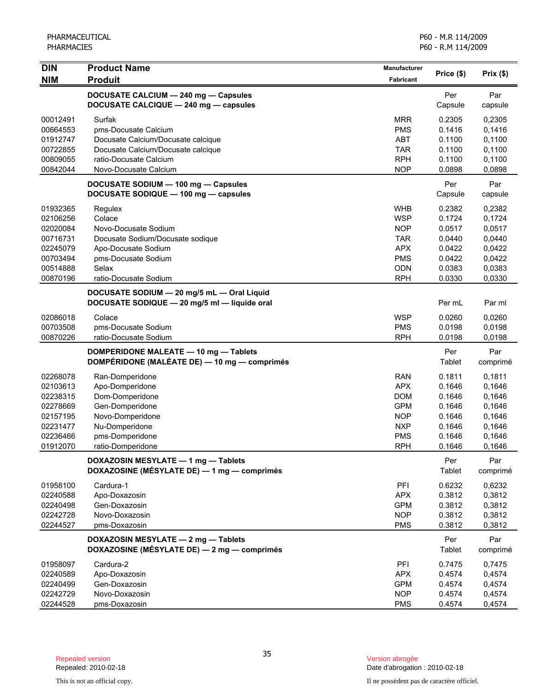| <b>DIN</b>                                                                                   | <b>Product Name</b>                                                                                                                                           | Manufacturer                                                                                                 |                                                                              | Prix(\$)                                                                     |
|----------------------------------------------------------------------------------------------|---------------------------------------------------------------------------------------------------------------------------------------------------------------|--------------------------------------------------------------------------------------------------------------|------------------------------------------------------------------------------|------------------------------------------------------------------------------|
| <b>NIM</b>                                                                                   | <b>Produit</b>                                                                                                                                                | <b>Fabricant</b>                                                                                             | Price (\$)                                                                   |                                                                              |
|                                                                                              | DOCUSATE CALCIUM - 240 mg - Capsules<br>DOCUSATE CALCIQUE - 240 mg - capsules                                                                                 |                                                                                                              | Per<br>Capsule                                                               | Par<br>capsule                                                               |
| 00012491<br>00664553<br>01912747<br>00722855<br>00809055<br>00842044                         | Surfak<br>pms-Docusate Calcium<br>Docusate Calcium/Docusate calcique<br>Docusate Calcium/Docusate calcique<br>ratio-Docusate Calcium<br>Novo-Docusate Calcium | <b>MRR</b><br><b>PMS</b><br><b>ABT</b><br><b>TAR</b><br><b>RPH</b><br><b>NOP</b>                             | 0.2305<br>0.1416<br>0.1100<br>0.1100<br>0.1100<br>0.0898                     | 0,2305<br>0,1416<br>0,1100<br>0,1100<br>0,1100<br>0,0898                     |
|                                                                                              | DOCUSATE SODIUM - 100 mg - Capsules<br>DOCUSATE SODIQUE - 100 mg - capsules                                                                                   |                                                                                                              | Per<br>Capsule                                                               | Par<br>capsule                                                               |
| 01932365<br>02106256<br>02020084<br>00716731<br>02245079<br>00703494<br>00514888<br>00870196 | Regulex<br>Colace<br>Novo-Docusate Sodium<br>Docusate Sodium/Docusate sodique<br>Apo-Docusate Sodium<br>pms-Docusate Sodium<br>Selax<br>ratio-Docusate Sodium | <b>WHB</b><br><b>WSP</b><br><b>NOP</b><br><b>TAR</b><br><b>APX</b><br><b>PMS</b><br><b>ODN</b><br><b>RPH</b> | 0.2382<br>0.1724<br>0.0517<br>0.0440<br>0.0422<br>0.0422<br>0.0383<br>0.0330 | 0,2382<br>0,1724<br>0,0517<br>0,0440<br>0,0422<br>0,0422<br>0,0383<br>0,0330 |
|                                                                                              | DOCUSATE SODIUM - 20 mg/5 mL - Oral Liquid<br>DOCUSATE SODIQUE - 20 mg/5 ml - liquide oral                                                                    |                                                                                                              | Per mL                                                                       | Par ml                                                                       |
| 02086018<br>00703508<br>00870226                                                             | Colace<br>pms-Docusate Sodium<br>ratio-Docusate Sodium                                                                                                        | <b>WSP</b><br><b>PMS</b><br><b>RPH</b>                                                                       | 0.0260<br>0.0198<br>0.0198                                                   | 0,0260<br>0,0198<br>0,0198                                                   |
|                                                                                              | DOMPERIDONE MALEATE - 10 mg - Tablets<br>DOMPÉRIDONE (MALÉATE DE) — 10 mg — comprimés                                                                         |                                                                                                              | Per<br>Tablet                                                                | Par<br>comprimé                                                              |
| 02268078<br>02103613<br>02238315<br>02278669<br>02157195<br>02231477<br>02236466<br>01912070 | Ran-Domperidone<br>Apo-Domperidone<br>Dom-Domperidone<br>Gen-Domperidone<br>Novo-Domperidone<br>Nu-Domperidone<br>pms-Domperidone<br>ratio-Domperidone        | <b>RAN</b><br><b>APX</b><br><b>DOM</b><br><b>GPM</b><br><b>NOP</b><br><b>NXP</b><br><b>PMS</b><br><b>RPH</b> | 0.1811<br>0.1646<br>0.1646<br>0.1646<br>0.1646<br>0.1646<br>0.1646<br>0.1646 | 0,1811<br>0,1646<br>0,1646<br>0,1646<br>0,1646<br>0,1646<br>0,1646<br>0,1646 |
|                                                                                              | DOXAZOSIN MESYLATE - 1 mg - Tablets<br>DOXAZOSINE (MÉSYLATE DE) - 1 mg - comprimés                                                                            |                                                                                                              | Per<br>Tablet                                                                | Par<br>comprimé                                                              |
| 01958100<br>02240588<br>02240498<br>02242728<br>02244527                                     | Cardura-1<br>Apo-Doxazosin<br>Gen-Doxazosin<br>Novo-Doxazosin<br>pms-Doxazosin                                                                                | PFI<br><b>APX</b><br><b>GPM</b><br><b>NOP</b><br><b>PMS</b>                                                  | 0.6232<br>0.3812<br>0.3812<br>0.3812<br>0.3812                               | 0,6232<br>0,3812<br>0,3812<br>0,3812<br>0,3812                               |
|                                                                                              | DOXAZOSIN MESYLATE - 2 mg - Tablets<br>DOXAZOSINE (MÉSYLATE DE) - 2 mg - comprimés                                                                            |                                                                                                              | Per<br>Tablet                                                                | Par<br>comprimé                                                              |
| 01958097<br>02240589<br>02240499<br>02242729<br>02244528                                     | Cardura-2<br>Apo-Doxazosin<br>Gen-Doxazosin<br>Novo-Doxazosin<br>pms-Doxazosin                                                                                | PFI<br><b>APX</b><br><b>GPM</b><br><b>NOP</b><br><b>PMS</b>                                                  | 0.7475<br>0.4574<br>0.4574<br>0.4574<br>0.4574                               | 0,7475<br>0,4574<br>0,4574<br>0,4574<br>0,4574                               |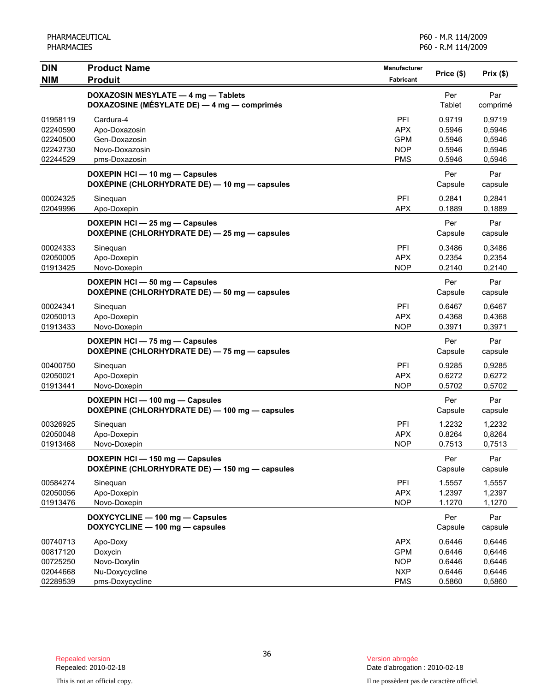| <b>DIN</b>                                               | <b>Product Name</b>                                                                | <b>Manufacturer</b>                                                | Price (\$)                                     | Prix(\$)                                       |
|----------------------------------------------------------|------------------------------------------------------------------------------------|--------------------------------------------------------------------|------------------------------------------------|------------------------------------------------|
| <b>NIM</b>                                               | <b>Produit</b>                                                                     | <b>Fabricant</b>                                                   |                                                |                                                |
|                                                          | DOXAZOSIN MESYLATE - 4 mg - Tablets<br>DOXAZOSINE (MÉSYLATE DE) - 4 mg - comprimés |                                                                    | Per<br>Tablet                                  | Par<br>comprimé                                |
| 01958119<br>02240590<br>02240500<br>02242730<br>02244529 | Cardura-4<br>Apo-Doxazosin<br>Gen-Doxazosin<br>Novo-Doxazosin<br>pms-Doxazosin     | PFI<br><b>APX</b><br><b>GPM</b><br><b>NOP</b><br><b>PMS</b>        | 0.9719<br>0.5946<br>0.5946<br>0.5946<br>0.5946 | 0,9719<br>0,5946<br>0,5946<br>0,5946<br>0,5946 |
|                                                          | DOXEPIN HCI - 10 mg - Capsules<br>DOXÉPINE (CHLORHYDRATE DE) - 10 mg - capsules    |                                                                    | Per<br>Capsule                                 | Par<br>capsule                                 |
| 00024325<br>02049996                                     | Sinequan<br>Apo-Doxepin                                                            | PFI<br><b>APX</b>                                                  | 0.2841<br>0.1889                               | 0,2841<br>0,1889                               |
|                                                          | DOXEPIN HCI - 25 mg - Capsules<br>DOXÉPINE (CHLORHYDRATE DE) - 25 mg - capsules    |                                                                    | Per<br>Capsule                                 | Par<br>capsule                                 |
| 00024333<br>02050005<br>01913425                         | Sinequan<br>Apo-Doxepin<br>Novo-Doxepin                                            | PFI<br><b>APX</b><br><b>NOP</b>                                    | 0.3486<br>0.2354<br>0.2140                     | 0.3486<br>0,2354<br>0,2140                     |
|                                                          | DOXEPIN HCI - 50 mg - Capsules<br>DOXÉPINE (CHLORHYDRATE DE) - 50 mg - capsules    |                                                                    | Per<br>Capsule                                 | Par<br>capsule                                 |
| 00024341<br>02050013<br>01913433                         | Sineguan<br>Apo-Doxepin<br>Novo-Doxepin                                            | PFI<br><b>APX</b><br><b>NOP</b>                                    | 0.6467<br>0.4368<br>0.3971                     | 0.6467<br>0,4368<br>0,3971                     |
|                                                          | DOXEPIN HCI - 75 mg - Capsules<br>DOXÉPINE (CHLORHYDRATE DE) - 75 mg - capsules    |                                                                    | Per<br>Capsule                                 | Par<br>capsule                                 |
| 00400750<br>02050021<br>01913441                         | Sinequan<br>Apo-Doxepin<br>Novo-Doxepin                                            | PFI<br><b>APX</b><br><b>NOP</b>                                    | 0.9285<br>0.6272<br>0.5702                     | 0,9285<br>0,6272<br>0,5702                     |
|                                                          | DOXEPIN HCI - 100 mg - Capsules<br>DOXÉPINE (CHLORHYDRATE DE) - 100 mg - capsules  |                                                                    | Per<br>Capsule                                 | Par<br>capsule                                 |
| 00326925<br>02050048<br>01913468                         | Sinequan<br>Apo-Doxepin<br>Novo-Doxepin                                            | PFI<br><b>APX</b><br><b>NOP</b>                                    | 1.2232<br>0.8264<br>0.7513                     | 1,2232<br>0,8264<br>0,7513                     |
|                                                          | DOXEPIN HCI - 150 mg - Capsules<br>DOXÉPINE (CHLORHYDRATE DE) - 150 mg - capsules  |                                                                    | Per<br>Capsule                                 | Par<br>capsule                                 |
| 00584274<br>02050056<br>01913476                         | Sinequan<br>Apo-Doxepin<br>Novo-Doxepin                                            | PFI<br><b>APX</b><br><b>NOP</b>                                    | 1.5557<br>1.2397<br>1.1270                     | 1,5557<br>1,2397<br>1,1270                     |
|                                                          | DOXYCYCLINE - 100 mg - Capsules<br>DOXYCYCLINE - 100 mg - capsules                 |                                                                    | Per<br>Capsule                                 | Par<br>capsule                                 |
| 00740713<br>00817120<br>00725250<br>02044668<br>02289539 | Apo-Doxy<br>Doxycin<br>Novo-Doxylin<br>Nu-Doxycycline<br>pms-Doxycycline           | <b>APX</b><br><b>GPM</b><br><b>NOP</b><br><b>NXP</b><br><b>PMS</b> | 0.6446<br>0.6446<br>0.6446<br>0.6446<br>0.5860 | 0,6446<br>0,6446<br>0,6446<br>0,6446<br>0,5860 |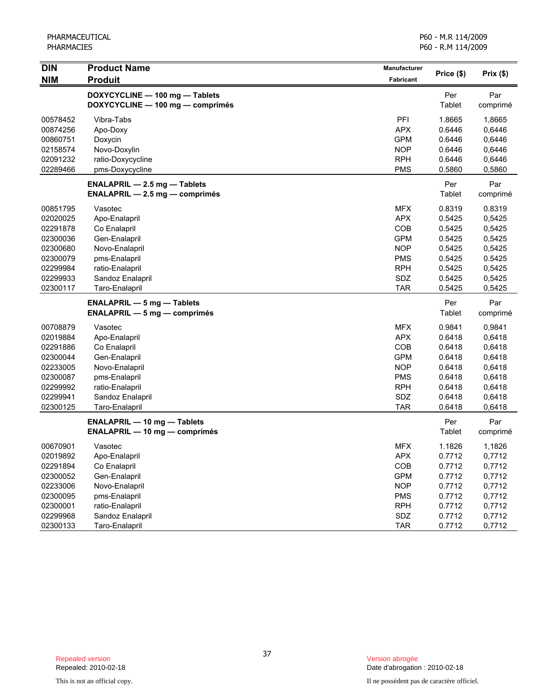| <b>DIN</b><br><b>NIM</b> | <b>Product Name</b><br><b>Produit</b>                              | Manufacturer<br>Fabricant | Price (\$) | Prix(\$) |
|--------------------------|--------------------------------------------------------------------|---------------------------|------------|----------|
|                          |                                                                    |                           | Per        | Par      |
|                          | DOXYCYCLINE - 100 mg - Tablets<br>DOXYCYCLINE - 100 mg - comprimés |                           | Tablet     | comprimé |
| 00578452                 | Vibra-Tabs                                                         | PFI                       | 1.8665     | 1,8665   |
| 00874256                 | Apo-Doxy                                                           | <b>APX</b>                | 0.6446     | 0,6446   |
| 00860751                 | Doxycin                                                            | <b>GPM</b>                | 0.6446     | 0,6446   |
| 02158574                 | Novo-Doxylin                                                       | <b>NOP</b>                | 0.6446     | 0,6446   |
| 02091232                 | ratio-Doxycycline                                                  | <b>RPH</b>                | 0.6446     | 0,6446   |
| 02289466                 | pms-Doxycycline                                                    | <b>PMS</b>                | 0.5860     | 0,5860   |
|                          | <b>ENALAPRIL - 2.5 mg - Tablets</b>                                |                           | Per        | Par      |
|                          | <b>ENALAPRIL - 2.5 mg - comprimés</b>                              |                           | Tablet     | comprimé |
| 00851795                 | Vasotec                                                            | <b>MFX</b>                | 0.8319     | 0.8319   |
| 02020025                 | Apo-Enalapril                                                      | <b>APX</b>                | 0.5425     | 0,5425   |
| 02291878                 | Co Enalapril                                                       | COB                       | 0.5425     | 0,5425   |
| 02300036                 | Gen-Enalapril                                                      | <b>GPM</b>                | 0.5425     | 0,5425   |
| 02300680                 | Novo-Enalapril                                                     | <b>NOP</b>                | 0.5425     | 0,5425   |
| 02300079                 | pms-Enalapril                                                      | <b>PMS</b>                | 0.5425     | 0.5425   |
| 02299984                 | ratio-Enalapril                                                    | <b>RPH</b>                | 0.5425     | 0,5425   |
| 02299933                 | Sandoz Enalapril                                                   | SDZ                       | 0.5425     | 0,5425   |
| 02300117                 | Taro-Enalapril                                                     | <b>TAR</b>                | 0.5425     | 0,5425   |
|                          | <b>ENALAPRIL - 5 mg - Tablets</b>                                  |                           | Per        | Par      |
|                          | $ENALAPRIL - 5 mg - comprimés$                                     |                           | Tablet     | comprimé |
| 00708879                 | Vasotec                                                            | <b>MFX</b>                | 0.9841     | 0,9841   |
| 02019884                 | Apo-Enalapril                                                      | <b>APX</b>                | 0.6418     | 0,6418   |
| 02291886                 | Co Enalapril                                                       | COB                       | 0.6418     | 0,6418   |
| 02300044                 | Gen-Enalapril                                                      | <b>GPM</b>                | 0.6418     | 0,6418   |
| 02233005                 | Novo-Enalapril                                                     | <b>NOP</b>                | 0.6418     | 0,6418   |
| 02300087                 | pms-Enalapril                                                      | <b>PMS</b>                | 0.6418     | 0,6418   |
| 02299992                 | ratio-Enalapril                                                    | <b>RPH</b>                | 0.6418     | 0,6418   |
| 02299941                 | Sandoz Enalapril                                                   | SDZ                       | 0.6418     | 0,6418   |
| 02300125                 | Taro-Enalapril                                                     | <b>TAR</b>                | 0.6418     | 0,6418   |
|                          | <b>ENALAPRIL - 10 mg - Tablets</b>                                 |                           | Per        | Par      |
|                          | <b>ENALAPRIL — 10 mg — comprimés</b>                               |                           | Tablet     | comprimé |
| 00670901                 | Vasotec                                                            | <b>MFX</b>                | 1.1826     | 1,1826   |
| 02019892                 | Apo-Enalapril                                                      | APX                       | 0.7712     | 0,7712   |
| 02291894                 | Co Enalapril                                                       | COB                       | 0.7712     | 0,7712   |
| 02300052                 | Gen-Enalapril                                                      | <b>GPM</b>                | 0.7712     | 0,7712   |
| 02233006                 | Novo-Enalapril                                                     | <b>NOP</b>                | 0.7712     | 0,7712   |
| 02300095                 | pms-Enalapril                                                      | <b>PMS</b>                | 0.7712     | 0,7712   |
| 02300001                 | ratio-Enalapril                                                    | <b>RPH</b>                | 0.7712     | 0,7712   |
| 02299968                 | Sandoz Enalapril                                                   | SDZ                       | 0.7712     | 0,7712   |
| 02300133                 | Taro-Enalapril                                                     | <b>TAR</b>                | 0.7712     | 0,7712   |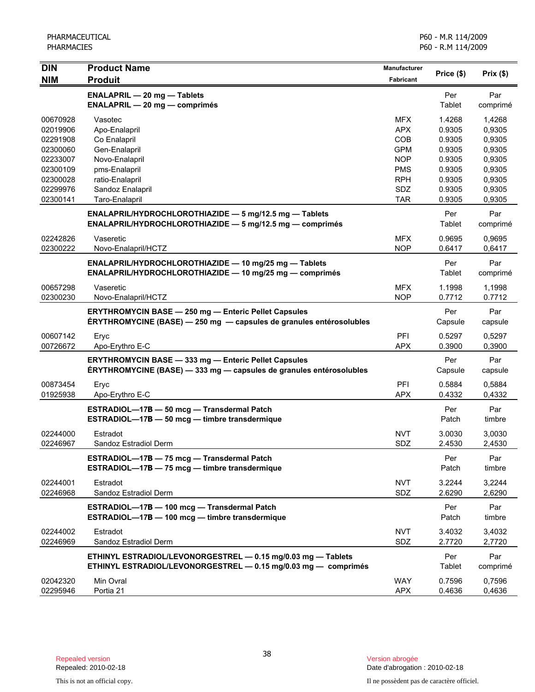| <b>DIN</b> | <b>Product Name</b>                                                 | <b>Manufacturer</b> | Price (\$) | $Prix($ \$)      |
|------------|---------------------------------------------------------------------|---------------------|------------|------------------|
| <b>NIM</b> | <b>Produit</b>                                                      | <b>Fabricant</b>    |            |                  |
|            | <b>ENALAPRIL - 20 mg - Tablets</b>                                  |                     | Per        | Par              |
|            | <b>ENALAPRIL - 20 mg - comprimés</b>                                |                     | Tablet     | comprimé         |
| 00670928   | Vasotec                                                             | <b>MFX</b>          | 1.4268     | 1,4268           |
| 02019906   | Apo-Enalapril                                                       | <b>APX</b>          | 0.9305     | 0,9305           |
| 02291908   | Co Enalapril                                                        | COB                 | 0.9305     | 0,9305           |
| 02300060   | Gen-Enalapril                                                       | <b>GPM</b>          | 0.9305     | 0,9305           |
| 02233007   | Novo-Enalapril                                                      | <b>NOP</b>          | 0.9305     | 0,9305           |
| 02300109   | pms-Enalapril                                                       | <b>PMS</b>          | 0.9305     | 0,9305           |
| 02300028   | ratio-Enalapril                                                     | <b>RPH</b>          | 0.9305     | 0,9305           |
| 02299976   | Sandoz Enalapril                                                    | SDZ                 | 0.9305     | 0,9305           |
| 02300141   | Taro-Enalapril                                                      | <b>TAR</b>          | 0.9305     | 0,9305           |
|            | ENALAPRIL/HYDROCHLOROTHIAZIDE - 5 mg/12.5 mg - Tablets              |                     | Per        | Par              |
|            | ENALAPRIL/HYDROCHLOROTHIAZIDE - 5 mg/12.5 mg - comprimés            |                     | Tablet     | comprimé         |
| 02242826   | Vaseretic                                                           | MFX.                | 0.9695     | 0,9695           |
| 02300222   | Novo-Enalapril/HCTZ                                                 | <b>NOP</b>          | 0.6417     | 0,6417           |
|            | ENALAPRIL/HYDROCHLOROTHIAZIDE - 10 mg/25 mg - Tablets               |                     | Per        | Par              |
|            | ENALAPRIL/HYDROCHLOROTHIAZIDE - 10 mg/25 mg - comprimés             |                     | Tablet     | comprimé         |
| 00657298   | Vaseretic                                                           | MFX.                | 1.1998     |                  |
| 02300230   | Novo-Enalapril/HCTZ                                                 | <b>NOP</b>          | 0.7712     | 1,1998<br>0.7712 |
|            |                                                                     |                     |            |                  |
|            | <b>ERYTHROMYCIN BASE - 250 mg - Enteric Pellet Capsules</b>         |                     | Per        | Par              |
|            | ÉRYTHROMYCINE (BASE) - 250 mg - capsules de granules entérosolubles |                     | Capsule    | capsule          |
| 00607142   | Eryc                                                                | PFI                 | 0.5297     | 0,5297           |
| 00726672   | Apo-Erythro E-C                                                     | <b>APX</b>          | 0.3900     | 0,3900           |
|            | <b>ERYTHROMYCIN BASE - 333 mg - Enteric Pellet Capsules</b>         |                     | Per        | Par              |
|            | ÉRYTHROMYCINE (BASE) - 333 mg - capsules de granules entérosolubles |                     | Capsule    | capsule          |
| 00873454   | Eryc                                                                | PFI                 | 0.5884     | 0,5884           |
| 01925938   | Apo-Erythro E-C                                                     | <b>APX</b>          | 0.4332     | 0,4332           |
|            |                                                                     |                     |            |                  |
|            | ESTRADIOL-17B - 50 mcg - Transdermal Patch                          |                     | Per        | Par              |
|            | ESTRADIOL-17B - 50 mcg - timbre transdermique                       |                     | Patch      | timbre           |
| 02244000   | Estradot                                                            | <b>NVT</b>          | 3.0030     | 3,0030           |
| 02246967   | Sandoz Estradiol Derm                                               | SDZ                 | 2.4530     | 2,4530           |
|            | ESTRADIOL-17B - 75 mcg - Transdermal Patch                          |                     | Per        | Par              |
|            | ESTRADIOL-17B - 75 mcg - timbre transdermique                       |                     | Patch      | timbre           |
| 02244001   | Estradot                                                            | <b>NVT</b>          | 3.2244     | 3,2244           |
| 02246968   | Sandoz Estradiol Derm                                               | SDZ                 | 2.6290     | 2,6290           |
|            |                                                                     |                     |            |                  |
|            | ESTRADIOL-17B - 100 mcg - Transdermal Patch                         |                     | Per        | Par              |
|            | ESTRADIOL-17B - 100 mcg - timbre transdermique                      |                     | Patch      | timbre           |
| 02244002   | Estradot                                                            | <b>NVT</b>          | 3.4032     | 3,4032           |
| 02246969   | Sandoz Estradiol Derm                                               | <b>SDZ</b>          | 2.7720     | 2,7720           |
|            | ETHINYL ESTRADIOL/LEVONORGESTREL - 0.15 mg/0.03 mg - Tablets        |                     | Per        | Par              |
|            | ETHINYL ESTRADIOL/LEVONORGESTREL - 0.15 mg/0.03 mg - comprimés      |                     | Tablet     | comprimé         |
| 02042320   | Min Ovral                                                           | <b>WAY</b>          | 0.7596     | 0,7596           |
| 02295946   | Portia 21                                                           | <b>APX</b>          | 0.4636     | 0,4636           |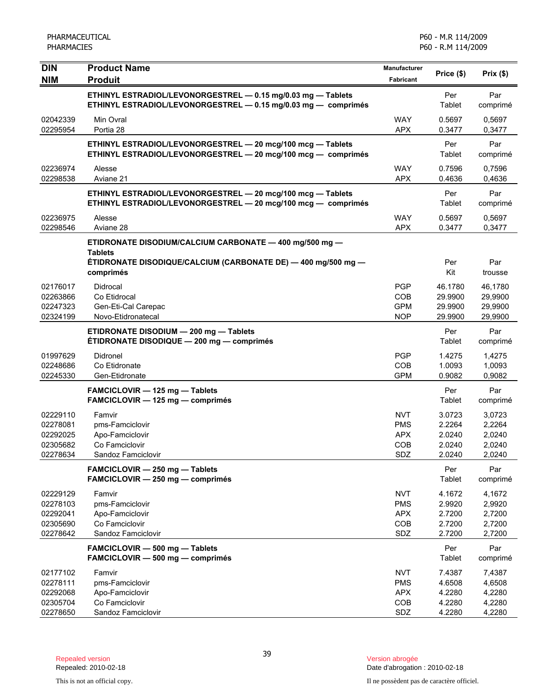| <b>DIN</b>                                               | <b>Product Name</b>                                                                                                            | <b>Manufacturer</b>                                         | Price (\$)                                     | Prix(\$)                                       |
|----------------------------------------------------------|--------------------------------------------------------------------------------------------------------------------------------|-------------------------------------------------------------|------------------------------------------------|------------------------------------------------|
| <b>NIM</b>                                               | <b>Produit</b>                                                                                                                 | Fabricant                                                   |                                                |                                                |
|                                                          | ETHINYL ESTRADIOL/LEVONORGESTREL - 0.15 mg/0.03 mg - Tablets<br>ETHINYL ESTRADIOL/LEVONORGESTREL - 0.15 mg/0.03 mg - comprimés |                                                             | Per<br>Tablet                                  | Par<br>comprimé                                |
| 02042339<br>02295954                                     | Min Ovral<br>Portia 28                                                                                                         | <b>WAY</b><br><b>APX</b>                                    | 0.5697<br>0.3477                               | 0,5697<br>0,3477                               |
|                                                          | ETHINYL ESTRADIOL/LEVONORGESTREL - 20 mcg/100 mcg - Tablets<br>ETHINYL ESTRADIOL/LEVONORGESTREL - 20 mcg/100 mcg - comprimés   |                                                             | Per<br>Tablet                                  | Par<br>comprimé                                |
| 02236974<br>02298538                                     | Alesse<br>Aviane 21                                                                                                            | <b>WAY</b><br><b>APX</b>                                    | 0.7596<br>0.4636                               | 0,7596<br>0,4636                               |
|                                                          | ETHINYL ESTRADIOL/LEVONORGESTREL - 20 mcg/100 mcg - Tablets<br>ETHINYL ESTRADIOL/LEVONORGESTREL - 20 mcg/100 mcg - comprimés   |                                                             | Per<br>Tablet                                  | Par<br>comprimé                                |
| 02236975<br>02298546                                     | Alesse<br>Aviane 28                                                                                                            | <b>WAY</b><br><b>APX</b>                                    | 0.5697<br>0.3477                               | 0,5697<br>0,3477                               |
|                                                          | ETIDRONATE DISODIUM/CALCIUM CARBONATE - 400 mg/500 mg -                                                                        |                                                             |                                                |                                                |
|                                                          | <b>Tablets</b><br>ÉTIDRONATE DISODIQUE/CALCIUM (CARBONATE DE) — 400 mg/500 mg —<br>comprimés                                   |                                                             | Per<br>Kit                                     | Par<br>trousse                                 |
| 02176017<br>02263866<br>02247323<br>02324199             | Didrocal<br>Co Etidrocal<br>Gen-Eti-Cal Carepac<br>Novo-Etidronatecal                                                          | <b>PGP</b><br>COB<br><b>GPM</b><br><b>NOP</b>               | 46.1780<br>29.9900<br>29.9900<br>29.9900       | 46,1780<br>29,9900<br>29,9900<br>29,9900       |
|                                                          | ETIDRONATE DISODIUM - 200 mg - Tablets<br>ETIDRONATE DISODIQUE - 200 mg - comprimés                                            |                                                             | Per<br>Tablet                                  | Par<br>comprimé                                |
| 01997629<br>02248686<br>02245330                         | Didronel<br>Co Etidronate<br>Gen-Etidronate                                                                                    | <b>PGP</b><br><b>COB</b><br><b>GPM</b>                      | 1.4275<br>1.0093<br>0.9082                     | 1,4275<br>1,0093<br>0,9082                     |
|                                                          | FAMCICLOVIR - 125 mg - Tablets<br>FAMCICLOVIR - 125 mg - comprimés                                                             |                                                             | Per<br>Tablet                                  | Par<br>comprimé                                |
| 02229110<br>02278081<br>02292025<br>02305682<br>02278634 | Famvir<br>pms-Famciclovir<br>Apo-Famciclovir<br>Co Famciclovir<br>Sandoz Famciclovir                                           | <b>NVT</b><br><b>PMS</b><br><b>APX</b><br><b>COB</b><br>SDZ | 3.0723<br>2.2264<br>2.0240<br>2.0240<br>2.0240 | 3,0723<br>2,2264<br>2,0240<br>2,0240<br>2,0240 |
|                                                          | FAMCICLOVIR - 250 mg - Tablets<br>FAMCICLOVIR - 250 mg - comprimés                                                             |                                                             | Per<br><b>Tablet</b>                           | Par<br>comprimé                                |
| 02229129<br>02278103<br>02292041<br>02305690<br>02278642 | Famvir<br>pms-Famciclovir<br>Apo-Famciclovir<br>Co Famciclovir<br>Sandoz Famciclovir                                           | <b>NVT</b><br><b>PMS</b><br><b>APX</b><br>COB<br>SDZ        | 4.1672<br>2.9920<br>2.7200<br>2.7200<br>2.7200 | 4,1672<br>2,9920<br>2,7200<br>2,7200<br>2,7200 |
|                                                          | FAMCICLOVIR - 500 mg - Tablets<br>FAMCICLOVIR - 500 mg - comprimés                                                             |                                                             | Per<br><b>Tablet</b>                           | Par<br>comprimé                                |
| 02177102<br>02278111<br>02292068<br>02305704<br>02278650 | Famvir<br>pms-Famciclovir<br>Apo-Famciclovir<br>Co Famciclovir<br>Sandoz Famciclovir                                           | <b>NVT</b><br><b>PMS</b><br><b>APX</b><br>COB<br>SDZ        | 7.4387<br>4.6508<br>4.2280<br>4.2280<br>4.2280 | 7,4387<br>4,6508<br>4,2280<br>4,2280<br>4,2280 |
|                                                          |                                                                                                                                |                                                             |                                                |                                                |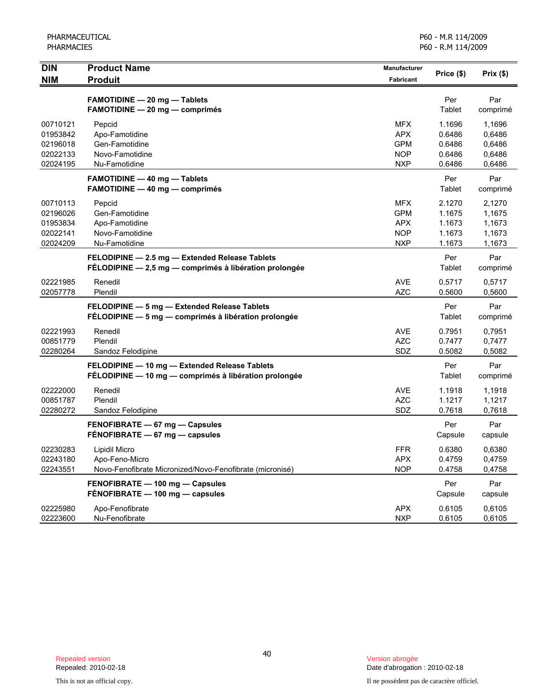| <b>DIN</b>                                               | <b>Product Name</b><br><b>Produit</b>                                                                    | Manufacturer                                                       | Price (\$)                                     | Prix(\$)                                       |
|----------------------------------------------------------|----------------------------------------------------------------------------------------------------------|--------------------------------------------------------------------|------------------------------------------------|------------------------------------------------|
| <b>NIM</b>                                               |                                                                                                          | Fabricant                                                          |                                                |                                                |
|                                                          | <b>FAMOTIDINE - 20 mg - Tablets</b><br><b>FAMOTIDINE - 20 mg - comprimés</b>                             |                                                                    | Per<br>Tablet                                  | Par<br>comprimé                                |
| 00710121<br>01953842<br>02196018<br>02022133<br>02024195 | Pepcid<br>Apo-Famotidine<br>Gen-Famotidine<br>Novo-Famotidine<br>Nu-Famotidine                           | <b>MFX</b><br><b>APX</b><br><b>GPM</b><br><b>NOP</b><br><b>NXP</b> | 1.1696<br>0.6486<br>0.6486<br>0.6486<br>0.6486 | 1,1696<br>0,6486<br>0,6486<br>0,6486<br>0,6486 |
|                                                          | <b>FAMOTIDINE - 40 mg - Tablets</b><br><b>FAMOTIDINE - 40 mg - comprimés</b>                             |                                                                    | Per<br>Tablet                                  | Par<br>comprimé                                |
| 00710113<br>02196026<br>01953834<br>02022141<br>02024209 | Pepcid<br>Gen-Famotidine<br>Apo-Famotidine<br>Novo-Famotidine<br>Nu-Famotidine                           | <b>MFX</b><br><b>GPM</b><br><b>APX</b><br><b>NOP</b><br><b>NXP</b> | 2.1270<br>1.1675<br>1.1673<br>1.1673<br>1.1673 | 2,1270<br>1,1675<br>1,1673<br>1,1673<br>1,1673 |
|                                                          | FELODIPINE - 2.5 mg - Extended Release Tablets<br>FÉLODIPINE - 2,5 mg - comprimés à libération prolongée |                                                                    | Per<br>Tablet                                  | Par<br>comprimé                                |
| 02221985<br>02057778                                     | Renedil<br>Plendil                                                                                       | <b>AVE</b><br><b>AZC</b>                                           | 0.5717<br>0.5600                               | 0,5717<br>0,5600                               |
|                                                          | FELODIPINE - 5 mg - Extended Release Tablets<br>FÉLODIPINE - 5 mg - comprimés à libération prolongée     |                                                                    | Per<br>Tablet                                  | Par<br>comprimé                                |
| 02221993<br>00851779<br>02280264                         | Renedil<br>Plendil<br>Sandoz Felodipine                                                                  | <b>AVE</b><br><b>AZC</b><br>SDZ                                    | 0.7951<br>0.7477<br>0.5082                     | 0,7951<br>0,7477<br>0,5082                     |
|                                                          | FELODIPINE - 10 mg - Extended Release Tablets<br>FÉLODIPINE - 10 mg - comprimés à libération prolongée   |                                                                    | Per<br>Tablet                                  | Par<br>comprimé                                |
| 02222000<br>00851787<br>02280272                         | Renedil<br>Plendil<br>Sandoz Felodipine                                                                  | <b>AVE</b><br><b>AZC</b><br>SDZ                                    | 1.1918<br>1.1217<br>0.7618                     | 1,1918<br>1,1217<br>0,7618                     |
|                                                          | FENOFIBRATE - 67 mg - Capsules<br>FENOFIBRATE - 67 mg - capsules                                         |                                                                    | Per<br>Capsule                                 | Par<br>capsule                                 |
| 02230283<br>02243180<br>02243551                         | Lipidil Micro<br>Apo-Feno-Micro<br>Novo-Fenofibrate Micronized/Novo-Fenofibrate (micronisé)              | <b>FFR</b><br><b>APX</b><br><b>NOP</b>                             | 0.6380<br>0.4759<br>0.4758                     | 0,6380<br>0,4759<br>0,4758                     |
|                                                          | FENOFIBRATE - 100 mg - Capsules<br>FÉNOFIBRATE - 100 mg - capsules                                       |                                                                    | Per<br>Capsule                                 | Par<br>capsule                                 |
| 02225980<br>02223600                                     | Apo-Fenofibrate<br>Nu-Fenofibrate                                                                        | <b>APX</b><br><b>NXP</b>                                           | 0.6105<br>0.6105                               | 0,6105<br>0,6105                               |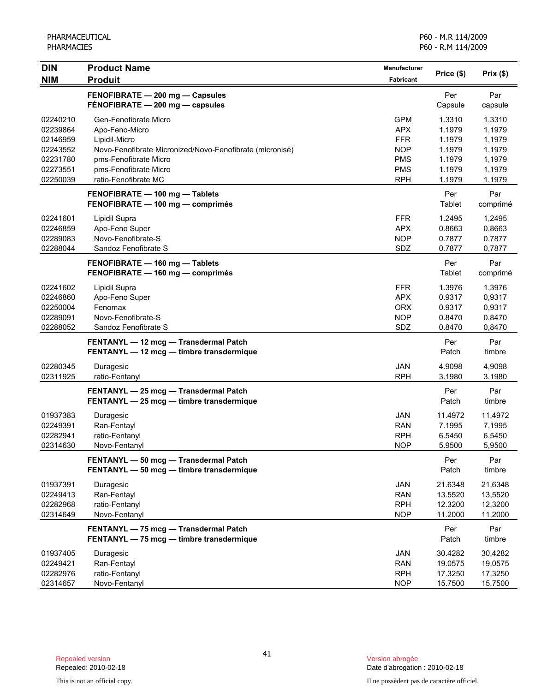| <b>DIN</b><br><b>NIM</b> | <b>Product Name</b><br><b>Produit</b>                                             | Manufacturer<br>Fabricant | Price (\$)         | Prix(\$)           |
|--------------------------|-----------------------------------------------------------------------------------|---------------------------|--------------------|--------------------|
|                          | FENOFIBRATE - 200 mg - Capsules                                                   |                           | Per                | Par                |
|                          | FÉNOFIBRATE - 200 mg - capsules                                                   |                           | Capsule            | capsule            |
| 02240210                 | Gen-Fenofibrate Micro                                                             | <b>GPM</b>                | 1.3310             | 1,3310             |
| 02239864                 | Apo-Feno-Micro                                                                    | <b>APX</b>                | 1.1979             | 1,1979             |
| 02146959                 | Lipidil-Micro                                                                     | <b>FFR</b>                | 1.1979             | 1,1979             |
| 02243552                 | Novo-Fenofibrate Micronized/Novo-Fenofibrate (micronisé)                          | <b>NOP</b>                | 1.1979             | 1,1979             |
| 02231780<br>02273551     | pms-Fenofibrate Micro<br>pms-Fenofibrate Micro                                    | <b>PMS</b><br><b>PMS</b>  | 1.1979<br>1.1979   | 1,1979             |
| 02250039                 | ratio-Fenofibrate MC                                                              | <b>RPH</b>                | 1.1979             | 1,1979<br>1,1979   |
|                          | FENOFIBRATE - 100 mg - Tablets                                                    |                           | Per                | Par                |
|                          | FENOFIBRATE - 100 mg - comprimés                                                  |                           | Tablet             | comprimé           |
| 02241601                 | Lipidil Supra                                                                     | <b>FFR</b>                | 1.2495             | 1,2495             |
| 02246859                 | Apo-Feno Super                                                                    | <b>APX</b>                | 0.8663             | 0,8663             |
| 02289083                 | Novo-Fenofibrate-S                                                                | <b>NOP</b>                | 0.7877             | 0,7877             |
| 02288044                 | Sandoz Fenofibrate S                                                              | SDZ                       | 0.7877             | 0,7877             |
|                          | FENOFIBRATE - 160 mg - Tablets                                                    |                           | Per                | Par                |
|                          | FENOFIBRATE - 160 mg - comprimés                                                  |                           | Tablet             | comprimé           |
| 02241602                 | Lipidil Supra                                                                     | FFR.                      | 1.3976             | 1,3976             |
| 02246860                 | Apo-Feno Super                                                                    | <b>APX</b>                | 0.9317             | 0,9317             |
| 02250004                 | Fenomax                                                                           | <b>ORX</b>                | 0.9317             | 0,9317             |
| 02289091                 | Novo-Fenofibrate-S                                                                | <b>NOP</b>                | 0.8470             | 0,8470             |
| 02288052                 | Sandoz Fenofibrate S                                                              | SDZ                       | 0.8470             | 0,8470             |
|                          | FENTANYL - 12 mcg - Transdermal Patch                                             |                           | Per                | Par                |
|                          | FENTANYL - 12 mcg - timbre transdermique                                          |                           | Patch              | timbre             |
| 02280345<br>02311925     | Duragesic<br>ratio-Fentanyl                                                       | JAN<br><b>RPH</b>         | 4.9098<br>3.1980   | 4,9098<br>3,1980   |
|                          |                                                                                   |                           | Per                | Par                |
|                          | FENTANYL - 25 mcg - Transdermal Patch<br>FENTANYL - 25 mcg - timbre transdermique |                           | Patch              | timbre             |
| 01937383                 | Duragesic                                                                         | <b>JAN</b>                | 11.4972            | 11,4972            |
| 02249391                 | Ran-Fentayl                                                                       | <b>RAN</b>                | 7.1995             | 7,1995             |
| 02282941                 | ratio-Fentanyl                                                                    | <b>RPH</b>                | 6.5450             | 6,5450             |
| 02314630                 | Novo-Fentanyl                                                                     | <b>NOP</b>                | 5.9500             | 5,9500             |
|                          | FENTANYL - 50 mcg - Transdermal Patch                                             |                           | Per                | Par                |
|                          | FENTANYL - 50 mcg - timbre transdermique                                          |                           | Patch              | timbre             |
| 01937391                 | Duragesic                                                                         | JAN                       | 21.6348            | 21,6348            |
| 02249413                 | Ran-Fentayl                                                                       | <b>RAN</b>                | 13.5520            | 13,5520            |
| 02282968                 | ratio-Fentanyl                                                                    | <b>RPH</b>                | 12.3200            | 12,3200            |
| 02314649                 | Novo-Fentanyl                                                                     | <b>NOP</b>                | 11.2000            | 11,2000            |
|                          | FENTANYL - 75 mcg - Transdermal Patch<br>FENTANYL - 75 mcg - timbre transdermique |                           | Per<br>Patch       | Par<br>timbre      |
|                          |                                                                                   |                           |                    |                    |
| 01937405<br>02249421     | Duragesic<br>Ran-Fentayl                                                          | JAN<br><b>RAN</b>         | 30.4282<br>19.0575 | 30,4282<br>19,0575 |
| 02282976                 | ratio-Fentanyl                                                                    | <b>RPH</b>                | 17.3250            | 17,3250            |
| 02314657                 | Novo-Fentanyl                                                                     | <b>NOP</b>                | 15.7500            | 15,7500            |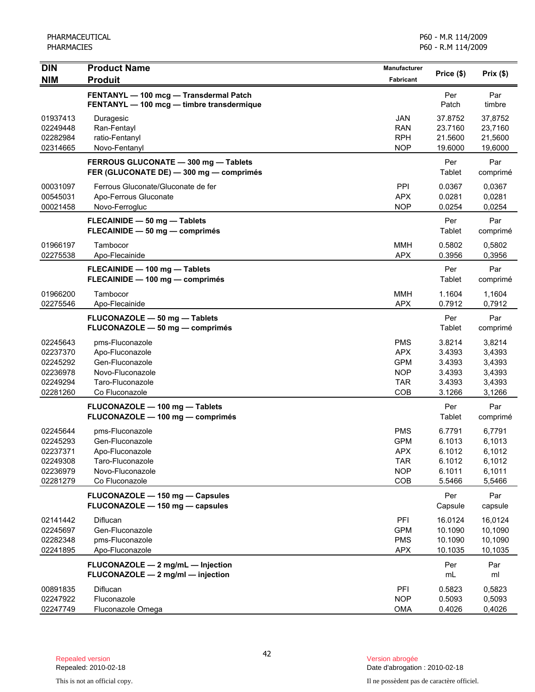| <b>DIN</b>                                   | <b>Product Name</b>                                                                 | <b>Manufacturer</b>                           |                                          |                                          |
|----------------------------------------------|-------------------------------------------------------------------------------------|-----------------------------------------------|------------------------------------------|------------------------------------------|
| <b>NIM</b>                                   | <b>Produit</b>                                                                      | <b>Fabricant</b>                              | Price (\$)                               | Prix(\$)                                 |
|                                              | FENTANYL - 100 mcg - Transdermal Patch<br>FENTANYL - 100 mcg - timbre transdermique |                                               | Per<br>Patch                             | Par<br>timbre                            |
| 01937413<br>02249448<br>02282984<br>02314665 | Duragesic<br>Ran-Fentayl<br>ratio-Fentanyl<br>Novo-Fentanyl                         | JAN<br><b>RAN</b><br><b>RPH</b><br><b>NOP</b> | 37.8752<br>23.7160<br>21.5600<br>19.6000 | 37,8752<br>23,7160<br>21,5600<br>19,6000 |
|                                              | FERROUS GLUCONATE - 300 mg - Tablets<br>FER (GLUCONATE DE) - 300 mg - comprimés     |                                               | Per<br>Tablet                            | Par<br>comprimé                          |
| 00031097<br>00545031<br>00021458             | Ferrous Gluconate/Gluconate de fer<br>Apo-Ferrous Gluconate<br>Novo-Ferrogluc       | PPI<br><b>APX</b><br><b>NOP</b>               | 0.0367<br>0.0281<br>0.0254               | 0,0367<br>0,0281<br>0,0254               |
|                                              | FLECAINIDE - 50 mg - Tablets<br>FLECAINIDE - 50 mg - comprimés                      |                                               | Per<br>Tablet                            | Par<br>comprimé                          |
| 01966197<br>02275538                         | Tambocor<br>Apo-Flecainide                                                          | <b>MMH</b><br><b>APX</b>                      | 0.5802<br>0.3956                         | 0,5802<br>0,3956                         |
|                                              | FLECAINIDE - 100 mg - Tablets<br>FLECAINIDE - 100 mg - comprimés                    |                                               | Per<br>Tablet                            | Par<br>comprimé                          |
| 01966200<br>02275546                         | Tambocor<br>Apo-Flecainide                                                          | <b>MMH</b><br><b>APX</b>                      | 1.1604<br>0.7912                         | 1,1604<br>0,7912                         |
|                                              | FLUCONAZOLE - 50 mg - Tablets<br>FLUCONAZOLE - 50 mg - comprimés                    |                                               | Per<br>Tablet                            | Par<br>comprimé                          |
| 02245643<br>02237370                         | pms-Fluconazole<br>Apo-Fluconazole                                                  | <b>PMS</b><br><b>APX</b>                      | 3.8214<br>3.4393                         | 3,8214<br>3,4393                         |
| 02245292                                     | Gen-Fluconazole                                                                     | <b>GPM</b>                                    | 3.4393                                   | 3,4393                                   |
| 02236978                                     | Novo-Fluconazole                                                                    | <b>NOP</b>                                    | 3.4393                                   | 3,4393                                   |
| 02249294                                     | Taro-Fluconazole                                                                    | <b>TAR</b>                                    | 3.4393                                   | 3,4393                                   |
| 02281260                                     | Co Fluconazole                                                                      | COB                                           | 3.1266                                   | 3,1266                                   |
|                                              | FLUCONAZOLE - 100 mg - Tablets<br>FLUCONAZOLE - 100 mg - comprimés                  |                                               | Per<br>Tablet                            | Par<br>comprimé                          |
| 02245644                                     | pms-Fluconazole                                                                     | <b>PMS</b>                                    | 6.7791                                   | 6,7791                                   |
| 02245293                                     | Gen-Fluconazole                                                                     | <b>GPM</b>                                    | 6.1013                                   | 6,1013                                   |
| 02237371                                     | Apo-Fluconazole                                                                     | <b>APX</b>                                    | 6.1012                                   | 6,1012                                   |
| 02249308                                     | Taro-Fluconazole                                                                    | <b>TAR</b>                                    | 6.1012                                   | 6,1012                                   |
| 02236979                                     | Novo-Fluconazole                                                                    | <b>NOP</b>                                    | 6.1011                                   | 6,1011                                   |
| 02281279                                     | Co Fluconazole                                                                      | COB                                           | 5.5466                                   | 5,5466                                   |
|                                              | FLUCONAZOLE - 150 mg - Capsules<br>FLUCONAZOLE - 150 mg - capsules                  |                                               | Per<br>Capsule                           | Par<br>capsule                           |
| 02141442                                     | Diflucan                                                                            | PFI                                           | 16.0124                                  | 16,0124                                  |
| 02245697                                     | Gen-Fluconazole                                                                     | <b>GPM</b>                                    | 10.1090                                  | 10,1090                                  |
| 02282348                                     | pms-Fluconazole                                                                     | <b>PMS</b>                                    | 10.1090                                  | 10,1090                                  |
| 02241895                                     | Apo-Fluconazole                                                                     | <b>APX</b>                                    | 10.1035                                  | 10,1035                                  |
|                                              | FLUCONAZOLE - 2 mg/mL - Injection<br>FLUCONAZOLE - 2 mg/ml - injection              |                                               | Per<br>mL                                | Par<br>ml                                |
| 00891835                                     | Diflucan                                                                            | PFI                                           | 0.5823                                   | 0,5823                                   |
| 02247922                                     | Fluconazole                                                                         | <b>NOP</b>                                    | 0.5093                                   | 0,5093                                   |
| 02247749                                     | Fluconazole Omega                                                                   | <b>OMA</b>                                    | 0.4026                                   | 0,4026                                   |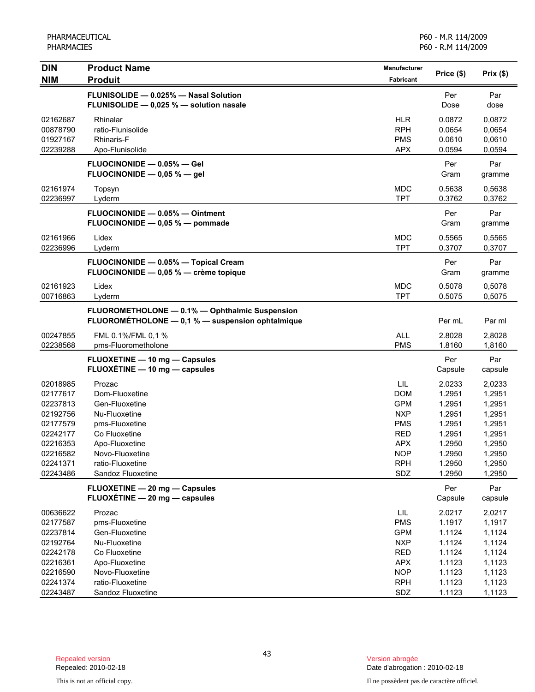| <b>DIN</b>                                                                                                           | <b>Product Name</b>                                                                                                                                                          | <b>Manufacturer</b>                                                                                                 | Price (\$)                                                                                       | Prix(\$)                                                                                         |
|----------------------------------------------------------------------------------------------------------------------|------------------------------------------------------------------------------------------------------------------------------------------------------------------------------|---------------------------------------------------------------------------------------------------------------------|--------------------------------------------------------------------------------------------------|--------------------------------------------------------------------------------------------------|
| <b>NIM</b>                                                                                                           | <b>Produit</b>                                                                                                                                                               | Fabricant                                                                                                           |                                                                                                  |                                                                                                  |
|                                                                                                                      | FLUNISOLIDE - 0.025% - Nasal Solution<br>FLUNISOLIDE - 0,025 % - solution nasale                                                                                             |                                                                                                                     | Per<br>Dose                                                                                      | Par<br>dose                                                                                      |
| 02162687<br>00878790<br>01927167<br>02239288                                                                         | Rhinalar<br>ratio-Flunisolide<br>Rhinaris-F<br>Apo-Flunisolide                                                                                                               | <b>HLR</b><br><b>RPH</b><br><b>PMS</b><br><b>APX</b>                                                                | 0.0872<br>0.0654<br>0.0610<br>0.0594                                                             | 0,0872<br>0,0654<br>0,0610<br>0,0594                                                             |
|                                                                                                                      | FLUOCINONIDE - 0.05% - Gel<br>FLUOCINONIDE $-$ 0,05 % $-$ gel                                                                                                                |                                                                                                                     | Per<br>Gram                                                                                      | Par<br>gramme                                                                                    |
| 02161974<br>02236997                                                                                                 | Topsyn<br>Lyderm                                                                                                                                                             | <b>MDC</b><br><b>TPT</b>                                                                                            | 0.5638<br>0.3762                                                                                 | 0,5638<br>0,3762                                                                                 |
|                                                                                                                      | FLUOCINONIDE - 0.05% - Ointment<br>FLUOCINONIDE - 0,05 % - pommade                                                                                                           |                                                                                                                     | Per<br>Gram                                                                                      | Par<br>gramme                                                                                    |
| 02161966<br>02236996                                                                                                 | Lidex<br>Lyderm                                                                                                                                                              | <b>MDC</b><br><b>TPT</b>                                                                                            | 0.5565<br>0.3707                                                                                 | 0,5565<br>0,3707                                                                                 |
|                                                                                                                      | FLUOCINONIDE - 0.05% - Topical Cream<br>FLUOCINONIDE - 0,05 % - crème topique                                                                                                |                                                                                                                     | Per<br>Gram                                                                                      | Par<br>gramme                                                                                    |
| 02161923<br>00716863                                                                                                 | Lidex<br>Lyderm                                                                                                                                                              | <b>MDC</b><br><b>TPT</b>                                                                                            | 0.5078<br>0.5075                                                                                 | 0,5078<br>0,5075                                                                                 |
|                                                                                                                      | FLUOROMETHOLONE - 0.1% - Ophthalmic Suspension<br>FLUOROMETHOLONE - 0,1 % - suspension ophtalmique                                                                           |                                                                                                                     | Per mL                                                                                           | Par ml                                                                                           |
| 00247855<br>02238568                                                                                                 | FML 0.1%/FML 0.1 %<br>pms-Fluorometholone                                                                                                                                    | <b>ALL</b><br><b>PMS</b>                                                                                            | 2.8028<br>1.8160                                                                                 | 2,8028<br>1,8160                                                                                 |
|                                                                                                                      | <b>FLUOXETINE - 10 mg - Capsules</b><br>FLUOXÉTINE - 10 mg - capsules                                                                                                        |                                                                                                                     | Per<br>Capsule                                                                                   | Par<br>capsule                                                                                   |
| 02018985<br>02177617<br>02237813<br>02192756<br>02177579<br>02242177<br>02216353<br>02216582<br>02241371<br>02243486 | Prozac<br>Dom-Fluoxetine<br>Gen-Fluoxetine<br>Nu-Fluoxetine<br>pms-Fluoxetine<br>Co Fluoxetine<br>Apo-Fluoxetine<br>Novo-Fluoxetine<br>ratio-Fluoxetine<br>Sandoz Fluoxetine | LIL<br><b>DOM</b><br><b>GPM</b><br><b>NXP</b><br><b>PMS</b><br>RED<br><b>APX</b><br><b>NOP</b><br><b>RPH</b><br>SDZ | 2.0233<br>1.2951<br>1.2951<br>1.2951<br>1.2951<br>1.2951<br>1.2950<br>1.2950<br>1.2950<br>1.2950 | 2,0233<br>1,2951<br>1,2951<br>1,2951<br>1,2951<br>1,2951<br>1,2950<br>1,2950<br>1,2950<br>1,2950 |
|                                                                                                                      | FLUOXETINE - 20 mg - Capsules<br>FLUOXÉTINE - 20 mg - capsules                                                                                                               |                                                                                                                     | Per<br>Capsule                                                                                   | Par<br>capsule                                                                                   |
| 00636622<br>02177587<br>02237814<br>02192764<br>02242178<br>02216361<br>02216590                                     | Prozac<br>pms-Fluoxetine<br>Gen-Fluoxetine<br>Nu-Fluoxetine<br>Co Fluoxetine<br>Apo-Fluoxetine<br>Novo-Fluoxetine                                                            | LIL<br><b>PMS</b><br><b>GPM</b><br><b>NXP</b><br><b>RED</b><br><b>APX</b><br><b>NOP</b>                             | 2.0217<br>1.1917<br>1.1124<br>1.1124<br>1.1124<br>1.1123<br>1.1123                               | 2,0217<br>1,1917<br>1,1124<br>1,1124<br>1,1124<br>1,1123<br>1,1123                               |
| 02241374<br>02243487                                                                                                 | ratio-Fluoxetine<br>Sandoz Fluoxetine                                                                                                                                        | <b>RPH</b><br>SDZ                                                                                                   | 1.1123<br>1.1123                                                                                 | 1,1123<br>1,1123                                                                                 |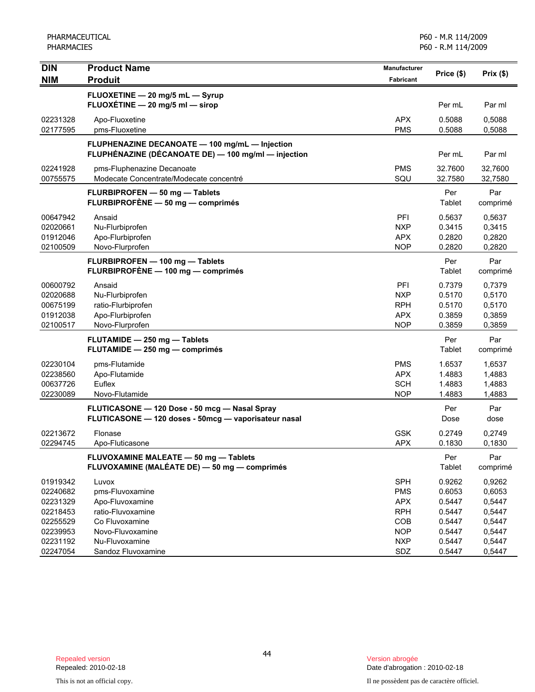| <b>DIN</b>                                               | <b>Product Name</b>                                                                                   | <b>Manufacturer</b>                                         | Price (\$)                                     | Prix(\$)                                       |
|----------------------------------------------------------|-------------------------------------------------------------------------------------------------------|-------------------------------------------------------------|------------------------------------------------|------------------------------------------------|
| <b>NIM</b>                                               | <b>Produit</b>                                                                                        | <b>Fabricant</b>                                            |                                                |                                                |
|                                                          | FLUOXETINE - 20 mg/5 mL - Syrup<br>FLUOXÉTINE $-$ 20 mg/5 ml $-$ sirop                                |                                                             | Per mL                                         | Par ml                                         |
| 02231328<br>02177595                                     | Apo-Fluoxetine<br>pms-Fluoxetine                                                                      | <b>APX</b><br><b>PMS</b>                                    | 0.5088<br>0.5088                               | 0,5088<br>0,5088                               |
|                                                          | FLUPHENAZINE DECANOATE - 100 mg/mL - Injection<br>FLUPHÉNAZINE (DÉCANOATE DE) - 100 mg/ml - injection |                                                             | Per mL                                         | Par ml                                         |
| 02241928<br>00755575                                     | pms-Fluphenazine Decanoate<br>Modecate Concentrate/Modecate concentré                                 | <b>PMS</b><br>SQU                                           | 32.7600<br>32.7580                             | 32.7600<br>32,7580                             |
|                                                          | FLURBIPROFEN - 50 mg - Tablets<br>FLURBIPROFÈNE - 50 mg - comprimés                                   |                                                             | Per<br>Tablet                                  | Par<br>comprimé                                |
| 00647942<br>02020661<br>01912046<br>02100509             | Ansaid<br>Nu-Flurbiprofen<br>Apo-Flurbiprofen<br>Novo-Flurprofen                                      | PFI<br><b>NXP</b><br><b>APX</b><br><b>NOP</b>               | 0.5637<br>0.3415<br>0.2820<br>0.2820           | 0,5637<br>0,3415<br>0,2820<br>0,2820           |
|                                                          | FLURBIPROFEN - 100 mg - Tablets<br>FLURBIPROFÈNE - 100 mg - comprimés                                 |                                                             | Per<br>Tablet                                  | Par<br>comprimé                                |
| 00600792<br>02020688<br>00675199<br>01912038<br>02100517 | Ansaid<br>Nu-Flurbiprofen<br>ratio-Flurbiprofen<br>Apo-Flurbiprofen<br>Novo-Flurprofen                | PFI<br><b>NXP</b><br><b>RPH</b><br><b>APX</b><br><b>NOP</b> | 0.7379<br>0.5170<br>0.5170<br>0.3859<br>0.3859 | 0,7379<br>0,5170<br>0,5170<br>0,3859<br>0,3859 |
|                                                          | FLUTAMIDE - 250 mg - Tablets<br>FLUTAMIDE - 250 mg - comprimés                                        |                                                             | Per<br>Tablet                                  | Par<br>comprimé                                |
| 02230104<br>02238560<br>00637726<br>02230089             | pms-Flutamide<br>Apo-Flutamide<br>Euflex<br>Novo-Flutamide                                            | <b>PMS</b><br><b>APX</b><br><b>SCH</b><br><b>NOP</b>        | 1.6537<br>1.4883<br>1.4883<br>1.4883           | 1,6537<br>1,4883<br>1,4883<br>1,4883           |
|                                                          | FLUTICASONE - 120 Dose - 50 mcg - Nasal Spray<br>FLUTICASONE - 120 doses - 50mcg - vaporisateur nasal |                                                             | Per<br>Dose                                    | Par<br>dose                                    |
| 02213672<br>02294745                                     | Flonase<br>Apo-Fluticasone                                                                            | <b>GSK</b><br><b>APX</b>                                    | 0.2749<br>0.1830                               | 0,2749<br>0,1830                               |
|                                                          | FLUVOXAMINE MALEATE - 50 mg - Tablets<br>FLUVOXAMINE (MALÉATE DE) - 50 mg - comprimés                 |                                                             | Per<br>Tablet                                  | Par<br>comprimé                                |
| 01919342<br>02240682<br>02231329<br>02218453<br>02255529 | Luvox<br>pms-Fluvoxamine<br>Apo-Fluvoxamine<br>ratio-Fluvoxamine<br>Co Fluvoxamine                    | <b>SPH</b><br><b>PMS</b><br><b>APX</b><br><b>RPH</b><br>COB | 0.9262<br>0.6053<br>0.5447<br>0.5447<br>0.5447 | 0,9262<br>0,6053<br>0,5447<br>0,5447<br>0,5447 |
| 02239953<br>02231192<br>02247054                         | Novo-Fluvoxamine<br>Nu-Fluvoxamine<br>Sandoz Fluvoxamine                                              | <b>NOP</b><br><b>NXP</b><br>SDZ                             | 0.5447<br>0.5447<br>0.5447                     | 0,5447<br>0,5447<br>0,5447                     |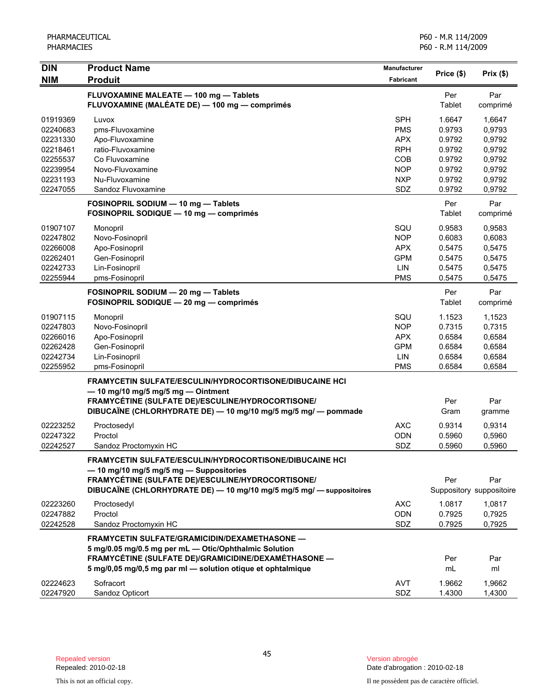| <b>DIN</b>                                                           | <b>Product Name</b>                                                                                                                                                                                                             | <b>Manufacturer</b>                                                       |                                                          |                                                          |
|----------------------------------------------------------------------|---------------------------------------------------------------------------------------------------------------------------------------------------------------------------------------------------------------------------------|---------------------------------------------------------------------------|----------------------------------------------------------|----------------------------------------------------------|
| <b>NIM</b>                                                           | <b>Produit</b>                                                                                                                                                                                                                  | <b>Fabricant</b>                                                          | Price (\$)                                               | Prix(\$)                                                 |
|                                                                      | FLUVOXAMINE MALEATE - 100 mg - Tablets<br>FLUVOXAMINE (MALÉATE DE) — 100 mg — comprimés                                                                                                                                         |                                                                           | Per<br>Tablet                                            | Par<br>comprimé                                          |
| 01919369<br>02240683<br>02231330<br>02218461<br>02255537<br>02239954 | Luvox<br>pms-Fluvoxamine<br>Apo-Fluvoxamine<br>ratio-Fluvoxamine<br>Co Fluvoxamine<br>Novo-Fluvoxamine                                                                                                                          | <b>SPH</b><br><b>PMS</b><br><b>APX</b><br><b>RPH</b><br>COB<br><b>NOP</b> | 1.6647<br>0.9793<br>0.9792<br>0.9792<br>0.9792<br>0.9792 | 1,6647<br>0,9793<br>0,9792<br>0,9792<br>0,9792<br>0,9792 |
| 02231193<br>02247055                                                 | Nu-Fluvoxamine<br>Sandoz Fluvoxamine                                                                                                                                                                                            | <b>NXP</b><br>SDZ                                                         | 0.9792<br>0.9792                                         | 0,9792<br>0,9792                                         |
|                                                                      | FOSINOPRIL SODIUM - 10 mg - Tablets<br>FOSINOPRIL SODIQUE - 10 mg - comprimés                                                                                                                                                   |                                                                           | Per<br>Tablet                                            | Par<br>comprimé                                          |
| 01907107<br>02247802<br>02266008<br>02262401<br>02242733<br>02255944 | Monopril<br>Novo-Fosinopril<br>Apo-Fosinopril<br>Gen-Fosinopril<br>Lin-Fosinopril<br>pms-Fosinopril                                                                                                                             | SQU<br><b>NOP</b><br><b>APX</b><br><b>GPM</b><br>LIN<br><b>PMS</b>        | 0.9583<br>0.6083<br>0.5475<br>0.5475<br>0.5475<br>0.5475 | 0,9583<br>0,6083<br>0,5475<br>0,5475<br>0,5475<br>0,5475 |
|                                                                      | FOSINOPRIL SODIUM - 20 mg - Tablets<br>FOSINOPRIL SODIQUE - 20 mg - comprimés                                                                                                                                                   |                                                                           | Per<br>Tablet                                            | Par<br>comprimé                                          |
| 01907115<br>02247803<br>02266016<br>02262428<br>02242734<br>02255952 | Monopril<br>Novo-Fosinopril<br>Apo-Fosinopril<br>Gen-Fosinopril<br>Lin-Fosinopril<br>pms-Fosinopril                                                                                                                             | SQU<br><b>NOP</b><br><b>APX</b><br><b>GPM</b><br>LIN<br><b>PMS</b>        | 1.1523<br>0.7315<br>0.6584<br>0.6584<br>0.6584<br>0.6584 | 1,1523<br>0,7315<br>0,6584<br>0,6584<br>0,6584<br>0,6584 |
|                                                                      | <b>FRAMYCETIN SULFATE/ESCULIN/HYDROCORTISONE/DIBUCAINE HCI</b><br>$-$ 10 mg/10 mg/5 mg/5 mg $-$ Ointment<br>FRAMYCÉTINE (SULFATE DE)/ESCULINE/HYDROCORTISONE/<br>DIBUCAÏNE (CHLORHYDRATE DE) - 10 mg/10 mg/5 mg/5 mg/ - pommade |                                                                           | Per<br>Gram                                              | Par<br>gramme                                            |
| 02223252<br>02247322<br>02242527                                     | Proctosedyl<br>Proctol<br>Sandoz Proctomyxin HC                                                                                                                                                                                 | <b>AXC</b><br><b>ODN</b><br>SDZ                                           | 0.9314<br>0.5960<br>0.5960                               | 0,9314<br>0,5960<br>0,5960                               |
|                                                                      | FRAMYCETIN SULFATE/ESCULIN/HYDROCORTISONE/DIBUCAINE HCI<br>- 10 mg/10 mg/5 mg/5 mg - Suppositories<br>FRAMYCÉTINE (SULFATE DE)/ESCULINE/HYDROCORTISONE/<br>DIBUCAÏNE (CHLORHYDRATE DE) - 10 mg/10 mg/5 mg/5 mg/ - suppositoires |                                                                           | Per                                                      | Par<br>Suppository suppositoire                          |
| 02223260<br>02247882<br>02242528                                     | Proctosedyl<br>Proctol<br>Sandoz Proctomyxin HC                                                                                                                                                                                 | <b>AXC</b><br><b>ODN</b><br>SDZ                                           | 1.0817<br>0.7925<br>0.7925                               | 1,0817<br>0,7925<br>0,7925                               |
|                                                                      | FRAMYCETIN SULFATE/GRAMICIDIN/DEXAMETHASONE -<br>5 mg/0.05 mg/0.5 mg per mL - Otic/Ophthalmic Solution<br>FRAMYCÉTINE (SULFATE DE)/GRAMICIDINE/DEXAMÉTHASONE -<br>5 mg/0,05 mg/0,5 mg par ml - solution otique et ophtalmique   |                                                                           | Per<br>mL                                                | Par<br>ml                                                |
| 02224623<br>02247920                                                 | Sofracort<br>Sandoz Opticort                                                                                                                                                                                                    | <b>AVT</b><br><b>SDZ</b>                                                  | 1.9662<br>1.4300                                         | 1,9662<br>1,4300                                         |

Date d'abrogation : 2010-02-18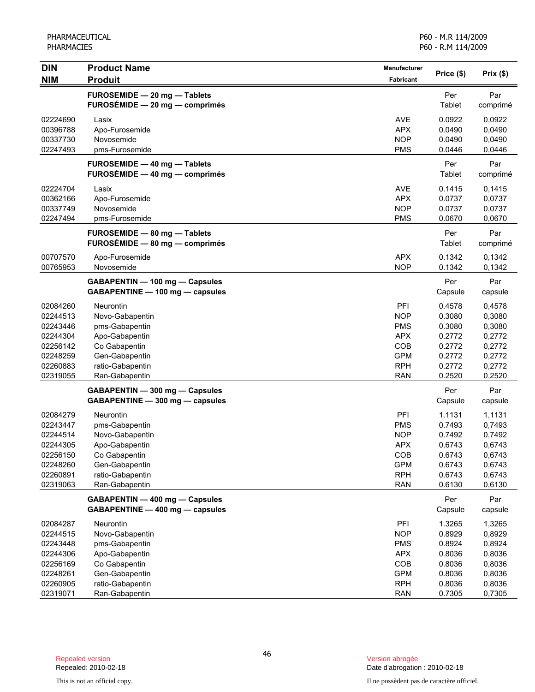| <b>DIN</b>                                                                                   | <b>Product Name</b>                                                                                                                              | Manufacturer                                                                                   |                                                                              | Prix(\$)                                                                     |
|----------------------------------------------------------------------------------------------|--------------------------------------------------------------------------------------------------------------------------------------------------|------------------------------------------------------------------------------------------------|------------------------------------------------------------------------------|------------------------------------------------------------------------------|
| <b>NIM</b>                                                                                   | <b>Produit</b>                                                                                                                                   | <b>Fabricant</b>                                                                               | Price (\$)                                                                   |                                                                              |
|                                                                                              | FUROSEMIDE - 20 mg - Tablets<br>FUROSÉMIDE - 20 mg - comprimés                                                                                   |                                                                                                | Per<br>Tablet                                                                | Par<br>comprimé                                                              |
| 02224690<br>00396788<br>00337730<br>02247493                                                 | Lasix<br>Apo-Furosemide<br>Novosemide<br>pms-Furosemide                                                                                          | <b>AVE</b><br><b>APX</b><br><b>NOP</b><br><b>PMS</b>                                           | 0.0922<br>0.0490<br>0.0490<br>0.0446                                         | 0,0922<br>0,0490<br>0,0490<br>0,0446                                         |
|                                                                                              | FUROSEMIDE - 40 mg - Tablets<br>FUROSÉMIDE - 40 mg - comprimés                                                                                   |                                                                                                | Per<br>Tablet                                                                | Par<br>comprimé                                                              |
| 02224704<br>00362166<br>00337749<br>02247494                                                 | Lasix<br>Apo-Furosemide<br>Novosemide<br>pms-Furosemide                                                                                          | <b>AVE</b><br><b>APX</b><br><b>NOP</b><br><b>PMS</b>                                           | 0.1415<br>0.0737<br>0.0737<br>0.0670                                         | 0,1415<br>0,0737<br>0,0737<br>0,0670                                         |
|                                                                                              | FUROSEMIDE - 80 mg - Tablets<br>FUROSÉMIDE - 80 mg - comprimés                                                                                   |                                                                                                | Per<br>Tablet                                                                | Par<br>comprimé                                                              |
| 00707570<br>00765953                                                                         | Apo-Furosemide<br>Novosemide                                                                                                                     | <b>APX</b><br><b>NOP</b>                                                                       | 0.1342<br>0.1342                                                             | 0,1342<br>0,1342                                                             |
|                                                                                              | GABAPENTIN - 100 mg - Capsules<br>GABAPENTINE - 100 mg - capsules                                                                                |                                                                                                | Per<br>Capsule                                                               | Par<br>capsule                                                               |
| 02084260<br>02244513<br>02243446<br>02244304<br>02256142<br>02248259<br>02260883<br>02319055 | <b>Neurontin</b><br>Novo-Gabapentin<br>pms-Gabapentin<br>Apo-Gabapentin<br>Co Gabapentin<br>Gen-Gabapentin<br>ratio-Gabapentin<br>Ran-Gabapentin | PFI<br><b>NOP</b><br><b>PMS</b><br><b>APX</b><br>COB<br><b>GPM</b><br><b>RPH</b><br><b>RAN</b> | 0.4578<br>0.3080<br>0.3080<br>0.2772<br>0.2772<br>0.2772<br>0.2772<br>0.2520 | 0,4578<br>0,3080<br>0,3080<br>0,2772<br>0,2772<br>0,2772<br>0,2772<br>0,2520 |
|                                                                                              | GABAPENTIN - 300 mg - Capsules<br>GABAPENTINE - 300 mg - capsules                                                                                |                                                                                                | Per<br>Capsule                                                               | Par<br>capsule                                                               |
| 02084279<br>02243447<br>02244514<br>02244305<br>02256150<br>02248260<br>02260891<br>02319063 | <b>Neurontin</b><br>pms-Gabapentin<br>Novo-Gabapentin<br>Apo-Gabapentin<br>Co Gabapentin<br>Gen-Gabapentin<br>ratio-Gabapentin<br>Ran-Gabapentin | PFI<br><b>PMS</b><br><b>NOP</b><br><b>APX</b><br>COB<br><b>GPM</b><br><b>RPH</b><br><b>RAN</b> | 1.1131<br>0.7493<br>0.7492<br>0.6743<br>0.6743<br>0.6743<br>0.6743<br>0.6130 | 1,1131<br>0,7493<br>0,7492<br>0,6743<br>0,6743<br>0,6743<br>0,6743<br>0,6130 |
|                                                                                              | GABAPENTIN - 400 mg - Capsules<br>GABAPENTINE - 400 mg - capsules                                                                                |                                                                                                | Per<br>Capsule                                                               | Par<br>capsule                                                               |
| 02084287<br>02244515<br>02243448<br>02244306<br>02256169<br>02248261<br>02260905             | Neurontin<br>Novo-Gabapentin<br>pms-Gabapentin<br>Apo-Gabapentin<br>Co Gabapentin<br>Gen-Gabapentin<br>ratio-Gabapentin                          | PFI<br><b>NOP</b><br><b>PMS</b><br><b>APX</b><br>COB<br><b>GPM</b><br><b>RPH</b>               | 1.3265<br>0.8929<br>0.8924<br>0.8036<br>0.8036<br>0.8036<br>0.8036           | 1,3265<br>0,8929<br>0,8924<br>0,8036<br>0,8036<br>0,8036<br>0,8036           |
| 02319071                                                                                     | Ran-Gabapentin                                                                                                                                   | <b>RAN</b>                                                                                     | 0.7305                                                                       | 0,7305                                                                       |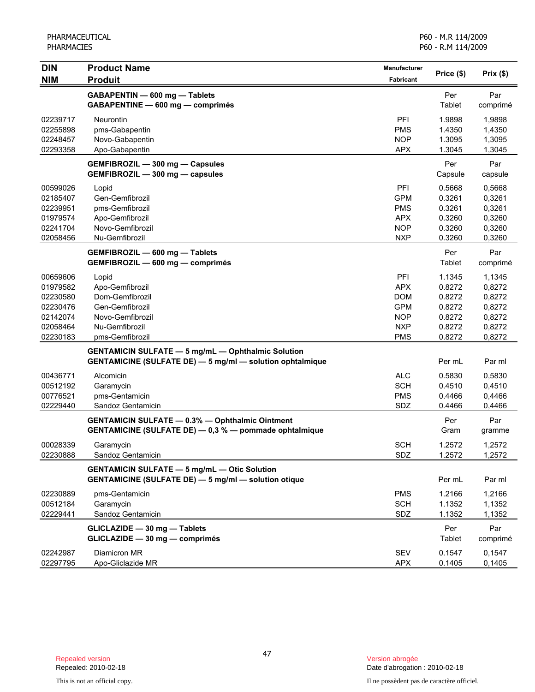| <b>DIN</b><br><b>NIM</b> | <b>Product Name</b><br><b>Produit</b>                            | Manufacturer<br>Fabricant | Price (\$) | Prix(\$) |
|--------------------------|------------------------------------------------------------------|---------------------------|------------|----------|
|                          | GABAPENTIN - 600 mg - Tablets                                    |                           | Per        | Par      |
|                          | GABAPENTINE - 600 mg - comprimés                                 |                           | Tablet     | comprimé |
| 02239717                 | Neurontin                                                        | PFI                       | 1.9898     | 1,9898   |
| 02255898                 | pms-Gabapentin                                                   | <b>PMS</b>                | 1.4350     | 1,4350   |
| 02248457                 | Novo-Gabapentin                                                  | <b>NOP</b>                | 1.3095     | 1,3095   |
| 02293358                 | Apo-Gabapentin                                                   | <b>APX</b>                | 1.3045     | 1,3045   |
|                          | GEMFIBROZIL - 300 mg - Capsules                                  |                           | Per        | Par      |
|                          | GEMFIBROZIL - 300 mg - capsules                                  |                           | Capsule    | capsule  |
| 00599026                 | Lopid                                                            | PFI                       | 0.5668     | 0,5668   |
| 02185407                 | Gen-Gemfibrozil                                                  | <b>GPM</b>                | 0.3261     | 0,3261   |
| 02239951                 | pms-Gemfibrozil                                                  | <b>PMS</b>                | 0.3261     | 0,3261   |
| 01979574                 | Apo-Gemfibrozil                                                  | <b>APX</b>                | 0.3260     | 0,3260   |
| 02241704                 | Novo-Gemfibrozil                                                 | <b>NOP</b>                | 0.3260     | 0,3260   |
| 02058456                 | Nu-Gemfibrozil                                                   | <b>NXP</b>                | 0.3260     | 0,3260   |
|                          | GEMFIBROZIL - 600 mg - Tablets                                   |                           | Per        | Par      |
|                          | GEMFIBROZIL - 600 mg - comprimés                                 |                           | Tablet     | comprimé |
| 00659606                 | Lopid                                                            | PFI                       | 1.1345     | 1,1345   |
| 01979582                 | Apo-Gemfibrozil                                                  | <b>APX</b>                | 0.8272     | 0,8272   |
| 02230580                 | Dom-Gemfibrozil                                                  | DOM                       | 0.8272     | 0,8272   |
| 02230476                 | Gen-Gemfibrozil                                                  | <b>GPM</b>                | 0.8272     | 0,8272   |
| 02142074                 | Novo-Gemfibrozil                                                 | <b>NOP</b>                | 0.8272     | 0,8272   |
| 02058464                 | Nu-Gemfibrozil                                                   | <b>NXP</b>                | 0.8272     | 0,8272   |
| 02230183                 | pms-Gemfibrozil                                                  | <b>PMS</b>                | 0.8272     | 0,8272   |
|                          | <b>GENTAMICIN SULFATE - 5 mg/mL - Ophthalmic Solution</b>        |                           |            |          |
|                          | <b>GENTAMICINE (SULFATE DE) - 5 mg/ml - solution ophtalmique</b> |                           | Per mL     | Par ml   |
| 00436771                 | Alcomicin                                                        | <b>ALC</b>                | 0.5830     | 0,5830   |
| 00512192                 | Garamycin                                                        | <b>SCH</b>                | 0.4510     | 0,4510   |
| 00776521                 | pms-Gentamicin                                                   | <b>PMS</b>                | 0.4466     | 0,4466   |
| 02229440                 | Sandoz Gentamicin                                                | SDZ                       | 0.4466     | 0,4466   |
|                          | <b>GENTAMICIN SULFATE - 0.3% - Ophthalmic Ointment</b>           |                           | Per        | Par      |
|                          | GENTAMICINE (SULFATE DE) - 0,3 % - pommade ophtalmique           |                           | Gram       | gramme   |
| 00028339                 | Garamycin                                                        | <b>SCH</b>                | 1.2572     | 1,2572   |
| 02230888                 | Sandoz Gentamicin                                                | SDZ                       | 1.2572     | 1,2572   |
|                          | <b>GENTAMICIN SULFATE - 5 mg/mL - Otic Solution</b>              |                           |            |          |
|                          | <b>GENTAMICINE (SULFATE DE) - 5 mg/ml - solution otique</b>      |                           | Per mL     | Par ml   |
| 02230889                 | pms-Gentamicin                                                   | <b>PMS</b>                | 1.2166     | 1,2166   |
| 00512184                 | Garamycin                                                        | <b>SCH</b>                | 1.1352     | 1,1352   |
| 02229441                 | Sandoz Gentamicin                                                | SDZ                       | 1.1352     | 1,1352   |
|                          | GLICLAZIDE - 30 mg - Tablets                                     |                           | Per        | Par      |
|                          | GLICLAZIDE - 30 mg - comprimés                                   |                           | Tablet     | comprimé |
| 02242987                 | Diamicron MR                                                     | SEV                       | 0.1547     | 0,1547   |
| 02297795                 | Apo-Gliclazide MR                                                | <b>APX</b>                | 0.1405     | 0,1405   |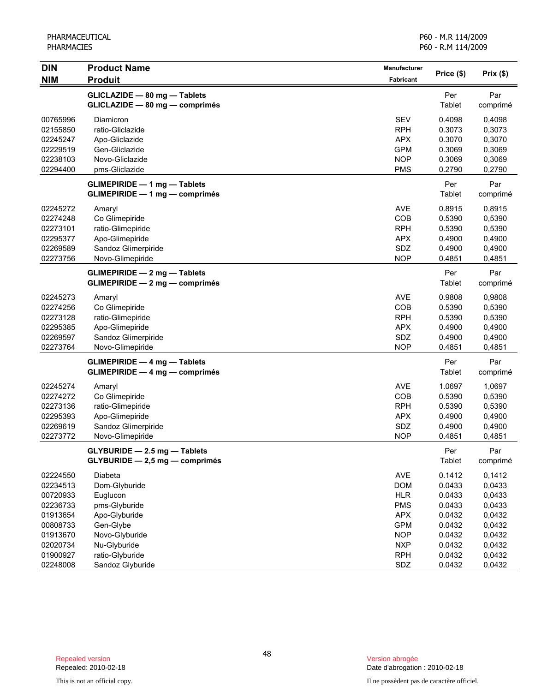| <b>DIN</b><br><b>NIM</b>                                                                                             | <b>Product Name</b><br><b>Produit</b>                                                                                                                        | Manufacturer<br>Fabricant                                                                                                  | Price (\$)                                                                                       | Prix (\$)                                                                                        |
|----------------------------------------------------------------------------------------------------------------------|--------------------------------------------------------------------------------------------------------------------------------------------------------------|----------------------------------------------------------------------------------------------------------------------------|--------------------------------------------------------------------------------------------------|--------------------------------------------------------------------------------------------------|
|                                                                                                                      | GLICLAZIDE - 80 mg - Tablets<br>GLICLAZIDE - 80 mg - comprimés                                                                                               |                                                                                                                            | Per<br>Tablet                                                                                    | Par<br>comprimé                                                                                  |
| 00765996<br>02155850<br>02245247<br>02229519<br>02238103<br>02294400                                                 | Diamicron<br>ratio-Gliclazide<br>Apo-Gliclazide<br>Gen-Gliclazide<br>Novo-Gliclazide<br>pms-Gliclazide                                                       | <b>SEV</b><br><b>RPH</b><br><b>APX</b><br><b>GPM</b><br><b>NOP</b><br><b>PMS</b>                                           | 0.4098<br>0.3073<br>0.3070<br>0.3069<br>0.3069<br>0.2790                                         | 0,4098<br>0,3073<br>0,3070<br>0,3069<br>0,3069<br>0,2790                                         |
|                                                                                                                      | <b>GLIMEPIRIDE - 1 mg - Tablets</b><br><b>GLIMEPIRIDE - 1 mg - comprimés</b>                                                                                 |                                                                                                                            | Per<br>Tablet                                                                                    | Par<br>comprimé                                                                                  |
| 02245272<br>02274248<br>02273101<br>02295377<br>02269589<br>02273756                                                 | Amaryl<br>Co Glimepiride<br>ratio-Glimepiride<br>Apo-Glimepiride<br>Sandoz Glimerpiride<br>Novo-Glimepiride                                                  | <b>AVE</b><br>COB<br><b>RPH</b><br><b>APX</b><br>SDZ<br><b>NOP</b>                                                         | 0.8915<br>0.5390<br>0.5390<br>0.4900<br>0.4900<br>0.4851                                         | 0,8915<br>0,5390<br>0,5390<br>0,4900<br>0,4900<br>0,4851                                         |
|                                                                                                                      | <b>GLIMEPIRIDE - 2 mg - Tablets</b><br>GLIMEPIRIDE - 2 mg - comprimés                                                                                        |                                                                                                                            | Per<br>Tablet                                                                                    | Par<br>comprimé                                                                                  |
| 02245273<br>02274256<br>02273128<br>02295385<br>02269597<br>02273764                                                 | Amaryl<br>Co Glimepiride<br>ratio-Glimepiride<br>Apo-Glimepiride<br>Sandoz Glimerpiride<br>Novo-Glimepiride                                                  | <b>AVE</b><br>COB<br><b>RPH</b><br><b>APX</b><br>SDZ<br><b>NOP</b>                                                         | 0.9808<br>0.5390<br>0.5390<br>0.4900<br>0.4900<br>0.4851                                         | 0,9808<br>0,5390<br>0,5390<br>0,4900<br>0,4900<br>0,4851                                         |
|                                                                                                                      | <b>GLIMEPIRIDE - 4 mg - Tablets</b><br>$GLIMEPIRIDE - 4 mg - comprimés$                                                                                      |                                                                                                                            | Per<br>Tablet                                                                                    | Par<br>comprimé                                                                                  |
| 02245274<br>02274272<br>02273136<br>02295393<br>02269619<br>02273772                                                 | Amaryl<br>Co Glimepiride<br>ratio-Glimepiride<br>Apo-Glimepiride<br>Sandoz Glimerpiride<br>Novo-Glimepiride                                                  | <b>AVE</b><br>COB<br><b>RPH</b><br><b>APX</b><br>SDZ<br><b>NOP</b>                                                         | 1.0697<br>0.5390<br>0.5390<br>0.4900<br>0.4900<br>0.4851                                         | 1,0697<br>0,5390<br>0,5390<br>0,4900<br>0,4900<br>0,4851                                         |
|                                                                                                                      | GLYBURIDE - 2.5 mg - Tablets<br>GLYBURIDE - 2,5 mg - comprimés                                                                                               |                                                                                                                            | Per<br>Tablet                                                                                    | Par<br>comprimé                                                                                  |
| 02224550<br>02234513<br>00720933<br>02236733<br>01913654<br>00808733<br>01913670<br>02020734<br>01900927<br>02248008 | Diabeta<br>Dom-Glyburide<br>Euglucon<br>pms-Glyburide<br>Apo-Glyburide<br>Gen-Glybe<br>Novo-Glyburide<br>Nu-Glyburide<br>ratio-Glyburide<br>Sandoz Glyburide | AVE<br><b>DOM</b><br><b>HLR</b><br><b>PMS</b><br><b>APX</b><br><b>GPM</b><br><b>NOP</b><br><b>NXP</b><br><b>RPH</b><br>SDZ | 0.1412<br>0.0433<br>0.0433<br>0.0433<br>0.0432<br>0.0432<br>0.0432<br>0.0432<br>0.0432<br>0.0432 | 0,1412<br>0,0433<br>0,0433<br>0,0433<br>0,0432<br>0,0432<br>0,0432<br>0,0432<br>0,0432<br>0,0432 |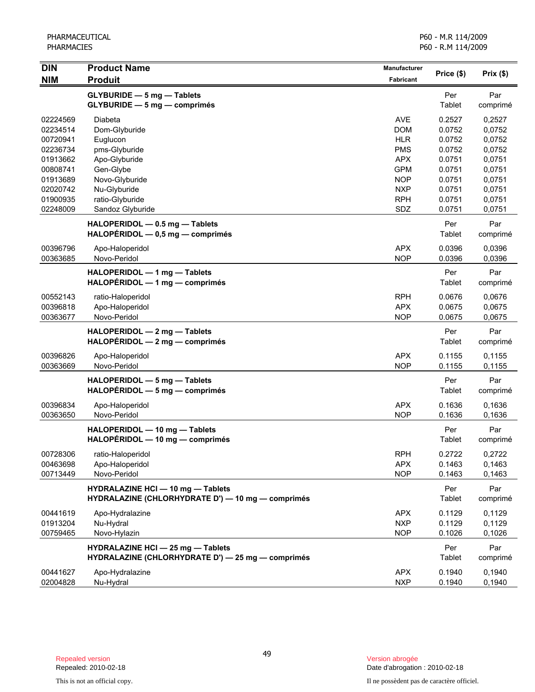| <b>DIN</b> | <b>Product Name</b>                                                                           | Manufacturer     | Price (\$)    | Prix(\$)        |
|------------|-----------------------------------------------------------------------------------------------|------------------|---------------|-----------------|
| <b>NIM</b> | <b>Produit</b>                                                                                | <b>Fabricant</b> |               |                 |
|            | <b>GLYBURIDE - 5 mg - Tablets</b><br>$GLYBURIDE - 5 mg - comprimés$                           |                  | Per<br>Tablet | Par<br>comprimé |
| 02224569   | Diabeta                                                                                       | <b>AVE</b>       | 0.2527        | 0,2527          |
| 02234514   | Dom-Glyburide                                                                                 | <b>DOM</b>       | 0.0752        | 0,0752          |
| 00720941   | Euglucon                                                                                      | <b>HLR</b>       | 0.0752        | 0,0752          |
| 02236734   | pms-Glyburide                                                                                 | <b>PMS</b>       | 0.0752        | 0,0752          |
| 01913662   | Apo-Glyburide                                                                                 | <b>APX</b>       | 0.0751        | 0,0751          |
| 00808741   | Gen-Glybe                                                                                     | <b>GPM</b>       | 0.0751        | 0,0751          |
| 01913689   | Novo-Glyburide                                                                                | <b>NOP</b>       | 0.0751        | 0,0751          |
| 02020742   | Nu-Glyburide                                                                                  | <b>NXP</b>       | 0.0751        | 0,0751          |
| 01900935   | ratio-Glyburide                                                                               | <b>RPH</b>       | 0.0751        | 0,0751          |
| 02248009   | Sandoz Glyburide                                                                              | SDZ              | 0.0751        | 0,0751          |
|            | HALOPERIDOL - 0.5 mg - Tablets<br>HALOPÉRIDOL - 0,5 mg - comprimés                            |                  | Per<br>Tablet | Par<br>comprimé |
| 00396796   | Apo-Haloperidol                                                                               | <b>APX</b>       | 0.0396        | 0,0396          |
| 00363685   | Novo-Peridol                                                                                  | <b>NOP</b>       | 0.0396        | 0,0396          |
|            | HALOPERIDOL - 1 mg - Tablets<br>$HALOPÉRIDOL - 1 mg - comprimés$                              |                  | Per<br>Tablet | Par<br>comprimé |
| 00552143   | ratio-Haloperidol                                                                             | <b>RPH</b>       | 0.0676        | 0,0676          |
| 00396818   | Apo-Haloperidol                                                                               | <b>APX</b>       | 0.0675        | 0,0675          |
| 00363677   | Novo-Peridol                                                                                  | <b>NOP</b>       | 0.0675        | 0,0675          |
|            | HALOPERIDOL - 2 mg - Tablets<br>$HALOPÉRIDOL - 2 mg - comprimés$                              |                  | Per<br>Tablet | Par<br>comprimé |
| 00396826   | Apo-Haloperidol                                                                               | <b>APX</b>       | 0.1155        | 0,1155          |
| 00363669   | Novo-Peridol                                                                                  | <b>NOP</b>       | 0.1155        | 0,1155          |
|            | HALOPERIDOL - 5 mg - Tablets<br>HALOPÉRIDOL - 5 mg - comprimés                                |                  | Per<br>Tablet | Par<br>comprimé |
| 00396834   | Apo-Haloperidol                                                                               | <b>APX</b>       | 0.1636        | 0,1636          |
| 00363650   | Novo-Peridol                                                                                  | <b>NOP</b>       | 0.1636        | 0,1636          |
|            | HALOPERIDOL - 10 mg - Tablets<br>HALOPÉRIDOL - 10 mg - comprimés                              |                  | Per<br>Tablet | Par<br>comprimé |
| 00728306   | ratio-Haloperidol                                                                             | <b>RPH</b>       | 0.2722        | 0,2722          |
| 00463698   | Apo-Haloperidol                                                                               | <b>APX</b>       | 0.1463        | 0,1463          |
| 00713449   | Novo-Peridol                                                                                  | <b>NOP</b>       | 0.1463        | 0,1463          |
|            | <b>HYDRALAZINE HCI - 10 mg - Tablets</b><br>HYDRALAZINE (CHLORHYDRATE D') - 10 mg - comprimés |                  | Per<br>Tablet | Par<br>comprimé |
| 00441619   | Apo-Hydralazine                                                                               | <b>APX</b>       | 0.1129        | 0,1129          |
| 01913204   | Nu-Hydral                                                                                     | <b>NXP</b>       | 0.1129        | 0,1129          |
| 00759465   | Novo-Hylazin                                                                                  | <b>NOP</b>       | 0.1026        | 0,1026          |
|            | <b>HYDRALAZINE HCI - 25 mg - Tablets</b><br>HYDRALAZINE (CHLORHYDRATE D') - 25 mg - comprimés |                  | Per<br>Tablet | Par<br>comprimé |
| 00441627   | Apo-Hydralazine                                                                               | <b>APX</b>       | 0.1940        | 0,1940          |
| 02004828   | Nu-Hydral                                                                                     | <b>NXP</b>       | 0.1940        | 0,1940          |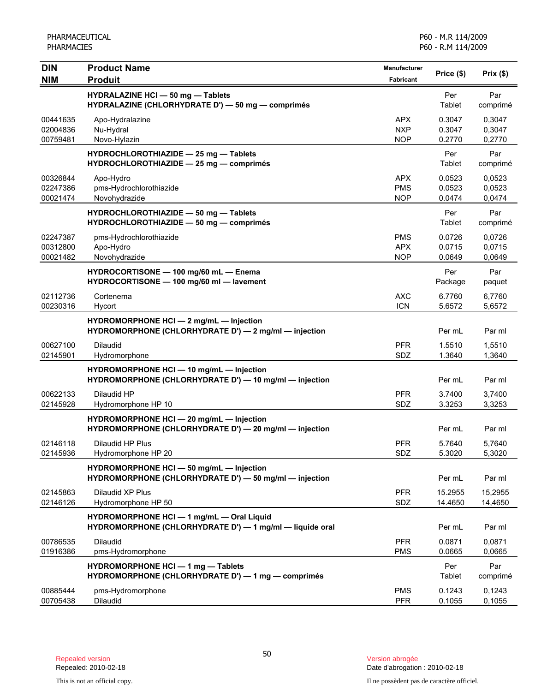| <b>DIN</b><br><b>NIM</b>         | <b>Product Name</b><br><b>Produit</b>                                                                 | Manufacturer<br>Fabricant              | Price (\$)                 | Prix(\$)                   |
|----------------------------------|-------------------------------------------------------------------------------------------------------|----------------------------------------|----------------------------|----------------------------|
|                                  | <b>HYDRALAZINE HCI - 50 mg - Tablets</b><br>HYDRALAZINE (CHLORHYDRATE D') - 50 mg - comprimés         |                                        | Per<br>Tablet              | Par<br>comprimé            |
| 00441635<br>02004836<br>00759481 | Apo-Hydralazine<br>Nu-Hydral<br>Novo-Hylazin                                                          | APX.<br><b>NXP</b><br><b>NOP</b>       | 0.3047<br>0.3047<br>0.2770 | 0,3047<br>0,3047<br>0,2770 |
|                                  | HYDROCHLOROTHIAZIDE - 25 mg - Tablets<br>HYDROCHLOROTHIAZIDE - 25 mg - comprimés                      |                                        | Per<br>Tablet              | Par<br>comprimé            |
| 00326844<br>02247386<br>00021474 | Apo-Hydro<br>pms-Hydrochlorothiazide<br>Novohydrazide                                                 | <b>APX</b><br><b>PMS</b><br><b>NOP</b> | 0.0523<br>0.0523<br>0.0474 | 0,0523<br>0,0523<br>0,0474 |
|                                  | HYDROCHLOROTHIAZIDE - 50 mg - Tablets<br>HYDROCHLOROTHIAZIDE - 50 mg - comprimés                      |                                        | Per<br>Tablet              | Par<br>comprimé            |
| 02247387<br>00312800<br>00021482 | pms-Hydrochlorothiazide<br>Apo-Hydro<br>Novohydrazide                                                 | <b>PMS</b><br><b>APX</b><br><b>NOP</b> | 0.0726<br>0.0715<br>0.0649 | 0,0726<br>0,0715<br>0,0649 |
|                                  | HYDROCORTISONE - 100 mg/60 mL - Enema<br>HYDROCORTISONE - 100 mg/60 ml - lavement                     |                                        | Per<br>Package             | Par<br>paquet              |
| 02112736<br>00230316             | Cortenema<br>Hycort                                                                                   | <b>AXC</b><br><b>ICN</b>               | 6.7760<br>5.6572           | 6.7760<br>5,6572           |
|                                  | HYDROMORPHONE HCI - 2 mg/mL - Injection<br>HYDROMORPHONE (CHLORHYDRATE D') - 2 mg/ml - injection      |                                        | Per mL                     | Par ml                     |
| 00627100<br>02145901             | Dilaudid<br>Hydromorphone                                                                             | <b>PFR</b><br>SDZ                      | 1.5510<br>1.3640           | 1,5510<br>1,3640           |
|                                  | HYDROMORPHONE HCI - 10 mg/mL - Injection<br>HYDROMORPHONE (CHLORHYDRATE D') - 10 mg/ml - injection    |                                        | Per mL                     | Par ml                     |
| 00622133<br>02145928             | Dilaudid HP<br>Hydromorphone HP 10                                                                    | <b>PFR</b><br>SDZ                      | 3.7400<br>3.3253           | 3,7400<br>3,3253           |
|                                  | HYDROMORPHONE HCI - 20 mg/mL - Injection<br>HYDROMORPHONE (CHLORHYDRATE D') - 20 mg/ml - injection    |                                        | Per mL                     | Par ml                     |
| 02146118<br>02145936             | Dilaudid HP Plus<br>Hydromorphone HP 20                                                               | <b>PFR</b><br>SDZ                      | 5.7640<br>5.3020           | 5,7640<br>5,3020           |
|                                  | HYDROMORPHONE HCI - 50 mg/mL - Injection<br>HYDROMORPHONE (CHLORHYDRATE D') - 50 mg/ml - injection    |                                        | Per mL                     | Par ml                     |
| 02145863<br>02146126             | Dilaudid XP Plus<br>Hydromorphone HP 50                                                               | <b>PFR</b><br>SDZ                      | 15.2955<br>14.4650         | 15,2955<br>14,4650         |
|                                  | HYDROMORPHONE HCI - 1 mg/mL - Oral Liquid<br>HYDROMORPHONE (CHLORHYDRATE D') - 1 mg/ml - liquide oral |                                        | Per mL                     | Par ml                     |
| 00786535<br>01916386             | <b>Dilaudid</b><br>pms-Hydromorphone                                                                  | <b>PFR</b><br><b>PMS</b>               | 0.0871<br>0.0665           | 0,0871<br>0,0665           |
|                                  | <b>HYDROMORPHONE HCI - 1 mg - Tablets</b><br>HYDROMORPHONE (CHLORHYDRATE D') - 1 mg - comprimés       |                                        | Per<br>Tablet              | Par<br>comprimé            |
| 00885444<br>00705438             | pms-Hydromorphone<br>Dilaudid                                                                         | <b>PMS</b><br><b>PFR</b>               | 0.1243<br>0.1055           | 0,1243<br>0,1055           |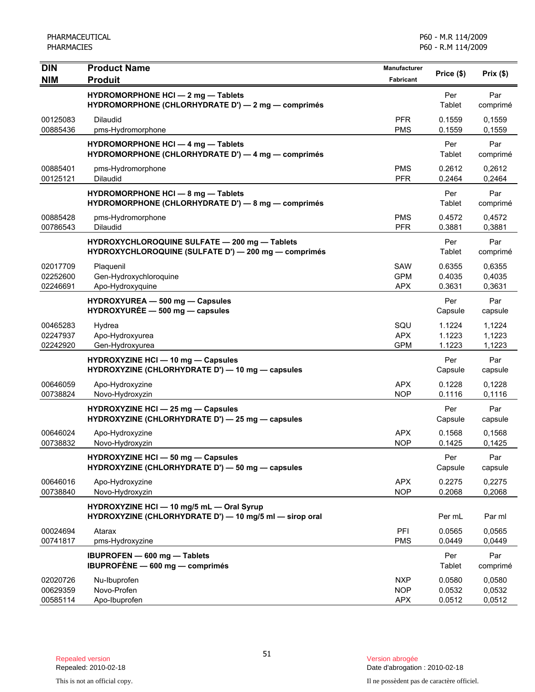| <b>DIN</b>                       | <b>Product Name</b>                                                                                   | <b>Manufacturer</b>                    | Price (\$)                 | Prix(\$)                   |
|----------------------------------|-------------------------------------------------------------------------------------------------------|----------------------------------------|----------------------------|----------------------------|
| <b>NIM</b>                       | <b>Produit</b>                                                                                        | Fabricant                              |                            |                            |
|                                  | HYDROMORPHONE HCI - 2 mg - Tablets<br>HYDROMORPHONE (CHLORHYDRATE D') - 2 mg - comprimés              |                                        | Per<br>Tablet              | Par<br>comprimé            |
| 00125083<br>00885436             | <b>Dilaudid</b><br>pms-Hydromorphone                                                                  | <b>PFR</b><br><b>PMS</b>               | 0.1559<br>0.1559           | 0,1559<br>0,1559           |
|                                  | <b>HYDROMORPHONE HCI - 4 mg - Tablets</b><br>HYDROMORPHONE (CHLORHYDRATE D') - 4 mg - comprimés       |                                        | Per<br>Tablet              | Par<br>comprimé            |
| 00885401<br>00125121             | pms-Hydromorphone<br>Dilaudid                                                                         | <b>PMS</b><br><b>PFR</b>               | 0.2612<br>0.2464           | 0,2612<br>0,2464           |
|                                  | HYDROMORPHONE HCI - 8 mg - Tablets<br>HYDROMORPHONE (CHLORHYDRATE D') - 8 mg - comprimés              |                                        | Per<br>Tablet              | Par<br>comprimé            |
| 00885428<br>00786543             | pms-Hydromorphone<br><b>Dilaudid</b>                                                                  | <b>PMS</b><br><b>PFR</b>               | 0.4572<br>0.3881           | 0,4572<br>0,3881           |
|                                  | HYDROXYCHLOROQUINE SULFATE - 200 mg - Tablets<br>HYDROXYCHLOROQUINE (SULFATE D') - 200 mg - comprimés |                                        | Per<br>Tablet              | Par<br>comprimé            |
| 02017709<br>02252600<br>02246691 | Plaquenil<br>Gen-Hydroxychloroquine<br>Apo-Hydroxyquine                                               | SAW<br><b>GPM</b><br><b>APX</b>        | 0.6355<br>0.4035<br>0.3631 | 0,6355<br>0,4035<br>0,3631 |
|                                  | HYDROXYUREA - 500 mg - Capsules<br>HYDROXYURÉE - 500 mg - capsules                                    |                                        | Per<br>Capsule             | Par<br>capsule             |
| 00465283<br>02247937<br>02242920 | Hydrea<br>Apo-Hydroxyurea<br>Gen-Hydroxyurea                                                          | SQU<br><b>APX</b><br><b>GPM</b>        | 1.1224<br>1.1223<br>1.1223 | 1,1224<br>1,1223<br>1,1223 |
|                                  | <b>HYDROXYZINE HCI - 10 mg - Capsules</b><br>HYDROXYZINE (CHLORHYDRATE D') - 10 mg - capsules         |                                        | Per<br>Capsule             | Par<br>capsule             |
| 00646059<br>00738824             | Apo-Hydroxyzine<br>Novo-Hydroxyzin                                                                    | <b>APX</b><br><b>NOP</b>               | 0.1228<br>0.1116           | 0,1228<br>0,1116           |
|                                  | HYDROXYZINE HCI - 25 mg - Capsules<br>HYDROXYZINE (CHLORHYDRATE D') - 25 mg - capsules                |                                        | Per<br>Capsule             | Par<br>capsule             |
| 00646024<br>00738832             | Apo-Hydroxyzine<br>Novo-Hydroxyzin                                                                    | <b>APX</b><br><b>NOP</b>               | 0.1568<br>0.1425           | 0,1568<br>0,1425           |
|                                  | <b>HYDROXYZINE HCI - 50 mg - Capsules</b><br>HYDROXYZINE (CHLORHYDRATE D') - 50 mg - capsules         |                                        | Per<br>Capsule             | Par<br>capsule             |
| 00646016<br>00738840             | Apo-Hydroxyzine<br>Novo-Hydroxyzin                                                                    | <b>APX</b><br><b>NOP</b>               | 0.2275<br>0.2068           | 0,2275<br>0,2068           |
|                                  | HYDROXYZINE HCI - 10 mg/5 mL - Oral Syrup<br>HYDROXYZINE (CHLORHYDRATE D') - 10 mg/5 ml - sirop oral  |                                        | Per mL                     | Par ml                     |
| 00024694<br>00741817             | Atarax<br>pms-Hydroxyzine                                                                             | PFI<br><b>PMS</b>                      | 0.0565<br>0.0449           | 0,0565<br>0,0449           |
|                                  | <b>IBUPROFEN - 600 mg - Tablets</b><br>IBUPROFÈNE - 600 mg - comprimés                                |                                        | Per<br>Tablet              | Par<br>comprimé            |
| 02020726<br>00629359<br>00585114 | Nu-Ibuprofen<br>Novo-Profen<br>Apo-Ibuprofen                                                          | <b>NXP</b><br><b>NOP</b><br><b>APX</b> | 0.0580<br>0.0532<br>0.0512 | 0,0580<br>0,0532<br>0,0512 |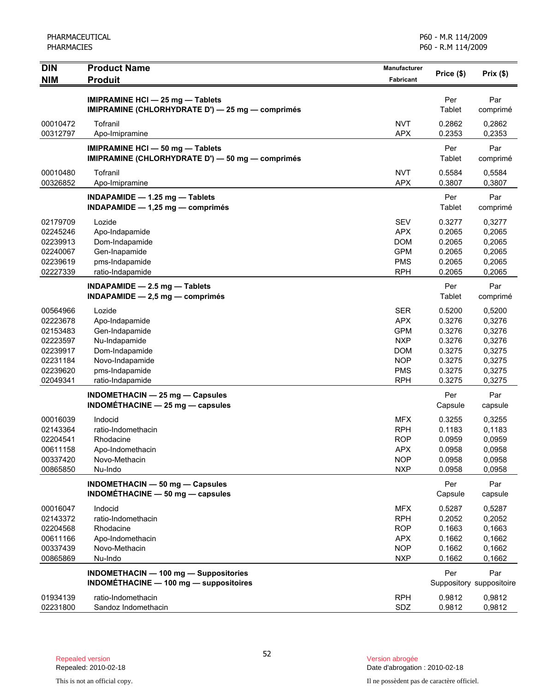| <b>DIN</b><br><b>NIM</b> | <b>Product Name</b><br><b>Produit</b>            | <b>Manufacturer</b><br><b>Fabricant</b> | Price (\$) | Prix(\$)                 |
|--------------------------|--------------------------------------------------|-----------------------------------------|------------|--------------------------|
|                          |                                                  |                                         |            |                          |
|                          | <b>IMIPRAMINE HCI - 25 mg - Tablets</b>          |                                         | Per        | Par                      |
|                          | IMIPRAMINE (CHLORHYDRATE D') - 25 mg - comprimés |                                         | Tablet     | comprimé                 |
| 00010472                 | Tofranil                                         | <b>NVT</b>                              | 0.2862     | 0,2862                   |
| 00312797                 | Apo-Imipramine                                   | <b>APX</b>                              | 0.2353     | 0,2353                   |
|                          | IMIPRAMINE HCI - 50 mg - Tablets                 |                                         | Per        | Par                      |
|                          | IMIPRAMINE (CHLORHYDRATE D') - 50 mg - comprimés |                                         | Tablet     | comprimé                 |
| 00010480                 | Tofranil                                         | <b>NVT</b>                              | 0.5584     | 0,5584                   |
| 00326852                 | Apo-Imipramine                                   | <b>APX</b>                              | 0.3807     | 0,3807                   |
|                          | INDAPAMIDE - 1.25 mg - Tablets                   |                                         | Per        | Par                      |
|                          | INDAPAMIDE $- 1,25$ mg $-$ comprimés             |                                         | Tablet     | comprimé                 |
| 02179709                 | Lozide                                           | <b>SEV</b>                              | 0.3277     | 0,3277                   |
| 02245246                 | Apo-Indapamide                                   | <b>APX</b>                              | 0.2065     | 0,2065                   |
| 02239913                 | Dom-Indapamide                                   | <b>DOM</b>                              | 0.2065     | 0,2065                   |
| 02240067                 | Gen-Inapamide                                    | <b>GPM</b>                              | 0.2065     | 0,2065                   |
| 02239619                 | pms-Indapamide                                   | <b>PMS</b>                              | 0.2065     | 0,2065                   |
| 02227339                 | ratio-Indapamide                                 | <b>RPH</b>                              | 0.2065     | 0,2065                   |
|                          | $INDAPAMIDE - 2.5 mg - Tables$                   |                                         | Per        | Par                      |
|                          | $INDAPAMIDE - 2,5 mg - comprimés$                |                                         | Tablet     | comprimé                 |
| 00564966                 | Lozide                                           | <b>SER</b>                              | 0.5200     | 0,5200                   |
| 02223678                 | Apo-Indapamide                                   | <b>APX</b>                              | 0.3276     | 0,3276                   |
| 02153483                 | Gen-Indapamide                                   | <b>GPM</b>                              | 0.3276     | 0,3276                   |
| 02223597                 | Nu-Indapamide                                    | <b>NXP</b>                              | 0.3276     | 0,3276                   |
| 02239917                 | Dom-Indapamide                                   | <b>DOM</b>                              | 0.3275     | 0,3275                   |
| 02231184                 | Novo-Indapamide                                  | <b>NOP</b>                              | 0.3275     | 0,3275                   |
| 02239620                 | pms-Indapamide                                   | <b>PMS</b>                              | 0.3275     | 0,3275                   |
| 02049341                 | ratio-Indapamide                                 | <b>RPH</b>                              | 0.3275     | 0,3275                   |
|                          | <b>INDOMETHACIN - 25 mg - Capsules</b>           |                                         | Per        | Par                      |
|                          | $INDOMÉTHACINE - 25 mg - capsules$               |                                         | Capsule    | capsule                  |
| 00016039                 | Indocid                                          | <b>MFX</b>                              | 0.3255     | 0,3255                   |
| 02143364                 | ratio-Indomethacin                               | <b>RPH</b>                              | 0.1183     | 0,1183                   |
| 02204541                 | Rhodacine                                        | <b>ROP</b>                              | 0.0959     | 0,0959                   |
| 00611158                 | Apo-Indomethacin                                 | <b>APX</b>                              | 0.0958     | 0,0958                   |
| 00337420                 | Novo-Methacin                                    | <b>NOP</b>                              | 0.0958     | 0,0958                   |
| 00865850                 | Nu-Indo                                          | <b>NXP</b>                              | 0.0958     | 0,0958                   |
|                          | INDOMETHACIN - 50 mg - Capsules                  |                                         | Per        | Par                      |
|                          | INDOMÉTHACINE $-$ 50 mg $-$ capsules             |                                         | Capsule    | capsule                  |
| 00016047                 | Indocid                                          | <b>MFX</b>                              | 0.5287     | 0,5287                   |
| 02143372                 | ratio-Indomethacin                               | <b>RPH</b>                              | 0.2052     | 0,2052                   |
| 02204568                 | Rhodacine                                        | <b>ROP</b>                              | 0.1663     | 0,1663                   |
| 00611166                 | Apo-Indomethacin                                 | <b>APX</b>                              | 0.1662     | 0,1662                   |
| 00337439                 | Novo-Methacin                                    | <b>NOP</b>                              | 0.1662     | 0,1662                   |
| 00865869                 | Nu-Indo                                          | <b>NXP</b>                              | 0.1662     | 0,1662                   |
|                          | <b>INDOMETHACIN - 100 mg - Suppositories</b>     |                                         | Per        | Par                      |
|                          | INDOMÉTHACINE - 100 mg - suppositoires           |                                         |            | Suppository suppositoire |
| 01934139                 | ratio-Indomethacin                               | <b>RPH</b>                              | 0.9812     | 0,9812                   |
| 02231800                 | Sandoz Indomethacin                              | SDZ                                     | 0.9812     | 0,9812                   |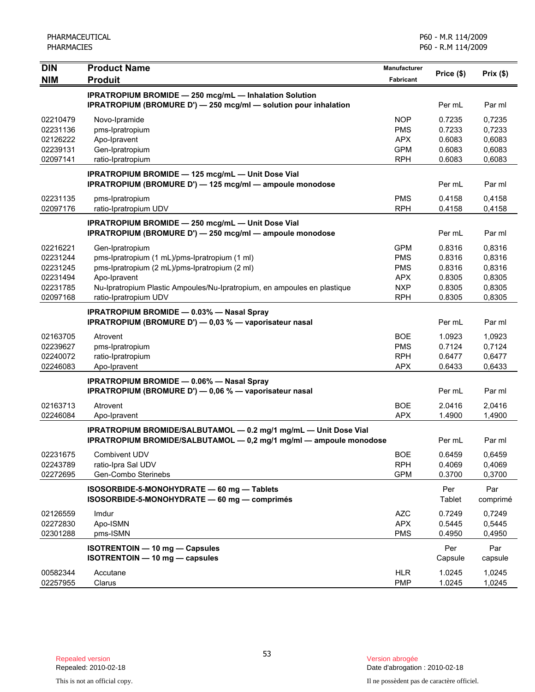| <b>DIN</b>                                                           | <b>Product Name</b>                                                                                                                                                                                                                    | Manufacturer                                                                     |                                                          | Prix(\$)                                                 |
|----------------------------------------------------------------------|----------------------------------------------------------------------------------------------------------------------------------------------------------------------------------------------------------------------------------------|----------------------------------------------------------------------------------|----------------------------------------------------------|----------------------------------------------------------|
| <b>NIM</b>                                                           | <b>Produit</b>                                                                                                                                                                                                                         | Fabricant                                                                        | Price (\$)                                               |                                                          |
|                                                                      | <b>IPRATROPIUM BROMIDE - 250 mcg/mL - Inhalation Solution</b><br><b>IPRATROPIUM (BROMURE D') - 250 mcg/ml - solution pour inhalation</b>                                                                                               |                                                                                  | Per mL                                                   | Par ml                                                   |
| 02210479<br>02231136<br>02126222<br>02239131<br>02097141             | Novo-Ipramide<br>pms-Ipratropium<br>Apo-Ipravent<br>Gen-Ipratropium<br>ratio-Ipratropium                                                                                                                                               | <b>NOP</b><br><b>PMS</b><br><b>APX</b><br><b>GPM</b><br><b>RPH</b>               | 0.7235<br>0.7233<br>0.6083<br>0.6083<br>0.6083           | 0,7235<br>0,7233<br>0,6083<br>0,6083<br>0,6083           |
|                                                                      | IPRATROPIUM BROMIDE - 125 mcg/mL - Unit Dose Vial<br>IPRATROPIUM (BROMURE D') - 125 mcg/ml - ampoule monodose                                                                                                                          |                                                                                  | Per mL                                                   | Par ml                                                   |
| 02231135<br>02097176                                                 | pms-Ipratropium<br>ratio-Ipratropium UDV                                                                                                                                                                                               | <b>PMS</b><br><b>RPH</b>                                                         | 0.4158<br>0.4158                                         | 0,4158<br>0,4158                                         |
|                                                                      | IPRATROPIUM BROMIDE - 250 mcg/mL - Unit Dose Vial<br>IPRATROPIUM (BROMURE D') - 250 mcg/ml - ampoule monodose                                                                                                                          |                                                                                  | Per mL                                                   | Par ml                                                   |
| 02216221<br>02231244<br>02231245<br>02231494<br>02231785<br>02097168 | Gen-Ipratropium<br>pms-Ipratropium (1 mL)/pms-Ipratropium (1 ml)<br>pms-Ipratropium (2 mL)/pms-Ipratropium (2 ml)<br>Apo-Ipravent<br>Nu-Ipratropium Plastic Ampoules/Nu-Ipratropium, en ampoules en plastique<br>ratio-Ipratropium UDV | <b>GPM</b><br><b>PMS</b><br><b>PMS</b><br><b>APX</b><br><b>NXP</b><br><b>RPH</b> | 0.8316<br>0.8316<br>0.8316<br>0.8305<br>0.8305<br>0.8305 | 0,8316<br>0,8316<br>0,8316<br>0,8305<br>0,8305<br>0,8305 |
|                                                                      | <b>IPRATROPIUM BROMIDE - 0.03% - Nasal Spray</b><br>IPRATROPIUM (BROMURE D') - 0,03 % - vaporisateur nasal                                                                                                                             |                                                                                  | Per mL                                                   | Par ml                                                   |
| 02163705<br>02239627<br>02240072<br>02246083                         | Atrovent<br>pms-Ipratropium<br>ratio-Ipratropium<br>Apo-Ipravent                                                                                                                                                                       | <b>BOE</b><br><b>PMS</b><br><b>RPH</b><br><b>APX</b>                             | 1.0923<br>0.7124<br>0.6477<br>0.6433                     | 1,0923<br>0,7124<br>0,6477<br>0,6433                     |
|                                                                      | <b>IPRATROPIUM BROMIDE - 0.06% - Nasal Spray</b><br>IPRATROPIUM (BROMURE D') - 0,06 % - vaporisateur nasal                                                                                                                             |                                                                                  | Per mL                                                   | Par ml                                                   |
| 02163713<br>02246084                                                 | Atrovent<br>Apo-Ipravent                                                                                                                                                                                                               | <b>BOE</b><br><b>APX</b>                                                         | 2.0416<br>1.4900                                         | 2,0416<br>1,4900                                         |
|                                                                      | IPRATROPIUM BROMIDE/SALBUTAMOL - 0.2 mg/1 mg/mL - Unit Dose Vial<br>IPRATROPIUM BROMIDE/SALBUTAMOL - 0,2 mg/1 mg/ml - ampoule monodose                                                                                                 |                                                                                  | Per mL                                                   | Par ml                                                   |
| 02231675<br>02243789<br>02272695                                     | Combivent UDV<br>ratio-Ipra Sal UDV<br>Gen-Combo Sterinebs                                                                                                                                                                             | <b>BOE</b><br><b>RPH</b><br><b>GPM</b>                                           | 0.6459<br>0.4069<br>0.3700                               | 0,6459<br>0,4069<br>0,3700                               |
|                                                                      | ISOSORBIDE-5-MONOHYDRATE - 60 mg - Tablets<br>ISOSORBIDE-5-MONOHYDRATE - 60 mg - comprimés                                                                                                                                             |                                                                                  | Per<br><b>Tablet</b>                                     | Par<br>comprimé                                          |
| 02126559<br>02272830<br>02301288                                     | Imdur<br>Apo-ISMN<br>pms-ISMN                                                                                                                                                                                                          | <b>AZC</b><br><b>APX</b><br><b>PMS</b>                                           | 0.7249<br>0.5445<br>0.4950                               | 0,7249<br>0,5445<br>0,4950                               |
|                                                                      | <b>ISOTRENTOIN - 10 mg - Capsules</b><br>ISOTRENTOIN - 10 mg - capsules                                                                                                                                                                |                                                                                  | Per<br>Capsule                                           | Par<br>capsule                                           |
| 00582344<br>02257955                                                 | Accutane<br>Clarus                                                                                                                                                                                                                     | <b>HLR</b><br><b>PMP</b>                                                         | 1.0245<br>1.0245                                         | 1,0245<br>1,0245                                         |

Date d'abrogation : 2010-02-18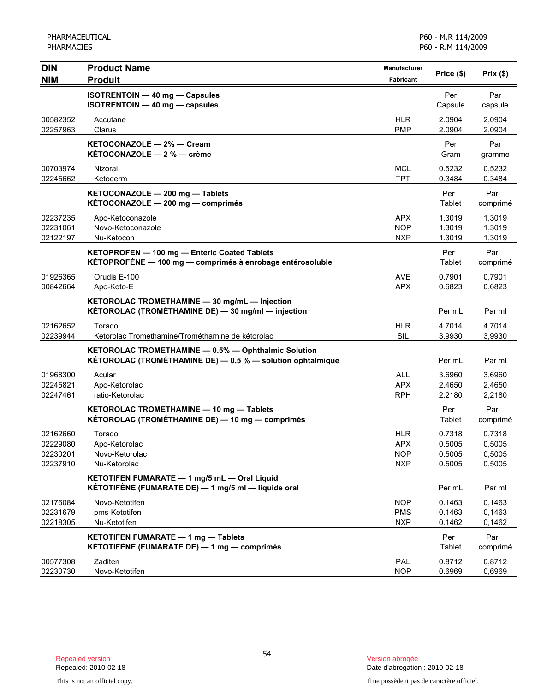| <b>DIN</b>                                   | <b>Product Name</b>                                                                                               | Manufacturer                                         | Price (\$)                           | Prix(\$)                             |
|----------------------------------------------|-------------------------------------------------------------------------------------------------------------------|------------------------------------------------------|--------------------------------------|--------------------------------------|
| <b>NIM</b>                                   | <b>Produit</b>                                                                                                    | Fabricant                                            |                                      |                                      |
|                                              | <b>ISOTRENTOIN - 40 mg - Capsules</b><br><b>ISOTRENTOIN - 40 mg - capsules</b>                                    |                                                      | Per<br>Capsule                       | Par<br>capsule                       |
| 00582352<br>02257963                         | Accutane<br>Clarus                                                                                                | <b>HLR</b><br><b>PMP</b>                             | 2.0904<br>2.0904                     | 2,0904<br>2,0904                     |
|                                              | KETOCONAZOLE - 2% - Cream<br><b>KÉTOCONAZOLE - 2 % - crème</b>                                                    |                                                      | Per<br>Gram                          | Par<br>gramme                        |
| 00703974<br>02245662                         | Nizoral<br>Ketoderm                                                                                               | <b>MCL</b><br><b>TPT</b>                             | 0.5232<br>0.3484                     | 0,5232<br>0,3484                     |
|                                              | KETOCONAZOLE - 200 mg - Tablets<br>KÉTOCONAZOLE - 200 mg - comprimés                                              |                                                      | Per<br>Tablet                        | Par<br>comprimé                      |
| 02237235<br>02231061<br>02122197             | Apo-Ketoconazole<br>Novo-Ketoconazole<br>Nu-Ketocon                                                               | <b>APX</b><br><b>NOP</b><br><b>NXP</b>               | 1.3019<br>1.3019<br>1.3019           | 1,3019<br>1,3019<br>1,3019           |
|                                              | KETOPROFEN - 100 mg - Enteric Coated Tablets<br>KÉTOPROFÈNE - 100 mg - comprimés à enrobage entérosoluble         |                                                      | Per<br>Tablet                        | Par<br>comprimé                      |
| 01926365<br>00842664                         | Orudis E-100<br>Apo-Keto-E                                                                                        | <b>AVE</b><br><b>APX</b>                             | 0.7901<br>0.6823                     | 0,7901<br>0,6823                     |
|                                              | KETOROLAC TROMETHAMINE - 30 mg/mL - Injection<br>KÉTOROLAC (TROMÉTHAMINE DE) - 30 mg/ml - injection               |                                                      | Per mL                               | Par ml                               |
| 02162652<br>02239944                         | Toradol<br>Ketorolac Tromethamine/Trométhamine de kétorolac                                                       | <b>HLR</b><br><b>SIL</b>                             | 4.7014<br>3.9930                     | 4,7014<br>3,9930                     |
|                                              | KETOROLAC TROMETHAMINE - 0.5% - Ophthalmic Solution<br>KÉTOROLAC (TROMÉTHAMINE DE) - 0,5 % - solution ophtalmique |                                                      | Per mL                               | Par ml                               |
| 01968300<br>02245821<br>02247461             | Acular<br>Apo-Ketorolac<br>ratio-Ketorolac                                                                        | <b>ALL</b><br><b>APX</b><br><b>RPH</b>               | 3.6960<br>2.4650<br>2.2180           | 3,6960<br>2,4650<br>2,2180           |
|                                              | KETOROLAC TROMETHAMINE - 10 mg - Tablets<br>KÉTOROLAC (TROMÉTHAMINE DE) — 10 mg — comprimés                       |                                                      | Per<br>Tablet                        | Par<br>comprimé                      |
| 02162660<br>02229080<br>02230201<br>02237910 | Toradol<br>Apo-Ketorolac<br>Novo-Ketorolac<br>Nu-Ketorolac                                                        | <b>HLR</b><br><b>APX</b><br><b>NOP</b><br><b>NXP</b> | 0.7318<br>0.5005<br>0.5005<br>0.5005 | 0,7318<br>0,5005<br>0,5005<br>0,5005 |
|                                              | KETOTIFEN FUMARATE - 1 mg/5 mL - Oral Liquid<br>KÉTOTIFÈNE (FUMARATE DE) — 1 mg/5 ml — liquide oral               |                                                      | Per mL                               | Par ml                               |
| 02176084<br>02231679<br>02218305             | Novo-Ketotifen<br>pms-Ketotifen<br>Nu-Ketotifen                                                                   | <b>NOP</b><br><b>PMS</b><br><b>NXP</b>               | 0.1463<br>0.1463<br>0.1462           | 0.1463<br>0,1463<br>0,1462           |
|                                              | KETOTIFEN FUMARATE - 1 mg - Tablets<br>KÉTOTIFÈNE (FUMARATE DE) — 1 mg — comprimés                                |                                                      | Per<br><b>Tablet</b>                 | Par<br>comprimé                      |
| 00577308<br>02230730                         | Zaditen<br>Novo-Ketotifen                                                                                         | PAL<br><b>NOP</b>                                    | 0.8712<br>0.6969                     | 0,8712<br>0,6969                     |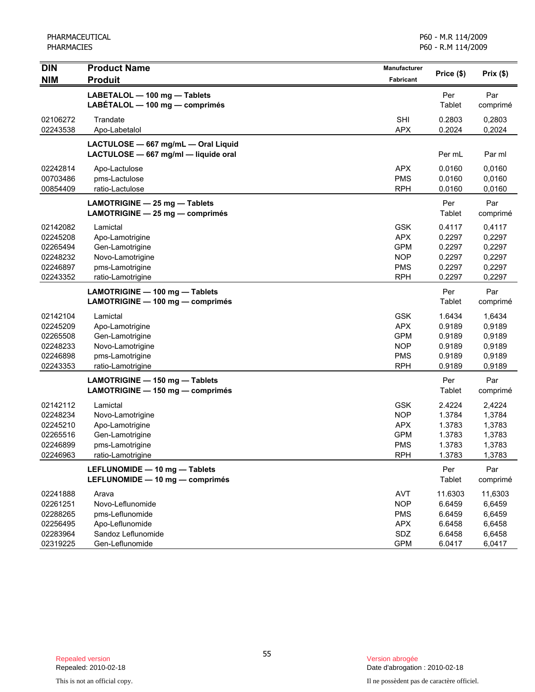| LABETALOL - 100 mg - Tablets<br>Per<br>Par<br>LABÉTALOL - 100 mg - comprimés<br>Tablet<br>comprimé<br><b>SHI</b><br>0.2803<br>02106272<br>Trandate<br>0,2803<br><b>APX</b><br>0,2024<br>02243538<br>Apo-Labetalol<br>0.2024<br>LACTULOSE - 667 mg/mL - Oral Liquid<br>LACTULOSE - 667 mg/ml - liquide oral<br>Per mL<br>Par ml<br><b>APX</b><br>02242814<br>0.0160<br>0,0160<br>Apo-Lactulose<br><b>PMS</b><br>00703486<br>0.0160<br>0,0160<br>pms-Lactulose<br>00854409<br><b>RPH</b><br>ratio-Lactulose<br>0.0160<br>0,0160<br>Per<br>Par<br>LAMOTRIGINE $-$ 25 mg $-$ Tablets<br>Tablet<br>LAMOTRIGINE - 25 mg - comprimés<br>comprimé<br><b>GSK</b><br>02142082<br>0.4117<br>0,4117<br>Lamictal<br>02245208<br><b>APX</b><br>0.2297<br>0,2297<br>Apo-Lamotrigine<br><b>GPM</b><br>02265494<br>Gen-Lamotrigine<br>0.2297<br>0,2297<br><b>NOP</b><br>0.2297<br>02248232<br>Novo-Lamotrigine<br>0,2297<br><b>PMS</b><br>0.2297<br>0,2297<br>02246897<br>pms-Lamotrigine<br><b>RPH</b><br>0.2297<br>0,2297<br>02243352<br>ratio-Lamotrigine<br>Par<br>LAMOTRIGINE - 100 mg - Tablets<br>Per<br>Tablet<br>LAMOTRIGINE - 100 mg - comprimés<br>comprimé<br><b>GSK</b><br>02142104<br>Lamictal<br>1.6434<br>1,6434<br><b>APX</b><br>0.9189<br>0,9189<br>02245209<br>Apo-Lamotrigine<br><b>GPM</b><br>0,9189<br>02265508<br>Gen-Lamotrigine<br>0.9189<br>02248233<br><b>NOP</b><br>0.9189<br>0,9189<br>Novo-Lamotrigine<br><b>PMS</b><br>02246898<br>pms-Lamotrigine<br>0.9189<br>0,9189<br>02243353<br><b>RPH</b><br>ratio-Lamotrigine<br>0.9189<br>0,9189<br>Par<br>Per<br>LAMOTRIGINE - 150 mg - Tablets<br>Tablet<br>LAMOTRIGINE - 150 mg - comprimés<br>comprimé<br><b>GSK</b><br>2.4224<br>02142112<br>2,4224<br>Lamictal<br><b>NOP</b><br>02248234<br>Novo-Lamotrigine<br>1.3784<br>1,3784<br><b>APX</b><br>1.3783<br>1,3783<br>02245210<br>Apo-Lamotrigine<br><b>GPM</b><br>1.3783<br>02265516<br>Gen-Lamotrigine<br>1,3783<br>1.3783<br>02246899<br>pms-Lamotrigine<br><b>PMS</b><br>1,3783<br>02246963<br><b>RPH</b><br>1.3783<br>1,3783<br>ratio-Lamotrigine<br>Per<br>Par<br>LEFLUNOMIDE - 10 mg - Tablets<br>LEFLUNOMIDE - 10 mg - comprimés<br>Tablet<br>comprimé<br>AVT<br>11.6303<br>11,6303<br>02241888<br>Arava<br><b>NOP</b><br>02261251<br>Novo-Leflunomide<br>6.6459<br>6,6459<br>02288265<br><b>PMS</b><br>6.6459<br>6,6459<br>pms-Leflunomide<br>02256495<br>Apo-Leflunomide<br><b>APX</b><br>6.6458<br>6,6458<br>02283964<br>Sandoz Leflunomide<br>SDZ<br>6.6458<br>6,6458 | <b>DIN</b> | <b>Product Name</b> | Manufacturer     | Price (\$) | Prix(\$) |
|------------------------------------------------------------------------------------------------------------------------------------------------------------------------------------------------------------------------------------------------------------------------------------------------------------------------------------------------------------------------------------------------------------------------------------------------------------------------------------------------------------------------------------------------------------------------------------------------------------------------------------------------------------------------------------------------------------------------------------------------------------------------------------------------------------------------------------------------------------------------------------------------------------------------------------------------------------------------------------------------------------------------------------------------------------------------------------------------------------------------------------------------------------------------------------------------------------------------------------------------------------------------------------------------------------------------------------------------------------------------------------------------------------------------------------------------------------------------------------------------------------------------------------------------------------------------------------------------------------------------------------------------------------------------------------------------------------------------------------------------------------------------------------------------------------------------------------------------------------------------------------------------------------------------------------------------------------------------------------------------------------------------------------------------------------------------------------------------------------------------------------------------------------------------------------------------------------------------------------------------------------------------------------------------------------------------------------------------------------------------------------------------------------------------------------------------------------------------------------------------|------------|---------------------|------------------|------------|----------|
|                                                                                                                                                                                                                                                                                                                                                                                                                                                                                                                                                                                                                                                                                                                                                                                                                                                                                                                                                                                                                                                                                                                                                                                                                                                                                                                                                                                                                                                                                                                                                                                                                                                                                                                                                                                                                                                                                                                                                                                                                                                                                                                                                                                                                                                                                                                                                                                                                                                                                                | <b>NIM</b> | <b>Produit</b>      | <b>Fabricant</b> |            |          |
|                                                                                                                                                                                                                                                                                                                                                                                                                                                                                                                                                                                                                                                                                                                                                                                                                                                                                                                                                                                                                                                                                                                                                                                                                                                                                                                                                                                                                                                                                                                                                                                                                                                                                                                                                                                                                                                                                                                                                                                                                                                                                                                                                                                                                                                                                                                                                                                                                                                                                                |            |                     |                  |            |          |
|                                                                                                                                                                                                                                                                                                                                                                                                                                                                                                                                                                                                                                                                                                                                                                                                                                                                                                                                                                                                                                                                                                                                                                                                                                                                                                                                                                                                                                                                                                                                                                                                                                                                                                                                                                                                                                                                                                                                                                                                                                                                                                                                                                                                                                                                                                                                                                                                                                                                                                |            |                     |                  |            |          |
|                                                                                                                                                                                                                                                                                                                                                                                                                                                                                                                                                                                                                                                                                                                                                                                                                                                                                                                                                                                                                                                                                                                                                                                                                                                                                                                                                                                                                                                                                                                                                                                                                                                                                                                                                                                                                                                                                                                                                                                                                                                                                                                                                                                                                                                                                                                                                                                                                                                                                                |            |                     |                  |            |          |
|                                                                                                                                                                                                                                                                                                                                                                                                                                                                                                                                                                                                                                                                                                                                                                                                                                                                                                                                                                                                                                                                                                                                                                                                                                                                                                                                                                                                                                                                                                                                                                                                                                                                                                                                                                                                                                                                                                                                                                                                                                                                                                                                                                                                                                                                                                                                                                                                                                                                                                |            |                     |                  |            |          |
|                                                                                                                                                                                                                                                                                                                                                                                                                                                                                                                                                                                                                                                                                                                                                                                                                                                                                                                                                                                                                                                                                                                                                                                                                                                                                                                                                                                                                                                                                                                                                                                                                                                                                                                                                                                                                                                                                                                                                                                                                                                                                                                                                                                                                                                                                                                                                                                                                                                                                                |            |                     |                  |            |          |
|                                                                                                                                                                                                                                                                                                                                                                                                                                                                                                                                                                                                                                                                                                                                                                                                                                                                                                                                                                                                                                                                                                                                                                                                                                                                                                                                                                                                                                                                                                                                                                                                                                                                                                                                                                                                                                                                                                                                                                                                                                                                                                                                                                                                                                                                                                                                                                                                                                                                                                |            |                     |                  |            |          |
|                                                                                                                                                                                                                                                                                                                                                                                                                                                                                                                                                                                                                                                                                                                                                                                                                                                                                                                                                                                                                                                                                                                                                                                                                                                                                                                                                                                                                                                                                                                                                                                                                                                                                                                                                                                                                                                                                                                                                                                                                                                                                                                                                                                                                                                                                                                                                                                                                                                                                                |            |                     |                  |            |          |
|                                                                                                                                                                                                                                                                                                                                                                                                                                                                                                                                                                                                                                                                                                                                                                                                                                                                                                                                                                                                                                                                                                                                                                                                                                                                                                                                                                                                                                                                                                                                                                                                                                                                                                                                                                                                                                                                                                                                                                                                                                                                                                                                                                                                                                                                                                                                                                                                                                                                                                |            |                     |                  |            |          |
|                                                                                                                                                                                                                                                                                                                                                                                                                                                                                                                                                                                                                                                                                                                                                                                                                                                                                                                                                                                                                                                                                                                                                                                                                                                                                                                                                                                                                                                                                                                                                                                                                                                                                                                                                                                                                                                                                                                                                                                                                                                                                                                                                                                                                                                                                                                                                                                                                                                                                                |            |                     |                  |            |          |
|                                                                                                                                                                                                                                                                                                                                                                                                                                                                                                                                                                                                                                                                                                                                                                                                                                                                                                                                                                                                                                                                                                                                                                                                                                                                                                                                                                                                                                                                                                                                                                                                                                                                                                                                                                                                                                                                                                                                                                                                                                                                                                                                                                                                                                                                                                                                                                                                                                                                                                |            |                     |                  |            |          |
|                                                                                                                                                                                                                                                                                                                                                                                                                                                                                                                                                                                                                                                                                                                                                                                                                                                                                                                                                                                                                                                                                                                                                                                                                                                                                                                                                                                                                                                                                                                                                                                                                                                                                                                                                                                                                                                                                                                                                                                                                                                                                                                                                                                                                                                                                                                                                                                                                                                                                                |            |                     |                  |            |          |
|                                                                                                                                                                                                                                                                                                                                                                                                                                                                                                                                                                                                                                                                                                                                                                                                                                                                                                                                                                                                                                                                                                                                                                                                                                                                                                                                                                                                                                                                                                                                                                                                                                                                                                                                                                                                                                                                                                                                                                                                                                                                                                                                                                                                                                                                                                                                                                                                                                                                                                |            |                     |                  |            |          |
|                                                                                                                                                                                                                                                                                                                                                                                                                                                                                                                                                                                                                                                                                                                                                                                                                                                                                                                                                                                                                                                                                                                                                                                                                                                                                                                                                                                                                                                                                                                                                                                                                                                                                                                                                                                                                                                                                                                                                                                                                                                                                                                                                                                                                                                                                                                                                                                                                                                                                                |            |                     |                  |            |          |
|                                                                                                                                                                                                                                                                                                                                                                                                                                                                                                                                                                                                                                                                                                                                                                                                                                                                                                                                                                                                                                                                                                                                                                                                                                                                                                                                                                                                                                                                                                                                                                                                                                                                                                                                                                                                                                                                                                                                                                                                                                                                                                                                                                                                                                                                                                                                                                                                                                                                                                |            |                     |                  |            |          |
|                                                                                                                                                                                                                                                                                                                                                                                                                                                                                                                                                                                                                                                                                                                                                                                                                                                                                                                                                                                                                                                                                                                                                                                                                                                                                                                                                                                                                                                                                                                                                                                                                                                                                                                                                                                                                                                                                                                                                                                                                                                                                                                                                                                                                                                                                                                                                                                                                                                                                                |            |                     |                  |            |          |
|                                                                                                                                                                                                                                                                                                                                                                                                                                                                                                                                                                                                                                                                                                                                                                                                                                                                                                                                                                                                                                                                                                                                                                                                                                                                                                                                                                                                                                                                                                                                                                                                                                                                                                                                                                                                                                                                                                                                                                                                                                                                                                                                                                                                                                                                                                                                                                                                                                                                                                |            |                     |                  |            |          |
|                                                                                                                                                                                                                                                                                                                                                                                                                                                                                                                                                                                                                                                                                                                                                                                                                                                                                                                                                                                                                                                                                                                                                                                                                                                                                                                                                                                                                                                                                                                                                                                                                                                                                                                                                                                                                                                                                                                                                                                                                                                                                                                                                                                                                                                                                                                                                                                                                                                                                                |            |                     |                  |            |          |
|                                                                                                                                                                                                                                                                                                                                                                                                                                                                                                                                                                                                                                                                                                                                                                                                                                                                                                                                                                                                                                                                                                                                                                                                                                                                                                                                                                                                                                                                                                                                                                                                                                                                                                                                                                                                                                                                                                                                                                                                                                                                                                                                                                                                                                                                                                                                                                                                                                                                                                |            |                     |                  |            |          |
|                                                                                                                                                                                                                                                                                                                                                                                                                                                                                                                                                                                                                                                                                                                                                                                                                                                                                                                                                                                                                                                                                                                                                                                                                                                                                                                                                                                                                                                                                                                                                                                                                                                                                                                                                                                                                                                                                                                                                                                                                                                                                                                                                                                                                                                                                                                                                                                                                                                                                                |            |                     |                  |            |          |
|                                                                                                                                                                                                                                                                                                                                                                                                                                                                                                                                                                                                                                                                                                                                                                                                                                                                                                                                                                                                                                                                                                                                                                                                                                                                                                                                                                                                                                                                                                                                                                                                                                                                                                                                                                                                                                                                                                                                                                                                                                                                                                                                                                                                                                                                                                                                                                                                                                                                                                |            |                     |                  |            |          |
|                                                                                                                                                                                                                                                                                                                                                                                                                                                                                                                                                                                                                                                                                                                                                                                                                                                                                                                                                                                                                                                                                                                                                                                                                                                                                                                                                                                                                                                                                                                                                                                                                                                                                                                                                                                                                                                                                                                                                                                                                                                                                                                                                                                                                                                                                                                                                                                                                                                                                                |            |                     |                  |            |          |
|                                                                                                                                                                                                                                                                                                                                                                                                                                                                                                                                                                                                                                                                                                                                                                                                                                                                                                                                                                                                                                                                                                                                                                                                                                                                                                                                                                                                                                                                                                                                                                                                                                                                                                                                                                                                                                                                                                                                                                                                                                                                                                                                                                                                                                                                                                                                                                                                                                                                                                |            |                     |                  |            |          |
|                                                                                                                                                                                                                                                                                                                                                                                                                                                                                                                                                                                                                                                                                                                                                                                                                                                                                                                                                                                                                                                                                                                                                                                                                                                                                                                                                                                                                                                                                                                                                                                                                                                                                                                                                                                                                                                                                                                                                                                                                                                                                                                                                                                                                                                                                                                                                                                                                                                                                                |            |                     |                  |            |          |
|                                                                                                                                                                                                                                                                                                                                                                                                                                                                                                                                                                                                                                                                                                                                                                                                                                                                                                                                                                                                                                                                                                                                                                                                                                                                                                                                                                                                                                                                                                                                                                                                                                                                                                                                                                                                                                                                                                                                                                                                                                                                                                                                                                                                                                                                                                                                                                                                                                                                                                |            |                     |                  |            |          |
|                                                                                                                                                                                                                                                                                                                                                                                                                                                                                                                                                                                                                                                                                                                                                                                                                                                                                                                                                                                                                                                                                                                                                                                                                                                                                                                                                                                                                                                                                                                                                                                                                                                                                                                                                                                                                                                                                                                                                                                                                                                                                                                                                                                                                                                                                                                                                                                                                                                                                                |            |                     |                  |            |          |
|                                                                                                                                                                                                                                                                                                                                                                                                                                                                                                                                                                                                                                                                                                                                                                                                                                                                                                                                                                                                                                                                                                                                                                                                                                                                                                                                                                                                                                                                                                                                                                                                                                                                                                                                                                                                                                                                                                                                                                                                                                                                                                                                                                                                                                                                                                                                                                                                                                                                                                |            |                     |                  |            |          |
|                                                                                                                                                                                                                                                                                                                                                                                                                                                                                                                                                                                                                                                                                                                                                                                                                                                                                                                                                                                                                                                                                                                                                                                                                                                                                                                                                                                                                                                                                                                                                                                                                                                                                                                                                                                                                                                                                                                                                                                                                                                                                                                                                                                                                                                                                                                                                                                                                                                                                                |            |                     |                  |            |          |
|                                                                                                                                                                                                                                                                                                                                                                                                                                                                                                                                                                                                                                                                                                                                                                                                                                                                                                                                                                                                                                                                                                                                                                                                                                                                                                                                                                                                                                                                                                                                                                                                                                                                                                                                                                                                                                                                                                                                                                                                                                                                                                                                                                                                                                                                                                                                                                                                                                                                                                |            |                     |                  |            |          |
|                                                                                                                                                                                                                                                                                                                                                                                                                                                                                                                                                                                                                                                                                                                                                                                                                                                                                                                                                                                                                                                                                                                                                                                                                                                                                                                                                                                                                                                                                                                                                                                                                                                                                                                                                                                                                                                                                                                                                                                                                                                                                                                                                                                                                                                                                                                                                                                                                                                                                                |            |                     |                  |            |          |
|                                                                                                                                                                                                                                                                                                                                                                                                                                                                                                                                                                                                                                                                                                                                                                                                                                                                                                                                                                                                                                                                                                                                                                                                                                                                                                                                                                                                                                                                                                                                                                                                                                                                                                                                                                                                                                                                                                                                                                                                                                                                                                                                                                                                                                                                                                                                                                                                                                                                                                |            |                     |                  |            |          |
|                                                                                                                                                                                                                                                                                                                                                                                                                                                                                                                                                                                                                                                                                                                                                                                                                                                                                                                                                                                                                                                                                                                                                                                                                                                                                                                                                                                                                                                                                                                                                                                                                                                                                                                                                                                                                                                                                                                                                                                                                                                                                                                                                                                                                                                                                                                                                                                                                                                                                                |            |                     |                  |            |          |
|                                                                                                                                                                                                                                                                                                                                                                                                                                                                                                                                                                                                                                                                                                                                                                                                                                                                                                                                                                                                                                                                                                                                                                                                                                                                                                                                                                                                                                                                                                                                                                                                                                                                                                                                                                                                                                                                                                                                                                                                                                                                                                                                                                                                                                                                                                                                                                                                                                                                                                |            |                     |                  |            |          |
|                                                                                                                                                                                                                                                                                                                                                                                                                                                                                                                                                                                                                                                                                                                                                                                                                                                                                                                                                                                                                                                                                                                                                                                                                                                                                                                                                                                                                                                                                                                                                                                                                                                                                                                                                                                                                                                                                                                                                                                                                                                                                                                                                                                                                                                                                                                                                                                                                                                                                                | 02319225   | Gen-Leflunomide     | <b>GPM</b>       | 6.0417     | 6,0417   |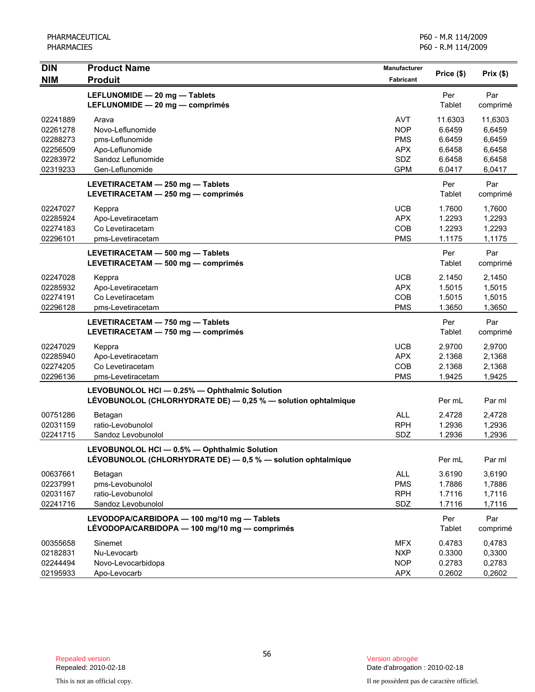| <b>DIN</b> | <b>Product Name</b>                                              | <b>Manufacturer</b> | Price (\$)    | Prix(\$) |
|------------|------------------------------------------------------------------|---------------------|---------------|----------|
| <b>NIM</b> | <b>Produit</b>                                                   | Fabricant           |               |          |
|            | LEFLUNOMIDE - 20 mg - Tablets                                    |                     | Per           | Par      |
|            | LEFLUNOMIDE - 20 mg - comprimés                                  |                     | Tablet        | comprimé |
| 02241889   | Arava                                                            | <b>AVT</b>          | 11.6303       | 11,6303  |
| 02261278   | Novo-Leflunomide                                                 | <b>NOP</b>          | 6.6459        | 6,6459   |
| 02288273   | pms-Leflunomide                                                  | <b>PMS</b>          | 6.6459        | 6,6459   |
| 02256509   | Apo-Leflunomide                                                  | <b>APX</b>          | 6.6458        | 6,6458   |
| 02283972   | Sandoz Leflunomide                                               | SDZ                 | 6.6458        | 6,6458   |
| 02319233   | Gen-Leflunomide                                                  | <b>GPM</b>          | 6.0417        | 6,0417   |
|            | LEVETIRACETAM - 250 mg - Tablets                                 |                     | Per           | Par      |
|            | LEVETIRACETAM - 250 mg - comprimés                               |                     | Tablet        | comprimé |
| 02247027   | Keppra                                                           | <b>UCB</b>          | 1.7600        | 1,7600   |
| 02285924   | Apo-Levetiracetam                                                | <b>APX</b>          | 1.2293        | 1,2293   |
| 02274183   | Co Levetiracetam                                                 | COB                 | 1.2293        | 1,2293   |
| 02296101   | pms-Levetiracetam                                                | <b>PMS</b>          | 1.1175        | 1,1175   |
|            | LEVETIRACETAM - 500 mg - Tablets                                 |                     | Per           | Par      |
|            | LEVETIRACETAM - 500 mg - comprimés                               |                     | Tablet        | comprimé |
| 02247028   | Keppra                                                           | <b>UCB</b>          | 2.1450        | 2,1450   |
| 02285932   | Apo-Levetiracetam                                                | <b>APX</b>          | 1.5015        | 1,5015   |
| 02274191   | Co Levetiracetam                                                 | COB                 | 1.5015        | 1,5015   |
| 02296128   | pms-Levetiracetam                                                | <b>PMS</b>          | 1.3650        | 1,3650   |
|            | LEVETIRACETAM - 750 mg - Tablets                                 |                     | Per           | Par      |
|            | LEVETIRACETAM - 750 mg - comprimés                               |                     | Tablet        | comprimé |
| 02247029   | Keppra                                                           | <b>UCB</b>          | 2.9700        | 2,9700   |
| 02285940   | Apo-Levetiracetam                                                | <b>APX</b>          | 2.1368        | 2,1368   |
| 02274205   | Co Levetiracetam                                                 | COB                 | 2.1368        | 2,1368   |
| 02296136   | pms-Levetiracetam                                                | <b>PMS</b>          | 1.9425        | 1,9425   |
|            | LEVOBUNOLOL HCI - 0.25% - Ophthalmic Solution                    |                     |               |          |
|            | LÉVOBUNOLOL (CHLORHYDRATE DE) - 0,25 % - solution ophtalmique    |                     | Per mL        | Par ml   |
| 00751286   | Betagan                                                          | <b>ALL</b>          | 2.4728        | 2,4728   |
| 02031159   | ratio-Levobunolol                                                | <b>RPH</b>          | 1.2936        | 1,2936   |
| 02241715   | Sandoz Levobunolol                                               | SDZ                 | 1.2936        | 1,2936   |
|            | LEVOBUNOLOL HCI - 0.5% - Ophthalmic Solution                     |                     |               |          |
|            | LEVOBUNOLOL (CHLORHYDRATE DE) $-$ 0,5 % $-$ solution ophtalmique |                     | Per mL        | Par ml   |
| 00637661   | Betagan                                                          | ALL                 | 3.6190        | 3,6190   |
| 02237991   | pms-Levobunolol                                                  | <b>PMS</b>          | 1.7886        | 1,7886   |
| 02031167   | ratio-Levobunolol                                                | <b>RPH</b>          | 1.7116        | 1,7116   |
| 02241716   | Sandoz Levobunolol                                               | SDZ                 | 1.7116        | 1,7116   |
|            | LEVODOPA/CARBIDOPA - 100 mg/10 mg - Tablets                      |                     | Per           | Par      |
|            | LÉVODOPA/CARBIDOPA - 100 mg/10 mg - comprimés                    |                     | <b>Tablet</b> | comprimé |
| 00355658   | Sinemet                                                          | <b>MFX</b>          | 0.4783        | 0,4783   |
| 02182831   | Nu-Levocarb                                                      | <b>NXP</b>          | 0.3300        | 0,3300   |
| 02244494   | Novo-Levocarbidopa                                               | <b>NOP</b>          | 0.2783        | 0,2783   |
| 02195933   | Apo-Levocarb                                                     | <b>APX</b>          | 0.2602        | 0,2602   |

Date d'abrogation : 2010-02-18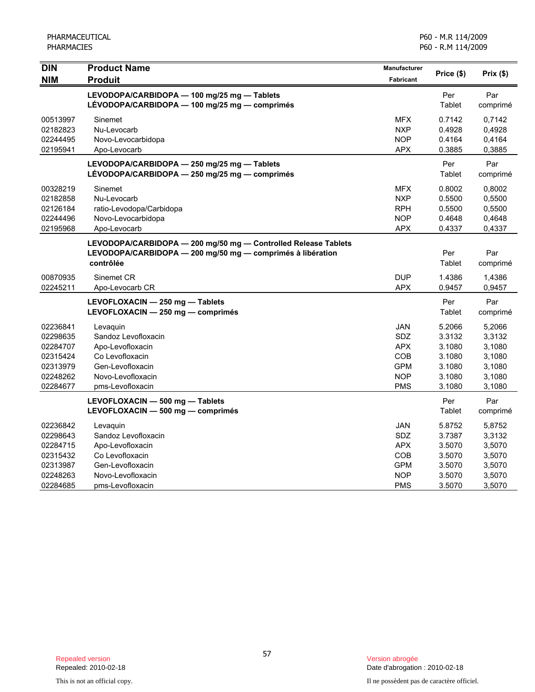| <b>DIN</b><br><b>NIM</b>                                                         | <b>Product Name</b><br><b>Produit</b>                                                                                                     | Manufacturer<br><b>Fabricant</b>                                                               | Price (\$)                                                         | $Prix($ \$)                                                        |
|----------------------------------------------------------------------------------|-------------------------------------------------------------------------------------------------------------------------------------------|------------------------------------------------------------------------------------------------|--------------------------------------------------------------------|--------------------------------------------------------------------|
|                                                                                  | LEVODOPA/CARBIDOPA - 100 mg/25 mg - Tablets<br>LÉVODOPA/CARBIDOPA - 100 mg/25 mg - comprimés                                              |                                                                                                | Per<br>Tablet                                                      | Par<br>comprimé                                                    |
| 00513997<br>02182823<br>02244495<br>02195941                                     | Sinemet<br>Nu-Levocarb<br>Novo-Levocarbidopa<br>Apo-Levocarb                                                                              | <b>MFX</b><br><b>NXP</b><br><b>NOP</b><br><b>APX</b>                                           | 0.7142<br>0.4928<br>0.4164<br>0.3885                               | 0,7142<br>0,4928<br>0,4164<br>0,3885                               |
|                                                                                  | LEVODOPA/CARBIDOPA - 250 mg/25 mg - Tablets<br>LEVODOPA/CARBIDOPA - 250 mg/25 mg - comprimés                                              |                                                                                                | Per<br>Tablet                                                      | Par<br>comprimé                                                    |
| 00328219<br>02182858<br>02126184<br>02244496<br>02195968                         | Sinemet<br>Nu-Levocarb<br>ratio-Levodopa/Carbidopa<br>Novo-Levocarbidopa<br>Apo-Levocarb                                                  | <b>MFX</b><br><b>NXP</b><br><b>RPH</b><br><b>NOP</b><br><b>APX</b>                             | 0.8002<br>0.5500<br>0.5500<br>0.4648<br>0.4337                     | 0,8002<br>0,5500<br>0,5500<br>0,4648<br>0,4337                     |
|                                                                                  | LEVODOPA/CARBIDOPA - 200 mg/50 mg - Controlled Release Tablets<br>LEVODOPA/CARBIDOPA - 200 mg/50 mg - comprimés à libération<br>contrôlée |                                                                                                | Per<br>Tablet                                                      | Par<br>comprimé                                                    |
| 00870935<br>02245211                                                             | Sinemet CR<br>Apo-Levocarb CR                                                                                                             | <b>DUP</b><br><b>APX</b>                                                                       | 1.4386<br>0.9457                                                   | 1,4386<br>0,9457                                                   |
|                                                                                  | LEVOFLOXACIN - 250 mg - Tablets<br>LEVOFLOXACIN - 250 mg - comprimés                                                                      |                                                                                                | Per<br>Tablet                                                      | Par<br>comprimé                                                    |
| 02236841<br>02298635<br>02284707<br>02315424<br>02313979<br>02248262<br>02284677 | Levaquin<br>Sandoz Levofloxacin<br>Apo-Levofloxacin<br>Co Levofloxacin<br>Gen-Levofloxacin<br>Novo-Levofloxacin<br>pms-Levofloxacin       | <b>JAN</b><br><b>SDZ</b><br><b>APX</b><br><b>COB</b><br><b>GPM</b><br><b>NOP</b><br><b>PMS</b> | 5.2066<br>3.3132<br>3.1080<br>3.1080<br>3.1080<br>3.1080<br>3.1080 | 5,2066<br>3,3132<br>3,1080<br>3,1080<br>3,1080<br>3,1080<br>3,1080 |
|                                                                                  | LEVOFLOXACIN - 500 mg - Tablets<br>LEVOFLOXACIN - 500 mg - comprimés                                                                      |                                                                                                | Per<br>Tablet                                                      | Par<br>comprimé                                                    |
| 02236842<br>02298643<br>02284715<br>02315432<br>02313987<br>02248263<br>02284685 | Levaquin<br>Sandoz Levofloxacin<br>Apo-Levofloxacin<br>Co Levofloxacin<br>Gen-Levofloxacin<br>Novo-Levofloxacin<br>pms-Levofloxacin       | <b>JAN</b><br><b>SDZ</b><br><b>APX</b><br><b>COB</b><br><b>GPM</b><br><b>NOP</b><br><b>PMS</b> | 5.8752<br>3.7387<br>3.5070<br>3.5070<br>3.5070<br>3.5070<br>3.5070 | 5,8752<br>3,3132<br>3,5070<br>3,5070<br>3,5070<br>3,5070<br>3,5070 |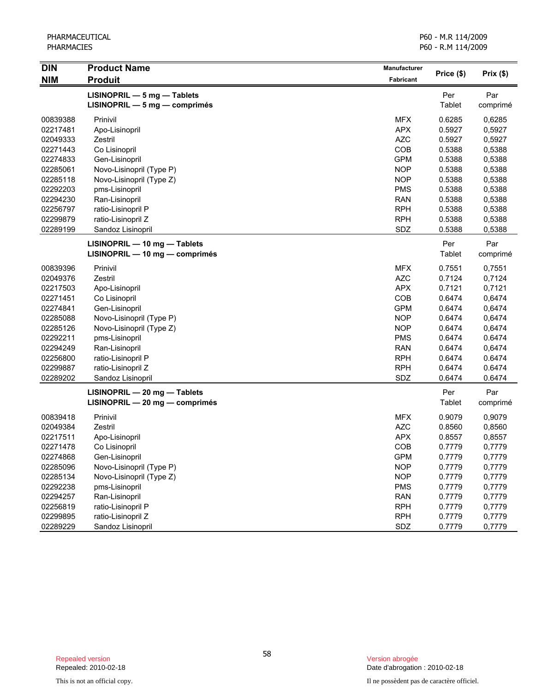| <b>DIN</b> | <b>Product Name</b>              | Manufacturer | Price (\$) | Prix(\$) |
|------------|----------------------------------|--------------|------------|----------|
| <b>NIM</b> | <b>Produit</b>                   | Fabricant    |            |          |
|            | $LISINOPRIL - 5 mg - Tables$     |              | Per        | Par      |
|            | LISINOPRIL - 5 mg - comprimés    |              | Tablet     | comprimé |
| 00839388   | Prinivil                         | <b>MFX</b>   | 0.6285     | 0,6285   |
| 02217481   | Apo-Lisinopril                   | <b>APX</b>   | 0.5927     | 0,5927   |
| 02049333   | Zestril                          | <b>AZC</b>   | 0.5927     | 0,5927   |
| 02271443   | Co Lisinopril                    | COB          | 0.5388     | 0,5388   |
| 02274833   | Gen-Lisinopril                   | <b>GPM</b>   | 0.5388     | 0,5388   |
| 02285061   | Novo-Lisinopril (Type P)         | <b>NOP</b>   | 0.5388     | 0,5388   |
| 02285118   | Novo-Lisinopril (Type Z)         | <b>NOP</b>   | 0.5388     | 0,5388   |
| 02292203   | pms-Lisinopril                   | <b>PMS</b>   | 0.5388     | 0,5388   |
| 02294230   | Ran-Lisinopril                   | <b>RAN</b>   | 0.5388     | 0,5388   |
| 02256797   | ratio-Lisinopril P               | <b>RPH</b>   | 0.5388     | 0,5388   |
| 02299879   | ratio-Lisinopril Z               | <b>RPH</b>   | 0.5388     | 0,5388   |
| 02289199   | Sandoz Lisinopril                | SDZ          | 0.5388     | 0,5388   |
|            | LISINOPRIL - 10 mg - Tablets     |              | Per        | Par      |
|            | $LISINOPRIL - 10 mg - comprimés$ |              | Tablet     | comprimé |
| 00839396   | Prinivil                         | <b>MFX</b>   | 0.7551     | 0,7551   |
| 02049376   | Zestril                          | <b>AZC</b>   | 0.7124     | 0,7124   |
| 02217503   | Apo-Lisinopril                   | <b>APX</b>   | 0.7121     | 0,7121   |
| 02271451   | Co Lisinopril                    | COB          | 0.6474     | 0,6474   |
| 02274841   | Gen-Lisinopril                   | <b>GPM</b>   | 0.6474     | 0,6474   |
| 02285088   | Novo-Lisinopril (Type P)         | <b>NOP</b>   | 0.6474     | 0,6474   |
| 02285126   | Novo-Lisinopril (Type Z)         | <b>NOP</b>   | 0.6474     | 0,6474   |
| 02292211   | pms-Lisinopril                   | <b>PMS</b>   | 0.6474     | 0.6474   |
| 02294249   | Ran-Lisinopril                   | <b>RAN</b>   | 0.6474     | 0,6474   |
| 02256800   | ratio-Lisinopril P               | <b>RPH</b>   | 0.6474     | 0.6474   |
| 02299887   | ratio-Lisinopril Z               | <b>RPH</b>   | 0.6474     | 0.6474   |
| 02289202   | Sandoz Lisinopril                | SDZ          | 0.6474     | 0.6474   |
|            | LISINOPRIL - 20 mg - Tablets     |              | Per        | Par      |
|            | LISINOPRIL - 20 mg - comprimés   |              | Tablet     | comprimé |
| 00839418   | Prinivil                         | <b>MFX</b>   | 0.9079     | 0,9079   |
| 02049384   | Zestril                          | <b>AZC</b>   | 0.8560     | 0,8560   |
| 02217511   | Apo-Lisinopril                   | <b>APX</b>   | 0.8557     | 0,8557   |
| 02271478   | Co Lisinopril                    | COB          | 0.7779     | 0,7779   |
| 02274868   | Gen-Lisinopril                   | <b>GPM</b>   | 0.7779     | 0,7779   |
| 02285096   | Novo-Lisinopril (Type P)         | <b>NOP</b>   | 0.7779     | 0,7779   |
| 02285134   | Novo-Lisinopril (Type Z)         | <b>NOP</b>   | 0.7779     | 0,7779   |
| 02292238   | pms-Lisinopril                   | <b>PMS</b>   | 0.7779     | 0,7779   |
| 02294257   | Ran-Lisinopril                   | <b>RAN</b>   | 0.7779     | 0,7779   |
| 02256819   | ratio-Lisinopril P               | <b>RPH</b>   | 0.7779     | 0,7779   |
| 02299895   | ratio-Lisinopril Z               | <b>RPH</b>   | 0.7779     | 0,7779   |
| 02289229   | Sandoz Lisinopril                | SDZ          | 0.7779     | 0,7779   |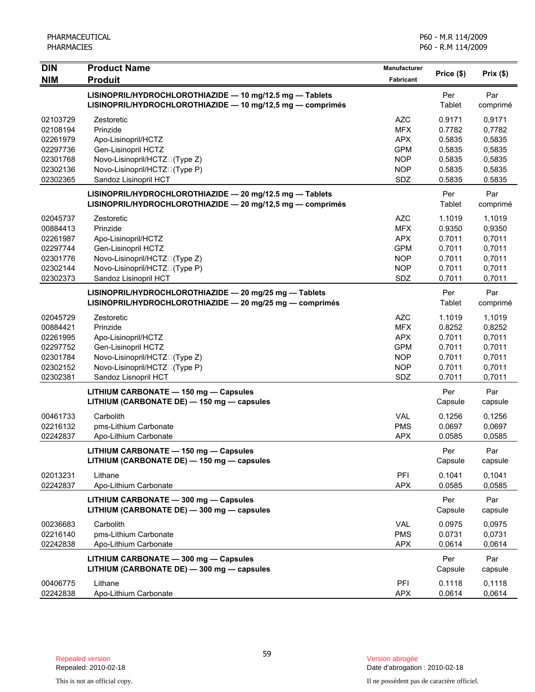| <b>DIN</b> | <b>Product Name</b>                                                                                                    | Manufacturer     | Price (\$)     | Prix(\$)        |
|------------|------------------------------------------------------------------------------------------------------------------------|------------------|----------------|-----------------|
| <b>NIM</b> | <b>Produit</b>                                                                                                         | <b>Fabricant</b> |                |                 |
|            | LISINOPRIL/HYDROCHLOROTHIAZIDE - 10 mg/12.5 mg - Tablets<br>LISINOPRIL/HYDROCHLOROTHIAZIDE - 10 mg/12,5 mg - comprimés |                  | Per<br>Tablet  | Par<br>comprimé |
| 02103729   | Zestoretic                                                                                                             | <b>AZC</b>       | 0.9171         | 0,9171          |
| 02108194   | Prinzide                                                                                                               | <b>MFX</b>       | 0.7782         | 0,7782          |
| 02261979   | Apo-Lisinopril/HCTZ                                                                                                    | <b>APX</b>       | 0.5835         | 0,5835          |
| 02297736   | Gen-Lisinopril HCTZ                                                                                                    | <b>GPM</b>       | 0.5835         | 0,5835          |
| 02301768   | Novo-Lisinopril/HCTZO(Type Z)                                                                                          | <b>NOP</b>       | 0.5835         | 0,5835          |
| 02302136   | Novo-Lisinopril/HCTZO(Type P)                                                                                          | <b>NOP</b>       | 0.5835         | 0,5835          |
| 02302365   | Sandoz Lisinopril HCT                                                                                                  | SDZ              | 0.5835         | 0.5835          |
|            | LISINOPRIL/HYDROCHLOROTHIAZIDE - 20 mg/12.5 mg - Tablets<br>LISINOPRIL/HYDROCHLOROTHIAZIDE - 20 mg/12,5 mg - comprimés |                  | Per<br>Tablet  | Par<br>comprimé |
| 02045737   | Zestoretic                                                                                                             | <b>AZC</b>       | 1.1019         | 1,1019          |
| 00884413   | Prinzide                                                                                                               | <b>MFX</b>       | 0.9350         | 0,9350          |
| 02261987   | Apo-Lisinopril/HCTZ                                                                                                    | <b>APX</b>       | 0.7011         | 0,7011          |
| 02297744   | Gen-Lisinopril HCTZ                                                                                                    | <b>GPM</b>       | 0.7011         | 0,7011          |
| 02301776   | Novo-Lisinopril/HCTZO(Type Z)                                                                                          | <b>NOP</b>       | 0.7011         | 0,7011          |
| 02302144   | Novo-Lisinopril/HCTZO(Type P)                                                                                          | <b>NOP</b>       | 0.7011         | 0,7011          |
| 02302373   | Sandoz Lisinopril HCT                                                                                                  | SDZ              | 0.7011         | 0,7011          |
|            | LISINOPRIL/HYDROCHLOROTHIAZIDE - 20 mg/25 mg - Tablets<br>LISINOPRIL/HYDROCHLOROTHIAZIDE - 20 mg/25 mg - comprimés     |                  | Per<br>Tablet  | Par<br>comprimé |
| 02045729   | Zestoretic                                                                                                             | <b>AZC</b>       | 1.1019         | 1,1019          |
| 00884421   | Prinzide                                                                                                               | <b>MFX</b>       | 0.8252         | 0,8252          |
| 02261995   | Apo-Lisinopril/HCTZ                                                                                                    | <b>APX</b>       | 0.7011         | 0,7011          |
| 02297752   | Gen-Lisinopril HCTZ                                                                                                    | <b>GPM</b>       | 0.7011         | 0,7011          |
| 02301784   | Novo-Lisinopril/HCTZO(Type Z)                                                                                          | <b>NOP</b>       | 0.7011         | 0,7011          |
| 02302152   | Novo-Lisinopril/HCTZO(Type P)                                                                                          | <b>NOP</b>       | 0.7011         | 0,7011          |
| 02302381   | Sandoz Lisnopril HCT                                                                                                   | SDZ              | 0.7011         | 0,7011          |
|            | LITHIUM CARBONATE - 150 mg - Capsules<br>LITHIUM (CARBONATE DE) - 150 mg - capsules                                    |                  | Per<br>Capsule | Par<br>capsule  |
| 00461733   | Carbolith                                                                                                              | <b>VAL</b>       | 0.1256         | 0,1256          |
| 02216132   | pms-Lithium Carbonate                                                                                                  | <b>PMS</b>       | 0.0697         | 0,0697          |
| 02242837   | Apo-Lithium Carbonate                                                                                                  | <b>APX</b>       | 0.0585         | 0,0585          |
|            | LITHIUM CARBONATE - 150 mg - Capsules<br>LITHIUM (CARBONATE DE) - 150 mg - capsules                                    |                  | Per<br>Capsule | Par<br>capsule  |
| 02013231   | Lithane                                                                                                                | PFI              | 0.1041         | 0,1041          |
| 02242837   | Apo-Lithium Carbonate                                                                                                  | <b>APX</b>       | 0.0585         | 0,0585          |
|            | LITHIUM CARBONATE - 300 mg - Capsules<br>LITHIUM (CARBONATE DE) - 300 mg - capsules                                    |                  | Per<br>Capsule | Par<br>capsule  |
| 00236683   | Carbolith                                                                                                              | <b>VAL</b>       | 0.0975         | 0,0975          |
| 02216140   | pms-Lithium Carbonate                                                                                                  | <b>PMS</b>       | 0.0731         | 0,0731          |
| 02242838   | Apo-Lithium Carbonate                                                                                                  | <b>APX</b>       | 0.0614         | 0,0614          |
|            |                                                                                                                        |                  |                |                 |
|            | LITHIUM CARBONATE - 300 mg - Capsules<br>LITHIUM (CARBONATE DE) - 300 mg - capsules                                    |                  | Per<br>Capsule | Par<br>capsule  |
| 00406775   | Lithane                                                                                                                | PFI              | 0.1118         | 0,1118          |
| 02242838   | Apo-Lithium Carbonate                                                                                                  | <b>APX</b>       | 0.0614         | 0,0614          |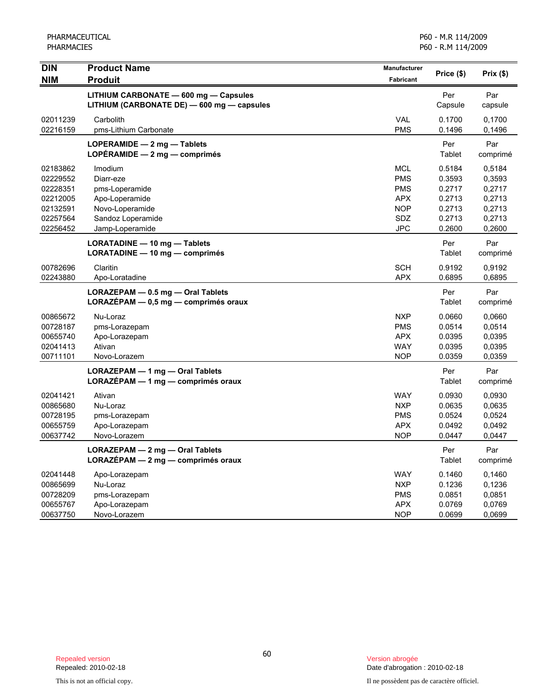| <b>DIN</b>                                                                       | <b>Product Name</b>                                                                                                 | Manufacturer                                                                            | Price (\$)                                                         | Prix(\$)                                                           |
|----------------------------------------------------------------------------------|---------------------------------------------------------------------------------------------------------------------|-----------------------------------------------------------------------------------------|--------------------------------------------------------------------|--------------------------------------------------------------------|
| <b>NIM</b>                                                                       | <b>Produit</b>                                                                                                      | <b>Fabricant</b>                                                                        |                                                                    |                                                                    |
|                                                                                  | LITHIUM CARBONATE - 600 mg - Capsules<br>LITHIUM (CARBONATE DE) - 600 mg - capsules                                 |                                                                                         | Per<br>Capsule                                                     | Par<br>capsule                                                     |
| 02011239<br>02216159                                                             | Carbolith<br>pms-Lithium Carbonate                                                                                  | <b>VAL</b><br><b>PMS</b>                                                                | 0.1700<br>0.1496                                                   | 0,1700<br>0,1496                                                   |
|                                                                                  | LOPERAMIDE - 2 mg - Tablets<br>LOPERAMIDE $-2$ mg $-$ comprimés                                                     |                                                                                         | Per<br>Tablet                                                      | Par<br>comprimé                                                    |
| 02183862<br>02229552<br>02228351<br>02212005<br>02132591<br>02257564<br>02256452 | Imodium<br>Diarr-eze<br>pms-Loperamide<br>Apo-Loperamide<br>Novo-Loperamide<br>Sandoz Loperamide<br>Jamp-Loperamide | <b>MCL</b><br><b>PMS</b><br><b>PMS</b><br><b>APX</b><br><b>NOP</b><br><b>SDZ</b><br>JPC | 0.5184<br>0.3593<br>0.2717<br>0.2713<br>0.2713<br>0.2713<br>0.2600 | 0,5184<br>0,3593<br>0,2717<br>0,2713<br>0,2713<br>0,2713<br>0,2600 |
|                                                                                  | LORATADINE - 10 mg - Tablets<br>LORATADINE - 10 mg - comprimés                                                      |                                                                                         | Per<br>Tablet                                                      | Par<br>comprimé                                                    |
| 00782696<br>02243880                                                             | Claritin<br>Apo-Loratadine                                                                                          | <b>SCH</b><br><b>APX</b>                                                                | 0.9192<br>0.6895                                                   | 0,9192<br>0,6895                                                   |
|                                                                                  | $LORAZEPAM - 0.5 mg - 0ral Tables$<br>$LORAZEPAM - 0,5 mg - comprimés oraux$                                        |                                                                                         | Per<br>Tablet                                                      | Par<br>comprimé                                                    |
| 00865672<br>00728187<br>00655740<br>02041413<br>00711101                         | Nu-Loraz<br>pms-Lorazepam<br>Apo-Lorazepam<br>Ativan<br>Novo-Lorazem                                                | <b>NXP</b><br><b>PMS</b><br><b>APX</b><br><b>WAY</b><br><b>NOP</b>                      | 0.0660<br>0.0514<br>0.0395<br>0.0395<br>0.0359                     | 0,0660<br>0,0514<br>0,0395<br>0,0395<br>0.0359                     |
|                                                                                  | LORAZEPAM - 1 mg - Oral Tablets<br>LORAZEPAM - 1 mg - comprimés oraux                                               |                                                                                         | Per<br>Tablet                                                      | Par<br>comprimé                                                    |
| 02041421<br>00865680<br>00728195<br>00655759<br>00637742                         | Ativan<br>Nu-Loraz<br>pms-Lorazepam<br>Apo-Lorazepam<br>Novo-Lorazem                                                | <b>WAY</b><br><b>NXP</b><br><b>PMS</b><br><b>APX</b><br><b>NOP</b>                      | 0.0930<br>0.0635<br>0.0524<br>0.0492<br>0.0447                     | 0,0930<br>0,0635<br>0,0524<br>0,0492<br>0,0447                     |
|                                                                                  | LORAZEPAM - 2 mg - Oral Tablets<br>LORAZEPAM - 2 mg - comprimés oraux                                               |                                                                                         | Per<br>Tablet                                                      | Par<br>comprimé                                                    |
| 02041448<br>00865699<br>00728209<br>00655767<br>00637750                         | Apo-Lorazepam<br>Nu-Loraz<br>pms-Lorazepam<br>Apo-Lorazepam<br>Novo-Lorazem                                         | <b>WAY</b><br><b>NXP</b><br><b>PMS</b><br><b>APX</b><br><b>NOP</b>                      | 0.1460<br>0.1236<br>0.0851<br>0.0769<br>0.0699                     | 0.1460<br>0,1236<br>0,0851<br>0,0769<br>0,0699                     |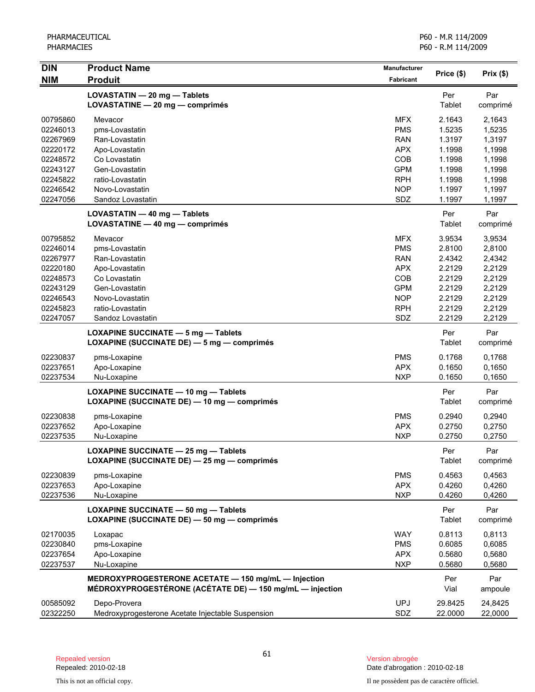| <b>DIN</b> | <b>Product Name</b>                                      | <b>Manufacturer</b> | Price (\$) | Prix(\$) |
|------------|----------------------------------------------------------|---------------------|------------|----------|
| <b>NIM</b> | <b>Produit</b>                                           | <b>Fabricant</b>    |            |          |
|            | LOVASTATIN - 20 mg - Tablets                             |                     | Per        | Par      |
|            | LOVASTATINE - 20 mg - comprimés                          |                     | Tablet     | comprimé |
| 00795860   | Mevacor                                                  | <b>MFX</b>          | 2.1643     | 2,1643   |
| 02246013   | pms-Lovastatin                                           | <b>PMS</b>          | 1.5235     | 1,5235   |
| 02267969   | Ran-Lovastatin                                           | <b>RAN</b>          | 1.3197     | 1,3197   |
| 02220172   | Apo-Lovastatin                                           | <b>APX</b>          | 1.1998     | 1,1998   |
| 02248572   | Co Lovastatin                                            | <b>COB</b>          | 1.1998     | 1,1998   |
| 02243127   | Gen-Lovastatin                                           | <b>GPM</b>          | 1.1998     | 1,1998   |
| 02245822   | ratio-Lovastatin                                         | <b>RPH</b>          | 1.1998     | 1,1998   |
| 02246542   | Novo-Lovastatin                                          | <b>NOP</b>          | 1.1997     | 1,1997   |
| 02247056   | Sandoz Lovastatin                                        | SDZ                 | 1.1997     | 1,1997   |
|            | LOVASTATIN - 40 mg - Tablets                             |                     | Per        | Par      |
|            | LOVASTATINE - 40 mg - comprimés                          |                     | Tablet     | comprimé |
| 00795852   | Mevacor                                                  | <b>MFX</b>          | 3.9534     | 3,9534   |
| 02246014   | pms-Lovastatin                                           | <b>PMS</b>          | 2.8100     | 2,8100   |
| 02267977   | Ran-Lovastatin                                           | <b>RAN</b>          | 2.4342     | 2,4342   |
| 02220180   | Apo-Lovastatin                                           | <b>APX</b>          | 2.2129     | 2,2129   |
| 02248573   | Co Lovastatin                                            | COB                 | 2.2129     | 2,2129   |
| 02243129   | Gen-Lovastatin                                           | <b>GPM</b>          | 2.2129     | 2,2129   |
| 02246543   | Novo-Lovastatin                                          | <b>NOP</b>          | 2.2129     | 2,2129   |
| 02245823   | ratio-Lovastatin                                         | <b>RPH</b>          | 2.2129     | 2,2129   |
| 02247057   | Sandoz Lovastatin                                        | SDZ                 | 2.2129     | 2,2129   |
|            | <b>LOXAPINE SUCCINATE - 5 mg - Tablets</b>               |                     | Per        | Par      |
|            | LOXAPINE (SUCCINATE DE) - 5 mg - comprimés               |                     | Tablet     | comprimé |
| 02230837   | pms-Loxapine                                             | <b>PMS</b>          | 0.1768     | 0,1768   |
| 02237651   | Apo-Loxapine                                             | <b>APX</b>          | 0.1650     | 0,1650   |
| 02237534   | Nu-Loxapine                                              | <b>NXP</b>          | 0.1650     | 0,1650   |
|            | <b>LOXAPINE SUCCINATE - 10 mg - Tablets</b>              |                     | Per        | Par      |
|            | LOXAPINE (SUCCINATE DE) - 10 mg - comprimés              |                     | Tablet     | comprimé |
| 02230838   | pms-Loxapine                                             | <b>PMS</b>          | 0.2940     | 0,2940   |
| 02237652   | Apo-Loxapine                                             | <b>APX</b>          | 0.2750     | 0,2750   |
| 02237535   | Nu-Loxapine                                              | <b>NXP</b>          | 0.2750     | 0,2750   |
|            | LOXAPINE SUCCINATE - 25 mg - Tablets                     |                     | Per        | Par      |
|            | LOXAPINE (SUCCINATE DE) - 25 mg - comprimés              |                     | Tablet     | comprimé |
| 02230839   | pms-Loxapine                                             | <b>PMS</b>          | 0.4563     | 0,4563   |
| 02237653   | Apo-Loxapine                                             | <b>APX</b>          | 0.4260     | 0,4260   |
| 02237536   | Nu-Loxapine                                              | <b>NXP</b>          | 0.4260     | 0,4260   |
|            | LOXAPINE SUCCINATE - 50 mg - Tablets                     |                     | Per        | Par      |
|            | LOXAPINE (SUCCINATE DE) - 50 mg - comprimés              |                     | Tablet     | comprimé |
| 02170035   | Loxapac                                                  | <b>WAY</b>          | 0.8113     | 0,8113   |
| 02230840   | pms-Loxapine                                             | <b>PMS</b>          | 0.6085     | 0,6085   |
| 02237654   | Apo-Loxapine                                             | <b>APX</b>          | 0.5680     | 0,5680   |
| 02237537   | Nu-Loxapine                                              | <b>NXP</b>          | 0.5680     | 0,5680   |
|            | MEDROXYPROGESTERONE ACETATE - 150 mg/mL - Injection      |                     | Per        | Par      |
|            | MÉDROXYPROGESTÉRONE (ACÉTATE DE) - 150 mg/mL - injection |                     | Vial       | ampoule  |
| 00585092   | Depo-Provera                                             | <b>UPJ</b>          | 29.8425    | 24,8425  |
| 02322250   | Medroxyprogesterone Acetate Injectable Suspension        | SDZ                 | 22.0000    | 22,0000  |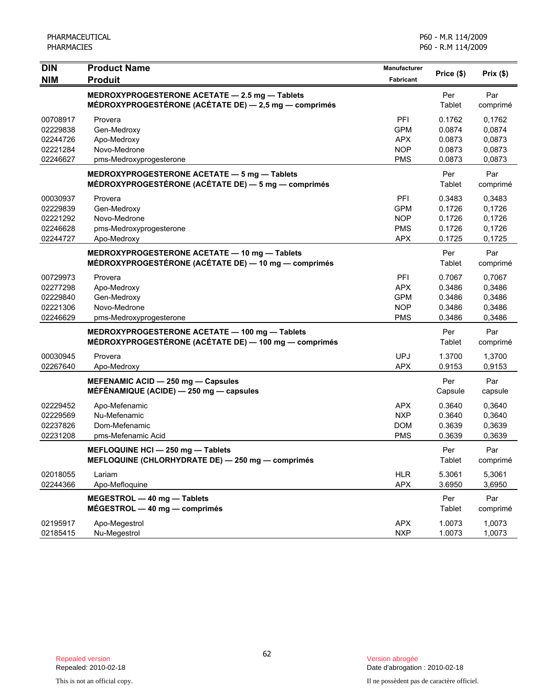| <b>DIN</b><br><b>NIM</b>                                 | <b>Product Name</b><br><b>Produit</b>                                                                   | <b>Manufacturer</b><br><b>Fabricant</b>                     | Price (\$)                                     | Prix(\$)                                       |
|----------------------------------------------------------|---------------------------------------------------------------------------------------------------------|-------------------------------------------------------------|------------------------------------------------|------------------------------------------------|
|                                                          | MEDROXYPROGESTERONE ACETATE - 2.5 mg - Tablets<br>MÉDROXYPROGESTÉRONE (ACÉTATE DE) - 2,5 mg - comprimés |                                                             | Per<br>Tablet                                  | Par<br>comprimé                                |
| 00708917<br>02229838<br>02244726<br>02221284<br>02246627 | Provera<br>Gen-Medroxy<br>Apo-Medroxy<br>Novo-Medrone<br>pms-Medroxyprogesterone                        | PFI<br><b>GPM</b><br><b>APX</b><br><b>NOP</b><br><b>PMS</b> | 0.1762<br>0.0874<br>0.0873<br>0.0873<br>0.0873 | 0,1762<br>0,0874<br>0,0873<br>0,0873<br>0,0873 |
|                                                          | MEDROXYPROGESTERONE ACETATE - 5 mg - Tablets<br>MÉDROXYPROGESTÉRONE (ACÉTATE DE) — 5 mg — comprimés     |                                                             | Per<br>Tablet                                  | Par<br>comprimé                                |
| 00030937<br>02229839<br>02221292<br>02246628<br>02244727 | Provera<br>Gen-Medroxy<br>Novo-Medrone<br>pms-Medroxyprogesterone<br>Apo-Medroxy                        | PFI<br><b>GPM</b><br><b>NOP</b><br><b>PMS</b><br><b>APX</b> | 0.3483<br>0.1726<br>0.1726<br>0.1726<br>0.1725 | 0,3483<br>0,1726<br>0,1726<br>0,1726<br>0,1725 |
|                                                          | MEDROXYPROGESTERONE ACETATE - 10 mg - Tablets<br>MÉDROXYPROGESTÉRONE (ACÉTATE DE) — 10 mg — comprimés   |                                                             | Per<br>Tablet                                  | Par<br>comprimé                                |
| 00729973<br>02277298<br>02229840<br>02221306<br>02246629 | Provera<br>Apo-Medroxy<br>Gen-Medroxy<br>Novo-Medrone<br>pms-Medroxyprogesterone                        | PFI<br><b>APX</b><br><b>GPM</b><br><b>NOP</b><br><b>PMS</b> | 0.7067<br>0.3486<br>0.3486<br>0.3486<br>0.3486 | 0,7067<br>0,3486<br>0,3486<br>0,3486<br>0,3486 |
|                                                          | MEDROXYPROGESTERONE ACETATE - 100 mg - Tablets<br>MÉDROXYPROGESTÉRONE (ACÉTATE DE) — 100 mg — comprimés |                                                             | Per<br>Tablet                                  | Par<br>comprimé                                |
| 00030945<br>02267640                                     | Provera<br>Apo-Medroxy                                                                                  | <b>UPJ</b><br><b>APX</b>                                    | 1.3700<br>0.9153                               | 1,3700<br>0,9153                               |
|                                                          | MEFENAMIC ACID - 250 mg - Capsules<br>MÉFÉNAMIQUE (ACIDE) $-$ 250 mg $-$ capsules                       |                                                             | Per<br>Capsule                                 | Par<br>capsule                                 |
| 02229452<br>02229569<br>02237826<br>02231208             | Apo-Mefenamic<br>Nu-Mefenamic<br>Dom-Mefenamic<br>pms-Mefenamic Acid                                    | <b>APX</b><br><b>NXP</b><br><b>DOM</b><br><b>PMS</b>        | 0.3640<br>0.3640<br>0.3639<br>0.3639           | 0,3640<br>0,3640<br>0,3639<br>0,3639           |
|                                                          | MEFLOQUINE HCI - 250 mg - Tablets<br>MEFLOQUINE (CHLORHYDRATE DE) - 250 mg - comprimés                  |                                                             | Per<br>Tablet                                  | Par<br>comprimé                                |
| 02018055<br>02244366                                     | Lariam<br>Apo-Mefloquine                                                                                | <b>HLR</b><br><b>APX</b>                                    | 5.3061<br>3.6950                               | 5,3061<br>3,6950                               |
|                                                          | MEGESTROL - 40 mg - Tablets<br>$MÉGESTROL - 40 mg - comprimés$                                          |                                                             | Per<br>Tablet                                  | Par<br>comprimé                                |
| 02195917<br>02185415                                     | Apo-Megestrol<br>Nu-Megestrol                                                                           | <b>APX</b><br><b>NXP</b>                                    | 1.0073<br>1.0073                               | 1,0073<br>1,0073                               |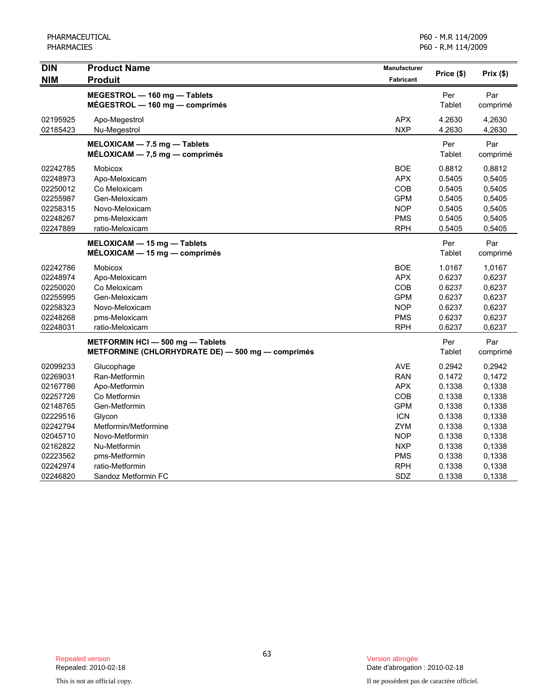| <b>DIN</b> | <b>Product Name</b>                                            | Manufacturer | Price (\$)    | Prix(\$) |
|------------|----------------------------------------------------------------|--------------|---------------|----------|
| <b>NIM</b> | <b>Produit</b>                                                 | Fabricant    |               |          |
|            | MEGESTROL - 160 mg - Tablets<br>MÉGESTROL - 160 mg - comprimés |              | Per<br>Tablet | Par      |
|            |                                                                |              |               | comprimé |
| 02195925   | Apo-Megestrol                                                  | <b>APX</b>   | 4.2630        | 4,2630   |
| 02185423   | Nu-Megestrol                                                   | <b>NXP</b>   | 4.2630        | 4,2630   |
|            | MELOXICAM - 7.5 mg - Tablets                                   |              | Per           | Par      |
|            | $MÉLOXICAM - 7,5 mg - comprimés$                               |              | Tablet        | comprimé |
| 02242785   | <b>Mobicox</b>                                                 | <b>BOE</b>   | 0.8812        | 0,8812   |
| 02248973   | Apo-Meloxicam                                                  | <b>APX</b>   | 0.5405        | 0,5405   |
| 02250012   | Co Meloxicam                                                   | COB          | 0.5405        | 0,5405   |
| 02255987   | Gen-Meloxicam                                                  | <b>GPM</b>   | 0.5405        | 0,5405   |
| 02258315   | Novo-Meloxicam                                                 | <b>NOP</b>   | 0.5405        | 0,5405   |
| 02248267   | pms-Meloxicam                                                  | <b>PMS</b>   | 0.5405        | 0,5405   |
| 02247889   | ratio-Meloxicam                                                | <b>RPH</b>   | 0.5405        | 0,5405   |
|            | MELOXICAM - 15 mg - Tablets                                    |              | Per           | Par      |
|            | $MÉLOXICAM - 15 mg - comprimés$                                |              | Tablet        | comprimé |
| 02242786   | <b>Mobicox</b>                                                 | <b>BOE</b>   | 1.0167        | 1,0167   |
| 02248974   | Apo-Meloxicam                                                  | <b>APX</b>   | 0.6237        | 0,6237   |
| 02250020   | Co Meloxicam                                                   | <b>COB</b>   | 0.6237        | 0,6237   |
| 02255995   | Gen-Meloxicam                                                  | <b>GPM</b>   | 0.6237        | 0,6237   |
| 02258323   | Novo-Meloxicam                                                 | <b>NOP</b>   | 0.6237        | 0,6237   |
| 02248268   | pms-Meloxicam                                                  | <b>PMS</b>   | 0.6237        | 0,6237   |
| 02248031   | ratio-Meloxicam                                                | <b>RPH</b>   | 0.6237        | 0,6237   |
|            | METFORMIN HCI - 500 mg - Tablets                               |              | Per           | Par      |
|            | METFORMINE (CHLORHYDRATE DE) - 500 mg - comprimés              |              | Tablet        | comprimé |
| 02099233   | Glucophage                                                     | <b>AVE</b>   | 0.2942        | 0,2942   |
| 02269031   | Ran-Metformin                                                  | <b>RAN</b>   | 0.1472        | 0,1472   |
| 02167786   | Apo-Metformin                                                  | <b>APX</b>   | 0.1338        | 0,1338   |
| 02257726   | Co Metformin                                                   | COB          | 0.1338        | 0,1338   |
| 02148765   | Gen-Metformin                                                  | <b>GPM</b>   | 0.1338        | 0,1338   |
| 02229516   | Glycon                                                         | <b>ICN</b>   | 0.1338        | 0,1338   |
| 02242794   | Metformin/Metformine                                           | <b>ZYM</b>   | 0.1338        | 0,1338   |
| 02045710   | Novo-Metformin                                                 | <b>NOP</b>   | 0.1338        | 0,1338   |
| 02162822   | Nu-Metformin                                                   | <b>NXP</b>   | 0.1338        | 0,1338   |
| 02223562   | pms-Metformin                                                  | <b>PMS</b>   | 0.1338        | 0,1338   |
| 02242974   | ratio-Metformin                                                | <b>RPH</b>   | 0.1338        | 0,1338   |
| 02246820   | Sandoz Metformin FC                                            | SDZ          | 0.1338        | 0,1338   |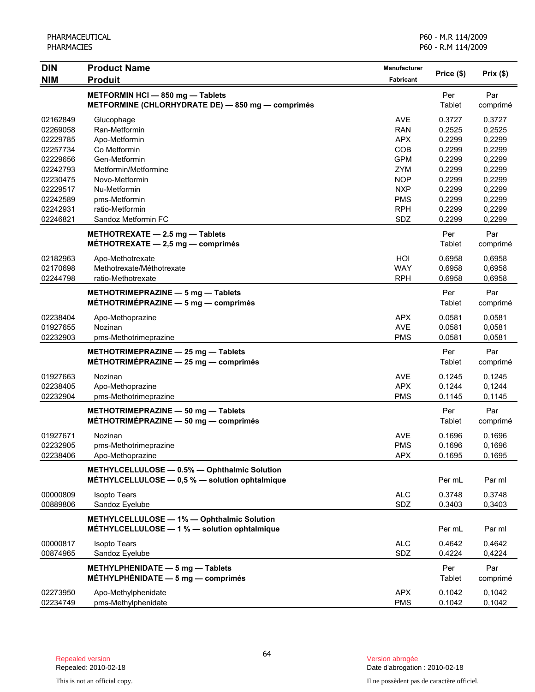| <b>DIN</b> | <b>Product Name</b>                                                                            | Manufacturer     | Price (\$)    | Prix(\$)        |
|------------|------------------------------------------------------------------------------------------------|------------------|---------------|-----------------|
| <b>NIM</b> | <b>Produit</b>                                                                                 | <b>Fabricant</b> |               |                 |
|            | METFORMIN HCI - 850 mg - Tablets<br>METFORMINE (CHLORHYDRATE DE) - 850 mg - comprimés          |                  | Per<br>Tablet | Par<br>comprimé |
| 02162849   | Glucophage                                                                                     | <b>AVE</b>       | 0.3727        | 0,3727          |
| 02269058   | Ran-Metformin                                                                                  | <b>RAN</b>       | 0.2525        | 0,2525          |
| 02229785   | Apo-Metformin                                                                                  | <b>APX</b>       | 0.2299        | 0,2299          |
| 02257734   | Co Metformin                                                                                   | COB              | 0.2299        | 0,2299          |
| 02229656   | Gen-Metformin                                                                                  | <b>GPM</b>       | 0.2299        | 0,2299          |
| 02242793   | Metformin/Metformine                                                                           | <b>ZYM</b>       | 0.2299        | 0,2299          |
| 02230475   | Novo-Metformin                                                                                 | <b>NOP</b>       | 0.2299        | 0,2299          |
| 02229517   | Nu-Metformin                                                                                   | <b>NXP</b>       | 0.2299        | 0,2299          |
| 02242589   | pms-Metformin                                                                                  | <b>PMS</b>       | 0.2299        | 0,2299          |
| 02242931   | ratio-Metformin                                                                                | <b>RPH</b>       | 0.2299        | 0,2299          |
| 02246821   | Sandoz Metformin FC                                                                            | SDZ              | 0.2299        | 0,2299          |
|            | METHOTREXATE $-2.5$ mg $-$ Tablets<br>MÉTHOTREXATE $-2,5$ mg $-$ comprimés                     |                  | Per<br>Tablet | Par<br>comprimé |
| 02182963   | Apo-Methotrexate                                                                               | HOI              | 0.6958        | 0,6958          |
| 02170698   | Methotrexate/Méthotrexate                                                                      | <b>WAY</b>       | 0.6958        | 0,6958          |
| 02244798   | ratio-Methotrexate                                                                             | <b>RPH</b>       | 0.6958        | 0,6958          |
|            | METHOTRIMEPRAZINE - 5 mg - Tablets<br>$MÉTHOTRIMÉPRAZINE - 5 mg - comprimés$                   |                  | Per<br>Tablet | Par<br>comprimé |
| 02238404   | Apo-Methoprazine                                                                               | <b>APX</b>       | 0.0581        | 0,0581          |
| 01927655   | Nozinan                                                                                        | <b>AVE</b>       | 0.0581        | 0,0581          |
| 02232903   | pms-Methotrimeprazine                                                                          | <b>PMS</b>       | 0.0581        | 0,0581          |
|            | METHOTRIMEPRAZINE - 25 mg - Tablets<br>$METHOTRIMEPRAZINE - 25 mg - comprimés$                 |                  | Per<br>Tablet | Par<br>comprimé |
| 01927663   | Nozinan                                                                                        | <b>AVE</b>       | 0.1245        | 0,1245          |
| 02238405   | Apo-Methoprazine                                                                               | <b>APX</b>       | 0.1244        | 0,1244          |
| 02232904   | pms-Methotrimeprazine                                                                          | <b>PMS</b>       | 0.1145        | 0,1145          |
|            | METHOTRIMEPRAZINE - 50 mg - Tablets<br>MÉTHOTRIMÉPRAZINE - 50 mg - comprimés                   |                  | Per<br>Tablet | Par<br>comprimé |
| 01927671   | Nozinan                                                                                        | AVE              | 0.1696        | 0,1696          |
| 02232905   | pms-Methotrimeprazine                                                                          | <b>PMS</b>       | 0.1696        | 0,1696          |
| 02238406   | Apo-Methoprazine                                                                               | <b>APX</b>       | 0.1695        | 0,1695          |
|            | METHYLCELLULOSE - 0.5% - Ophthalmic Solution<br>MÉTHYLCELLULOSE - 0,5 % - solution ophtalmique |                  | Per mL        | Par ml          |
| 00000809   | <b>Isopto Tears</b>                                                                            | <b>ALC</b>       | 0.3748        | 0,3748          |
| 00889806   | Sandoz Eyelube                                                                                 | SDZ              | 0.3403        | 0,3403          |
|            | METHYLCELLULOSE - 1% - Ophthalmic Solution<br>MÉTHYLCELLULOSE - 1 % - solution ophtalmique     |                  | Per mL        | Par ml          |
| 00000817   | <b>Isopto Tears</b>                                                                            | <b>ALC</b>       | 0.4642        | 0,4642          |
| 00874965   | Sandoz Eyelube                                                                                 | SDZ              | 0.4224        | 0,4224          |
|            | METHYLPHENIDATE - 5 mg - Tablets<br>MÉTHYLPHÉNIDATE $-5$ mg $-$ comprimés                      |                  | Per<br>Tablet | Par<br>comprimé |
| 02273950   | Apo-Methylphenidate                                                                            | <b>APX</b>       | 0.1042        | 0,1042          |
| 02234749   | pms-Methylphenidate                                                                            | <b>PMS</b>       | 0.1042        | 0,1042          |

Date d'abrogation : 2010-02-18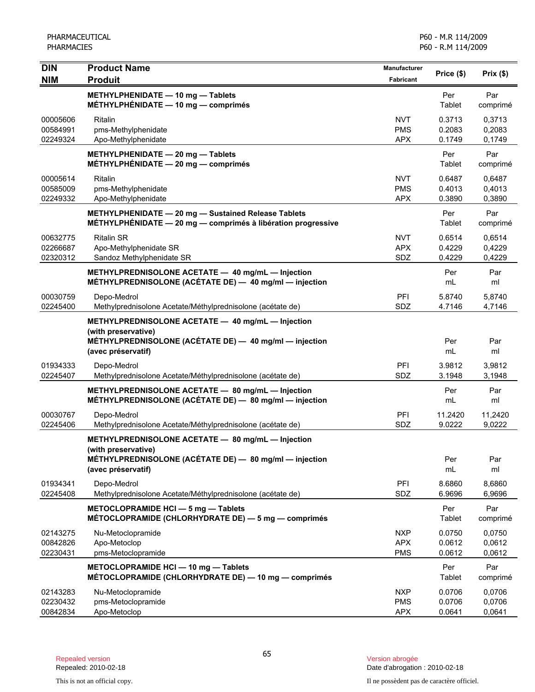| <b>DIN</b>                       | <b>Product Name</b>                                                                                                                                      | <b>Manufacturer</b>                    | Price (\$)                 | Prix(\$)                   |
|----------------------------------|----------------------------------------------------------------------------------------------------------------------------------------------------------|----------------------------------------|----------------------------|----------------------------|
| <b>NIM</b>                       | <b>Produit</b>                                                                                                                                           | Fabricant                              |                            |                            |
|                                  | METHYLPHENIDATE - 10 mg - Tablets<br>MÉTHYLPHÉNIDATE $-$ 10 mg $-$ comprimés                                                                             |                                        | Per<br>Tablet              | Par<br>comprimé            |
| 00005606<br>00584991<br>02249324 | Ritalin<br>pms-Methylphenidate<br>Apo-Methylphenidate                                                                                                    | <b>NVT</b><br><b>PMS</b><br><b>APX</b> | 0.3713<br>0.2083<br>0.1749 | 0,3713<br>0,2083<br>0,1749 |
|                                  | METHYLPHENIDATE - 20 mg - Tablets<br>MÉTHYLPHÉNIDATE $-$ 20 mg $-$ comprimés                                                                             |                                        | Per<br>Tablet              | Par<br>comprimé            |
| 00005614<br>00585009<br>02249332 | Ritalin<br>pms-Methylphenidate<br>Apo-Methylphenidate                                                                                                    | <b>NVT</b><br><b>PMS</b><br><b>APX</b> | 0.6487<br>0.4013<br>0.3890 | 0,6487<br>0,4013<br>0,3890 |
|                                  | METHYLPHENIDATE - 20 mg - Sustained Release Tablets<br>MÉTHYLPHÉNIDATE - 20 mg - comprimés à libération progressive                                      |                                        | Per<br>Tablet              | Par<br>comprimé            |
| 00632775<br>02266687<br>02320312 | <b>Ritalin SR</b><br>Apo-Methylphenidate SR<br>Sandoz Methylphenidate SR                                                                                 | <b>NVT</b><br><b>APX</b><br>SDZ        | 0.6514<br>0.4229<br>0.4229 | 0,6514<br>0,4229<br>0,4229 |
|                                  | METHYLPREDNISOLONE ACETATE - 40 mg/mL - Injection<br>MÉTHYLPREDNISOLONE (ACÉTATE DE) - 40 mg/ml - injection                                              |                                        | Per<br>mL                  | Par<br>ml                  |
| 00030759<br>02245400             | Depo-Medrol<br>Methylprednisolone Acetate/Méthylprednisolone (acétate de)                                                                                | PFI<br>SDZ                             | 5.8740<br>4.7146           | 5,8740<br>4,7146           |
|                                  | METHYLPREDNISOLONE ACETATE - 40 mg/mL - Injection<br>(with preservative)<br>MÉTHYLPREDNISOLONE (ACÉTATE DE) - 40 mg/ml - injection<br>(avec préservatif) |                                        | Per<br>mL                  | Par<br>ml                  |
| 01934333<br>02245407             | Depo-Medrol<br>Methylprednisolone Acetate/Méthylprednisolone (acétate de)                                                                                | PFI<br>SDZ                             | 3.9812<br>3.1948           | 3,9812<br>3,1948           |
|                                  | METHYLPREDNISOLONE ACETATE - 80 mg/mL - Injection<br>MÉTHYLPREDNISOLONE (ACÉTATE DE) - 80 mg/ml - injection                                              |                                        | Per<br>mL                  | Par<br>ml                  |
| 00030767<br>02245406             | Depo-Medrol<br>Methylprednisolone Acetate/Méthylprednisolone (acétate de)                                                                                | PFI<br>SDZ                             | 11.2420<br>9.0222          | 11,2420<br>9,0222          |
|                                  | METHYLPREDNISOLONE ACETATE - 80 mg/mL - Injection<br>(with preservative)<br>MÉTHYLPREDNISOLONE (ACÉTATE DE) - 80 mg/ml - injection<br>(avec préservatif) |                                        | Per<br>mL                  | Par<br>ml                  |
| 01934341<br>02245408             | Depo-Medrol<br>Methylprednisolone Acetate/Méthylprednisolone (acétate de)                                                                                | PFI<br>SDZ                             | 8.6860<br>6.9696           | 8,6860<br>6,9696           |
|                                  | METOCLOPRAMIDE HCI - 5 mg - Tablets<br>MÉTOCLOPRAMIDE (CHLORHYDRATE DE) - 5 mg - comprimés                                                               |                                        | Per<br>Tablet              | Par<br>comprimé            |
| 02143275<br>00842826<br>02230431 | Nu-Metoclopramide<br>Apo-Metoclop<br>pms-Metoclopramide                                                                                                  | <b>NXP</b><br><b>APX</b><br><b>PMS</b> | 0.0750<br>0.0612<br>0.0612 | 0,0750<br>0,0612<br>0,0612 |
|                                  | METOCLOPRAMIDE HCI - 10 mg - Tablets<br>MÉTOCLOPRAMIDE (CHLORHYDRATE DE) — 10 mg — comprimés                                                             |                                        | Per<br>Tablet              | Par<br>comprimé            |
| 02143283<br>02230432<br>00842834 | Nu-Metoclopramide<br>pms-Metoclopramide<br>Apo-Metoclop                                                                                                  | <b>NXP</b><br><b>PMS</b><br><b>APX</b> | 0.0706<br>0.0706<br>0.0641 | 0,0706<br>0,0706<br>0,0641 |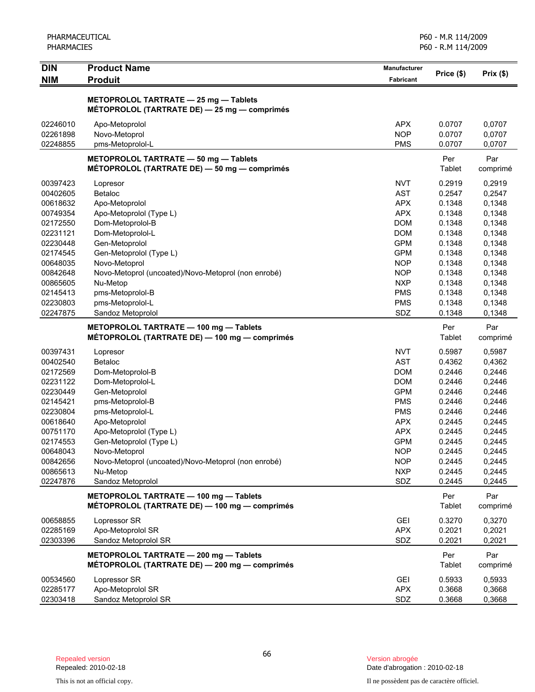| PHARMACEUTICAL    |
|-------------------|
| <b>PHARMACIES</b> |

| <b>DIN</b> | <b>Product Name</b>                                 | Manufacturer     | Price (\$) | Prix(\$) |
|------------|-----------------------------------------------------|------------------|------------|----------|
| <b>NIM</b> | <b>Produit</b>                                      | <b>Fabricant</b> |            |          |
|            | METOPROLOL TARTRATE - 25 mg - Tablets               |                  |            |          |
|            | MÉTOPROLOL (TARTRATE DE) - 25 mg - comprimés        |                  |            |          |
| 02246010   | Apo-Metoprolol                                      | <b>APX</b>       | 0.0707     | 0,0707   |
| 02261898   | Novo-Metoprol                                       | <b>NOP</b>       | 0.0707     | 0,0707   |
| 02248855   | pms-Metoprolol-L                                    | <b>PMS</b>       | 0.0707     | 0,0707   |
|            | METOPROLOL TARTRATE - 50 mg - Tablets               |                  | Per        | Par      |
|            | MÉTOPROLOL (TARTRATE DE) - 50 mg - comprimés        |                  | Tablet     | comprimé |
| 00397423   | Lopresor                                            | <b>NVT</b>       | 0.2919     | 0,2919   |
| 00402605   | Betaloc                                             | <b>AST</b>       | 0.2547     | 0,2547   |
| 00618632   | Apo-Metoprolol                                      | <b>APX</b>       | 0.1348     | 0,1348   |
| 00749354   | Apo-Metoprolol (Type L)                             | <b>APX</b>       | 0.1348     | 0,1348   |
| 02172550   | Dom-Metoprolol-B                                    | <b>DOM</b>       | 0.1348     | 0,1348   |
| 02231121   | Dom-Metoprolol-L                                    | <b>DOM</b>       | 0.1348     | 0,1348   |
| 02230448   | Gen-Metoprolol                                      | <b>GPM</b>       | 0.1348     | 0,1348   |
| 02174545   | Gen-Metoprolol (Type L)                             | <b>GPM</b>       | 0.1348     | 0,1348   |
| 00648035   | Novo-Metoprol                                       | <b>NOP</b>       | 0.1348     | 0,1348   |
| 00842648   | Novo-Metoprol (uncoated)/Novo-Metoprol (non enrobé) | <b>NOP</b>       | 0.1348     | 0,1348   |
| 00865605   | Nu-Metop                                            | <b>NXP</b>       | 0.1348     | 0,1348   |
| 02145413   | pms-Metoprolol-B                                    | <b>PMS</b>       | 0.1348     | 0,1348   |
| 02230803   | pms-Metoprolol-L                                    | <b>PMS</b>       | 0.1348     | 0,1348   |
| 02247875   | Sandoz Metoprolol                                   | SDZ              | 0.1348     | 0,1348   |
|            |                                                     |                  |            |          |
|            | METOPROLOL TARTRATE - 100 mg - Tablets              |                  | Per        | Par      |
|            | MÉTOPROLOL (TARTRATE DE) - 100 mg - comprimés       |                  | Tablet     | comprimé |
| 00397431   | Lopresor                                            | <b>NVT</b>       | 0.5987     | 0,5987   |
| 00402540   | Betaloc                                             | <b>AST</b>       | 0.4362     | 0,4362   |
| 02172569   | Dom-Metoprolol-B                                    | <b>DOM</b>       | 0.2446     | 0,2446   |
| 02231122   | Dom-Metoprolol-L                                    | <b>DOM</b>       | 0.2446     | 0,2446   |
| 02230449   | Gen-Metoprolol                                      | <b>GPM</b>       | 0.2446     | 0,2446   |
| 02145421   | pms-Metoprolol-B                                    | <b>PMS</b>       | 0.2446     | 0,2446   |
| 02230804   | pms-Metoprolol-L                                    | <b>PMS</b>       | 0.2446     | 0,2446   |
| 00618640   | Apo-Metoprolol                                      | <b>APX</b>       | 0.2445     | 0,2445   |
| 00751170   | Apo-Metoprolol (Type L)                             | <b>APX</b>       | 0.2445     | 0,2445   |
| 02174553   | Gen-Metoprolol (Type L)                             | <b>GPM</b>       | 0.2445     | 0,2445   |
| 00648043   | Novo-Metoprol                                       | <b>NOP</b>       | 0.2445     | 0,2445   |
| 00842656   | Novo-Metoprol (uncoated)/Novo-Metoprol (non enrobé) | <b>NOP</b>       | 0.2445     | 0,2445   |
| 00865613   | Nu-Metop                                            | <b>NXP</b>       | 0.2445     | 0,2445   |
| 02247876   | Sandoz Metoprolol                                   | SDZ              | 0.2445     | 0,2445   |
|            | METOPROLOL TARTRATE - 100 mg - Tablets              |                  | Per        | Par      |
|            | MÉTOPROLOL (TARTRATE DE) - 100 mg - comprimés       |                  | Tablet     | comprimé |
| 00658855   | Lopressor SR                                        | <b>GEI</b>       | 0.3270     | 0,3270   |
| 02285169   | Apo-Metoprolol SR                                   | <b>APX</b>       | 0.2021     | 0,2021   |
| 02303396   | Sandoz Metoprolol SR                                | SDZ              | 0.2021     | 0,2021   |
|            | METOPROLOL TARTRATE - 200 mg - Tablets              |                  | Per        | Par      |
|            | MÉTOPROLOL (TARTRATE DE) - 200 mg - comprimés       |                  | Tablet     | comprimé |
| 00534560   | Lopressor SR                                        | GEI              | 0.5933     | 0,5933   |
| 02285177   | Apo-Metoprolol SR                                   | <b>APX</b>       | 0.3668     | 0,3668   |
| 02303418   | Sandoz Metoprolol SR                                | SDZ              | 0.3668     | 0,3668   |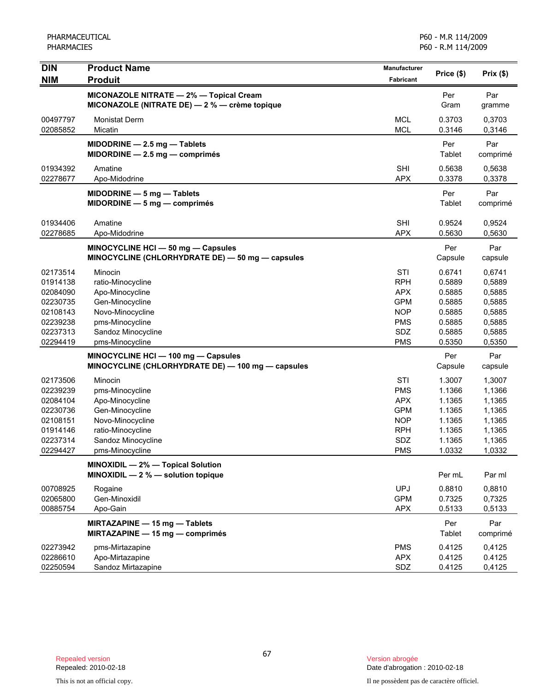| <b>DIN</b>                                                                                                                                                           | <b>Product Name</b>                                                                                                                                                                                                                                                                                                                                         | Manufacturer                                                                                                                                                                | Price (\$)                                                                                                                                                 | Prix(\$)                                                                                                                                                   |
|----------------------------------------------------------------------------------------------------------------------------------------------------------------------|-------------------------------------------------------------------------------------------------------------------------------------------------------------------------------------------------------------------------------------------------------------------------------------------------------------------------------------------------------------|-----------------------------------------------------------------------------------------------------------------------------------------------------------------------------|------------------------------------------------------------------------------------------------------------------------------------------------------------|------------------------------------------------------------------------------------------------------------------------------------------------------------|
| <b>NIM</b>                                                                                                                                                           | <b>Produit</b>                                                                                                                                                                                                                                                                                                                                              | Fabricant                                                                                                                                                                   |                                                                                                                                                            |                                                                                                                                                            |
|                                                                                                                                                                      | MICONAZOLE NITRATE - 2% - Topical Cream<br>MICONAZOLE (NITRATE DE) - 2 % - crème topique                                                                                                                                                                                                                                                                    |                                                                                                                                                                             | Per<br>Gram                                                                                                                                                | Par<br>gramme                                                                                                                                              |
| 00497797<br>02085852                                                                                                                                                 | Monistat Derm<br>Micatin                                                                                                                                                                                                                                                                                                                                    | <b>MCL</b><br><b>MCL</b>                                                                                                                                                    | 0.3703<br>0.3146                                                                                                                                           | 0,3703<br>0,3146                                                                                                                                           |
|                                                                                                                                                                      | MIDODRINE - 2.5 mg - Tablets<br>$MIDORDINE - 2.5 mg - comprimés$                                                                                                                                                                                                                                                                                            |                                                                                                                                                                             | Per<br>Tablet                                                                                                                                              | Par<br>comprimé                                                                                                                                            |
| 01934392<br>02278677                                                                                                                                                 | Amatine<br>Apo-Midodrine                                                                                                                                                                                                                                                                                                                                    | <b>SHI</b><br><b>APX</b>                                                                                                                                                    | 0.5638<br>0.3378                                                                                                                                           | 0,5638<br>0,3378                                                                                                                                           |
|                                                                                                                                                                      | $MIDODRINE - 5 mg - Tables$<br>$MIDORDINE - 5 mg - comprimés$                                                                                                                                                                                                                                                                                               |                                                                                                                                                                             | Per<br>Tablet                                                                                                                                              | Par<br>comprimé                                                                                                                                            |
| 01934406<br>02278685                                                                                                                                                 | Amatine<br>Apo-Midodrine                                                                                                                                                                                                                                                                                                                                    | <b>SHI</b><br><b>APX</b>                                                                                                                                                    | 0.9524<br>0.5630                                                                                                                                           | 0,9524<br>0,5630                                                                                                                                           |
|                                                                                                                                                                      | MINOCYCLINE HCI - 50 mg - Capsules<br>MINOCYCLINE (CHLORHYDRATE DE) - 50 mg - capsules                                                                                                                                                                                                                                                                      |                                                                                                                                                                             | Per<br>Capsule                                                                                                                                             | Par<br>capsule                                                                                                                                             |
| 02173514<br>01914138<br>02084090<br>02230735<br>02108143<br>02239238<br>02237313<br>02294419<br>02173506<br>02239239<br>02084104<br>02230736<br>02108151<br>01914146 | Minocin<br>ratio-Minocycline<br>Apo-Minocycline<br>Gen-Minocycline<br>Novo-Minocycline<br>pms-Minocycline<br>Sandoz Minocycline<br>pms-Minocycline<br>MINOCYCLINE HCI - 100 mg - Capsules<br>MINOCYCLINE (CHLORHYDRATE DE) - 100 mg - capsules<br>Minocin<br>pms-Minocycline<br>Apo-Minocycline<br>Gen-Minocycline<br>Novo-Minocycline<br>ratio-Minocycline | STI<br><b>RPH</b><br><b>APX</b><br><b>GPM</b><br><b>NOP</b><br><b>PMS</b><br>SDZ<br><b>PMS</b><br>STI<br><b>PMS</b><br><b>APX</b><br><b>GPM</b><br><b>NOP</b><br><b>RPH</b> | 0.6741<br>0.5889<br>0.5885<br>0.5885<br>0.5885<br>0.5885<br>0.5885<br>0.5350<br>Per<br>Capsule<br>1.3007<br>1.1366<br>1.1365<br>1.1365<br>1.1365<br>1.1365 | 0,6741<br>0,5889<br>0,5885<br>0,5885<br>0,5885<br>0,5885<br>0,5885<br>0,5350<br>Par<br>capsule<br>1,3007<br>1,1366<br>1,1365<br>1,1365<br>1,1365<br>1,1365 |
| 02237314                                                                                                                                                             | Sandoz Minocycline                                                                                                                                                                                                                                                                                                                                          | SDZ                                                                                                                                                                         | 1.1365                                                                                                                                                     | 1,1365                                                                                                                                                     |
| 02294427                                                                                                                                                             | pms-Minocycline                                                                                                                                                                                                                                                                                                                                             | <b>PMS</b>                                                                                                                                                                  | 1.0332                                                                                                                                                     | 1,0332                                                                                                                                                     |
|                                                                                                                                                                      | MINOXIDIL - 2% - Topical Solution<br>MINOXIDIL $-2$ % $-$ solution topique                                                                                                                                                                                                                                                                                  |                                                                                                                                                                             | Per mL                                                                                                                                                     | Par ml                                                                                                                                                     |
| 00708925<br>02065800<br>00885754                                                                                                                                     | Rogaine<br>Gen-Minoxidil<br>Apo-Gain                                                                                                                                                                                                                                                                                                                        | <b>UPJ</b><br><b>GPM</b><br><b>APX</b>                                                                                                                                      | 0.8810<br>0.7325<br>0.5133                                                                                                                                 | 0,8810<br>0,7325<br>0,5133                                                                                                                                 |
|                                                                                                                                                                      | MIRTAZAPINE - 15 mg - Tablets<br>MIRTAZAPINE - 15 mg - comprimés                                                                                                                                                                                                                                                                                            |                                                                                                                                                                             | Per<br>Tablet                                                                                                                                              | Par<br>comprimé                                                                                                                                            |
| 02273942<br>02286610<br>02250594                                                                                                                                     | pms-Mirtazapine<br>Apo-Mirtazapine<br>Sandoz Mirtazapine                                                                                                                                                                                                                                                                                                    | <b>PMS</b><br><b>APX</b><br>SDZ                                                                                                                                             | 0.4125<br>0.4125<br>0.4125                                                                                                                                 | 0,4125<br>0.4125<br>0,4125                                                                                                                                 |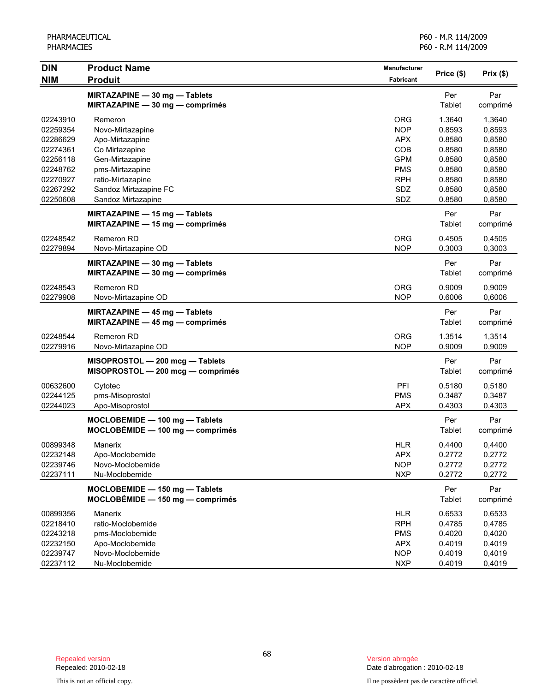| <b>DIN</b> | <b>Product Name</b>                                                     | <b>Manufacturer</b> | Price (\$)    | Prix(\$)        |
|------------|-------------------------------------------------------------------------|---------------------|---------------|-----------------|
| <b>NIM</b> | <b>Produit</b>                                                          | Fabricant           |               |                 |
|            | MIRTAZAPINE - 30 mg - Tablets<br>MIRTAZAPINE - 30 mg - comprimés        |                     | Per<br>Tablet | Par<br>comprimé |
| 02243910   | Remeron                                                                 | <b>ORG</b>          | 1.3640        | 1,3640          |
| 02259354   | Novo-Mirtazapine                                                        | <b>NOP</b>          | 0.8593        | 0,8593          |
| 02286629   | Apo-Mirtazapine                                                         | <b>APX</b>          | 0.8580        | 0,8580          |
| 02274361   | Co Mirtazapine                                                          | COB                 | 0.8580        | 0,8580          |
| 02256118   | Gen-Mirtazapine                                                         | <b>GPM</b>          | 0.8580        | 0,8580          |
| 02248762   | pms-Mirtazapine                                                         | <b>PMS</b>          | 0.8580        | 0,8580          |
| 02270927   | ratio-Mirtazapine                                                       | <b>RPH</b>          | 0.8580        | 0,8580          |
| 02267292   | Sandoz Mirtazapine FC                                                   | SDZ                 | 0.8580        | 0,8580          |
| 02250608   | Sandoz Mirtazapine                                                      | SDZ                 | 0.8580        | 0,8580          |
|            | <b>MIRTAZAPINE - 15 mg - Tablets</b><br>MIRTAZAPINE - 15 mg - comprimés |                     | Per<br>Tablet | Par<br>comprimé |
| 02248542   | Remeron RD                                                              | <b>ORG</b>          | 0.4505        | 0,4505          |
| 02279894   | Novo-Mirtazapine OD                                                     | <b>NOP</b>          | 0.3003        | 0,3003          |
|            | MIRTAZAPINE - 30 mg - Tablets<br>MIRTAZAPINE - 30 mg - comprimés        |                     | Per<br>Tablet | Par<br>comprimé |
| 02248543   | <b>Remeron RD</b>                                                       | <b>ORG</b>          | 0.9009        | 0,9009          |
| 02279908   | Novo-Mirtazapine OD                                                     | <b>NOP</b>          | 0.6006        | 0,6006          |
|            | MIRTAZAPINE - 45 mg - Tablets<br>MIRTAZAPINE - 45 mg - comprimés        |                     | Per<br>Tablet | Par<br>comprimé |
| 02248544   | <b>Remeron RD</b>                                                       | <b>ORG</b>          | 1.3514        | 1,3514          |
| 02279916   | Novo-Mirtazapine OD                                                     | <b>NOP</b>          | 0.9009        | 0,9009          |
|            | MISOPROSTOL - 200 mcg - Tablets<br>MISOPROSTOL - 200 mcg - comprimés    |                     | Per<br>Tablet | Par<br>comprimé |
| 00632600   | Cytotec                                                                 | PFI                 | 0.5180        | 0,5180          |
| 02244125   | pms-Misoprostol                                                         | <b>PMS</b>          | 0.3487        | 0,3487          |
| 02244023   | Apo-Misoprostol                                                         | <b>APX</b>          | 0.4303        | 0,4303          |
|            | MOCLOBEMIDE - 100 mg - Tablets<br>$MOCLOBÉMIDE - 100 mg - comprimés$    |                     | Per<br>Tablet | Par<br>comprimé |
| 00899348   | Manerix                                                                 | <b>HLR</b>          | 0.4400        | 0,4400          |
| 02232148   | Apo-Moclobemide                                                         | APX                 | 0.2772        | 0,2772          |
| 02239746   | Novo-Moclobemide                                                        | <b>NOP</b>          | 0.2772        | 0,2772          |
| 02237111   | Nu-Moclobemide                                                          | <b>NXP</b>          | 0.2772        | 0,2772          |
|            | MOCLOBEMIDE - 150 mg - Tablets<br>MOCLOBÉMIDE - 150 mg - comprimés      |                     | Per<br>Tablet | Par<br>comprimé |
| 00899356   | Manerix                                                                 | <b>HLR</b>          | 0.6533        | 0,6533          |
| 02218410   | ratio-Moclobemide                                                       | <b>RPH</b>          | 0.4785        | 0,4785          |
| 02243218   | pms-Moclobemide                                                         | <b>PMS</b>          | 0.4020        | 0,4020          |
| 02232150   | Apo-Moclobemide                                                         | <b>APX</b>          | 0.4019        | 0,4019          |
| 02239747   | Novo-Moclobemide                                                        | <b>NOP</b>          | 0.4019        | 0,4019          |
| 02237112   | Nu-Moclobemide                                                          | <b>NXP</b>          | 0.4019        | 0,4019          |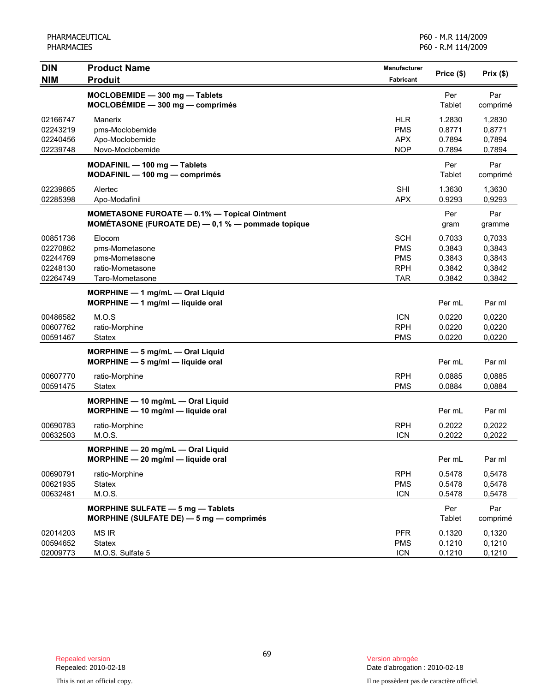| <b>DIN</b><br><b>NIM</b>                                 | <b>Product Name</b><br><b>Produit</b>                                                                        | Manufacturer<br>Fabricant                                          | Price (\$)                                     | Prix(\$)                                       |
|----------------------------------------------------------|--------------------------------------------------------------------------------------------------------------|--------------------------------------------------------------------|------------------------------------------------|------------------------------------------------|
|                                                          | MOCLOBEMIDE - 300 mg - Tablets<br>$MOCLOBÉMIDE - 300 mg - comprimés$                                         |                                                                    | Per<br>Tablet                                  | Par<br>comprimé                                |
| 02166747<br>02243219<br>02240456<br>02239748             | Manerix<br>pms-Moclobemide<br>Apo-Moclobemide<br>Novo-Moclobemide                                            | <b>HLR</b><br><b>PMS</b><br><b>APX</b><br><b>NOP</b>               | 1.2830<br>0.8771<br>0.7894<br>0.7894           | 1,2830<br>0,8771<br>0,7894<br>0,7894           |
|                                                          | MODAFINIL - 100 mg - Tablets<br>MODAFINIL - 100 mg - comprimés                                               |                                                                    | Per<br>Tablet                                  | Par<br>comprimé                                |
| 02239665<br>02285398                                     | Alertec<br>Apo-Modafinil                                                                                     | <b>SHI</b><br><b>APX</b>                                           | 1.3630<br>0.9293                               | 1,3630<br>0,9293                               |
|                                                          | <b>MOMETASONE FUROATE - 0.1% - Topical Ointment</b><br>MOMÉTASONE (FUROATE DE) $-$ 0,1 % $-$ pommade topique |                                                                    | Per<br>gram                                    | Par<br>gramme                                  |
| 00851736<br>02270862<br>02244769<br>02248130<br>02264749 | Elocom<br>pms-Mometasone<br>pms-Mometasone<br>ratio-Mometasone<br>Taro-Mometasone                            | <b>SCH</b><br><b>PMS</b><br><b>PMS</b><br><b>RPH</b><br><b>TAR</b> | 0.7033<br>0.3843<br>0.3843<br>0.3842<br>0.3842 | 0,7033<br>0,3843<br>0,3843<br>0,3842<br>0,3842 |
|                                                          | MORPHINE - 1 mg/mL - Oral Liquid<br>MORPHINE - 1 mg/ml - liquide oral                                        |                                                                    | Per mL                                         | Par ml                                         |
| 00486582<br>00607762<br>00591467                         | M.O.S<br>ratio-Morphine<br>Statex                                                                            | <b>ICN</b><br><b>RPH</b><br><b>PMS</b>                             | 0.0220<br>0.0220<br>0.0220                     | 0,0220<br>0,0220<br>0,0220                     |
|                                                          | MORPHINE - 5 mg/mL - Oral Liquid<br>MORPHINE - 5 mg/ml - liquide oral                                        |                                                                    | Per mL                                         | Par ml                                         |
| 00607770<br>00591475                                     | ratio-Morphine<br><b>Statex</b>                                                                              | <b>RPH</b><br><b>PMS</b>                                           | 0.0885<br>0.0884                               | 0,0885<br>0,0884                               |
|                                                          | MORPHINE - 10 mg/mL - Oral Liquid<br>MORPHINE - 10 mg/ml - liquide oral                                      |                                                                    | Per mL                                         | Par ml                                         |
| 00690783<br>00632503                                     | ratio-Morphine<br>M.O.S.                                                                                     | <b>RPH</b><br><b>ICN</b>                                           | 0.2022<br>0.2022                               | 0,2022<br>0,2022                               |
|                                                          | $MORPHINE - 20$ mg/mL $-$ Oral Liquid<br>MORPHINE - 20 mg/ml - liquide oral                                  |                                                                    | Per mL                                         | Par ml                                         |
| 00690791<br>00621935<br>00632481                         | ratio-Morphine<br>Statex<br>M.O.S.                                                                           | <b>RPH</b><br><b>PMS</b><br><b>ICN</b>                             | 0.5478<br>0.5478<br>0.5478                     | 0,5478<br>0,5478<br>0,5478                     |
|                                                          | MORPHINE SULFATE - 5 mg - Tablets<br>MORPHINE (SULFATE DE) - 5 mg - comprimés                                |                                                                    | Per<br><b>Tablet</b>                           | Par<br>comprimé                                |
| 02014203<br>00594652<br>02009773                         | <b>MS IR</b><br><b>Statex</b><br>M.O.S. Sulfate 5                                                            | <b>PFR</b><br><b>PMS</b><br><b>ICN</b>                             | 0.1320<br>0.1210<br>0.1210                     | 0,1320<br>0,1210<br>0,1210                     |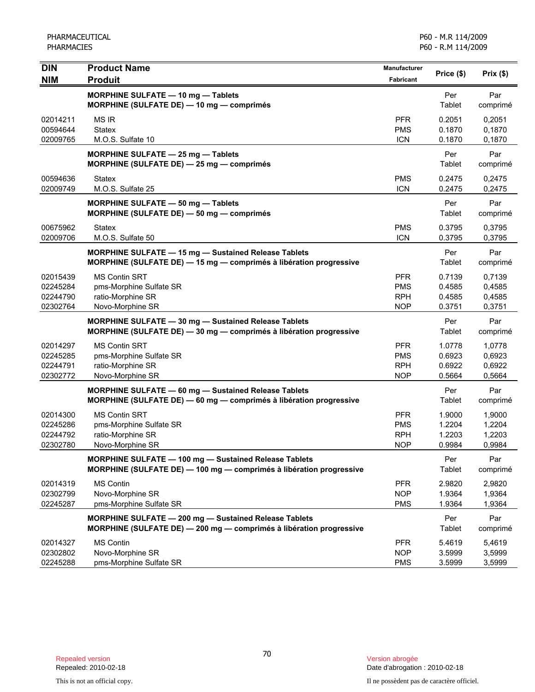| <b>DIN</b><br><b>NIM</b> | <b>Product Name</b><br><b>Produit</b>                                                                                      | <b>Manufacturer</b><br>Fabricant | Price (\$)    | Prix(\$)        |
|--------------------------|----------------------------------------------------------------------------------------------------------------------------|----------------------------------|---------------|-----------------|
|                          |                                                                                                                            |                                  |               |                 |
|                          | MORPHINE SULFATE - 10 mg - Tablets<br>MORPHINE (SULFATE DE) - 10 mg - comprimés                                            |                                  | Per<br>Tablet | Par<br>comprimé |
| 02014211                 | MS IR                                                                                                                      | <b>PFR</b>                       | 0.2051        | 0,2051          |
| 00594644                 | <b>Statex</b>                                                                                                              | <b>PMS</b>                       | 0.1870        | 0,1870          |
| 02009765                 | M.O.S. Sulfate 10                                                                                                          | <b>ICN</b>                       | 0.1870        | 0,1870          |
|                          | MORPHINE SULFATE - 25 mg - Tablets<br>MORPHINE (SULFATE DE) - 25 mg - comprimés                                            |                                  | Per<br>Tablet | Par<br>comprimé |
| 00594636                 | <b>Statex</b>                                                                                                              | <b>PMS</b>                       | 0.2475        | 0,2475          |
| 02009749                 | M.O.S. Sulfate 25                                                                                                          | <b>ICN</b>                       | 0.2475        | 0,2475          |
|                          | MORPHINE SULFATE - 50 mg - Tablets                                                                                         |                                  | Per           | Par             |
|                          | MORPHINE (SULFATE DE) - 50 mg - comprimés                                                                                  |                                  | Tablet        | comprimé        |
| 00675962                 | <b>Statex</b>                                                                                                              | <b>PMS</b>                       | 0.3795        | 0,3795          |
| 02009706                 | M.O.S. Sulfate 50                                                                                                          | <b>ICN</b>                       | 0.3795        | 0,3795          |
|                          | MORPHINE SULFATE - 15 mg - Sustained Release Tablets                                                                       |                                  | Per           | Par             |
|                          | MORPHINE (SULFATE DE) - 15 mg - comprimés à libération progressive                                                         |                                  | Tablet        | comprimé        |
| 02015439                 | <b>MS Contin SRT</b>                                                                                                       | <b>PFR</b>                       | 0.7139        | 0,7139          |
| 02245284                 | pms-Morphine Sulfate SR                                                                                                    | <b>PMS</b>                       | 0.4585        | 0,4585          |
| 02244790                 | ratio-Morphine SR                                                                                                          | <b>RPH</b>                       | 0.4585        | 0,4585          |
| 02302764                 | Novo-Morphine SR                                                                                                           | <b>NOP</b>                       | 0.3751        | 0,3751          |
|                          | MORPHINE SULFATE - 30 mg - Sustained Release Tablets<br>MORPHINE (SULFATE DE) - 30 mg - comprimés à libération progressive |                                  | Per<br>Tablet | Par<br>comprimé |
| 02014297                 | <b>MS Contin SRT</b>                                                                                                       | <b>PFR</b>                       | 1.0778        | 1,0778          |
| 02245285                 | pms-Morphine Sulfate SR                                                                                                    | <b>PMS</b>                       | 0.6923        | 0,6923          |
| 02244791                 | ratio-Morphine SR                                                                                                          | <b>RPH</b>                       | 0.6922        | 0,6922          |
| 02302772                 | Novo-Morphine SR                                                                                                           | <b>NOP</b>                       | 0.5664        | 0,5664          |
|                          | MORPHINE SULFATE - 60 mg - Sustained Release Tablets                                                                       |                                  | Per           | Par             |
|                          | MORPHINE (SULFATE DE) - 60 mg - comprimés à libération progressive                                                         |                                  | Tablet        | comprimé        |
| 02014300                 | <b>MS Contin SRT</b>                                                                                                       | <b>PFR</b>                       | 1.9000        | 1,9000          |
| 02245286                 | pms-Morphine Sulfate SR                                                                                                    | <b>PMS</b>                       | 1.2204        | 1,2204          |
| 02244792                 | ratio-Morphine SR                                                                                                          | <b>RPH</b>                       | 1.2203        | 1,2203          |
| 02302780                 | Novo-Morphine SR                                                                                                           | <b>NOP</b>                       | 0.9984        | 0,9984          |
|                          | MORPHINE SULFATE - 100 mg - Sustained Release Tablets                                                                      |                                  | Per           | Par             |
|                          | MORPHINE (SULFATE DE) - 100 mg - comprimés à libération progressive                                                        |                                  | Tablet        | comprimé        |
| 02014319                 | <b>MS Contin</b>                                                                                                           | <b>PFR</b>                       | 2.9820        | 2,9820          |
| 02302799                 | Novo-Morphine SR                                                                                                           | <b>NOP</b>                       | 1.9364        | 1,9364          |
| 02245287                 | pms-Morphine Sulfate SR                                                                                                    | <b>PMS</b>                       | 1.9364        | 1,9364          |
|                          | MORPHINE SULFATE - 200 mg - Sustained Release Tablets                                                                      |                                  | Per           | Par             |
|                          | MORPHINE (SULFATE DE) - 200 mg - comprimés à libération progressive                                                        |                                  | Tablet        | comprimé        |
| 02014327                 | <b>MS Contin</b>                                                                                                           | <b>PFR</b>                       | 5.4619        | 5,4619          |
| 02302802                 | Novo-Morphine SR                                                                                                           | <b>NOP</b>                       | 3.5999        | 3,5999          |
| 02245288                 | pms-Morphine Sulfate SR                                                                                                    | <b>PMS</b>                       | 3.5999        | 3,5999          |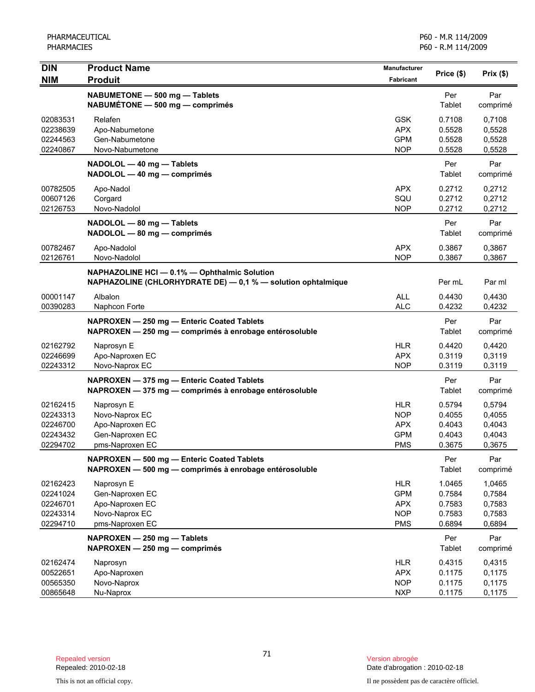| <b>DIN</b><br><b>NIM</b>                                 | <b>Product Name</b><br><b>Produit</b>                                                                        | Manufacturer<br><b>Fabricant</b>                                   | Price (\$)                                     | Prix(\$)                                       |
|----------------------------------------------------------|--------------------------------------------------------------------------------------------------------------|--------------------------------------------------------------------|------------------------------------------------|------------------------------------------------|
|                                                          | NABUMETONE - 500 mg - Tablets<br>NABUMÉTONE - 500 mg - comprimés                                             |                                                                    | Per<br>Tablet                                  | Par<br>comprimé                                |
| 02083531<br>02238639<br>02244563<br>02240867             | Relafen<br>Apo-Nabumetone<br>Gen-Nabumetone<br>Novo-Nabumetone                                               | <b>GSK</b><br><b>APX</b><br><b>GPM</b><br><b>NOP</b>               | 0.7108<br>0.5528<br>0.5528<br>0.5528           | 0,7108<br>0,5528<br>0,5528<br>0,5528           |
|                                                          | NADOLOL - 40 mg - Tablets<br>NADOLOL - 40 mg - comprimés                                                     |                                                                    | Per<br>Tablet                                  | Par<br>comprimé                                |
| 00782505<br>00607126<br>02126753                         | Apo-Nadol<br>Corgard<br>Novo-Nadolol                                                                         | <b>APX</b><br>SQU<br><b>NOP</b>                                    | 0.2712<br>0.2712<br>0.2712                     | 0,2712<br>0,2712<br>0,2712                     |
|                                                          | NADOLOL - 80 mg - Tablets<br>NADOLOL - 80 mg - comprimés                                                     |                                                                    | Per<br>Tablet                                  | Par<br>comprimé                                |
| 00782467<br>02126761                                     | Apo-Nadolol<br>Novo-Nadolol                                                                                  | <b>APX</b><br><b>NOP</b>                                           | 0.3867<br>0.3867                               | 0,3867<br>0,3867                               |
|                                                          | NAPHAZOLINE HCI - 0.1% - Ophthalmic Solution<br>NAPHAZOLINE (CHLORHYDRATE DE) - 0,1 % - solution ophtalmique |                                                                    | Per mL                                         | Par ml                                         |
| 00001147<br>00390283                                     | Albalon<br>Naphcon Forte                                                                                     | <b>ALL</b><br><b>ALC</b>                                           | 0.4430<br>0.4232                               | 0,4430<br>0,4232                               |
|                                                          | NAPROXEN - 250 mg - Enteric Coated Tablets<br>NAPROXEN - 250 mg - comprimés à enrobage entérosoluble         |                                                                    | Per<br>Tablet                                  | Par<br>comprimé                                |
| 02162792<br>02246699<br>02243312                         | Naprosyn E<br>Apo-Naproxen EC<br>Novo-Naprox EC                                                              | <b>HLR</b><br><b>APX</b><br><b>NOP</b>                             | 0.4420<br>0.3119<br>0.3119                     | 0,4420<br>0,3119<br>0,3119                     |
|                                                          | NAPROXEN - 375 mg - Enteric Coated Tablets<br>NAPROXEN - 375 mg - comprimés à enrobage entérosoluble         |                                                                    | Per<br>Tablet                                  | Par<br>comprimé                                |
| 02162415<br>02243313<br>02246700<br>02243432<br>02294702 | Naprosyn E<br>Novo-Naprox EC<br>Apo-Naproxen EC<br>Gen-Naproxen EC<br>pms-Naproxen EC                        | <b>HLR</b><br><b>NOP</b><br><b>APX</b><br><b>GPM</b><br><b>PMS</b> | 0.5794<br>0.4055<br>0.4043<br>0.4043<br>0.3675 | 0,5794<br>0,4055<br>0,4043<br>0,4043<br>0,3675 |
|                                                          | NAPROXEN - 500 mg - Enteric Coated Tablets<br>NAPROXEN - 500 mg - comprimés à enrobage entérosoluble         |                                                                    | Per<br>Tablet                                  | Par<br>comprimé                                |
| 02162423<br>02241024<br>02246701<br>02243314<br>02294710 | Naprosyn E<br>Gen-Naproxen EC<br>Apo-Naproxen EC<br>Novo-Naprox EC<br>pms-Naproxen EC                        | <b>HLR</b><br><b>GPM</b><br><b>APX</b><br><b>NOP</b><br><b>PMS</b> | 1.0465<br>0.7584<br>0.7583<br>0.7583<br>0.6894 | 1,0465<br>0,7584<br>0,7583<br>0,7583<br>0,6894 |
|                                                          | NAPROXEN - 250 mg - Tablets<br>NAPROXEN - 250 mg - comprimés                                                 |                                                                    | Per<br>Tablet                                  | Par<br>comprimé                                |
| 02162474<br>00522651<br>00565350<br>00865648             | Naprosyn<br>Apo-Naproxen<br>Novo-Naprox<br>Nu-Naprox                                                         | <b>HLR</b><br><b>APX</b><br><b>NOP</b><br><b>NXP</b>               | 0.4315<br>0.1175<br>0.1175<br>0.1175           | 0,4315<br>0,1175<br>0,1175<br>0,1175           |

Date d'abrogation : 2010-02-18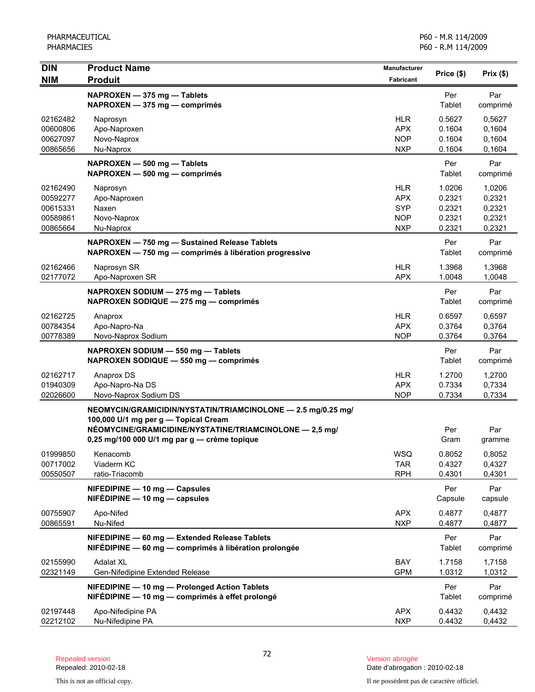| <b>DIN</b>           | <b>Product Name</b>                                                                                     | Manufacturer             | Price (\$)           | Prix(\$)         |
|----------------------|---------------------------------------------------------------------------------------------------------|--------------------------|----------------------|------------------|
| <b>NIM</b>           | <b>Produit</b>                                                                                          | <b>Fabricant</b>         |                      |                  |
|                      | NAPROXEN - 375 mg - Tablets                                                                             |                          | Per                  | Par              |
|                      | NAPROXEN - 375 mg - comprimés                                                                           |                          | Tablet               | comprimé         |
| 02162482             | Naprosyn                                                                                                | <b>HLR</b>               | 0.5627               | 0,5627           |
| 00600806             | Apo-Naproxen                                                                                            | <b>APX</b>               | 0.1604               | 0,1604           |
| 00627097             | Novo-Naprox                                                                                             | <b>NOP</b>               | 0.1604               | 0,1604           |
| 00865656             | Nu-Naprox                                                                                               | <b>NXP</b>               | 0.1604               | 0,1604           |
|                      | NAPROXEN - 500 mg - Tablets<br>NAPROXEN - 500 mg - comprimés                                            |                          | Per<br>Tablet        | Par<br>comprimé  |
| 02162490             | Naprosyn                                                                                                | <b>HLR</b>               | 1.0206               | 1,0206           |
| 00592277             | Apo-Naproxen                                                                                            | <b>APX</b>               | 0.2321               | 0,2321           |
| 00615331             | Naxen                                                                                                   | <b>SYP</b>               | 0.2321               | 0,2321           |
| 00589861<br>00865664 | Novo-Naprox<br>Nu-Naprox                                                                                | <b>NOP</b><br><b>NXP</b> | 0.2321<br>0.2321     | 0,2321<br>0,2321 |
|                      |                                                                                                         |                          |                      |                  |
|                      | NAPROXEN - 750 mg - Sustained Release Tablets<br>NAPROXEN - 750 mg - comprimés à libération progressive |                          | Per<br>Tablet        | Par<br>comprimé  |
| 02162466<br>02177072 | Naprosyn SR<br>Apo-Naproxen SR                                                                          | <b>HLR</b><br><b>APX</b> | 1.3968<br>1.0048     | 1,3968<br>1,0048 |
|                      | NAPROXEN SODIUM - 275 mg - Tablets<br>NAPROXEN SODIQUE - 275 mg - comprimés                             |                          | Per<br>Tablet        | Par<br>comprimé  |
| 02162725             | Anaprox                                                                                                 | <b>HLR</b>               | 0.6597               | 0,6597           |
| 00784354             | Apo-Napro-Na                                                                                            | <b>APX</b>               | 0.3764               | 0,3764           |
| 00778389             | Novo-Naprox Sodium                                                                                      | <b>NOP</b>               | 0.3764               | 0,3764           |
|                      | NAPROXEN SODIUM - 550 mg - Tablets<br>NAPROXEN SODIQUE - 550 mg - comprimés                             |                          | Per<br>Tablet        | Par<br>comprimé  |
| 02162717             | Anaprox DS                                                                                              | <b>HLR</b>               | 1.2700               | 1,2700           |
| 01940309             | Apo-Napro-Na DS                                                                                         | <b>APX</b>               | 0.7334               | 0,7334           |
| 02026600             | Novo-Naprox Sodium DS                                                                                   | <b>NOP</b>               | 0.7334               | 0,7334           |
|                      | NEOMYCIN/GRAMICIDIN/NYSTATIN/TRIAMCINOLONE - 2.5 mg/0.25 mg/<br>100,000 U/1 mg per g - Topical Cream    |                          |                      |                  |
|                      | NÉOMYCINE/GRAMICIDINE/NYSTATINE/TRIAMCINOLONE - 2,5 mg/                                                 |                          | Per                  | Par              |
|                      | 0,25 mg/100 000 U/1 mg par g - crème topique                                                            |                          | Gram                 | gramme           |
| 01999850             | Kenacomb                                                                                                | WSQ                      | 0.8052               | 0,8052           |
| 00717002             | Viaderm KC                                                                                              | <b>TAR</b>               | 0.4327               | 0,4327           |
| 00550507             | ratio-Triacomb<br>NIFEDIPINE - 10 mg - Capsules                                                         | <b>RPH</b>               | 0.4301<br>Per        | 0,4301<br>Par    |
|                      | $NIFÉDIPINE - 10 mg - capsules$                                                                         |                          | Capsule              | capsule          |
| 00755907<br>00865591 | Apo-Nifed<br>Nu-Nifed                                                                                   | <b>APX</b><br><b>NXP</b> | 0.4877<br>0.4877     | 0,4877<br>0,4877 |
|                      | NIFEDIPINE - 60 mg - Extended Release Tablets<br>NIFÉDIPINE - 60 mg - comprimés à libération prolongée  |                          | Per<br>Tablet        | Par<br>comprimé  |
| 02155990             | <b>Adalat XL</b>                                                                                        | BAY                      | 1.7158               | 1,7158           |
| 02321149             | Gen-Nifedipine Extended Release                                                                         | <b>GPM</b>               | 1.0312               | 1,0312           |
|                      | NIFEDIPINE - 10 mg - Prolonged Action Tablets<br>NIFÉDIPINE - 10 mg - comprimés à effet prolongé        |                          | Per<br><b>Tablet</b> | Par<br>comprimé  |
| 02197448<br>02212102 | Apo-Nifedipine PA<br>Nu-Nifedipine PA                                                                   | <b>APX</b><br><b>NXP</b> | 0.4432<br>0.4432     | 0,4432<br>0,4432 |
|                      |                                                                                                         |                          |                      |                  |

Date d'abrogation : 2010-02-18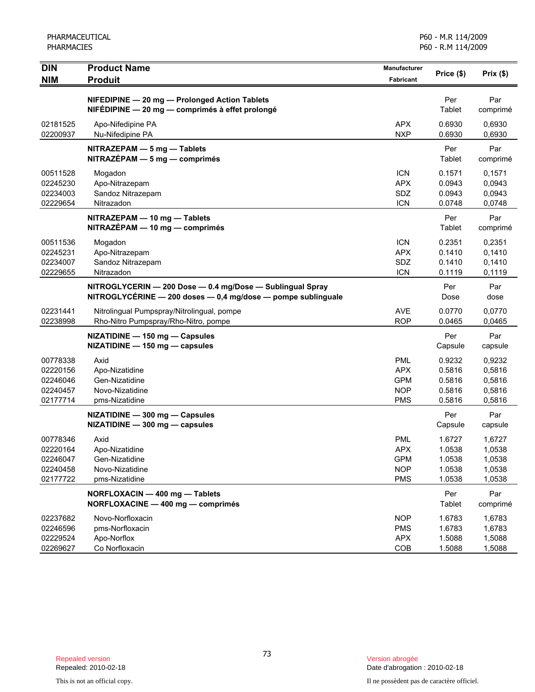| <b>DIN</b><br><b>NIM</b>                                 | <b>Product Name</b>                                                                                                       | <b>Manufacturer</b><br>Fabricant                                   | Price (\$)                                     | Prix(\$)                                       |
|----------------------------------------------------------|---------------------------------------------------------------------------------------------------------------------------|--------------------------------------------------------------------|------------------------------------------------|------------------------------------------------|
|                                                          | <b>Produit</b>                                                                                                            |                                                                    |                                                |                                                |
|                                                          | NIFEDIPINE - 20 mg - Prolonged Action Tablets<br>NIFÉDIPINE - 20 mg - comprimés à effet prolongé                          |                                                                    | Per<br>Tablet                                  | Par<br>comprimé                                |
| 02181525<br>02200937                                     | Apo-Nifedipine PA<br>Nu-Nifedipine PA                                                                                     | <b>APX</b><br><b>NXP</b>                                           | 0.6930<br>0.6930                               | 0.6930<br>0,6930                               |
|                                                          | NITRAZEPAM - 5 mg - Tablets<br>$NITRAZÉPAM - 5 mg - comprimés$                                                            |                                                                    | Per<br>Tablet                                  | Par<br>comprimé                                |
| 00511528<br>02245230<br>02234003<br>02229654             | Mogadon<br>Apo-Nitrazepam<br>Sandoz Nitrazepam<br>Nitrazadon                                                              | <b>ICN</b><br><b>APX</b><br>SDZ<br><b>ICN</b>                      | 0.1571<br>0.0943<br>0.0943<br>0.0748           | 0,1571<br>0,0943<br>0,0943<br>0,0748           |
|                                                          | NITRAZEPAM - 10 mg - Tablets<br>NITRAZÉPAM - 10 mg - comprimés                                                            |                                                                    | Per<br>Tablet                                  | Par<br>comprimé                                |
| 00511536<br>02245231<br>02234007<br>02229655             | Mogadon<br>Apo-Nitrazepam<br>Sandoz Nitrazepam<br>Nitrazadon                                                              | <b>ICN</b><br><b>APX</b><br><b>SDZ</b><br><b>ICN</b>               | 0.2351<br>0.1410<br>0.1410<br>0.1119           | 0,2351<br>0,1410<br>0,1410<br>0,1119           |
|                                                          | NITROGLYCERIN - 200 Dose - 0.4 mg/Dose - Sublingual Spray<br>NITROGLYCÉRINE - 200 doses - 0,4 mg/dose - pompe sublinguale |                                                                    | Per<br>Dose                                    | Par<br>dose                                    |
| 02231441<br>02238998                                     | Nitrolingual Pumpspray/Nitrolingual, pompe<br>Rho-Nitro Pumpspray/Rho-Nitro, pompe                                        | <b>AVE</b><br><b>ROP</b>                                           | 0.0770<br>0.0465                               | 0,0770<br>0,0465                               |
|                                                          | NIZATIDINE - 150 mg - Capsules<br>NIZATIDINE - 150 mg - capsules                                                          |                                                                    | Per<br>Capsule                                 | Par<br>capsule                                 |
| 00778338<br>02220156<br>02246046<br>02240457<br>02177714 | Axid<br>Apo-Nizatidine<br>Gen-Nizatidine<br>Novo-Nizatidine<br>pms-Nizatidine                                             | <b>PML</b><br><b>APX</b><br><b>GPM</b><br><b>NOP</b><br><b>PMS</b> | 0.9232<br>0.5816<br>0.5816<br>0.5816<br>0.5816 | 0,9232<br>0,5816<br>0,5816<br>0,5816<br>0,5816 |
|                                                          | NIZATIDINE - 300 mg - Capsules<br>NIZATIDINE - 300 mg - capsules                                                          |                                                                    | Per<br>Capsule                                 | Par<br>capsule                                 |
| 00778346<br>02220164<br>02246047<br>02240458<br>02177722 | Axid<br>Apo-Nizatidine<br>Gen-Nizatidine<br>Novo-Nizatidine<br>pms-Nizatidine                                             | <b>PML</b><br><b>APX</b><br><b>GPM</b><br><b>NOP</b><br><b>PMS</b> | 1.6727<br>1.0538<br>1.0538<br>1.0538<br>1.0538 | 1,6727<br>1,0538<br>1,0538<br>1,0538<br>1,0538 |
|                                                          | NORFLOXACIN - 400 mg - Tablets<br>NORFLOXACINE - 400 mg - comprimés                                                       |                                                                    | Per<br>Tablet                                  | Par<br>comprimé                                |
| 02237682<br>02246596<br>02229524<br>02269627             | Novo-Norfloxacin<br>pms-Norfloxacin<br>Apo-Norflox<br>Co Norfloxacin                                                      | <b>NOP</b><br><b>PMS</b><br><b>APX</b><br>COB                      | 1.6783<br>1.6783<br>1.5088<br>1.5088           | 1,6783<br>1,6783<br>1,5088<br>1,5088           |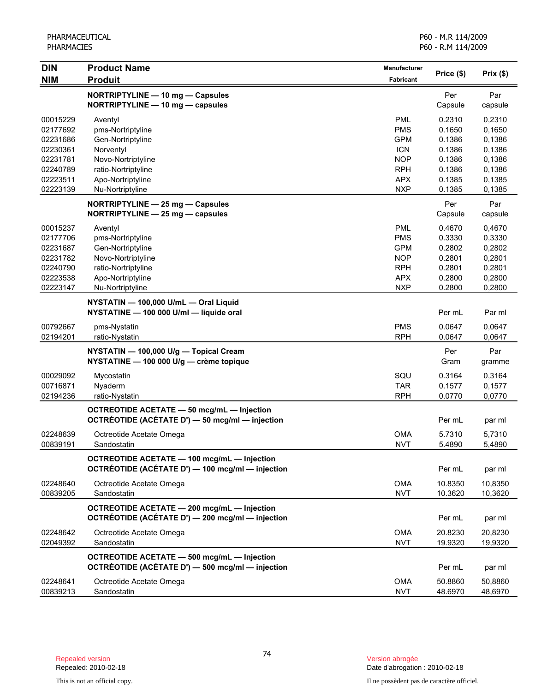| <b>DIN</b>                                                                                   | <b>Product Name</b>                                                                                                                                  | <b>Manufacturer</b>                                                                                          | Price (\$)                                                                   |                                                                              |
|----------------------------------------------------------------------------------------------|------------------------------------------------------------------------------------------------------------------------------------------------------|--------------------------------------------------------------------------------------------------------------|------------------------------------------------------------------------------|------------------------------------------------------------------------------|
| <b>NIM</b>                                                                                   | <b>Produit</b>                                                                                                                                       | <b>Fabricant</b>                                                                                             |                                                                              | Prix(\$)                                                                     |
|                                                                                              | NORTRIPTYLINE - 10 mg - Capsules<br>NORTRIPTYLINE - 10 mg - capsules                                                                                 |                                                                                                              | Per<br>Capsule                                                               | Par<br>capsule                                                               |
| 00015229<br>02177692<br>02231686<br>02230361<br>02231781<br>02240789<br>02223511<br>02223139 | Aventyl<br>pms-Nortriptyline<br>Gen-Nortriptyline<br>Norventyl<br>Novo-Nortriptyline<br>ratio-Nortriptyline<br>Apo-Nortriptyline<br>Nu-Nortriptyline | <b>PML</b><br><b>PMS</b><br><b>GPM</b><br><b>ICN</b><br><b>NOP</b><br><b>RPH</b><br><b>APX</b><br><b>NXP</b> | 0.2310<br>0.1650<br>0.1386<br>0.1386<br>0.1386<br>0.1386<br>0.1385<br>0.1385 | 0,2310<br>0,1650<br>0,1386<br>0,1386<br>0,1386<br>0,1386<br>0,1385<br>0,1385 |
|                                                                                              | NORTRIPTYLINE - 25 mg - Capsules<br>NORTRIPTYLINE - 25 mg - capsules                                                                                 |                                                                                                              | Per<br>Capsule                                                               | Par<br>capsule                                                               |
| 00015237<br>02177706<br>02231687<br>02231782<br>02240790<br>02223538<br>02223147             | Aventyl<br>pms-Nortriptyline<br>Gen-Nortriptyline<br>Novo-Nortriptyline<br>ratio-Nortriptyline<br>Apo-Nortriptyline<br>Nu-Nortriptyline              | <b>PML</b><br><b>PMS</b><br><b>GPM</b><br><b>NOP</b><br><b>RPH</b><br><b>APX</b><br><b>NXP</b>               | 0.4670<br>0.3330<br>0.2802<br>0.2801<br>0.2801<br>0.2800<br>0.2800           | 0,4670<br>0,3330<br>0,2802<br>0,2801<br>0,2801<br>0,2800<br>0,2800           |
|                                                                                              | NYSTATIN - 100,000 U/mL - Oral Liquid<br>NYSTATINE - 100 000 U/ml - liquide oral                                                                     |                                                                                                              | Per mL                                                                       | Par ml                                                                       |
| 00792667<br>02194201                                                                         | pms-Nystatin<br>ratio-Nystatin                                                                                                                       | <b>PMS</b><br><b>RPH</b>                                                                                     | 0.0647<br>0.0647                                                             | 0,0647<br>0,0647                                                             |
|                                                                                              | NYSTATIN - 100,000 U/g - Topical Cream<br>NYSTATINE - 100 000 U/g - crème topique                                                                    |                                                                                                              | Per<br>Gram                                                                  | Par<br>gramme                                                                |
| 00029092<br>00716871<br>02194236                                                             | Mycostatin<br>Nyaderm<br>ratio-Nystatin                                                                                                              | SQU<br><b>TAR</b><br><b>RPH</b>                                                                              | 0.3164<br>0.1577<br>0.0770                                                   | 0,3164<br>0,1577<br>0,0770                                                   |
|                                                                                              | OCTREOTIDE ACETATE - 50 mcg/mL - Injection<br>OCTRÉOTIDE (ACÉTATE D') - 50 mcg/ml - injection                                                        |                                                                                                              | Per mL                                                                       | par ml                                                                       |
| 02248639<br>00839191                                                                         | Octreotide Acetate Omega<br>Sandostatin                                                                                                              | <b>OMA</b><br><b>NVT</b>                                                                                     | 5.7310<br>5.4890                                                             | 5,7310<br>5,4890                                                             |
|                                                                                              | <b>OCTREOTIDE ACETATE - 100 mcg/mL - Injection</b><br>OCTRÉOTIDE (ACÉTATE D') - 100 mcg/ml - injection                                               |                                                                                                              | Per mL                                                                       | par ml                                                                       |
| 02248640<br>00839205                                                                         | Octreotide Acetate Omega<br>Sandostatin                                                                                                              | <b>OMA</b><br><b>NVT</b>                                                                                     | 10.8350<br>10.3620                                                           | 10,8350<br>10,3620                                                           |
|                                                                                              | <b>OCTREOTIDE ACETATE - 200 mcg/mL - Injection</b><br>OCTRÉOTIDE (ACÉTATE D') - 200 mcg/ml - injection                                               |                                                                                                              | Per mL                                                                       | par ml                                                                       |
| 02248642<br>02049392                                                                         | Octreotide Acetate Omega<br>Sandostatin                                                                                                              | <b>OMA</b><br><b>NVT</b>                                                                                     | 20.8230<br>19.9320                                                           | 20,8230<br>19,9320                                                           |
|                                                                                              | OCTREOTIDE ACETATE - 500 mcg/mL - Injection<br>OCTRÉOTIDE (ACÉTATE D') - 500 mcg/ml - injection                                                      |                                                                                                              | Per mL                                                                       | par ml                                                                       |
| 02248641<br>00839213                                                                         | Octreotide Acetate Omega<br>Sandostatin                                                                                                              | <b>OMA</b><br><b>NVT</b>                                                                                     | 50.8860<br>48.6970                                                           | 50,8860<br>48,6970                                                           |

Date d'abrogation : 2010-02-18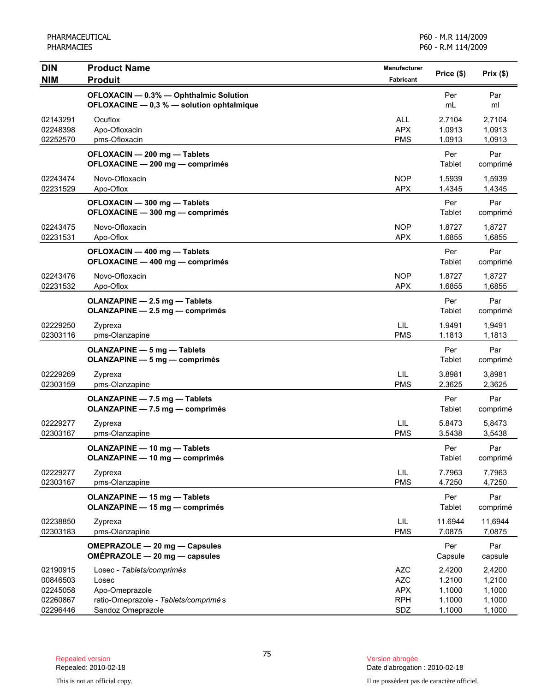PHARMACEUTICAL PHARMACIES

P60 - M.R 114/2009 P60 - R.M 114/2009

| <b>DIN</b><br><b>NIM</b>                                 | <b>Product Name</b><br><b>Produit</b>                                                                              | <b>Manufacturer</b><br>Fabricant                            | Price (\$)                                     | Prix(\$)                                       |
|----------------------------------------------------------|--------------------------------------------------------------------------------------------------------------------|-------------------------------------------------------------|------------------------------------------------|------------------------------------------------|
|                                                          | OFLOXACIN - 0.3% - Ophthalmic Solution<br>OFLOXACINE - 0,3 % - solution ophtalmique                                |                                                             | Per<br>mL                                      | Par<br>ml                                      |
| 02143291<br>02248398<br>02252570                         | Ocuflox<br>Apo-Ofloxacin<br>pms-Ofloxacin                                                                          | <b>ALL</b><br><b>APX</b><br><b>PMS</b>                      | 2.7104<br>1.0913<br>1.0913                     | 2,7104<br>1,0913<br>1,0913                     |
|                                                          | OFLOXACIN - 200 mg - Tablets<br>OFLOXACINE - 200 mg - comprimés                                                    |                                                             | Per<br>Tablet                                  | Par<br>comprimé                                |
| 02243474<br>02231529                                     | Novo-Ofloxacin<br>Apo-Oflox                                                                                        | <b>NOP</b><br><b>APX</b>                                    | 1.5939<br>1.4345                               | 1,5939<br>1,4345                               |
|                                                          | OFLOXACIN - 300 mg - Tablets<br>OFLOXACINE - 300 mg - comprimés                                                    |                                                             | Per<br>Tablet                                  | Par<br>comprimé                                |
| 02243475<br>02231531                                     | Novo-Ofloxacin<br>Apo-Oflox                                                                                        | <b>NOP</b><br><b>APX</b>                                    | 1.8727<br>1.6855                               | 1,8727<br>1,6855                               |
|                                                          | OFLOXACIN - 400 mg - Tablets<br>OFLOXACINE - 400 mg - comprimés                                                    |                                                             | Per<br>Tablet                                  | Par<br>comprimé                                |
| 02243476<br>02231532                                     | Novo-Ofloxacin<br>Apo-Oflox                                                                                        | <b>NOP</b><br><b>APX</b>                                    | 1.8727<br>1.6855                               | 1,8727<br>1,6855                               |
|                                                          | OLANZAPINE - 2.5 mg - Tablets<br>OLANZAPINE - 2.5 mg - comprimés                                                   |                                                             | Per<br>Tablet                                  | Par<br>comprimé                                |
| 02229250<br>02303116                                     | Zyprexa<br>pms-Olanzapine                                                                                          | LIL<br><b>PMS</b>                                           | 1.9491<br>1.1813                               | 1,9491<br>1,1813                               |
|                                                          | <b>OLANZAPINE - 5 mg - Tablets</b><br><b>OLANZAPINE - 5 mg - comprimés</b>                                         |                                                             | Per<br>Tablet                                  | Par<br>comprimé                                |
| 02229269<br>02303159                                     | Zyprexa<br>pms-Olanzapine                                                                                          | <b>LIL</b><br><b>PMS</b>                                    | 3.8981<br>2.3625                               | 3,8981<br>2,3625                               |
|                                                          | OLANZAPINE - 7.5 mg - Tablets<br>OLANZAPINE - 7.5 mg - comprimés                                                   |                                                             | Per<br>Tablet                                  | Par<br>comprimé                                |
| 02229277<br>02303167                                     | Zyprexa<br>pms-Olanzapine                                                                                          | LIL<br><b>PMS</b>                                           | 5.8473<br>3.5438                               | 5,8473<br>3,5438                               |
|                                                          | <b>OLANZAPINE - 10 mg - Tablets</b><br><b>OLANZAPINE - 10 mg - comprimés</b>                                       |                                                             | Per<br>Tablet                                  | Par<br>comprimé                                |
| 02229277<br>02303167                                     | Zyprexa<br>pms-Olanzapine                                                                                          | LIL<br><b>PMS</b>                                           | 7.7963<br>4.7250                               | 7,7963<br>4,7250                               |
|                                                          | <b>OLANZAPINE - 15 mg - Tablets</b><br><b>OLANZAPINE - 15 mg - comprimés</b>                                       |                                                             | Per<br>Tablet                                  | Par<br>comprimé                                |
| 02238850<br>02303183                                     | Zyprexa<br>pms-Olanzapine                                                                                          | LIL.<br><b>PMS</b>                                          | 11.6944<br>7.0875                              | 11,6944<br>7,0875                              |
|                                                          | OMEPRAZOLE - 20 mg - Capsules<br>$OMEPRAZOLE - 20 mg - capsules$                                                   |                                                             | Per<br>Capsule                                 | Par<br>capsule                                 |
| 02190915<br>00846503<br>02245058<br>02260867<br>02296446 | Losec - Tablets/comprimés<br>Losec<br>Apo-Omeprazole<br>ratio-Omeprazole - Tablets/comprimé s<br>Sandoz Omeprazole | <b>AZC</b><br><b>AZC</b><br><b>APX</b><br><b>RPH</b><br>SDZ | 2.4200<br>1.2100<br>1.1000<br>1.1000<br>1.1000 | 2,4200<br>1,2100<br>1,1000<br>1,1000<br>1,1000 |

Date d'abrogation : 2010-02-18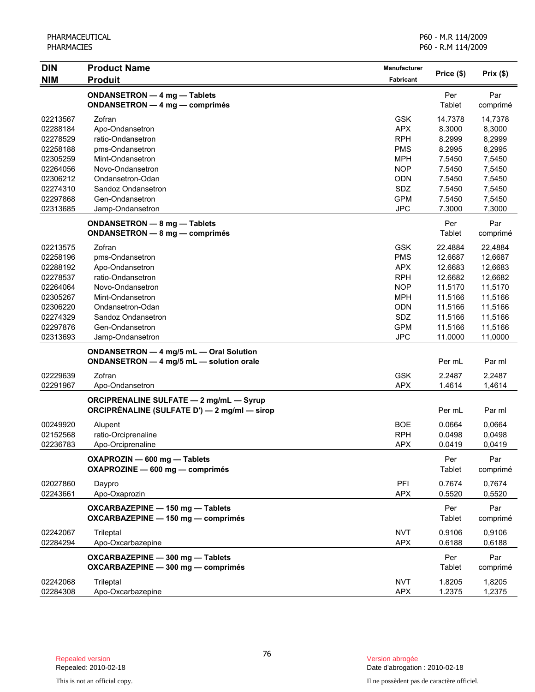| <b>NIM</b><br><b>Produit</b><br>Fabricant<br>ONDANSETRON - 4 mg - Tablets<br>Per<br>Par<br>Tablet<br>ONDANSETRON - 4 mg - comprimés<br>comprimé<br>02213567<br>Zofran<br><b>GSK</b><br>14.7378<br>14,7378<br><b>APX</b><br>02288184<br>8.3000<br>8,3000<br>Apo-Ondansetron<br><b>RPH</b><br>8.2999<br>8,2999<br>02278529<br>ratio-Ondansetron<br><b>PMS</b><br>02258188<br>pms-Ondansetron<br>8.2995<br>8,2995<br>02305259<br><b>MPH</b><br>7,5450<br>Mint-Ondansetron<br>7.5450<br><b>NOP</b><br>7,5450<br>02264056<br>Novo-Ondansetron<br>7.5450<br>02306212<br><b>ODN</b><br>7.5450<br>7,5450<br>Ondansetron-Odan<br>SDZ<br>02274310<br>Sandoz Ondansetron<br>7.5450<br>7,5450<br>02297868<br><b>GPM</b><br>Gen-Ondansetron<br>7.5450<br>7,5450<br><b>JPC</b><br>02313685<br>7.3000<br>7,3000<br>Jamp-Ondansetron<br>Per<br>Par<br>ONDANSETRON - 8 mg - Tablets<br>Tablet<br>ONDANSETRON - 8 mg - comprimés<br>comprimé<br><b>GSK</b><br>02213575<br>Zofran<br>22.4884<br>22,4884<br><b>PMS</b><br>02258196<br>pms-Ondansetron<br>12.6687<br>12,6687<br>02288192<br>Apo-Ondansetron<br><b>APX</b><br>12.6683<br>12,6683<br><b>RPH</b><br>02278537<br>ratio-Ondansetron<br>12.6682<br>12,6682<br><b>NOP</b><br>11.5170<br>02264064<br>Novo-Ondansetron<br>11,5170<br><b>MPH</b><br>11.5166<br>02305267<br>Mint-Ondansetron<br>11,5166<br>02306220<br><b>ODN</b><br>11.5166<br>Ondansetron-Odan<br>11,5166<br>SDZ<br>02274329<br>Sandoz Ondansetron<br>11.5166<br>11,5166<br><b>GPM</b><br>02297876<br>11.5166<br>Gen-Ondansetron<br>11,5166<br>02313693<br><b>JPC</b><br>11.0000<br>11,0000<br>Jamp-Ondansetron<br>ONDANSETRON - 4 mg/5 mL - Oral Solution<br>ONDANSETRON - 4 mg/5 mL - solution orale<br>Per mL<br>Par ml<br><b>GSK</b><br>02229639<br>Zofran<br>2.2487<br>2,2487<br><b>APX</b><br>02291967<br>1.4614<br>1,4614<br>Apo-Ondansetron<br><b>ORCIPRENALINE SULFATE - 2 mg/mL - Syrup</b><br>ORCIPRÉNALINE (SULFATE D') — 2 mg/ml — sirop<br>Per mL<br>Par ml<br><b>BOE</b><br>00249920<br>0.0664<br>0,0664<br>Alupent<br><b>RPH</b><br>02152568<br>ratio-Orciprenaline<br>0.0498<br>0,0498<br><b>APX</b><br>02236783<br>Apo-Orciprenaline<br>0.0419<br>0,0419<br>Per<br>Par<br>OXAPROZIN - 600 mg - Tablets<br>OXAPROZINE - 600 mg - comprimés<br><b>Tablet</b><br>comprimé<br>PFI<br>02027860<br>0.7674<br>0,7674<br>Daypro<br>02243661<br>Apo-Oxaprozin<br><b>APX</b><br>0.5520<br>0,5520<br>OXCARBAZEPINE - 150 mg - Tablets<br>Per<br>Par<br>OXCARBAZEPINE - 150 mg - comprimés<br>Tablet<br>comprimé<br><b>NVT</b><br>0.9106<br>02242067<br>Trileptal<br>0,9106<br><b>APX</b><br>02284294<br>Apo-Oxcarbazepine<br>0.6188<br>0,6188<br>Per<br>OXCARBAZEPINE - 300 mg - Tablets<br>Par<br>OXCARBAZEPINE - 300 mg - comprimés<br><b>Tablet</b><br>comprimé | <b>DIN</b> | <b>Product Name</b> | <b>Manufacturer</b> |            | Prix(\$) |
|-----------------------------------------------------------------------------------------------------------------------------------------------------------------------------------------------------------------------------------------------------------------------------------------------------------------------------------------------------------------------------------------------------------------------------------------------------------------------------------------------------------------------------------------------------------------------------------------------------------------------------------------------------------------------------------------------------------------------------------------------------------------------------------------------------------------------------------------------------------------------------------------------------------------------------------------------------------------------------------------------------------------------------------------------------------------------------------------------------------------------------------------------------------------------------------------------------------------------------------------------------------------------------------------------------------------------------------------------------------------------------------------------------------------------------------------------------------------------------------------------------------------------------------------------------------------------------------------------------------------------------------------------------------------------------------------------------------------------------------------------------------------------------------------------------------------------------------------------------------------------------------------------------------------------------------------------------------------------------------------------------------------------------------------------------------------------------------------------------------------------------------------------------------------------------------------------------------------------------------------------------------------------------------------------------------------------------------------------------------------------------------------------------------------------------------------------------------------------------------------------------------------------------------------------------------------------------------------------------------------------------------------------------------------------------------------------------------------------------------------------------------------------------|------------|---------------------|---------------------|------------|----------|
|                                                                                                                                                                                                                                                                                                                                                                                                                                                                                                                                                                                                                                                                                                                                                                                                                                                                                                                                                                                                                                                                                                                                                                                                                                                                                                                                                                                                                                                                                                                                                                                                                                                                                                                                                                                                                                                                                                                                                                                                                                                                                                                                                                                                                                                                                                                                                                                                                                                                                                                                                                                                                                                                                                                                                                             |            |                     |                     | Price (\$) |          |
|                                                                                                                                                                                                                                                                                                                                                                                                                                                                                                                                                                                                                                                                                                                                                                                                                                                                                                                                                                                                                                                                                                                                                                                                                                                                                                                                                                                                                                                                                                                                                                                                                                                                                                                                                                                                                                                                                                                                                                                                                                                                                                                                                                                                                                                                                                                                                                                                                                                                                                                                                                                                                                                                                                                                                                             |            |                     |                     |            |          |
|                                                                                                                                                                                                                                                                                                                                                                                                                                                                                                                                                                                                                                                                                                                                                                                                                                                                                                                                                                                                                                                                                                                                                                                                                                                                                                                                                                                                                                                                                                                                                                                                                                                                                                                                                                                                                                                                                                                                                                                                                                                                                                                                                                                                                                                                                                                                                                                                                                                                                                                                                                                                                                                                                                                                                                             |            |                     |                     |            |          |
|                                                                                                                                                                                                                                                                                                                                                                                                                                                                                                                                                                                                                                                                                                                                                                                                                                                                                                                                                                                                                                                                                                                                                                                                                                                                                                                                                                                                                                                                                                                                                                                                                                                                                                                                                                                                                                                                                                                                                                                                                                                                                                                                                                                                                                                                                                                                                                                                                                                                                                                                                                                                                                                                                                                                                                             |            |                     |                     |            |          |
|                                                                                                                                                                                                                                                                                                                                                                                                                                                                                                                                                                                                                                                                                                                                                                                                                                                                                                                                                                                                                                                                                                                                                                                                                                                                                                                                                                                                                                                                                                                                                                                                                                                                                                                                                                                                                                                                                                                                                                                                                                                                                                                                                                                                                                                                                                                                                                                                                                                                                                                                                                                                                                                                                                                                                                             |            |                     |                     |            |          |
|                                                                                                                                                                                                                                                                                                                                                                                                                                                                                                                                                                                                                                                                                                                                                                                                                                                                                                                                                                                                                                                                                                                                                                                                                                                                                                                                                                                                                                                                                                                                                                                                                                                                                                                                                                                                                                                                                                                                                                                                                                                                                                                                                                                                                                                                                                                                                                                                                                                                                                                                                                                                                                                                                                                                                                             |            |                     |                     |            |          |
|                                                                                                                                                                                                                                                                                                                                                                                                                                                                                                                                                                                                                                                                                                                                                                                                                                                                                                                                                                                                                                                                                                                                                                                                                                                                                                                                                                                                                                                                                                                                                                                                                                                                                                                                                                                                                                                                                                                                                                                                                                                                                                                                                                                                                                                                                                                                                                                                                                                                                                                                                                                                                                                                                                                                                                             |            |                     |                     |            |          |
|                                                                                                                                                                                                                                                                                                                                                                                                                                                                                                                                                                                                                                                                                                                                                                                                                                                                                                                                                                                                                                                                                                                                                                                                                                                                                                                                                                                                                                                                                                                                                                                                                                                                                                                                                                                                                                                                                                                                                                                                                                                                                                                                                                                                                                                                                                                                                                                                                                                                                                                                                                                                                                                                                                                                                                             |            |                     |                     |            |          |
|                                                                                                                                                                                                                                                                                                                                                                                                                                                                                                                                                                                                                                                                                                                                                                                                                                                                                                                                                                                                                                                                                                                                                                                                                                                                                                                                                                                                                                                                                                                                                                                                                                                                                                                                                                                                                                                                                                                                                                                                                                                                                                                                                                                                                                                                                                                                                                                                                                                                                                                                                                                                                                                                                                                                                                             |            |                     |                     |            |          |
|                                                                                                                                                                                                                                                                                                                                                                                                                                                                                                                                                                                                                                                                                                                                                                                                                                                                                                                                                                                                                                                                                                                                                                                                                                                                                                                                                                                                                                                                                                                                                                                                                                                                                                                                                                                                                                                                                                                                                                                                                                                                                                                                                                                                                                                                                                                                                                                                                                                                                                                                                                                                                                                                                                                                                                             |            |                     |                     |            |          |
|                                                                                                                                                                                                                                                                                                                                                                                                                                                                                                                                                                                                                                                                                                                                                                                                                                                                                                                                                                                                                                                                                                                                                                                                                                                                                                                                                                                                                                                                                                                                                                                                                                                                                                                                                                                                                                                                                                                                                                                                                                                                                                                                                                                                                                                                                                                                                                                                                                                                                                                                                                                                                                                                                                                                                                             |            |                     |                     |            |          |
|                                                                                                                                                                                                                                                                                                                                                                                                                                                                                                                                                                                                                                                                                                                                                                                                                                                                                                                                                                                                                                                                                                                                                                                                                                                                                                                                                                                                                                                                                                                                                                                                                                                                                                                                                                                                                                                                                                                                                                                                                                                                                                                                                                                                                                                                                                                                                                                                                                                                                                                                                                                                                                                                                                                                                                             |            |                     |                     |            |          |
|                                                                                                                                                                                                                                                                                                                                                                                                                                                                                                                                                                                                                                                                                                                                                                                                                                                                                                                                                                                                                                                                                                                                                                                                                                                                                                                                                                                                                                                                                                                                                                                                                                                                                                                                                                                                                                                                                                                                                                                                                                                                                                                                                                                                                                                                                                                                                                                                                                                                                                                                                                                                                                                                                                                                                                             |            |                     |                     |            |          |
|                                                                                                                                                                                                                                                                                                                                                                                                                                                                                                                                                                                                                                                                                                                                                                                                                                                                                                                                                                                                                                                                                                                                                                                                                                                                                                                                                                                                                                                                                                                                                                                                                                                                                                                                                                                                                                                                                                                                                                                                                                                                                                                                                                                                                                                                                                                                                                                                                                                                                                                                                                                                                                                                                                                                                                             |            |                     |                     |            |          |
|                                                                                                                                                                                                                                                                                                                                                                                                                                                                                                                                                                                                                                                                                                                                                                                                                                                                                                                                                                                                                                                                                                                                                                                                                                                                                                                                                                                                                                                                                                                                                                                                                                                                                                                                                                                                                                                                                                                                                                                                                                                                                                                                                                                                                                                                                                                                                                                                                                                                                                                                                                                                                                                                                                                                                                             |            |                     |                     |            |          |
|                                                                                                                                                                                                                                                                                                                                                                                                                                                                                                                                                                                                                                                                                                                                                                                                                                                                                                                                                                                                                                                                                                                                                                                                                                                                                                                                                                                                                                                                                                                                                                                                                                                                                                                                                                                                                                                                                                                                                                                                                                                                                                                                                                                                                                                                                                                                                                                                                                                                                                                                                                                                                                                                                                                                                                             |            |                     |                     |            |          |
|                                                                                                                                                                                                                                                                                                                                                                                                                                                                                                                                                                                                                                                                                                                                                                                                                                                                                                                                                                                                                                                                                                                                                                                                                                                                                                                                                                                                                                                                                                                                                                                                                                                                                                                                                                                                                                                                                                                                                                                                                                                                                                                                                                                                                                                                                                                                                                                                                                                                                                                                                                                                                                                                                                                                                                             |            |                     |                     |            |          |
|                                                                                                                                                                                                                                                                                                                                                                                                                                                                                                                                                                                                                                                                                                                                                                                                                                                                                                                                                                                                                                                                                                                                                                                                                                                                                                                                                                                                                                                                                                                                                                                                                                                                                                                                                                                                                                                                                                                                                                                                                                                                                                                                                                                                                                                                                                                                                                                                                                                                                                                                                                                                                                                                                                                                                                             |            |                     |                     |            |          |
|                                                                                                                                                                                                                                                                                                                                                                                                                                                                                                                                                                                                                                                                                                                                                                                                                                                                                                                                                                                                                                                                                                                                                                                                                                                                                                                                                                                                                                                                                                                                                                                                                                                                                                                                                                                                                                                                                                                                                                                                                                                                                                                                                                                                                                                                                                                                                                                                                                                                                                                                                                                                                                                                                                                                                                             |            |                     |                     |            |          |
|                                                                                                                                                                                                                                                                                                                                                                                                                                                                                                                                                                                                                                                                                                                                                                                                                                                                                                                                                                                                                                                                                                                                                                                                                                                                                                                                                                                                                                                                                                                                                                                                                                                                                                                                                                                                                                                                                                                                                                                                                                                                                                                                                                                                                                                                                                                                                                                                                                                                                                                                                                                                                                                                                                                                                                             |            |                     |                     |            |          |
|                                                                                                                                                                                                                                                                                                                                                                                                                                                                                                                                                                                                                                                                                                                                                                                                                                                                                                                                                                                                                                                                                                                                                                                                                                                                                                                                                                                                                                                                                                                                                                                                                                                                                                                                                                                                                                                                                                                                                                                                                                                                                                                                                                                                                                                                                                                                                                                                                                                                                                                                                                                                                                                                                                                                                                             |            |                     |                     |            |          |
|                                                                                                                                                                                                                                                                                                                                                                                                                                                                                                                                                                                                                                                                                                                                                                                                                                                                                                                                                                                                                                                                                                                                                                                                                                                                                                                                                                                                                                                                                                                                                                                                                                                                                                                                                                                                                                                                                                                                                                                                                                                                                                                                                                                                                                                                                                                                                                                                                                                                                                                                                                                                                                                                                                                                                                             |            |                     |                     |            |          |
|                                                                                                                                                                                                                                                                                                                                                                                                                                                                                                                                                                                                                                                                                                                                                                                                                                                                                                                                                                                                                                                                                                                                                                                                                                                                                                                                                                                                                                                                                                                                                                                                                                                                                                                                                                                                                                                                                                                                                                                                                                                                                                                                                                                                                                                                                                                                                                                                                                                                                                                                                                                                                                                                                                                                                                             |            |                     |                     |            |          |
|                                                                                                                                                                                                                                                                                                                                                                                                                                                                                                                                                                                                                                                                                                                                                                                                                                                                                                                                                                                                                                                                                                                                                                                                                                                                                                                                                                                                                                                                                                                                                                                                                                                                                                                                                                                                                                                                                                                                                                                                                                                                                                                                                                                                                                                                                                                                                                                                                                                                                                                                                                                                                                                                                                                                                                             |            |                     |                     |            |          |
|                                                                                                                                                                                                                                                                                                                                                                                                                                                                                                                                                                                                                                                                                                                                                                                                                                                                                                                                                                                                                                                                                                                                                                                                                                                                                                                                                                                                                                                                                                                                                                                                                                                                                                                                                                                                                                                                                                                                                                                                                                                                                                                                                                                                                                                                                                                                                                                                                                                                                                                                                                                                                                                                                                                                                                             |            |                     |                     |            |          |
|                                                                                                                                                                                                                                                                                                                                                                                                                                                                                                                                                                                                                                                                                                                                                                                                                                                                                                                                                                                                                                                                                                                                                                                                                                                                                                                                                                                                                                                                                                                                                                                                                                                                                                                                                                                                                                                                                                                                                                                                                                                                                                                                                                                                                                                                                                                                                                                                                                                                                                                                                                                                                                                                                                                                                                             |            |                     |                     |            |          |
|                                                                                                                                                                                                                                                                                                                                                                                                                                                                                                                                                                                                                                                                                                                                                                                                                                                                                                                                                                                                                                                                                                                                                                                                                                                                                                                                                                                                                                                                                                                                                                                                                                                                                                                                                                                                                                                                                                                                                                                                                                                                                                                                                                                                                                                                                                                                                                                                                                                                                                                                                                                                                                                                                                                                                                             |            |                     |                     |            |          |
|                                                                                                                                                                                                                                                                                                                                                                                                                                                                                                                                                                                                                                                                                                                                                                                                                                                                                                                                                                                                                                                                                                                                                                                                                                                                                                                                                                                                                                                                                                                                                                                                                                                                                                                                                                                                                                                                                                                                                                                                                                                                                                                                                                                                                                                                                                                                                                                                                                                                                                                                                                                                                                                                                                                                                                             |            |                     |                     |            |          |
|                                                                                                                                                                                                                                                                                                                                                                                                                                                                                                                                                                                                                                                                                                                                                                                                                                                                                                                                                                                                                                                                                                                                                                                                                                                                                                                                                                                                                                                                                                                                                                                                                                                                                                                                                                                                                                                                                                                                                                                                                                                                                                                                                                                                                                                                                                                                                                                                                                                                                                                                                                                                                                                                                                                                                                             |            |                     |                     |            |          |
|                                                                                                                                                                                                                                                                                                                                                                                                                                                                                                                                                                                                                                                                                                                                                                                                                                                                                                                                                                                                                                                                                                                                                                                                                                                                                                                                                                                                                                                                                                                                                                                                                                                                                                                                                                                                                                                                                                                                                                                                                                                                                                                                                                                                                                                                                                                                                                                                                                                                                                                                                                                                                                                                                                                                                                             |            |                     |                     |            |          |
|                                                                                                                                                                                                                                                                                                                                                                                                                                                                                                                                                                                                                                                                                                                                                                                                                                                                                                                                                                                                                                                                                                                                                                                                                                                                                                                                                                                                                                                                                                                                                                                                                                                                                                                                                                                                                                                                                                                                                                                                                                                                                                                                                                                                                                                                                                                                                                                                                                                                                                                                                                                                                                                                                                                                                                             |            |                     |                     |            |          |
|                                                                                                                                                                                                                                                                                                                                                                                                                                                                                                                                                                                                                                                                                                                                                                                                                                                                                                                                                                                                                                                                                                                                                                                                                                                                                                                                                                                                                                                                                                                                                                                                                                                                                                                                                                                                                                                                                                                                                                                                                                                                                                                                                                                                                                                                                                                                                                                                                                                                                                                                                                                                                                                                                                                                                                             |            |                     |                     |            |          |
|                                                                                                                                                                                                                                                                                                                                                                                                                                                                                                                                                                                                                                                                                                                                                                                                                                                                                                                                                                                                                                                                                                                                                                                                                                                                                                                                                                                                                                                                                                                                                                                                                                                                                                                                                                                                                                                                                                                                                                                                                                                                                                                                                                                                                                                                                                                                                                                                                                                                                                                                                                                                                                                                                                                                                                             |            |                     |                     |            |          |
|                                                                                                                                                                                                                                                                                                                                                                                                                                                                                                                                                                                                                                                                                                                                                                                                                                                                                                                                                                                                                                                                                                                                                                                                                                                                                                                                                                                                                                                                                                                                                                                                                                                                                                                                                                                                                                                                                                                                                                                                                                                                                                                                                                                                                                                                                                                                                                                                                                                                                                                                                                                                                                                                                                                                                                             |            |                     |                     |            |          |
|                                                                                                                                                                                                                                                                                                                                                                                                                                                                                                                                                                                                                                                                                                                                                                                                                                                                                                                                                                                                                                                                                                                                                                                                                                                                                                                                                                                                                                                                                                                                                                                                                                                                                                                                                                                                                                                                                                                                                                                                                                                                                                                                                                                                                                                                                                                                                                                                                                                                                                                                                                                                                                                                                                                                                                             |            |                     |                     |            |          |
|                                                                                                                                                                                                                                                                                                                                                                                                                                                                                                                                                                                                                                                                                                                                                                                                                                                                                                                                                                                                                                                                                                                                                                                                                                                                                                                                                                                                                                                                                                                                                                                                                                                                                                                                                                                                                                                                                                                                                                                                                                                                                                                                                                                                                                                                                                                                                                                                                                                                                                                                                                                                                                                                                                                                                                             |            |                     |                     |            |          |
|                                                                                                                                                                                                                                                                                                                                                                                                                                                                                                                                                                                                                                                                                                                                                                                                                                                                                                                                                                                                                                                                                                                                                                                                                                                                                                                                                                                                                                                                                                                                                                                                                                                                                                                                                                                                                                                                                                                                                                                                                                                                                                                                                                                                                                                                                                                                                                                                                                                                                                                                                                                                                                                                                                                                                                             |            |                     |                     |            |          |
|                                                                                                                                                                                                                                                                                                                                                                                                                                                                                                                                                                                                                                                                                                                                                                                                                                                                                                                                                                                                                                                                                                                                                                                                                                                                                                                                                                                                                                                                                                                                                                                                                                                                                                                                                                                                                                                                                                                                                                                                                                                                                                                                                                                                                                                                                                                                                                                                                                                                                                                                                                                                                                                                                                                                                                             |            |                     |                     |            |          |
|                                                                                                                                                                                                                                                                                                                                                                                                                                                                                                                                                                                                                                                                                                                                                                                                                                                                                                                                                                                                                                                                                                                                                                                                                                                                                                                                                                                                                                                                                                                                                                                                                                                                                                                                                                                                                                                                                                                                                                                                                                                                                                                                                                                                                                                                                                                                                                                                                                                                                                                                                                                                                                                                                                                                                                             |            |                     |                     |            |          |
|                                                                                                                                                                                                                                                                                                                                                                                                                                                                                                                                                                                                                                                                                                                                                                                                                                                                                                                                                                                                                                                                                                                                                                                                                                                                                                                                                                                                                                                                                                                                                                                                                                                                                                                                                                                                                                                                                                                                                                                                                                                                                                                                                                                                                                                                                                                                                                                                                                                                                                                                                                                                                                                                                                                                                                             |            |                     |                     |            |          |
|                                                                                                                                                                                                                                                                                                                                                                                                                                                                                                                                                                                                                                                                                                                                                                                                                                                                                                                                                                                                                                                                                                                                                                                                                                                                                                                                                                                                                                                                                                                                                                                                                                                                                                                                                                                                                                                                                                                                                                                                                                                                                                                                                                                                                                                                                                                                                                                                                                                                                                                                                                                                                                                                                                                                                                             |            |                     |                     |            |          |
|                                                                                                                                                                                                                                                                                                                                                                                                                                                                                                                                                                                                                                                                                                                                                                                                                                                                                                                                                                                                                                                                                                                                                                                                                                                                                                                                                                                                                                                                                                                                                                                                                                                                                                                                                                                                                                                                                                                                                                                                                                                                                                                                                                                                                                                                                                                                                                                                                                                                                                                                                                                                                                                                                                                                                                             |            |                     |                     |            |          |
|                                                                                                                                                                                                                                                                                                                                                                                                                                                                                                                                                                                                                                                                                                                                                                                                                                                                                                                                                                                                                                                                                                                                                                                                                                                                                                                                                                                                                                                                                                                                                                                                                                                                                                                                                                                                                                                                                                                                                                                                                                                                                                                                                                                                                                                                                                                                                                                                                                                                                                                                                                                                                                                                                                                                                                             |            |                     |                     |            |          |
|                                                                                                                                                                                                                                                                                                                                                                                                                                                                                                                                                                                                                                                                                                                                                                                                                                                                                                                                                                                                                                                                                                                                                                                                                                                                                                                                                                                                                                                                                                                                                                                                                                                                                                                                                                                                                                                                                                                                                                                                                                                                                                                                                                                                                                                                                                                                                                                                                                                                                                                                                                                                                                                                                                                                                                             |            |                     |                     |            |          |
|                                                                                                                                                                                                                                                                                                                                                                                                                                                                                                                                                                                                                                                                                                                                                                                                                                                                                                                                                                                                                                                                                                                                                                                                                                                                                                                                                                                                                                                                                                                                                                                                                                                                                                                                                                                                                                                                                                                                                                                                                                                                                                                                                                                                                                                                                                                                                                                                                                                                                                                                                                                                                                                                                                                                                                             |            |                     |                     |            |          |
|                                                                                                                                                                                                                                                                                                                                                                                                                                                                                                                                                                                                                                                                                                                                                                                                                                                                                                                                                                                                                                                                                                                                                                                                                                                                                                                                                                                                                                                                                                                                                                                                                                                                                                                                                                                                                                                                                                                                                                                                                                                                                                                                                                                                                                                                                                                                                                                                                                                                                                                                                                                                                                                                                                                                                                             |            |                     |                     |            |          |
|                                                                                                                                                                                                                                                                                                                                                                                                                                                                                                                                                                                                                                                                                                                                                                                                                                                                                                                                                                                                                                                                                                                                                                                                                                                                                                                                                                                                                                                                                                                                                                                                                                                                                                                                                                                                                                                                                                                                                                                                                                                                                                                                                                                                                                                                                                                                                                                                                                                                                                                                                                                                                                                                                                                                                                             |            |                     |                     |            |          |
| 02242068<br>Trileptal<br><b>NVT</b><br>1.8205<br>1,8205                                                                                                                                                                                                                                                                                                                                                                                                                                                                                                                                                                                                                                                                                                                                                                                                                                                                                                                                                                                                                                                                                                                                                                                                                                                                                                                                                                                                                                                                                                                                                                                                                                                                                                                                                                                                                                                                                                                                                                                                                                                                                                                                                                                                                                                                                                                                                                                                                                                                                                                                                                                                                                                                                                                     |            |                     |                     |            |          |
| 02284308<br>Apo-Oxcarbazepine<br><b>APX</b><br>1.2375<br>1,2375                                                                                                                                                                                                                                                                                                                                                                                                                                                                                                                                                                                                                                                                                                                                                                                                                                                                                                                                                                                                                                                                                                                                                                                                                                                                                                                                                                                                                                                                                                                                                                                                                                                                                                                                                                                                                                                                                                                                                                                                                                                                                                                                                                                                                                                                                                                                                                                                                                                                                                                                                                                                                                                                                                             |            |                     |                     |            |          |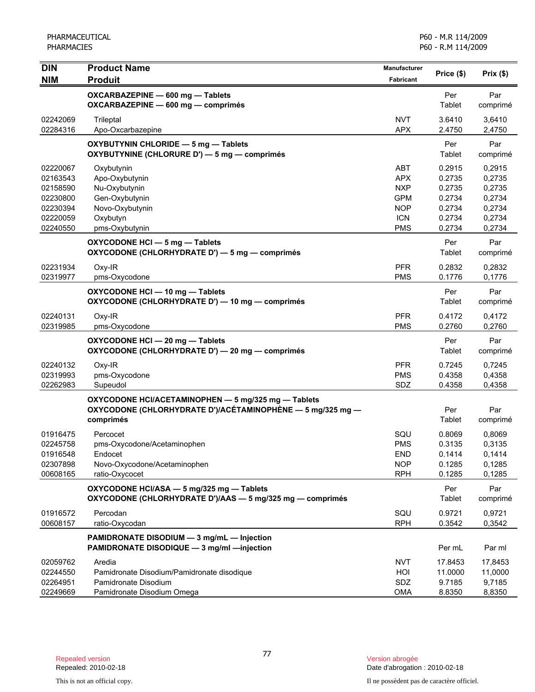| <b>DIN</b>                                                                       | <b>Product Name</b>                                                                                                            | <b>Manufacturer</b>                                                                            |                                                                    |                                                                    |
|----------------------------------------------------------------------------------|--------------------------------------------------------------------------------------------------------------------------------|------------------------------------------------------------------------------------------------|--------------------------------------------------------------------|--------------------------------------------------------------------|
| <b>NIM</b>                                                                       | <b>Produit</b>                                                                                                                 | <b>Fabricant</b>                                                                               | Price (\$)                                                         | Prix(\$)                                                           |
|                                                                                  | OXCARBAZEPINE - 600 mg - Tablets<br>OXCARBAZEPINE - 600 mg - comprimés                                                         |                                                                                                | Per<br>Tablet                                                      | Par<br>comprimé                                                    |
| 02242069<br>02284316                                                             | Trileptal<br>Apo-Oxcarbazepine                                                                                                 | <b>NVT</b><br><b>APX</b>                                                                       | 3.6410<br>2.4750                                                   | 3,6410<br>2,4750                                                   |
|                                                                                  | OXYBUTYNIN CHLORIDE - 5 mg - Tablets<br>OXYBUTYNINE (CHLORURE D') - 5 mg - comprimés                                           |                                                                                                | Per<br>Tablet                                                      | Par<br>comprimé                                                    |
| 02220067<br>02163543<br>02158590<br>02230800<br>02230394<br>02220059<br>02240550 | Oxybutynin<br>Apo-Oxybutynin<br>Nu-Oxybutynin<br>Gen-Oxybutynin<br>Novo-Oxybutynin<br>Oxybutyn<br>pms-Oxybutynin               | <b>ABT</b><br><b>APX</b><br><b>NXP</b><br><b>GPM</b><br><b>NOP</b><br><b>ICN</b><br><b>PMS</b> | 0.2915<br>0.2735<br>0.2735<br>0.2734<br>0.2734<br>0.2734<br>0.2734 | 0,2915<br>0,2735<br>0,2735<br>0,2734<br>0,2734<br>0,2734<br>0,2734 |
|                                                                                  | OXYCODONE HCI - 5 mg - Tablets<br>OXYCODONE (CHLORHYDRATE D') - 5 mg - comprimés                                               |                                                                                                | Per<br>Tablet                                                      | Par<br>comprimé                                                    |
| 02231934<br>02319977                                                             | Oxy-IR<br>pms-Oxycodone                                                                                                        | <b>PFR</b><br><b>PMS</b>                                                                       | 0.2832<br>0.1776                                                   | 0,2832<br>0,1776                                                   |
|                                                                                  | OXYCODONE HCI - 10 mg - Tablets<br>OXYCODONE (CHLORHYDRATE D') - 10 mg - comprimés                                             |                                                                                                | Per<br>Tablet                                                      | Par<br>comprimé                                                    |
| 02240131<br>02319985                                                             | Oxy-IR<br>pms-Oxycodone                                                                                                        | <b>PFR</b><br><b>PMS</b>                                                                       | 0.4172<br>0.2760                                                   | 0,4172<br>0,2760                                                   |
|                                                                                  | OXYCODONE HCI - 20 mg - Tablets<br>OXYCODONE (CHLORHYDRATE D') - 20 mg - comprimés                                             |                                                                                                | Per<br>Tablet                                                      | Par<br>comprimé                                                    |
| 02240132<br>02319993<br>02262983                                                 | Oxy-IR<br>pms-Oxycodone<br>Supeudol                                                                                            | <b>PFR</b><br><b>PMS</b><br>SDZ                                                                | 0.7245<br>0.4358<br>0.4358                                         | 0,7245<br>0,4358<br>0,4358                                         |
|                                                                                  | OXYCODONE HCI/ACETAMINOPHEN - 5 mg/325 mg - Tablets<br>OXYCODONE (CHLORHYDRATE D')/ACÉTAMINOPHÈNE — 5 mg/325 mg —<br>comprimés |                                                                                                | Per<br>Tablet                                                      | Par<br>comprimé                                                    |
| 01916475<br>02245758<br>01916548<br>02307898<br>00608165                         | Percocet<br>pms-Oxycodone/Acetaminophen<br>Endocet<br>Novo-Oxycodone/Acetaminophen<br>ratio-Oxycocet                           | SQU<br><b>PMS</b><br><b>END</b><br><b>NOP</b><br><b>RPH</b>                                    | 0.8069<br>0.3135<br>0.1414<br>0.1285<br>0.1285                     | 0,8069<br>0,3135<br>0,1414<br>0,1285<br>0,1285                     |
|                                                                                  | OXYCODONE HCI/ASA - 5 mg/325 mg - Tablets<br>OXYCODONE (CHLORHYDRATE D')/AAS - 5 mg/325 mg - comprimés                         |                                                                                                | Per<br>Tablet                                                      | Par<br>comprimé                                                    |
| 01916572<br>00608157                                                             | Percodan<br>ratio-Oxycodan                                                                                                     | SQU<br><b>RPH</b>                                                                              | 0.9721<br>0.3542                                                   | 0,9721<br>0,3542                                                   |
|                                                                                  | PAMIDRONATE DISODIUM - 3 mg/mL - Injection<br>PAMIDRONATE DISODIQUE - 3 mg/ml -injection                                       |                                                                                                | Per mL                                                             | Par ml                                                             |
| 02059762<br>02244550<br>02264951<br>02249669                                     | Aredia<br>Pamidronate Disodium/Pamidronate disodique<br>Pamidronate Disodium<br>Pamidronate Disodium Omega                     | <b>NVT</b><br>HOI<br>SDZ<br><b>OMA</b>                                                         | 17.8453<br>11.0000<br>9.7185<br>8.8350                             | 17,8453<br>11,0000<br>9,7185<br>8,8350                             |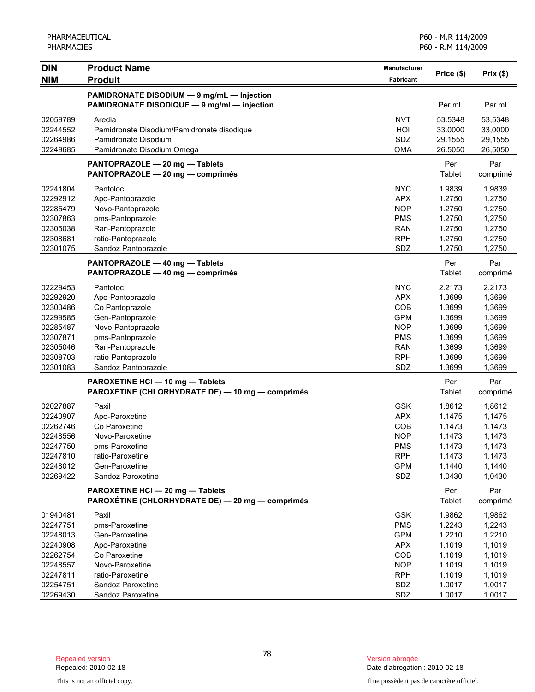| Price (\$)<br>Prix(\$)<br><b>NIM</b><br><b>Produit</b><br><b>Fabricant</b><br>PAMIDRONATE DISODIUM - 9 mg/mL - Injection<br>PAMIDRONATE DISODIQUE - 9 mg/ml - injection<br>Per mL<br>Par ml<br><b>NVT</b><br>02059789<br>Aredia<br>53.5348<br>53,5348<br>HOI<br>02244552<br>33.0000<br>33,0000<br>Pamidronate Disodium/Pamidronate disodique<br>02264986<br>SDZ<br>29.1555<br>29,1555<br>Pamidronate Disodium<br><b>OMA</b><br>02249685<br>Pamidronate Disodium Omega<br>26.5050<br>26,5050<br>PANTOPRAZOLE - 20 mg - Tablets<br>Per<br>Par<br>PANTOPRAZOLE - 20 mg - comprimés<br>Tablet<br>comprimé<br><b>NYC</b><br>1.9839<br>02241804<br>Pantoloc<br>1,9839<br><b>APX</b><br>1.2750<br>1,2750<br>02292912<br>Apo-Pantoprazole<br>1.2750<br>02285479<br>Novo-Pantoprazole<br><b>NOP</b><br>1,2750<br><b>PMS</b><br>1.2750<br>02307863<br>pms-Pantoprazole<br>1,2750<br>1.2750<br>02305038<br>Ran-Pantoprazole<br><b>RAN</b><br>1,2750<br><b>RPH</b><br>1.2750<br>1,2750<br>02308681<br>ratio-Pantoprazole<br>02301075<br>SDZ<br>1.2750<br>Sandoz Pantoprazole<br>1,2750<br>Per<br>Par<br>PANTOPRAZOLE - 40 mg - Tablets<br>Tablet<br>PANTOPRAZOLE - 40 mg - comprimés<br>comprimé<br><b>NYC</b><br>2.2173<br>02229453<br>Pantoloc<br>2,2173<br><b>APX</b><br>1.3699<br>02292920<br>Apo-Pantoprazole<br>1,3699<br>COB<br>1.3699<br>1,3699<br>02300486<br>Co Pantoprazole<br><b>GPM</b><br>1.3699<br>02299585<br>Gen-Pantoprazole<br>1,3699<br><b>NOP</b><br>1.3699<br>1,3699<br>02285487<br>Novo-Pantoprazole<br><b>PMS</b><br>1.3699<br>1,3699<br>02307871<br>pms-Pantoprazole<br><b>RAN</b><br>1.3699<br>02305046<br>Ran-Pantoprazole<br>1,3699<br>02308703<br><b>RPH</b><br>1.3699<br>1,3699<br>ratio-Pantoprazole<br>SDZ<br>1.3699<br>1,3699<br>02301083<br>Sandoz Pantoprazole<br>Per<br>Par<br>PAROXETINE HCI - 10 mg - Tablets<br>PAROXÉTINE (CHLORHYDRATE DE) — 10 mg — comprimés<br>Tablet<br>comprimé<br><b>GSK</b><br>02027887<br>Paxil<br>1.8612<br>1,8612 |
|--------------------------------------------------------------------------------------------------------------------------------------------------------------------------------------------------------------------------------------------------------------------------------------------------------------------------------------------------------------------------------------------------------------------------------------------------------------------------------------------------------------------------------------------------------------------------------------------------------------------------------------------------------------------------------------------------------------------------------------------------------------------------------------------------------------------------------------------------------------------------------------------------------------------------------------------------------------------------------------------------------------------------------------------------------------------------------------------------------------------------------------------------------------------------------------------------------------------------------------------------------------------------------------------------------------------------------------------------------------------------------------------------------------------------------------------------------------------------------------------------------------------------------------------------------------------------------------------------------------------------------------------------------------------------------------------------------------------------------------------------------------------------------------------------------------------------------------------------------------------------------------------------------------------------------------------------------------------------|
|                                                                                                                                                                                                                                                                                                                                                                                                                                                                                                                                                                                                                                                                                                                                                                                                                                                                                                                                                                                                                                                                                                                                                                                                                                                                                                                                                                                                                                                                                                                                                                                                                                                                                                                                                                                                                                                                                                                                                                          |
|                                                                                                                                                                                                                                                                                                                                                                                                                                                                                                                                                                                                                                                                                                                                                                                                                                                                                                                                                                                                                                                                                                                                                                                                                                                                                                                                                                                                                                                                                                                                                                                                                                                                                                                                                                                                                                                                                                                                                                          |
|                                                                                                                                                                                                                                                                                                                                                                                                                                                                                                                                                                                                                                                                                                                                                                                                                                                                                                                                                                                                                                                                                                                                                                                                                                                                                                                                                                                                                                                                                                                                                                                                                                                                                                                                                                                                                                                                                                                                                                          |
|                                                                                                                                                                                                                                                                                                                                                                                                                                                                                                                                                                                                                                                                                                                                                                                                                                                                                                                                                                                                                                                                                                                                                                                                                                                                                                                                                                                                                                                                                                                                                                                                                                                                                                                                                                                                                                                                                                                                                                          |
|                                                                                                                                                                                                                                                                                                                                                                                                                                                                                                                                                                                                                                                                                                                                                                                                                                                                                                                                                                                                                                                                                                                                                                                                                                                                                                                                                                                                                                                                                                                                                                                                                                                                                                                                                                                                                                                                                                                                                                          |
|                                                                                                                                                                                                                                                                                                                                                                                                                                                                                                                                                                                                                                                                                                                                                                                                                                                                                                                                                                                                                                                                                                                                                                                                                                                                                                                                                                                                                                                                                                                                                                                                                                                                                                                                                                                                                                                                                                                                                                          |
|                                                                                                                                                                                                                                                                                                                                                                                                                                                                                                                                                                                                                                                                                                                                                                                                                                                                                                                                                                                                                                                                                                                                                                                                                                                                                                                                                                                                                                                                                                                                                                                                                                                                                                                                                                                                                                                                                                                                                                          |
|                                                                                                                                                                                                                                                                                                                                                                                                                                                                                                                                                                                                                                                                                                                                                                                                                                                                                                                                                                                                                                                                                                                                                                                                                                                                                                                                                                                                                                                                                                                                                                                                                                                                                                                                                                                                                                                                                                                                                                          |
|                                                                                                                                                                                                                                                                                                                                                                                                                                                                                                                                                                                                                                                                                                                                                                                                                                                                                                                                                                                                                                                                                                                                                                                                                                                                                                                                                                                                                                                                                                                                                                                                                                                                                                                                                                                                                                                                                                                                                                          |
|                                                                                                                                                                                                                                                                                                                                                                                                                                                                                                                                                                                                                                                                                                                                                                                                                                                                                                                                                                                                                                                                                                                                                                                                                                                                                                                                                                                                                                                                                                                                                                                                                                                                                                                                                                                                                                                                                                                                                                          |
|                                                                                                                                                                                                                                                                                                                                                                                                                                                                                                                                                                                                                                                                                                                                                                                                                                                                                                                                                                                                                                                                                                                                                                                                                                                                                                                                                                                                                                                                                                                                                                                                                                                                                                                                                                                                                                                                                                                                                                          |
|                                                                                                                                                                                                                                                                                                                                                                                                                                                                                                                                                                                                                                                                                                                                                                                                                                                                                                                                                                                                                                                                                                                                                                                                                                                                                                                                                                                                                                                                                                                                                                                                                                                                                                                                                                                                                                                                                                                                                                          |
|                                                                                                                                                                                                                                                                                                                                                                                                                                                                                                                                                                                                                                                                                                                                                                                                                                                                                                                                                                                                                                                                                                                                                                                                                                                                                                                                                                                                                                                                                                                                                                                                                                                                                                                                                                                                                                                                                                                                                                          |
|                                                                                                                                                                                                                                                                                                                                                                                                                                                                                                                                                                                                                                                                                                                                                                                                                                                                                                                                                                                                                                                                                                                                                                                                                                                                                                                                                                                                                                                                                                                                                                                                                                                                                                                                                                                                                                                                                                                                                                          |
|                                                                                                                                                                                                                                                                                                                                                                                                                                                                                                                                                                                                                                                                                                                                                                                                                                                                                                                                                                                                                                                                                                                                                                                                                                                                                                                                                                                                                                                                                                                                                                                                                                                                                                                                                                                                                                                                                                                                                                          |
|                                                                                                                                                                                                                                                                                                                                                                                                                                                                                                                                                                                                                                                                                                                                                                                                                                                                                                                                                                                                                                                                                                                                                                                                                                                                                                                                                                                                                                                                                                                                                                                                                                                                                                                                                                                                                                                                                                                                                                          |
|                                                                                                                                                                                                                                                                                                                                                                                                                                                                                                                                                                                                                                                                                                                                                                                                                                                                                                                                                                                                                                                                                                                                                                                                                                                                                                                                                                                                                                                                                                                                                                                                                                                                                                                                                                                                                                                                                                                                                                          |
|                                                                                                                                                                                                                                                                                                                                                                                                                                                                                                                                                                                                                                                                                                                                                                                                                                                                                                                                                                                                                                                                                                                                                                                                                                                                                                                                                                                                                                                                                                                                                                                                                                                                                                                                                                                                                                                                                                                                                                          |
|                                                                                                                                                                                                                                                                                                                                                                                                                                                                                                                                                                                                                                                                                                                                                                                                                                                                                                                                                                                                                                                                                                                                                                                                                                                                                                                                                                                                                                                                                                                                                                                                                                                                                                                                                                                                                                                                                                                                                                          |
|                                                                                                                                                                                                                                                                                                                                                                                                                                                                                                                                                                                                                                                                                                                                                                                                                                                                                                                                                                                                                                                                                                                                                                                                                                                                                                                                                                                                                                                                                                                                                                                                                                                                                                                                                                                                                                                                                                                                                                          |
|                                                                                                                                                                                                                                                                                                                                                                                                                                                                                                                                                                                                                                                                                                                                                                                                                                                                                                                                                                                                                                                                                                                                                                                                                                                                                                                                                                                                                                                                                                                                                                                                                                                                                                                                                                                                                                                                                                                                                                          |
|                                                                                                                                                                                                                                                                                                                                                                                                                                                                                                                                                                                                                                                                                                                                                                                                                                                                                                                                                                                                                                                                                                                                                                                                                                                                                                                                                                                                                                                                                                                                                                                                                                                                                                                                                                                                                                                                                                                                                                          |
|                                                                                                                                                                                                                                                                                                                                                                                                                                                                                                                                                                                                                                                                                                                                                                                                                                                                                                                                                                                                                                                                                                                                                                                                                                                                                                                                                                                                                                                                                                                                                                                                                                                                                                                                                                                                                                                                                                                                                                          |
|                                                                                                                                                                                                                                                                                                                                                                                                                                                                                                                                                                                                                                                                                                                                                                                                                                                                                                                                                                                                                                                                                                                                                                                                                                                                                                                                                                                                                                                                                                                                                                                                                                                                                                                                                                                                                                                                                                                                                                          |
|                                                                                                                                                                                                                                                                                                                                                                                                                                                                                                                                                                                                                                                                                                                                                                                                                                                                                                                                                                                                                                                                                                                                                                                                                                                                                                                                                                                                                                                                                                                                                                                                                                                                                                                                                                                                                                                                                                                                                                          |
|                                                                                                                                                                                                                                                                                                                                                                                                                                                                                                                                                                                                                                                                                                                                                                                                                                                                                                                                                                                                                                                                                                                                                                                                                                                                                                                                                                                                                                                                                                                                                                                                                                                                                                                                                                                                                                                                                                                                                                          |
|                                                                                                                                                                                                                                                                                                                                                                                                                                                                                                                                                                                                                                                                                                                                                                                                                                                                                                                                                                                                                                                                                                                                                                                                                                                                                                                                                                                                                                                                                                                                                                                                                                                                                                                                                                                                                                                                                                                                                                          |
|                                                                                                                                                                                                                                                                                                                                                                                                                                                                                                                                                                                                                                                                                                                                                                                                                                                                                                                                                                                                                                                                                                                                                                                                                                                                                                                                                                                                                                                                                                                                                                                                                                                                                                                                                                                                                                                                                                                                                                          |
|                                                                                                                                                                                                                                                                                                                                                                                                                                                                                                                                                                                                                                                                                                                                                                                                                                                                                                                                                                                                                                                                                                                                                                                                                                                                                                                                                                                                                                                                                                                                                                                                                                                                                                                                                                                                                                                                                                                                                                          |
|                                                                                                                                                                                                                                                                                                                                                                                                                                                                                                                                                                                                                                                                                                                                                                                                                                                                                                                                                                                                                                                                                                                                                                                                                                                                                                                                                                                                                                                                                                                                                                                                                                                                                                                                                                                                                                                                                                                                                                          |
| <b>APX</b><br>02240907<br>Apo-Paroxetine<br>1.1475<br>1,1475                                                                                                                                                                                                                                                                                                                                                                                                                                                                                                                                                                                                                                                                                                                                                                                                                                                                                                                                                                                                                                                                                                                                                                                                                                                                                                                                                                                                                                                                                                                                                                                                                                                                                                                                                                                                                                                                                                             |
| 02262746<br>Co Paroxetine<br>COB<br>1.1473<br>1,1473                                                                                                                                                                                                                                                                                                                                                                                                                                                                                                                                                                                                                                                                                                                                                                                                                                                                                                                                                                                                                                                                                                                                                                                                                                                                                                                                                                                                                                                                                                                                                                                                                                                                                                                                                                                                                                                                                                                     |
| 02248556<br>Novo-Paroxetine<br><b>NOP</b><br>1.1473<br>1,1473                                                                                                                                                                                                                                                                                                                                                                                                                                                                                                                                                                                                                                                                                                                                                                                                                                                                                                                                                                                                                                                                                                                                                                                                                                                                                                                                                                                                                                                                                                                                                                                                                                                                                                                                                                                                                                                                                                            |
| 02247750<br>pms-Paroxetine<br><b>PMS</b><br>1.1473<br>1,1473                                                                                                                                                                                                                                                                                                                                                                                                                                                                                                                                                                                                                                                                                                                                                                                                                                                                                                                                                                                                                                                                                                                                                                                                                                                                                                                                                                                                                                                                                                                                                                                                                                                                                                                                                                                                                                                                                                             |
| 1.1473<br>02247810<br>1,1473<br>ratio-Paroxetine<br><b>RPH</b>                                                                                                                                                                                                                                                                                                                                                                                                                                                                                                                                                                                                                                                                                                                                                                                                                                                                                                                                                                                                                                                                                                                                                                                                                                                                                                                                                                                                                                                                                                                                                                                                                                                                                                                                                                                                                                                                                                           |
| 02248012<br>Gen-Paroxetine<br><b>GPM</b><br>1.1440<br>1,1440                                                                                                                                                                                                                                                                                                                                                                                                                                                                                                                                                                                                                                                                                                                                                                                                                                                                                                                                                                                                                                                                                                                                                                                                                                                                                                                                                                                                                                                                                                                                                                                                                                                                                                                                                                                                                                                                                                             |
| 02269422<br>Sandoz Paroxetine<br>SDZ<br>1.0430<br>1,0430                                                                                                                                                                                                                                                                                                                                                                                                                                                                                                                                                                                                                                                                                                                                                                                                                                                                                                                                                                                                                                                                                                                                                                                                                                                                                                                                                                                                                                                                                                                                                                                                                                                                                                                                                                                                                                                                                                                 |
| PAROXETINE HCI - 20 mg - Tablets<br>Per<br>Par                                                                                                                                                                                                                                                                                                                                                                                                                                                                                                                                                                                                                                                                                                                                                                                                                                                                                                                                                                                                                                                                                                                                                                                                                                                                                                                                                                                                                                                                                                                                                                                                                                                                                                                                                                                                                                                                                                                           |
| PAROXÉTINE (CHLORHYDRATE DE) - 20 mg - comprimés<br>Tablet<br>comprimé                                                                                                                                                                                                                                                                                                                                                                                                                                                                                                                                                                                                                                                                                                                                                                                                                                                                                                                                                                                                                                                                                                                                                                                                                                                                                                                                                                                                                                                                                                                                                                                                                                                                                                                                                                                                                                                                                                   |
| <b>GSK</b><br>1.9862<br>01940481<br>Paxil<br>1,9862                                                                                                                                                                                                                                                                                                                                                                                                                                                                                                                                                                                                                                                                                                                                                                                                                                                                                                                                                                                                                                                                                                                                                                                                                                                                                                                                                                                                                                                                                                                                                                                                                                                                                                                                                                                                                                                                                                                      |
| <b>PMS</b><br>1.2243<br>02247751<br>pms-Paroxetine<br>1,2243                                                                                                                                                                                                                                                                                                                                                                                                                                                                                                                                                                                                                                                                                                                                                                                                                                                                                                                                                                                                                                                                                                                                                                                                                                                                                                                                                                                                                                                                                                                                                                                                                                                                                                                                                                                                                                                                                                             |
| <b>GPM</b><br>1.2210<br>1,2210<br>02248013<br>Gen-Paroxetine                                                                                                                                                                                                                                                                                                                                                                                                                                                                                                                                                                                                                                                                                                                                                                                                                                                                                                                                                                                                                                                                                                                                                                                                                                                                                                                                                                                                                                                                                                                                                                                                                                                                                                                                                                                                                                                                                                             |
| <b>APX</b><br>1.1019<br>1,1019<br>02240908<br>Apo-Paroxetine                                                                                                                                                                                                                                                                                                                                                                                                                                                                                                                                                                                                                                                                                                                                                                                                                                                                                                                                                                                                                                                                                                                                                                                                                                                                                                                                                                                                                                                                                                                                                                                                                                                                                                                                                                                                                                                                                                             |
| 02262754<br>Co Paroxetine<br>COB<br>1.1019<br>1,1019                                                                                                                                                                                                                                                                                                                                                                                                                                                                                                                                                                                                                                                                                                                                                                                                                                                                                                                                                                                                                                                                                                                                                                                                                                                                                                                                                                                                                                                                                                                                                                                                                                                                                                                                                                                                                                                                                                                     |
| Novo-Paroxetine<br>02248557<br><b>NOP</b><br>1.1019<br>1,1019                                                                                                                                                                                                                                                                                                                                                                                                                                                                                                                                                                                                                                                                                                                                                                                                                                                                                                                                                                                                                                                                                                                                                                                                                                                                                                                                                                                                                                                                                                                                                                                                                                                                                                                                                                                                                                                                                                            |
| <b>RPH</b><br>1.1019<br>02247811<br>ratio-Paroxetine<br>1,1019<br>02254751<br>Sandoz Paroxetine<br>SDZ<br>1.0017<br>1,0017                                                                                                                                                                                                                                                                                                                                                                                                                                                                                                                                                                                                                                                                                                                                                                                                                                                                                                                                                                                                                                                                                                                                                                                                                                                                                                                                                                                                                                                                                                                                                                                                                                                                                                                                                                                                                                               |
| 02269430<br>Sandoz Paroxetine<br>SDZ<br>1.0017<br>1,0017                                                                                                                                                                                                                                                                                                                                                                                                                                                                                                                                                                                                                                                                                                                                                                                                                                                                                                                                                                                                                                                                                                                                                                                                                                                                                                                                                                                                                                                                                                                                                                                                                                                                                                                                                                                                                                                                                                                 |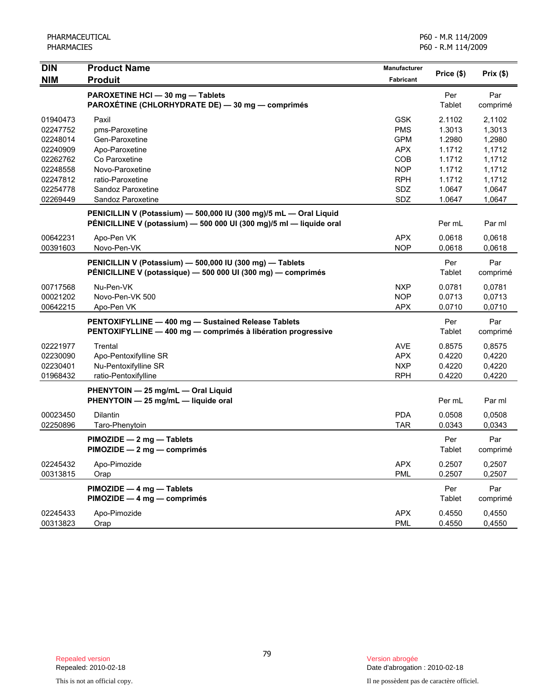| <b>DIN</b> | <b>Product Name</b>                                                 | Manufacturer |               |          |
|------------|---------------------------------------------------------------------|--------------|---------------|----------|
| <b>NIM</b> | <b>Produit</b>                                                      | Fabricant    | Price (\$)    | Prix(\$) |
|            | PAROXETINE HCI - 30 mg - Tablets                                    |              | Per           | Par      |
|            | PAROXÉTINE (CHLORHYDRATE DE) - 30 mg - comprimés                    |              | Tablet        | comprimé |
| 01940473   | Paxil                                                               | <b>GSK</b>   | 2.1102        | 2,1102   |
| 02247752   | pms-Paroxetine                                                      | <b>PMS</b>   | 1.3013        | 1,3013   |
| 02248014   | Gen-Paroxetine                                                      | <b>GPM</b>   | 1.2980        | 1,2980   |
| 02240909   | Apo-Paroxetine                                                      | <b>APX</b>   | 1.1712        | 1,1712   |
| 02262762   | Co Paroxetine                                                       | COB          | 1.1712        | 1,1712   |
| 02248558   | Novo-Paroxetine                                                     | <b>NOP</b>   | 1.1712        | 1,1712   |
| 02247812   | ratio-Paroxetine                                                    | <b>RPH</b>   | 1.1712        | 1,1712   |
| 02254778   | Sandoz Paroxetine                                                   | SDZ          | 1.0647        | 1,0647   |
| 02269449   | Sandoz Paroxetine                                                   | SDZ          | 1.0647        | 1,0647   |
|            | PENICILLIN V (Potassium) - 500,000 IU (300 mg)/5 mL - Oral Liquid   |              |               |          |
|            | PÉNICILLINE V (potassium) - 500 000 UI (300 mg)/5 ml - liquide oral |              | Per mL        | Par ml   |
| 00642231   | Apo-Pen VK                                                          | <b>APX</b>   | 0.0618        | 0,0618   |
| 00391603   | Novo-Pen-VK                                                         | <b>NOP</b>   | 0.0618        | 0,0618   |
|            | PENICILLIN V (Potassium) - 500,000 IU (300 mg) - Tablets            |              | Per           | Par      |
|            | PÉNICILLINE V (potassique) — 500 000 UI (300 mg) — comprimés        |              | Tablet        | comprimé |
| 00717568   | Nu-Pen-VK                                                           | <b>NXP</b>   | 0.0781        | 0,0781   |
| 00021202   | Novo-Pen-VK 500                                                     | <b>NOP</b>   | 0.0713        | 0,0713   |
| 00642215   | Apo-Pen VK                                                          | <b>APX</b>   | 0.0710        | 0,0710   |
|            | PENTOXIFYLLINE - 400 mg - Sustained Release Tablets                 |              | Per           | Par      |
|            | PENTOXIFYLLINE - 400 mg - comprimés à libération progressive        |              | Tablet        | comprimé |
| 02221977   | Trental                                                             | <b>AVE</b>   | 0.8575        | 0,8575   |
| 02230090   | Apo-Pentoxifylline SR                                               | <b>APX</b>   | 0.4220        | 0,4220   |
| 02230401   | Nu-Pentoxifylline SR                                                | <b>NXP</b>   | 0.4220        | 0,4220   |
| 01968432   | ratio-Pentoxifylline                                                | <b>RPH</b>   | 0.4220        | 0,4220   |
|            | PHENYTOIN - 25 mg/mL - Oral Liquid                                  |              |               |          |
|            | PHENYTOIN - 25 mg/mL - liquide oral                                 |              | Per mL        | Par ml   |
| 00023450   | <b>Dilantin</b>                                                     | <b>PDA</b>   | 0.0508        | 0,0508   |
| 02250896   | Taro-Phenytoin                                                      | <b>TAR</b>   | 0.0343        | 0,0343   |
|            | PIMOZIDE - 2 mg - Tablets                                           |              | Per           | Par      |
|            | PIMOZIDE - 2 mg - comprimés                                         |              | <b>Tablet</b> | comprimé |
| 02245432   | Apo-Pimozide                                                        | <b>APX</b>   | 0.2507        | 0,2507   |
| 00313815   | Orap                                                                | <b>PML</b>   | 0.2507        | 0,2507   |
|            | PIMOZIDE - 4 mg - Tablets                                           |              | Per           | Par      |
|            | PIMOZIDE - 4 mg - comprimés                                         |              | Tablet        | comprimé |
| 02245433   | Apo-Pimozide                                                        | <b>APX</b>   | 0.4550        | 0,4550   |
| 00313823   | Orap                                                                | <b>PML</b>   | 0.4550        | 0,4550   |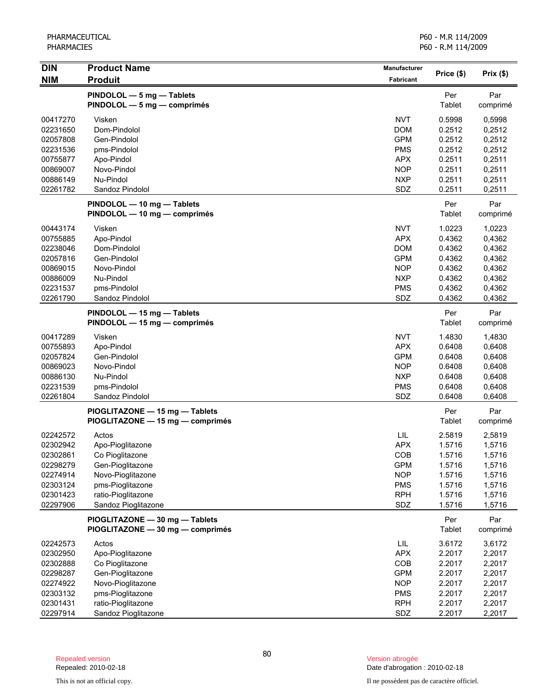| <b>DIN</b>           | <b>Product Name</b>                                      | <b>Manufacturer</b>      |                  |                  |
|----------------------|----------------------------------------------------------|--------------------------|------------------|------------------|
| <b>NIM</b>           | <b>Produit</b>                                           | <b>Fabricant</b>         | Price (\$)       | Prix(\$)         |
|                      |                                                          |                          | Per              | Par              |
|                      | PINDOLOL - 5 mg - Tablets<br>PINDOLOL - 5 mg - comprimés |                          | Tablet           | comprimé         |
|                      |                                                          |                          |                  |                  |
| 00417270             | Visken                                                   | <b>NVT</b>               | 0.5998           | 0.5998           |
| 02231650             | Dom-Pindolol                                             | <b>DOM</b>               | 0.2512           | 0,2512           |
| 02057808             | Gen-Pindolol                                             | <b>GPM</b>               | 0.2512           | 0,2512           |
| 02231536             | pms-Pindolol                                             | <b>PMS</b><br><b>APX</b> | 0.2512<br>0.2511 | 0,2512           |
| 00755877<br>00869007 | Apo-Pindol<br>Novo-Pindol                                | <b>NOP</b>               | 0.2511           | 0,2511<br>0,2511 |
| 00886149             | Nu-Pindol                                                | <b>NXP</b>               | 0.2511           | 0,2511           |
| 02261782             | Sandoz Pindolol                                          | SDZ                      | 0.2511           | 0,2511           |
|                      |                                                          |                          |                  |                  |
|                      | PINDOLOL - 10 mg - Tablets                               |                          | Per              | Par              |
|                      | PINDOLOL - 10 mg - comprimés                             |                          | Tablet           | comprimé         |
| 00443174             | Visken                                                   | <b>NVT</b>               | 1.0223           | 1,0223           |
| 00755885             | Apo-Pindol                                               | <b>APX</b>               | 0.4362           | 0,4362           |
| 02238046             | Dom-Pindolol                                             | <b>DOM</b>               | 0.4362           | 0,4362           |
| 02057816             | Gen-Pindolol                                             | <b>GPM</b>               | 0.4362           | 0,4362           |
| 00869015             | Novo-Pindol                                              | <b>NOP</b>               | 0.4362           | 0,4362           |
| 00886009             | Nu-Pindol                                                | <b>NXP</b>               | 0.4362           | 0,4362           |
| 02231537             | pms-Pindolol                                             | <b>PMS</b>               | 0.4362           | 0,4362           |
| 02261790             | Sandoz Pindolol                                          | SDZ                      | 0.4362           | 0,4362           |
|                      | PINDOLOL - 15 mg - Tablets                               |                          | Per              | Par              |
|                      | PINDOLOL - 15 mg - comprimés                             |                          | Tablet           | comprimé         |
| 00417289             | Visken                                                   | <b>NVT</b>               | 1.4830           | 1,4830           |
| 00755893             | Apo-Pindol                                               | <b>APX</b>               | 0.6408           | 0,6408           |
| 02057824             | Gen-Pindolol                                             | <b>GPM</b>               | 0.6408           | 0,6408           |
| 00869023             | Novo-Pindol                                              | <b>NOP</b>               | 0.6408           | 0,6408           |
| 00886130             | Nu-Pindol                                                | <b>NXP</b>               | 0.6408           | 0,6408           |
| 02231539             | pms-Pindolol                                             | <b>PMS</b>               | 0.6408           | 0,6408           |
| 02261804             | Sandoz Pindolol                                          | SDZ                      | 0.6408           | 0,6408           |
|                      |                                                          |                          |                  |                  |
|                      | PIOGLITAZONE - 15 mg - Tablets                           |                          | Per<br>Tablet    | Par              |
|                      | PIOGLITAZONE - 15 mg - comprimés                         |                          |                  | comprimé         |
| 02242572             | Actos                                                    | LIL                      | 2.5819           | 2,5819           |
| 02302942             | Apo-Pioglitazone                                         | <b>APX</b>               | 1.5716           | 1,5716           |
| 02302861             | Co Pioglitazone                                          | COB                      | 1.5716           | 1,5716           |
| 02298279             | Gen-Pioglitazone                                         | <b>GPM</b>               | 1.5716           | 1,5716           |
| 02274914             | Novo-Pioglitazone                                        | <b>NOP</b>               | 1.5716           | 1,5716           |
| 02303124             | pms-Pioglitazone                                         | <b>PMS</b>               | 1.5716           | 1,5716           |
| 02301423             | ratio-Pioglitazone                                       | <b>RPH</b>               | 1.5716           | 1,5716           |
| 02297906             | Sandoz Pioglitazone                                      | SDZ                      | 1.5716           | 1,5716           |
|                      | PIOGLITAZONE - 30 mg - Tablets                           |                          | Per              | Par              |
|                      | PIOGLITAZONE - 30 mg - comprimés                         |                          | <b>Tablet</b>    | comprimé         |
| 02242573             | Actos                                                    | <b>LIL</b>               | 3.6172           | 3,6172           |
| 02302950             | Apo-Pioglitazone                                         | <b>APX</b>               | 2.2017           | 2,2017           |
| 02302888             | Co Pioglitazone                                          | COB                      | 2.2017           | 2,2017           |
| 02298287             | Gen-Pioglitazone                                         | <b>GPM</b>               | 2.2017           | 2,2017           |
| 02274922             | Novo-Pioglitazone                                        | <b>NOP</b>               | 2.2017           | 2,2017           |
| 02303132             | pms-Pioglitazone                                         | <b>PMS</b>               | 2.2017           | 2,2017           |
| 02301431             | ratio-Pioglitazone                                       | <b>RPH</b>               | 2.2017           | 2,2017           |
| 02297914             | Sandoz Pioglitazone                                      | SDZ                      | 2.2017           | 2,2017           |

Date d'abrogation : 2010-02-18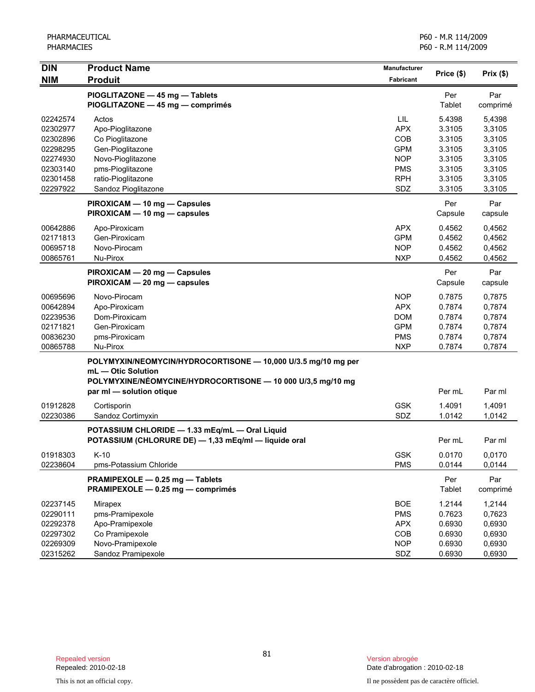| <b>DIN</b>                                                                                   | <b>Product Name</b>                                                                                                                                                            | Manufacturer                                                                            | Price (\$)                                                                   | Prix(\$)                                                                     |
|----------------------------------------------------------------------------------------------|--------------------------------------------------------------------------------------------------------------------------------------------------------------------------------|-----------------------------------------------------------------------------------------|------------------------------------------------------------------------------|------------------------------------------------------------------------------|
| <b>NIM</b>                                                                                   | <b>Produit</b>                                                                                                                                                                 | <b>Fabricant</b>                                                                        |                                                                              |                                                                              |
|                                                                                              | PIOGLITAZONE - 45 mg - Tablets<br>PIOGLITAZONE - 45 mg - comprimés                                                                                                             |                                                                                         | Per<br>Tablet                                                                | Par<br>comprimé                                                              |
| 02242574<br>02302977<br>02302896<br>02298295<br>02274930<br>02303140<br>02301458<br>02297922 | Actos<br>Apo-Pioglitazone<br>Co Pioglitazone<br>Gen-Pioglitazone<br>Novo-Pioglitazone<br>pms-Pioglitazone<br>ratio-Pioglitazone<br>Sandoz Pioglitazone                         | LIL<br><b>APX</b><br>COB<br><b>GPM</b><br><b>NOP</b><br><b>PMS</b><br><b>RPH</b><br>SDZ | 5.4398<br>3.3105<br>3.3105<br>3.3105<br>3.3105<br>3.3105<br>3.3105<br>3.3105 | 5,4398<br>3,3105<br>3,3105<br>3,3105<br>3,3105<br>3,3105<br>3,3105<br>3,3105 |
|                                                                                              | PIROXICAM - 10 mg - Capsules<br>PIROXICAM - 10 mg - capsules                                                                                                                   |                                                                                         | Per<br>Capsule                                                               | Par<br>capsule                                                               |
| 00642886<br>02171813<br>00695718<br>00865761                                                 | Apo-Piroxicam<br>Gen-Piroxicam<br>Novo-Pirocam<br>Nu-Pirox                                                                                                                     | <b>APX</b><br><b>GPM</b><br><b>NOP</b><br><b>NXP</b>                                    | 0.4562<br>0.4562<br>0.4562<br>0.4562                                         | 0,4562<br>0,4562<br>0,4562<br>0,4562                                         |
|                                                                                              | PIROXICAM - 20 mg - Capsules<br>PIROXICAM - 20 mg - capsules                                                                                                                   |                                                                                         | Per<br>Capsule                                                               | Par<br>capsule                                                               |
| 00695696<br>00642894<br>02239536<br>02171821<br>00836230<br>00865788                         | Novo-Pirocam<br>Apo-Piroxicam<br>Dom-Piroxicam<br>Gen-Piroxicam<br>pms-Piroxicam<br>Nu-Pirox                                                                                   | <b>NOP</b><br><b>APX</b><br><b>DOM</b><br><b>GPM</b><br><b>PMS</b><br><b>NXP</b>        | 0.7875<br>0.7874<br>0.7874<br>0.7874<br>0.7874<br>0.7874                     | 0,7875<br>0,7874<br>0,7874<br>0,7874<br>0,7874<br>0,7874                     |
|                                                                                              | POLYMYXIN/NEOMYCIN/HYDROCORTISONE - 10,000 U/3.5 mg/10 mg per<br>mL - Otic Solution<br>POLYMYXINE/NÉOMYCINE/HYDROCORTISONE - 10 000 U/3,5 mg/10 mg<br>par ml - solution otique |                                                                                         | Per mL                                                                       | Par ml                                                                       |
| 01912828<br>02230386                                                                         | Cortisporin<br>Sandoz Cortimyxin                                                                                                                                               | <b>GSK</b><br>SDZ                                                                       | 1.4091<br>1.0142                                                             | 1,4091<br>1,0142                                                             |
|                                                                                              | POTASSIUM CHLORIDE - 1.33 mEq/mL - Oral Liquid<br>POTASSIUM (CHLORURE DE) - 1,33 mEq/ml - liquide oral                                                                         |                                                                                         | Per mL                                                                       | Par ml                                                                       |
| 01918303<br>02238604                                                                         | K-10<br>pms-Potassium Chloride                                                                                                                                                 | GSK<br><b>PMS</b>                                                                       | 0.0170<br>0.0144                                                             | 0,0170<br>0,0144                                                             |
|                                                                                              | PRAMIPEXOLE - 0.25 mg - Tablets<br>PRAMIPEXOLE - 0.25 mg - comprimés                                                                                                           |                                                                                         | Per<br>Tablet                                                                | Par<br>comprimé                                                              |
| 02237145<br>02290111<br>02292378<br>02297302<br>02269309                                     | Mirapex<br>pms-Pramipexole<br>Apo-Pramipexole<br>Co Pramipexole<br>Novo-Pramipexole                                                                                            | <b>BOE</b><br><b>PMS</b><br><b>APX</b><br>COB<br><b>NOP</b>                             | 1.2144<br>0.7623<br>0.6930<br>0.6930<br>0.6930                               | 1,2144<br>0,7623<br>0,6930<br>0,6930<br>0,6930                               |
| 02315262                                                                                     | Sandoz Pramipexole                                                                                                                                                             | SDZ                                                                                     | 0.6930                                                                       | 0,6930                                                                       |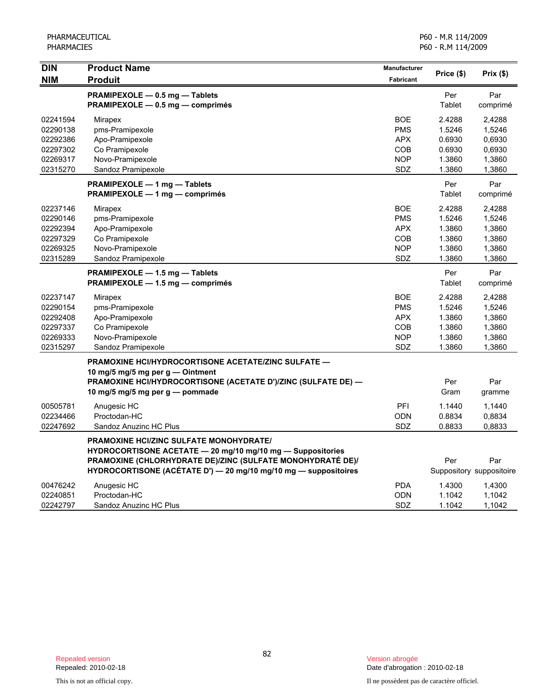| <b>DIN</b> | <b>Product Name</b>                                             | <b>Manufacturer</b> | Price (\$) | Prix(\$)                 |
|------------|-----------------------------------------------------------------|---------------------|------------|--------------------------|
| <b>NIM</b> | <b>Produit</b>                                                  | Fabricant           |            |                          |
|            | PRAMIPEXOLE - 0.5 mg - Tablets                                  |                     | Per        | Par                      |
|            | PRAMIPEXOLE - 0.5 mg - comprimés                                |                     | Tablet     | comprimé                 |
| 02241594   | Mirapex                                                         | <b>BOE</b>          | 2.4288     | 2.4288                   |
| 02290138   | pms-Pramipexole                                                 | <b>PMS</b>          | 1.5246     | 1,5246                   |
| 02292386   | Apo-Pramipexole                                                 | <b>APX</b>          | 0.6930     | 0,6930                   |
| 02297302   | Co Pramipexole                                                  | COB                 | 0.6930     | 0,6930                   |
| 02269317   | Novo-Pramipexole                                                | <b>NOP</b>          | 1.3860     | 1,3860                   |
| 02315270   | Sandoz Pramipexole                                              | <b>SDZ</b>          | 1.3860     | 1,3860                   |
|            | PRAMIPEXOLE - 1 mg - Tablets                                    |                     | Per        | Par                      |
|            | PRAMIPEXOLE - 1 mg - comprimés                                  |                     | Tablet     | comprimé                 |
| 02237146   | Mirapex                                                         | <b>BOE</b>          | 2.4288     | 2,4288                   |
| 02290146   | pms-Pramipexole                                                 | <b>PMS</b>          | 1.5246     | 1,5246                   |
| 02292394   | Apo-Pramipexole                                                 | <b>APX</b>          | 1.3860     | 1,3860                   |
| 02297329   | Co Pramipexole                                                  | <b>COB</b>          | 1.3860     | 1,3860                   |
| 02269325   | Novo-Pramipexole                                                | <b>NOP</b>          | 1.3860     | 1,3860                   |
| 02315289   | Sandoz Pramipexole                                              | <b>SDZ</b>          | 1.3860     | 1,3860                   |
|            | PRAMIPEXOLE - 1.5 mg - Tablets                                  |                     | Per        | Par                      |
|            | PRAMIPEXOLE - 1.5 mg - comprimés                                |                     | Tablet     | comprimé                 |
| 02237147   | Mirapex                                                         | <b>BOE</b>          | 2.4288     | 2,4288                   |
| 02290154   | pms-Pramipexole                                                 | <b>PMS</b>          | 1.5246     | 1,5246                   |
| 02292408   | Apo-Pramipexole                                                 | <b>APX</b>          | 1.3860     | 1,3860                   |
| 02297337   | Co Pramipexole                                                  | <b>COB</b>          | 1.3860     | 1,3860                   |
| 02269333   | Novo-Pramipexole                                                | <b>NOP</b>          | 1.3860     | 1,3860                   |
| 02315297   | Sandoz Pramipexole                                              | <b>SDZ</b>          | 1.3860     | 1,3860                   |
|            | <b>PRAMOXINE HCI/HYDROCORTISONE ACETATE/ZINC SULFATE —</b>      |                     |            |                          |
|            | 10 mg/5 mg/5 mg per g - Ointment                                |                     |            |                          |
|            | PRAMOXINE HCI/HYDROCORTISONE (ACETATE D')/ZINC (SULFATE DE) -   |                     | Per        | Par                      |
|            | 10 mg/5 mg/5 mg per g — pommade                                 |                     | Gram       | gramme                   |
| 00505781   | Anugesic HC                                                     | <b>PFI</b>          | 1.1440     | 1,1440                   |
| 02234466   | Proctodan-HC                                                    | <b>ODN</b>          | 0.8834     | 0,8834                   |
| 02247692   | Sandoz Anuzinc HC Plus                                          | SDZ                 | 0.8833     | 0.8833                   |
|            | <b>PRAMOXINE HCI/ZINC SULFATE MONOHYDRATE/</b>                  |                     |            |                          |
|            | HYDROCORTISONE ACETATE - 20 mg/10 mg/10 mg - Suppositories      |                     |            |                          |
|            | PRAMOXINE (CHLORHYDRATE DE)/ZINC (SULFATE MONOHYDRATÉ DE)/      |                     | Per        | Par                      |
|            | HYDROCORTISONE (ACÉTATE D') - 20 mg/10 mg/10 mg - suppositoires |                     |            | Suppository suppositoire |
| 00476242   | Anugesic HC                                                     | <b>PDA</b>          | 1.4300     | 1,4300                   |
| 02240851   | Proctodan-HC                                                    | <b>ODN</b>          | 1.1042     | 1,1042                   |
| 02242797   | Sandoz Anuzinc HC Plus                                          | <b>SDZ</b>          | 1.1042     | 1,1042                   |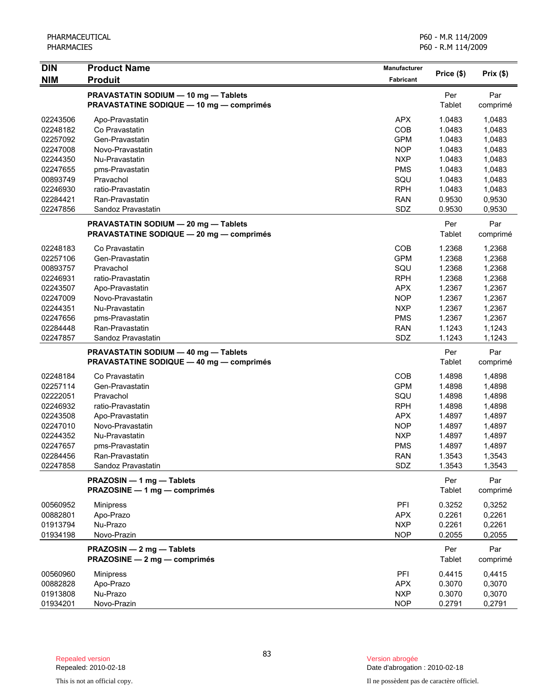| <b>DIN</b> | <b>Product Name</b>                                                                     | Manufacturer |               | Prix(\$)        |
|------------|-----------------------------------------------------------------------------------------|--------------|---------------|-----------------|
| <b>NIM</b> | <b>Produit</b>                                                                          | Fabricant    | Price (\$)    |                 |
|            | PRAVASTATIN SODIUM - 10 mg - Tablets<br><b>PRAVASTATINE SODIQUE - 10 mg - comprimés</b> |              | Per<br>Tablet | Par<br>comprimé |
| 02243506   | Apo-Pravastatin                                                                         | <b>APX</b>   | 1.0483        | 1,0483          |
| 02248182   | Co Pravastatin                                                                          | COB          | 1.0483        | 1,0483          |
| 02257092   | Gen-Pravastatin                                                                         | <b>GPM</b>   | 1.0483        | 1,0483          |
| 02247008   | Novo-Pravastatin                                                                        | <b>NOP</b>   | 1.0483        | 1,0483          |
| 02244350   | Nu-Pravastatin                                                                          | <b>NXP</b>   | 1.0483        | 1,0483          |
| 02247655   | pms-Pravastatin                                                                         | <b>PMS</b>   | 1.0483        | 1,0483          |
| 00893749   | Pravachol                                                                               | SQU          | 1.0483        | 1,0483          |
| 02246930   | ratio-Pravastatin                                                                       | <b>RPH</b>   | 1.0483        | 1,0483          |
| 02284421   | Ran-Pravastatin                                                                         | <b>RAN</b>   | 0.9530        | 0,9530          |
| 02247856   | Sandoz Pravastatin                                                                      | SDZ          | 0.9530        | 0,9530          |
|            | PRAVASTATIN SODIUM - 20 mg - Tablets<br><b>PRAVASTATINE SODIQUE - 20 mg - comprimés</b> |              | Per<br>Tablet | Par<br>comprimé |
| 02248183   | Co Pravastatin                                                                          | COB          | 1.2368        | 1,2368          |
| 02257106   | Gen-Pravastatin                                                                         | <b>GPM</b>   | 1.2368        | 1,2368          |
| 00893757   | Pravachol                                                                               | SQU          | 1.2368        | 1,2368          |
| 02246931   | ratio-Pravastatin                                                                       | <b>RPH</b>   | 1.2368        | 1,2368          |
| 02243507   | Apo-Pravastatin                                                                         | <b>APX</b>   | 1.2367        | 1,2367          |
| 02247009   | Novo-Pravastatin                                                                        | <b>NOP</b>   | 1.2367        | 1,2367          |
| 02244351   | Nu-Pravastatin                                                                          | <b>NXP</b>   | 1.2367        | 1,2367          |
| 02247656   | pms-Pravastatin                                                                         | <b>PMS</b>   | 1.2367        | 1,2367          |
| 02284448   | Ran-Pravastatin                                                                         | <b>RAN</b>   | 1.1243        | 1,1243          |
| 02247857   | Sandoz Pravastatin                                                                      | SDZ          | 1.1243        | 1,1243          |
|            | PRAVASTATIN SODIUM - 40 mg - Tablets                                                    |              | Per           | Par             |
|            | <b>PRAVASTATINE SODIQUE - 40 mg - comprimés</b>                                         |              | Tablet        | comprimé        |
| 02248184   | Co Pravastatin                                                                          | COB          | 1.4898        | 1,4898          |
| 02257114   | Gen-Pravastatin                                                                         | <b>GPM</b>   | 1.4898        | 1,4898          |
| 02222051   | Pravachol                                                                               | SQU          | 1.4898        | 1,4898          |
| 02246932   | ratio-Pravastatin                                                                       | <b>RPH</b>   | 1.4898        | 1,4898          |
| 02243508   | Apo-Pravastatin                                                                         | <b>APX</b>   | 1.4897        | 1,4897          |
| 02247010   | Novo-Pravastatin                                                                        | <b>NOP</b>   | 1.4897        | 1,4897          |
| 02244352   | Nu-Pravastatin                                                                          | <b>NXP</b>   | 1.4897        | 1,4897          |
| 02247657   | pms-Pravastatin                                                                         | <b>PMS</b>   | 1.4897        | 1,4897          |
| 02284456   | Ran-Pravastatin                                                                         | RAN          | 1.3543        | 1,3543          |
| 02247858   | Sandoz Pravastatin                                                                      | SDZ          | 1.3543        | 1,3543          |
|            | PRAZOSIN - 1 mg - Tablets<br>PRAZOSINE - 1 mg - comprimés                               |              | Per<br>Tablet | Par<br>comprimé |
| 00560952   | <b>Minipress</b>                                                                        | PFI          | 0.3252        | 0,3252          |
| 00882801   | Apo-Prazo                                                                               | <b>APX</b>   | 0.2261        | 0,2261          |
| 01913794   | Nu-Prazo                                                                                | <b>NXP</b>   | 0.2261        | 0,2261          |
| 01934198   | Novo-Prazin                                                                             | <b>NOP</b>   | 0.2055        | 0,2055          |
|            | PRAZOSIN - 2 mg - Tablets                                                               |              | Per           | Par             |
|            | PRAZOSINE - 2 mg - comprimés                                                            |              | Tablet        | comprimé        |
| 00560960   | <b>Minipress</b>                                                                        | PFI          | 0.4415        | 0,4415          |
| 00882828   | Apo-Prazo                                                                               | <b>APX</b>   | 0.3070        | 0,3070          |
| 01913808   | Nu-Prazo                                                                                | <b>NXP</b>   | 0.3070        | 0,3070          |
| 01934201   | Novo-Prazin                                                                             | <b>NOP</b>   | 0.2791        | 0,2791          |

Date d'abrogation : 2010-02-18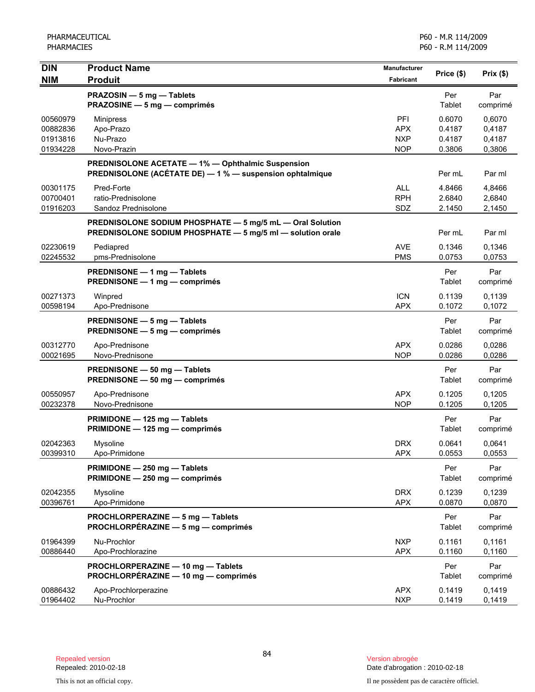| <b>DIN</b>                                   | <b>Product Name</b>                                                                                                     | <b>Manufacturer</b>                           | Price (\$)                           | Prix(\$)                             |
|----------------------------------------------|-------------------------------------------------------------------------------------------------------------------------|-----------------------------------------------|--------------------------------------|--------------------------------------|
| <b>NIM</b>                                   | <b>Produit</b><br>PRAZOSIN - 5 mg - Tablets                                                                             | Fabricant                                     | Per                                  | Par                                  |
|                                              | PRAZOSINE - 5 mg - comprimés                                                                                            |                                               | Tablet                               | comprimé                             |
| 00560979<br>00882836<br>01913816<br>01934228 | <b>Minipress</b><br>Apo-Prazo<br>Nu-Prazo<br>Novo-Prazin                                                                | PFI<br><b>APX</b><br><b>NXP</b><br><b>NOP</b> | 0.6070<br>0.4187<br>0.4187<br>0.3806 | 0,6070<br>0,4187<br>0,4187<br>0,3806 |
|                                              | <b>PREDNISOLONE ACETATE - 1% - Ophthalmic Suspension</b><br>PREDNISOLONE (ACÉTATE DE) - 1 % - suspension ophtalmique    |                                               | Per mL                               | Par ml                               |
| 00301175<br>00700401<br>01916203             | Pred-Forte<br>ratio-Prednisolone<br>Sandoz Prednisolone                                                                 | <b>ALL</b><br><b>RPH</b><br>SDZ               | 4.8466<br>2.6840<br>2.1450           | 4,8466<br>2,6840<br>2,1450           |
|                                              | PREDNISOLONE SODIUM PHOSPHATE - 5 mg/5 mL - Oral Solution<br>PREDNISOLONE SODIUM PHOSPHATE - 5 mg/5 ml - solution orale |                                               | Per mL                               | Par ml                               |
| 02230619<br>02245532                         | Pediapred<br>pms-Prednisolone                                                                                           | AVE<br><b>PMS</b>                             | 0.1346<br>0.0753                     | 0.1346<br>0,0753                     |
|                                              | PREDNISONE - 1 mg - Tablets<br>PREDNISONE - 1 mg - comprimés                                                            |                                               | Per<br>Tablet                        | Par<br>comprimé                      |
| 00271373<br>00598194                         | Winpred<br>Apo-Prednisone                                                                                               | <b>ICN</b><br><b>APX</b>                      | 0.1139<br>0.1072                     | 0,1139<br>0,1072                     |
|                                              | PREDNISONE - 5 mg - Tablets<br>PREDNISONE - 5 mg - comprimés                                                            |                                               | Per<br>Tablet                        | Par<br>comprimé                      |
| 00312770<br>00021695                         | Apo-Prednisone<br>Novo-Prednisone                                                                                       | <b>APX</b><br><b>NOP</b>                      | 0.0286<br>0.0286                     | 0,0286<br>0,0286                     |
|                                              | PREDNISONE - 50 mg - Tablets<br>PREDNISONE - 50 mg - comprimés                                                          |                                               | Per<br>Tablet                        | Par<br>comprimé                      |
| 00550957<br>00232378                         | Apo-Prednisone<br>Novo-Prednisone                                                                                       | <b>APX</b><br><b>NOP</b>                      | 0.1205<br>0.1205                     | 0,1205<br>0,1205                     |
|                                              | PRIMIDONE - 125 mg - Tablets<br>PRIMIDONE - 125 mg - comprimés                                                          |                                               | Per<br>Tablet                        | Par<br>comprimé                      |
| 02042363<br>00399310                         | Mysoline<br>Apo-Primidone                                                                                               | <b>DRX</b><br><b>APX</b>                      | 0.0641<br>0.0553                     | 0,0641<br>0,0553                     |
|                                              | PRIMIDONE - 250 mg - Tablets<br>PRIMIDONE - 250 mg - comprimés                                                          |                                               | Per<br>Tablet                        | Par<br>comprimé                      |
| 02042355<br>00396761                         | Mysoline<br>Apo-Primidone                                                                                               | <b>DRX</b><br><b>APX</b>                      | 0.1239<br>0.0870                     | 0,1239<br>0,0870                     |
|                                              | PROCHLORPERAZINE - 5 mg - Tablets<br>PROCHLORPÉRAZINE - 5 mg - comprimés                                                |                                               | Per<br>Tablet                        | Par<br>comprimé                      |
| 01964399<br>00886440                         | Nu-Prochlor<br>Apo-Prochlorazine                                                                                        | <b>NXP</b><br><b>APX</b>                      | 0.1161<br>0.1160                     | 0,1161<br>0,1160                     |
|                                              | PROCHLORPERAZINE - 10 mg - Tablets<br>PROCHLORPÉRAZINE - 10 mg - comprimés                                              |                                               | Per<br>Tablet                        | Par<br>comprimé                      |
| 00886432<br>01964402                         | Apo-Prochlorperazine<br>Nu-Prochlor                                                                                     | <b>APX</b><br><b>NXP</b>                      | 0.1419<br>0.1419                     | 0,1419<br>0,1419                     |

Date d'abrogation : 2010-02-18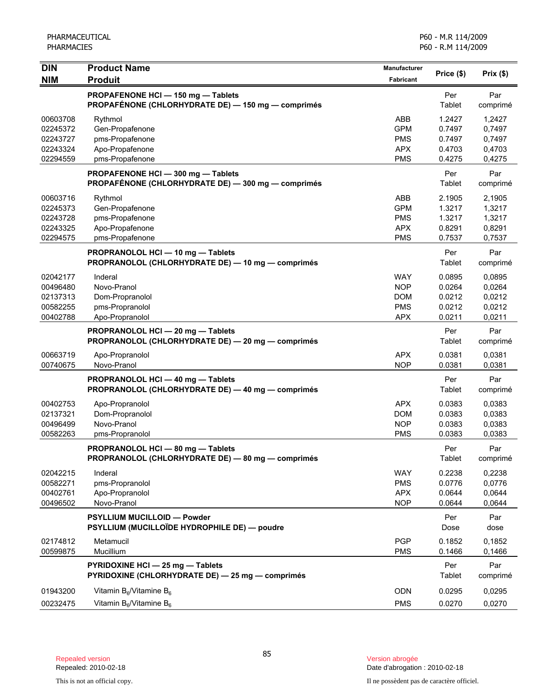| <b>DIN</b>                                               | <b>Product Name</b>                                                                    | Manufacturer                                                       |                                                | Prix(\$)                                       |
|----------------------------------------------------------|----------------------------------------------------------------------------------------|--------------------------------------------------------------------|------------------------------------------------|------------------------------------------------|
| <b>NIM</b>                                               | <b>Produit</b>                                                                         | <b>Fabricant</b>                                                   | Price (\$)                                     |                                                |
|                                                          | PROPAFENONE HCI-150 mg-Tablets<br>PROPAFÉNONE (CHLORHYDRATE DE) - 150 mg - comprimés   |                                                                    | Per<br>Tablet                                  | Par<br>comprimé                                |
| 00603708<br>02245372<br>02243727<br>02243324<br>02294559 | Rythmol<br>Gen-Propafenone<br>pms-Propafenone<br>Apo-Propafenone<br>pms-Propafenone    | ABB<br><b>GPM</b><br><b>PMS</b><br><b>APX</b><br><b>PMS</b>        | 1.2427<br>0.7497<br>0.7497<br>0.4703<br>0.4275 | 1,2427<br>0,7497<br>0,7497<br>0,4703<br>0,4275 |
|                                                          | PROPAFENONE HCI-300 mg-Tablets<br>PROPAFÉNONE (CHLORHYDRATE DE) - 300 mg - comprimés   |                                                                    | Per<br>Tablet                                  | Par<br>comprimé                                |
| 00603716<br>02245373<br>02243728<br>02243325<br>02294575 | Rythmol<br>Gen-Propafenone<br>pms-Propafenone<br>Apo-Propafenone<br>pms-Propafenone    | ABB<br><b>GPM</b><br><b>PMS</b><br><b>APX</b><br><b>PMS</b>        | 2.1905<br>1.3217<br>1.3217<br>0.8291<br>0.7537 | 2,1905<br>1,3217<br>1,3217<br>0,8291<br>0,7537 |
|                                                          | PROPRANOLOL HCI - 10 mg - Tablets<br>PROPRANOLOL (CHLORHYDRATE DE) - 10 mg - comprimés |                                                                    | Per<br>Tablet                                  | Par<br>comprimé                                |
| 02042177<br>00496480<br>02137313<br>00582255<br>00402788 | Inderal<br>Novo-Pranol<br>Dom-Propranolol<br>pms-Propranolol<br>Apo-Propranolol        | <b>WAY</b><br><b>NOP</b><br><b>DOM</b><br><b>PMS</b><br><b>APX</b> | 0.0895<br>0.0264<br>0.0212<br>0.0212<br>0.0211 | 0,0895<br>0,0264<br>0,0212<br>0,0212<br>0,0211 |
|                                                          | PROPRANOLOL HCI - 20 mg - Tablets<br>PROPRANOLOL (CHLORHYDRATE DE) - 20 mg - comprimés |                                                                    | Per<br>Tablet                                  | Par<br>comprimé                                |
| 00663719<br>00740675                                     | Apo-Propranolol<br>Novo-Pranol                                                         | <b>APX</b><br><b>NOP</b>                                           | 0.0381<br>0.0381                               | 0.0381<br>0,0381                               |
|                                                          | PROPRANOLOL HCI - 40 mg - Tablets<br>PROPRANOLOL (CHLORHYDRATE DE) - 40 mg - comprimés |                                                                    | Per<br>Tablet                                  | Par<br>comprimé                                |
| 00402753<br>02137321<br>00496499<br>00582263             | Apo-Propranolol<br>Dom-Propranolol<br>Novo-Pranol<br>pms-Propranolol                   | <b>APX</b><br><b>DOM</b><br><b>NOP</b><br><b>PMS</b>               | 0.0383<br>0.0383<br>0.0383<br>0.0383           | 0.0383<br>0,0383<br>0,0383<br>0,0383           |
|                                                          | PROPRANOLOL HCI - 80 mg - Tablets<br>PROPRANOLOL (CHLORHYDRATE DE) - 80 mg - comprimés |                                                                    | Per<br>Tablet                                  | Par<br>comprimé                                |
| 02042215<br>00582271<br>00402761<br>00496502             | Inderal<br>pms-Propranolol<br>Apo-Propranolol<br>Novo-Pranol                           | <b>WAY</b><br><b>PMS</b><br><b>APX</b><br><b>NOP</b>               | 0.2238<br>0.0776<br>0.0644<br>0.0644           | 0,2238<br>0,0776<br>0,0644<br>0,0644           |
|                                                          | PSYLLIUM MUCILLOID - Powder<br>PSYLLIUM (MUCILLOÏDE HYDROPHILE DE) — poudre            |                                                                    | Per<br>Dose                                    | Par<br>dose                                    |
| 02174812<br>00599875                                     | Metamucil<br>Mucillium                                                                 | <b>PGP</b><br><b>PMS</b>                                           | 0.1852<br>0.1466                               | 0,1852<br>0,1466                               |
|                                                          | PYRIDOXINE HCI - 25 mg - Tablets<br>PYRIDOXINE (CHLORHYDRATE DE) - 25 mg - comprimés   |                                                                    | Per<br>Tablet                                  | Par<br>comprimé                                |
| 01943200<br>00232475                                     | Vitamin $B_6$ /Vitamine $B_6$<br>Vitamin $B_6$ /Vitamine $B_6$                         | <b>ODN</b><br><b>PMS</b>                                           | 0.0295<br>0.0270                               | 0,0295<br>0,0270                               |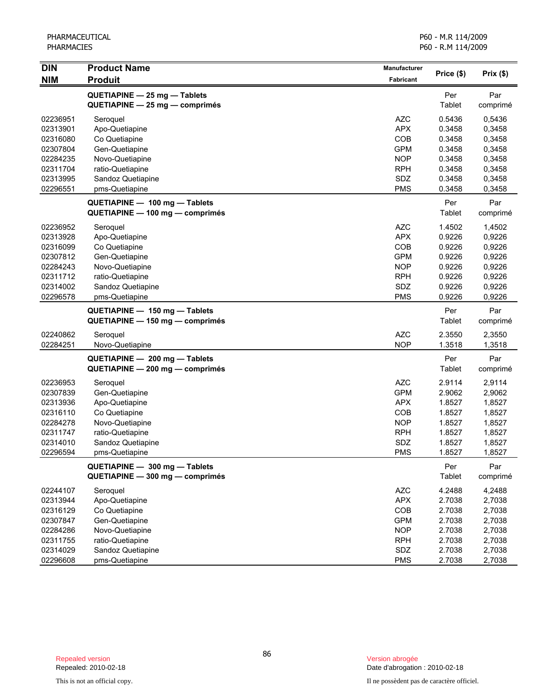| <b>DIN</b>                                                                                   | <b>Product Name</b>                                                                                                                                                          | Manufacturer                                                                                          | Price (\$)                                                                          | Prix (\$)                                                                           |
|----------------------------------------------------------------------------------------------|------------------------------------------------------------------------------------------------------------------------------------------------------------------------------|-------------------------------------------------------------------------------------------------------|-------------------------------------------------------------------------------------|-------------------------------------------------------------------------------------|
| <b>NIM</b>                                                                                   | <b>Produit</b>                                                                                                                                                               | Fabricant                                                                                             |                                                                                     |                                                                                     |
|                                                                                              | QUETIAPINE - 25 mg - Tablets<br>QUETIAPINE - 25 mg - comprimés                                                                                                               |                                                                                                       | Per<br>Tablet                                                                       | Par<br>comprimé                                                                     |
| 02236951<br>02313901<br>02316080<br>02307804<br>02284235<br>02311704<br>02313995<br>02296551 | Seroquel<br>Apo-Quetiapine<br>Co Quetiapine<br>Gen-Quetiapine<br>Novo-Quetiapine<br>ratio-Quetiapine<br>Sandoz Quetiapine<br>pms-Quetiapine<br>QUETIAPINE - 100 mg - Tablets | <b>AZC</b><br><b>APX</b><br>COB<br><b>GPM</b><br><b>NOP</b><br><b>RPH</b><br>SDZ<br><b>PMS</b>        | 0.5436<br>0.3458<br>0.3458<br>0.3458<br>0.3458<br>0.3458<br>0.3458<br>0.3458<br>Per | 0,5436<br>0,3458<br>0,3458<br>0,3458<br>0,3458<br>0,3458<br>0,3458<br>0,3458<br>Par |
|                                                                                              | QUETIAPINE - 100 mg - comprimés                                                                                                                                              |                                                                                                       | Tablet                                                                              | comprimé                                                                            |
| 02236952<br>02313928<br>02316099<br>02307812<br>02284243<br>02311712<br>02314002<br>02296578 | Seroquel<br>Apo-Quetiapine<br>Co Quetiapine<br>Gen-Quetiapine<br>Novo-Quetiapine<br>ratio-Quetiapine<br>Sandoz Quetiapine<br>pms-Quetiapine                                  | <b>AZC</b><br><b>APX</b><br>COB<br><b>GPM</b><br><b>NOP</b><br><b>RPH</b><br>SDZ<br><b>PMS</b>        | 1.4502<br>0.9226<br>0.9226<br>0.9226<br>0.9226<br>0.9226<br>0.9226<br>0.9226        | 1,4502<br>0,9226<br>0,9226<br>0,9226<br>0,9226<br>0,9226<br>0,9226<br>0,9226        |
|                                                                                              | QUETIAPINE - 150 mg - Tablets<br>QUETIAPINE - 150 mg - comprimés                                                                                                             |                                                                                                       | Per<br>Tablet                                                                       | Par<br>comprimé                                                                     |
| 02240862<br>02284251                                                                         | Seroquel<br>Novo-Quetiapine                                                                                                                                                  | <b>AZC</b><br><b>NOP</b>                                                                              | 2.3550<br>1.3518                                                                    | 2,3550<br>1,3518                                                                    |
|                                                                                              | QUETIAPINE - 200 mg - Tablets<br>QUETIAPINE - 200 mg - comprimés                                                                                                             |                                                                                                       | Per<br>Tablet                                                                       | Par<br>comprimé                                                                     |
| 02236953<br>02307839<br>02313936<br>02316110<br>02284278<br>02311747<br>02314010<br>02296594 | Seroquel<br>Gen-Quetiapine<br>Apo-Quetiapine<br>Co Quetiapine<br>Novo-Quetiapine<br>ratio-Quetiapine<br>Sandoz Quetiapine<br>pms-Quetiapine                                  | <b>AZC</b><br><b>GPM</b><br><b>APX</b><br><b>COB</b><br><b>NOP</b><br><b>RPH</b><br>SDZ<br><b>PMS</b> | 2.9114<br>2.9062<br>1.8527<br>1.8527<br>1.8527<br>1.8527<br>1.8527<br>1.8527        | 2,9114<br>2,9062<br>1,8527<br>1,8527<br>1,8527<br>1,8527<br>1,8527<br>1,8527        |
|                                                                                              | QUETIAPINE - 300 mg - Tablets<br>QUETIAPINE - 300 mg - comprimés                                                                                                             |                                                                                                       | Per<br>Tablet                                                                       | Par<br>comprimé                                                                     |
| 02244107<br>02313944<br>02316129<br>02307847<br>02284286<br>02311755<br>02314029             | Seroquel<br>Apo-Quetiapine<br>Co Quetiapine<br>Gen-Quetiapine<br>Novo-Quetiapine<br>ratio-Quetiapine<br>Sandoz Quetiapine                                                    | <b>AZC</b><br><b>APX</b><br>COB<br><b>GPM</b><br><b>NOP</b><br><b>RPH</b><br>SDZ                      | 4.2488<br>2.7038<br>2.7038<br>2.7038<br>2.7038<br>2.7038<br>2.7038                  | 4,2488<br>2,7038<br>2,7038<br>2,7038<br>2,7038<br>2,7038<br>2,7038                  |
| 02296608                                                                                     | pms-Quetiapine                                                                                                                                                               | <b>PMS</b>                                                                                            | 2.7038                                                                              | 2,7038                                                                              |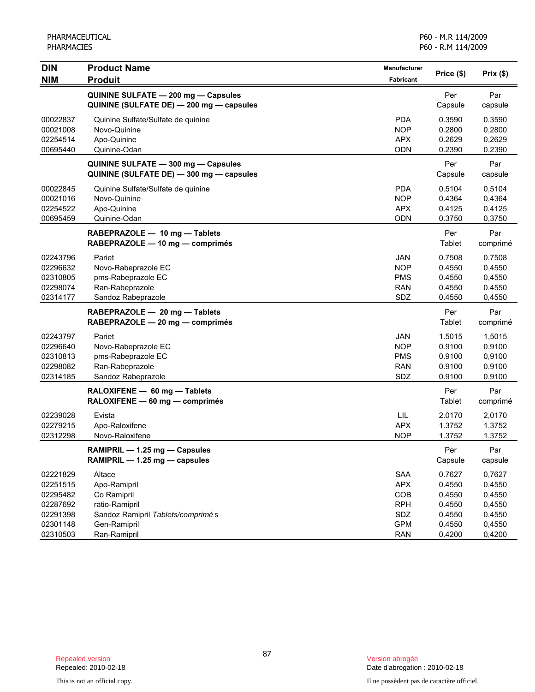| <b>DIN</b> | <b>Product Name</b>                      | <b>Manufacturer</b> | Price (\$) | Prix(\$) |
|------------|------------------------------------------|---------------------|------------|----------|
| <b>NIM</b> | <b>Produit</b>                           | <b>Fabricant</b>    |            |          |
|            | QUININE SULFATE - 200 mg - Capsules      |                     | Per        | Par      |
|            | QUININE (SULFATE DE) - 200 mg - capsules |                     | Capsule    | capsule  |
| 00022837   | Quinine Sulfate/Sulfate de quinine       | <b>PDA</b>          | 0.3590     | 0,3590   |
| 00021008   | Novo-Quinine                             | <b>NOP</b>          | 0.2800     | 0,2800   |
| 02254514   | Apo-Quinine                              | <b>APX</b>          | 0.2629     | 0,2629   |
| 00695440   | Quinine-Odan                             | <b>ODN</b>          | 0.2390     | 0,2390   |
|            | QUININE SULFATE - 300 mg - Capsules      |                     | Per        | Par      |
|            | QUININE (SULFATE DE) - 300 mg - capsules |                     | Capsule    | capsule  |
| 00022845   | Quinine Sulfate/Sulfate de quinine       | <b>PDA</b>          | 0.5104     | 0,5104   |
| 00021016   | Novo-Quinine                             | <b>NOP</b>          | 0.4364     | 0,4364   |
| 02254522   | Apo-Quinine                              | <b>APX</b>          | 0.4125     | 0,4125   |
| 00695459   | Quinine-Odan                             | ODN                 | 0.3750     | 0,3750   |
|            | RABEPRAZOLE - 10 mg - Tablets            |                     | Per        | Par      |
|            | RABEPRAZOLE - 10 mg - comprimés          |                     | Tablet     | comprimé |
| 02243796   | Pariet                                   | <b>JAN</b>          | 0.7508     | 0,7508   |
| 02296632   | Novo-Rabeprazole EC                      | <b>NOP</b>          | 0.4550     | 0,4550   |
| 02310805   | pms-Rabeprazole EC                       | <b>PMS</b>          | 0.4550     | 0,4550   |
| 02298074   | Ran-Rabeprazole                          | <b>RAN</b>          | 0.4550     | 0,4550   |
| 02314177   | Sandoz Rabeprazole                       | SDZ                 | 0.4550     | 0,4550   |
|            | RABEPRAZOLE - 20 mg - Tablets            |                     | Per        | Par      |
|            | RABEPRAZOLE - 20 mg - comprimés          |                     | Tablet     | comprimé |
| 02243797   | Pariet                                   | <b>JAN</b>          | 1.5015     | 1,5015   |
| 02296640   | Novo-Rabeprazole EC                      | <b>NOP</b>          | 0.9100     | 0,9100   |
| 02310813   | pms-Rabeprazole EC                       | <b>PMS</b>          | 0.9100     | 0,9100   |
| 02298082   | Ran-Rabeprazole                          | <b>RAN</b>          | 0.9100     | 0,9100   |
| 02314185   | Sandoz Rabeprazole                       | <b>SDZ</b>          | 0.9100     | 0,9100   |
|            | RALOXIFENE - 60 mg - Tablets             |                     | Per        | Par      |
|            | RALOXIFENE - 60 mg - comprimés           |                     | Tablet     | comprimé |
| 02239028   | Evista                                   | LIL                 | 2.0170     | 2,0170   |
| 02279215   | Apo-Raloxifene                           | <b>APX</b>          | 1.3752     | 1,3752   |
| 02312298   | Novo-Raloxifene                          | <b>NOP</b>          | 1.3752     | 1,3752   |
|            | RAMIPRIL - 1.25 mg - Capsules            |                     | Per        | Par      |
|            | RAMIPRIL - 1.25 mg - capsules            |                     | Capsule    | capsule  |
| 02221829   | Altace                                   | <b>SAA</b>          | 0.7627     | 0,7627   |
| 02251515   | Apo-Ramipril                             | <b>APX</b>          | 0.4550     | 0,4550   |
| 02295482   | Co Ramipril                              | COB                 | 0.4550     | 0,4550   |
| 02287692   | ratio-Ramipril                           | <b>RPH</b>          | 0.4550     | 0,4550   |
| 02291398   | Sandoz Ramipril Tablets/comprimé s       | SDZ                 | 0.4550     | 0,4550   |
| 02301148   | Gen-Ramipril                             | <b>GPM</b>          | 0.4550     | 0,4550   |
| 02310503   | Ran-Ramipril                             | <b>RAN</b>          | 0.4200     | 0,4200   |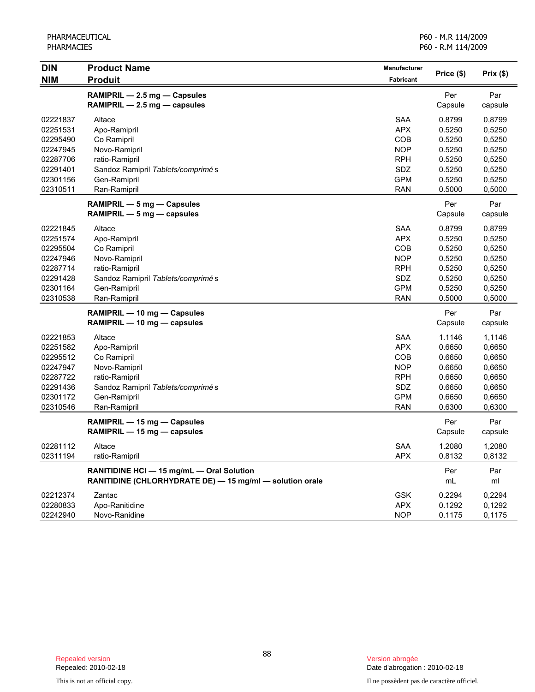| <b>DIN</b> | <b>Product Name</b>                                      | <b>Manufacturer</b> |            |          |
|------------|----------------------------------------------------------|---------------------|------------|----------|
| <b>NIM</b> | <b>Produit</b>                                           | Fabricant           | Price (\$) | Prix(\$) |
|            | RAMIPRIL - 2.5 mg - Capsules                             |                     | Per        | Par      |
|            | RAMIPRIL - 2.5 mg - capsules                             |                     | Capsule    | capsule  |
| 02221837   | Altace                                                   | <b>SAA</b>          | 0.8799     | 0,8799   |
| 02251531   | Apo-Ramipril                                             | <b>APX</b>          | 0.5250     | 0,5250   |
| 02295490   | Co Ramipril                                              | COB                 | 0.5250     | 0,5250   |
| 02247945   | Novo-Ramipril                                            | <b>NOP</b>          | 0.5250     | 0,5250   |
| 02287706   | ratio-Ramipril                                           | <b>RPH</b>          | 0.5250     | 0,5250   |
| 02291401   | Sandoz Ramipril Tablets/comprimé s                       | SDZ                 | 0.5250     | 0,5250   |
| 02301156   | Gen-Ramipril                                             | <b>GPM</b>          | 0.5250     | 0,5250   |
| 02310511   | Ran-Ramipril                                             | <b>RAN</b>          | 0.5000     | 0,5000   |
|            | RAMIPRIL - 5 mg - Capsules                               |                     | Per        | Par      |
|            | RAMIPRIL $-5$ mg $-$ capsules                            |                     | Capsule    | capsule  |
| 02221845   | Altace                                                   | <b>SAA</b>          | 0.8799     | 0,8799   |
| 02251574   | Apo-Ramipril                                             | <b>APX</b>          | 0.5250     | 0,5250   |
| 02295504   | Co Ramipril                                              | COB                 | 0.5250     | 0,5250   |
| 02247946   | Novo-Ramipril                                            | <b>NOP</b>          | 0.5250     | 0,5250   |
| 02287714   | ratio-Ramipril                                           | <b>RPH</b>          | 0.5250     | 0,5250   |
| 02291428   | Sandoz Ramipril Tablets/comprimé s                       | SDZ                 | 0.5250     | 0,5250   |
| 02301164   | Gen-Ramipril                                             | <b>GPM</b>          | 0.5250     | 0,5250   |
| 02310538   | Ran-Ramipril                                             | <b>RAN</b>          | 0.5000     | 0,5000   |
|            | RAMIPRIL - 10 mg - Capsules                              |                     | Per        | Par      |
|            | RAMIPRIL - 10 mg - capsules                              |                     | Capsule    | capsule  |
| 02221853   | Altace                                                   | <b>SAA</b>          | 1.1146     | 1,1146   |
| 02251582   | Apo-Ramipril                                             | <b>APX</b>          | 0.6650     | 0,6650   |
| 02295512   | Co Ramipril                                              | COB                 | 0.6650     | 0,6650   |
| 02247947   | Novo-Ramipril                                            | <b>NOP</b>          | 0.6650     | 0,6650   |
| 02287722   | ratio-Ramipril                                           | <b>RPH</b>          | 0.6650     | 0,6650   |
| 02291436   | Sandoz Ramipril Tablets/comprimé s                       | SDZ                 | 0.6650     | 0,6650   |
| 02301172   | Gen-Ramipril                                             | <b>GPM</b>          | 0.6650     | 0,6650   |
| 02310546   | Ran-Ramipril                                             | <b>RAN</b>          | 0.6300     | 0,6300   |
|            | RAMIPRIL - 15 mg - Capsules                              |                     | Per        | Par      |
|            | RAMIPRIL - 15 mg - capsules                              |                     | Capsule    | capsule  |
| 02281112   | Altace                                                   | <b>SAA</b>          | 1.2080     | 1,2080   |
| 02311194   | ratio-Ramipril                                           | <b>APX</b>          | 0.8132     | 0,8132   |
|            | RANITIDINE HCI - 15 mg/mL - Oral Solution                |                     | Per        | Par      |
|            | RANITIDINE (CHLORHYDRATE DE) - 15 mg/ml - solution orale |                     | mL         | ml       |
| 02212374   | Zantac                                                   | <b>GSK</b>          | 0.2294     | 0,2294   |
| 02280833   | Apo-Ranitidine                                           | <b>APX</b>          | 0.1292     | 0,1292   |
| 02242940   | Novo-Ranidine                                            | <b>NOP</b>          | 0.1175     | 0,1175   |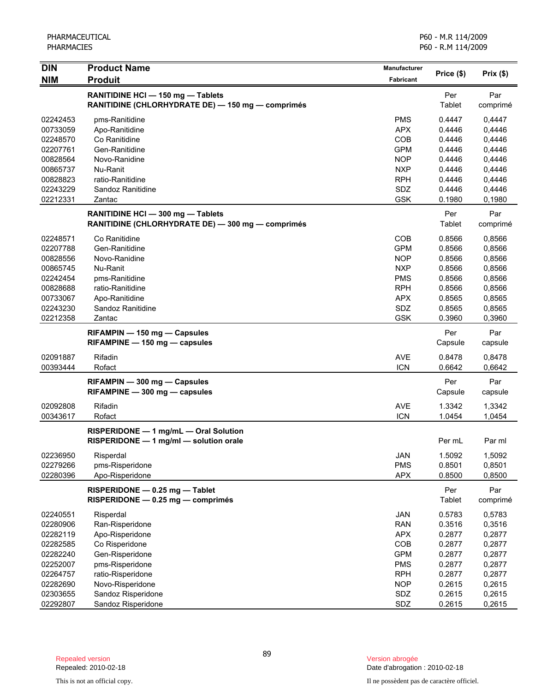| <b>DIN</b> | <b>Product Name</b>                                                                    | <b>Manufacturer</b> |                | Prix(\$)        |
|------------|----------------------------------------------------------------------------------------|---------------------|----------------|-----------------|
| <b>NIM</b> | <b>Produit</b>                                                                         | <b>Fabricant</b>    | Price (\$)     |                 |
|            | RANITIDINE HCI - 150 mg - Tablets<br>RANITIDINE (CHLORHYDRATE DE) - 150 mg - comprimés |                     | Per<br>Tablet  | Par<br>comprimé |
| 02242453   | pms-Ranitidine                                                                         | <b>PMS</b>          | 0.4447         | 0,4447          |
| 00733059   | Apo-Ranitidine                                                                         | <b>APX</b>          | 0.4446         | 0,4446          |
| 02248570   | Co Ranitidine                                                                          | COB                 | 0.4446         | 0,4446          |
| 02207761   | Gen-Ranitidine                                                                         | <b>GPM</b>          | 0.4446         | 0,4446          |
| 00828564   | Novo-Ranidine                                                                          | <b>NOP</b>          | 0.4446         | 0,4446          |
| 00865737   | Nu-Ranit                                                                               | <b>NXP</b>          | 0.4446         | 0,4446          |
| 00828823   | ratio-Ranitidine                                                                       | <b>RPH</b>          | 0.4446         | 0,4446          |
| 02243229   | Sandoz Ranitidine                                                                      | SDZ                 | 0.4446         | 0,4446          |
| 02212331   | Zantac                                                                                 | <b>GSK</b>          | 0.1980         | 0,1980          |
|            | RANITIDINE HCI - 300 mg - Tablets<br>RANITIDINE (CHLORHYDRATE DE) - 300 mg - comprimés |                     | Per<br>Tablet  | Par<br>comprimé |
| 02248571   | Co Ranitidine                                                                          | COB                 | 0.8566         | 0,8566          |
| 02207788   | Gen-Ranitidine                                                                         | <b>GPM</b>          | 0.8566         | 0,8566          |
| 00828556   | Novo-Ranidine                                                                          | <b>NOP</b>          | 0.8566         | 0,8566          |
| 00865745   | Nu-Ranit                                                                               | <b>NXP</b>          | 0.8566         | 0,8566          |
| 02242454   | pms-Ranitidine                                                                         | <b>PMS</b>          | 0.8566         | 0,8566          |
| 00828688   | ratio-Ranitidine                                                                       | <b>RPH</b>          | 0.8566         | 0,8566          |
| 00733067   | Apo-Ranitidine                                                                         | <b>APX</b>          | 0.8565         | 0,8565          |
| 02243230   | Sandoz Ranitidine                                                                      | SDZ                 | 0.8565         | 0,8565          |
| 02212358   | Zantac                                                                                 | <b>GSK</b>          | 0.3960         | 0,3960          |
|            |                                                                                        |                     |                |                 |
|            | RIFAMPIN - 150 mg - Capsules<br>RIFAMPINE - 150 mg - capsules                          |                     | Per<br>Capsule | Par<br>capsule  |
| 02091887   | Rifadin                                                                                | <b>AVE</b>          | 0.8478         | 0,8478          |
| 00393444   | Rofact                                                                                 | <b>ICN</b>          | 0.6642         | 0,6642          |
|            | RIFAMPIN - 300 mg - Capsules<br>RIFAMPINE - 300 mg - capsules                          |                     | Per<br>Capsule | Par<br>capsule  |
| 02092808   | Rifadin                                                                                | <b>AVE</b>          | 1.3342         | 1,3342          |
| 00343617   | Rofact                                                                                 | <b>ICN</b>          | 1.0454         | 1,0454          |
|            | RISPERIDONE - 1 mg/mL - Oral Solution<br>RISPERIDONE - 1 mg/ml - solution orale        |                     | Per mL         | Par ml          |
| 02236950   | Risperdal                                                                              | JAN                 | 1.5092         | 1,5092          |
| 02279266   | pms-Risperidone                                                                        | <b>PMS</b>          | 0.8501         | 0,8501          |
| 02280396   | Apo-Risperidone                                                                        | <b>APX</b>          | 0.8500         | 0,8500          |
|            | RISPERIDONE - 0.25 mg - Tablet<br>RISPERIDONE - 0.25 mg - comprimés                    |                     | Per<br>Tablet  | Par<br>comprimé |
| 02240551   | Risperdal                                                                              | <b>JAN</b>          | 0.5783         | 0,5783          |
| 02280906   | Ran-Risperidone                                                                        | <b>RAN</b>          | 0.3516         | 0,3516          |
| 02282119   | Apo-Risperidone                                                                        | <b>APX</b>          | 0.2877         | 0,2877          |
| 02282585   | Co Risperidone                                                                         | COB                 | 0.2877         | 0,2877          |
| 02282240   | Gen-Risperidone                                                                        | <b>GPM</b>          | 0.2877         | 0,2877          |
| 02252007   | pms-Risperidone                                                                        | <b>PMS</b>          | 0.2877         | 0,2877          |
| 02264757   | ratio-Risperidone                                                                      | <b>RPH</b>          | 0.2877         | 0,2877          |
| 02282690   | Novo-Risperidone                                                                       | <b>NOP</b>          | 0.2615         | 0,2615          |
| 02303655   | Sandoz Risperidone                                                                     | SDZ                 | 0.2615         | 0,2615          |
| 02292807   | Sandoz Risperidone                                                                     | SDZ                 | 0.2615         | 0,2615          |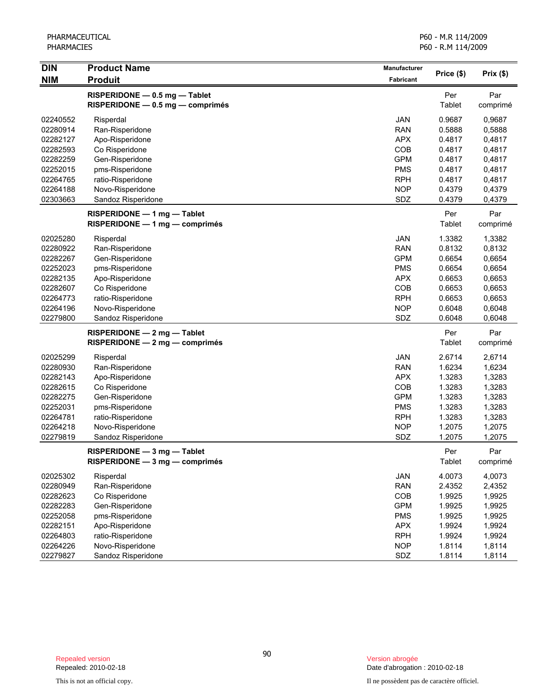| <b>DIN</b> | <b>Product Name</b>                                               | Manufacturer | Price (\$)    | Prix(\$)        |
|------------|-------------------------------------------------------------------|--------------|---------------|-----------------|
| <b>NIM</b> | <b>Produit</b>                                                    | Fabricant    |               |                 |
|            | RISPERIDONE - 0.5 mg - Tablet<br>RISPERIDONE - 0.5 mg - comprimés |              | Per<br>Tablet | Par<br>comprimé |
| 02240552   | Risperdal                                                         | JAN          | 0.9687        | 0,9687          |
| 02280914   | Ran-Risperidone                                                   | <b>RAN</b>   | 0.5888        | 0,5888          |
| 02282127   | Apo-Risperidone                                                   | <b>APX</b>   | 0.4817        | 0,4817          |
| 02282593   | Co Risperidone                                                    | COB          | 0.4817        | 0,4817          |
| 02282259   | Gen-Risperidone                                                   | <b>GPM</b>   | 0.4817        | 0,4817          |
| 02252015   | pms-Risperidone                                                   | <b>PMS</b>   | 0.4817        | 0,4817          |
| 02264765   | ratio-Risperidone                                                 | <b>RPH</b>   | 0.4817        | 0,4817          |
| 02264188   | Novo-Risperidone                                                  | <b>NOP</b>   | 0.4379        | 0,4379          |
| 02303663   | Sandoz Risperidone                                                | SDZ          | 0.4379        | 0,4379          |
|            | $RISPERIDONE - 1 mg - Table$<br>RISPERIDONE - 1 mg - comprimés    |              | Per<br>Tablet | Par<br>comprimé |
| 02025280   | Risperdal                                                         | JAN          | 1.3382        | 1,3382          |
| 02280922   | Ran-Risperidone                                                   | <b>RAN</b>   | 0.8132        | 0,8132          |
| 02282267   | Gen-Risperidone                                                   | <b>GPM</b>   | 0.6654        | 0,6654          |
| 02252023   | pms-Risperidone                                                   | <b>PMS</b>   | 0.6654        | 0,6654          |
| 02282135   | Apo-Risperidone                                                   | <b>APX</b>   | 0.6653        | 0,6653          |
| 02282607   | Co Risperidone                                                    | COB          | 0.6653        | 0,6653          |
| 02264773   | ratio-Risperidone                                                 | <b>RPH</b>   | 0.6653        | 0,6653          |
| 02264196   | Novo-Risperidone                                                  | <b>NOP</b>   | 0.6048        | 0,6048          |
| 02279800   | Sandoz Risperidone                                                | SDZ          | 0.6048        | 0,6048          |
|            | RISPERIDONE - 2 mg - Tablet                                       |              | Per           | Par             |
|            | $RISPERIDONE - 2 mg - comprimés$                                  |              | <b>Tablet</b> | comprimé        |
| 02025299   | Risperdal                                                         | JAN          | 2.6714        | 2,6714          |
| 02280930   | Ran-Risperidone                                                   | <b>RAN</b>   | 1.6234        | 1,6234          |
| 02282143   | Apo-Risperidone                                                   | <b>APX</b>   | 1.3283        | 1,3283          |
| 02282615   | Co Risperidone                                                    | COB          | 1.3283        | 1,3283          |
| 02282275   | Gen-Risperidone                                                   | <b>GPM</b>   | 1.3283        | 1,3283          |
| 02252031   | pms-Risperidone                                                   | <b>PMS</b>   | 1.3283        | 1,3283          |
| 02264781   | ratio-Risperidone                                                 | <b>RPH</b>   | 1.3283        | 1,3283          |
| 02264218   | Novo-Risperidone                                                  | <b>NOP</b>   | 1.2075        | 1,2075          |
| 02279819   | Sandoz Risperidone                                                | SDZ          | 1.2075        | 1,2075          |
|            | RISPERIDONE - 3 mg - Tablet<br>RISPERIDONE - 3 mg - comprimés     |              | Per<br>Tablet | Par<br>comprimé |
| 02025302   | Risperdal                                                         | JAN          | 4.0073        | 4,0073          |
| 02280949   | Ran-Risperidone                                                   | <b>RAN</b>   | 2.4352        | 2,4352          |
| 02282623   | Co Risperidone                                                    | COB          | 1.9925        | 1,9925          |
| 02282283   | Gen-Risperidone                                                   | <b>GPM</b>   | 1.9925        | 1,9925          |
| 02252058   | pms-Risperidone                                                   | <b>PMS</b>   | 1.9925        | 1,9925          |
| 02282151   | Apo-Risperidone                                                   | <b>APX</b>   | 1.9924        | 1,9924          |
| 02264803   | ratio-Risperidone                                                 | <b>RPH</b>   | 1.9924        | 1,9924          |
| 02264226   | Novo-Risperidone                                                  | <b>NOP</b>   | 1.8114        | 1,8114          |
| 02279827   | Sandoz Risperidone                                                | SDZ          | 1.8114        | 1,8114          |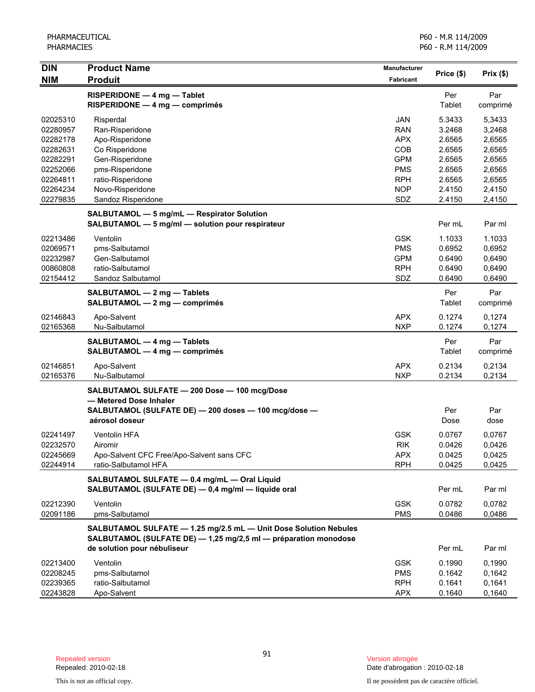| <b>DIN</b> | <b>Product Name</b>                                                                                                                              | <b>Manufacturer</b> |                  | Prix(\$)         |
|------------|--------------------------------------------------------------------------------------------------------------------------------------------------|---------------------|------------------|------------------|
| <b>NIM</b> | <b>Produit</b>                                                                                                                                   | Fabricant           | Price (\$)       |                  |
|            | RISPERIDONE - 4 mg - Tablet<br>RISPERIDONE - 4 mg - comprimés                                                                                    |                     | Per<br>Tablet    | Par<br>comprimé  |
| 02025310   | Risperdal                                                                                                                                        | <b>JAN</b>          | 5.3433           | 5,3433           |
| 02280957   | Ran-Risperidone                                                                                                                                  | <b>RAN</b>          | 3.2468           | 3,2468           |
| 02282178   | Apo-Risperidone                                                                                                                                  | <b>APX</b>          | 2.6565           | 2,6565           |
| 02282631   | Co Risperidone                                                                                                                                   | COB                 | 2.6565           | 2,6565           |
| 02282291   | Gen-Risperidone                                                                                                                                  | <b>GPM</b>          | 2.6565           | 2,6565           |
| 02252066   | pms-Risperidone                                                                                                                                  | <b>PMS</b>          | 2.6565           | 2,6565           |
| 02264811   | ratio-Risperidone                                                                                                                                | <b>RPH</b>          | 2.6565           | 2,6565           |
| 02264234   | Novo-Risperidone                                                                                                                                 | <b>NOP</b>          | 2.4150           | 2,4150           |
| 02279835   | Sandoz Risperidone                                                                                                                               | SDZ                 | 2.4150           | 2,4150           |
|            | SALBUTAMOL - 5 mg/mL - Respirator Solution<br>SALBUTAMOL - 5 mg/ml - solution pour respirateur                                                   |                     | Per mL           | Par ml           |
| 02213486   | Ventolin                                                                                                                                         | <b>GSK</b>          | 1.1033           | 1.1033           |
| 02069571   | pms-Salbutamol                                                                                                                                   | <b>PMS</b>          | 0.6952           | 0,6952           |
| 02232987   | Gen-Salbutamol                                                                                                                                   | <b>GPM</b>          | 0.6490           | 0,6490           |
| 00860808   | ratio-Salbutamol                                                                                                                                 | <b>RPH</b>          | 0.6490           | 0,6490           |
| 02154412   | Sandoz Salbutamol                                                                                                                                | SDZ                 | 0.6490           | 0,6490           |
|            | SALBUTAMOL - 2 mg - Tablets<br>SALBUTAMOL - 2 mg - comprimés                                                                                     |                     | Per<br>Tablet    | Par<br>comprimé  |
| 02146843   | Apo-Salvent                                                                                                                                      | <b>APX</b>          | 0.1274           | 0,1274           |
| 02165368   | Nu-Salbutamol                                                                                                                                    | <b>NXP</b>          | 0.1274           | 0,1274           |
|            | SALBUTAMOL - 4 mg - Tablets<br>SALBUTAMOL - 4 mg - comprimés                                                                                     |                     | Per<br>Tablet    | Par<br>comprimé  |
| 02146851   | Apo-Salvent                                                                                                                                      | <b>APX</b>          | 0.2134           | 0,2134           |
| 02165376   | Nu-Salbutamol                                                                                                                                    | <b>NXP</b>          | 0.2134           | 0,2134           |
|            | SALBUTAMOL SULFATE - 200 Dose - 100 mcg/Dose<br>- Metered Dose Inhaler<br>SALBUTAMOL (SULFATE DE) - 200 doses - 100 mcg/dose -<br>aérosol doseur |                     | Per<br>Dose      | Par<br>dose      |
| 02241497   | Ventolin HFA                                                                                                                                     | <b>GSK</b>          | 0.0767           | 0,0767           |
| 02232570   | Airomir                                                                                                                                          | <b>RIK</b>          | 0.0426           | 0,0426           |
| 02245669   | Apo-Salvent CFC Free/Apo-Salvent sans CFC                                                                                                        | <b>APX</b>          | 0.0425           | 0,0425           |
| 02244914   | ratio-Salbutamol HFA                                                                                                                             | <b>RPH</b>          | 0.0425           | 0,0425           |
|            | SALBUTAMOL SULFATE - 0.4 mg/mL - Oral Liquid<br>SALBUTAMOL (SULFATE DE) - 0,4 mg/ml - liquide oral                                               |                     | Per mL           | Par ml           |
| 02212390   | Ventolin                                                                                                                                         | <b>GSK</b>          | 0.0782           | 0,0782           |
| 02091186   | pms-Salbutamol                                                                                                                                   | <b>PMS</b>          | 0.0486           | 0,0486           |
|            | SALBUTAMOL SULFATE - 1.25 mg/2.5 mL - Unit Dose Solution Nebules<br>SALBUTAMOL (SULFATE DE) - 1,25 mg/2,5 ml - préparation monodose              |                     |                  |                  |
| 02213400   | de solution pour nébuliseur<br>Ventolin                                                                                                          | <b>GSK</b>          | Per mL<br>0.1990 | Par ml<br>0,1990 |
| 02208245   | pms-Salbutamol                                                                                                                                   | <b>PMS</b>          | 0.1642           | 0,1642           |
| 02239365   | ratio-Salbutamol                                                                                                                                 | <b>RPH</b>          | 0.1641           | 0,1641           |
| 02243828   | Apo-Salvent                                                                                                                                      | <b>APX</b>          | 0.1640           | 0,1640           |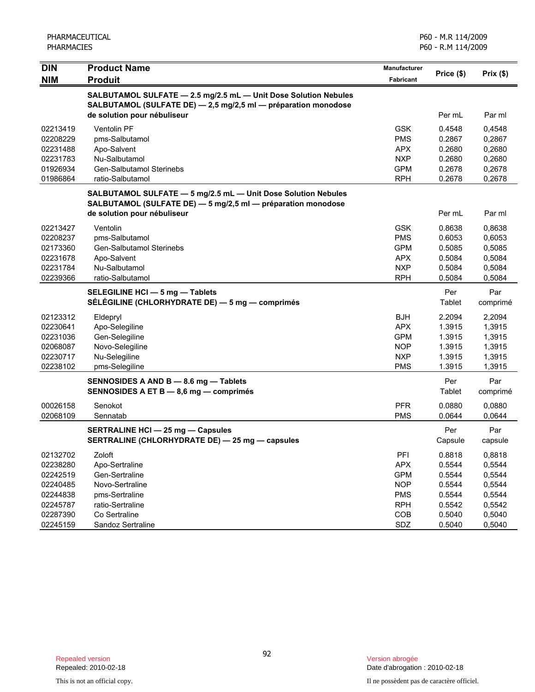| PHARMACEUTICAL<br><b>PHARMACIES</b> |                                                                                                                               | P60 - M.R 114/2009<br>P60 - R.M 114/2009 |                |                 |  |
|-------------------------------------|-------------------------------------------------------------------------------------------------------------------------------|------------------------------------------|----------------|-----------------|--|
| <b>DIN</b><br><b>NIM</b>            | <b>Product Name</b><br><b>Produit</b>                                                                                         | <b>Manufacturer</b><br><b>Fabricant</b>  | Price (\$)     | Prix(\$)        |  |
|                                     | SALBUTAMOL SULFATE - 2.5 mg/2.5 mL - Unit Dose Solution Nebules                                                               |                                          |                |                 |  |
|                                     | SALBUTAMOL (SULFATE DE) - 2,5 mg/2,5 ml - préparation monodose                                                                |                                          |                |                 |  |
|                                     | de solution pour nébuliseur                                                                                                   |                                          | Per mL         | Par ml          |  |
| 02213419                            | Ventolin PF                                                                                                                   | <b>GSK</b>                               | 0.4548         | 0,4548          |  |
| 02208229                            | pms-Salbutamol                                                                                                                | <b>PMS</b>                               | 0.2867         | 0,2867          |  |
| 02231488                            | Apo-Salvent                                                                                                                   | <b>APX</b>                               | 0.2680         | 0,2680          |  |
| 02231783                            | Nu-Salbutamol                                                                                                                 | <b>NXP</b>                               | 0.2680         | 0,2680          |  |
| 01926934                            | <b>Gen-Salbutamol Sterinebs</b>                                                                                               | <b>GPM</b>                               | 0.2678         | 0,2678          |  |
| 01986864                            | ratio-Salbutamol                                                                                                              | <b>RPH</b>                               | 0.2678         | 0,2678          |  |
|                                     | SALBUTAMOL SULFATE - 5 mg/2.5 mL - Unit Dose Solution Nebules<br>SALBUTAMOL (SULFATE DE) - 5 mg/2,5 ml - préparation monodose |                                          |                |                 |  |
|                                     | de solution pour nébuliseur                                                                                                   |                                          | Per mL         | Par ml          |  |
| 02213427                            | Ventolin                                                                                                                      | <b>GSK</b>                               | 0.8638         | 0,8638          |  |
| 02208237                            | pms-Salbutamol                                                                                                                | <b>PMS</b>                               | 0.6053         | 0,6053          |  |
| 02173360                            | Gen-Salbutamol Sterinebs                                                                                                      | <b>GPM</b>                               | 0.5085         | 0,5085          |  |
| 02231678                            | Apo-Salvent                                                                                                                   | <b>APX</b>                               | 0.5084         | 0,5084          |  |
| 02231784                            | Nu-Salbutamol                                                                                                                 | <b>NXP</b>                               | 0.5084         | 0,5084          |  |
| 02239366                            | ratio-Salbutamol                                                                                                              | <b>RPH</b>                               | 0.5084         | 0,5084          |  |
|                                     | SELEGILINE HCI - 5 mg - Tablets<br>SÉLÉGILINE (CHLORHYDRATE DE) - 5 mg - comprimés                                            |                                          | Per<br>Tablet  | Par<br>comprimé |  |
| 02123312                            | Eldepryl                                                                                                                      | <b>BJH</b>                               | 2.2094         | 2,2094          |  |
| 02230641                            | Apo-Selegiline                                                                                                                | <b>APX</b>                               | 1.3915         | 1,3915          |  |
| 02231036                            | Gen-Selegiline                                                                                                                | <b>GPM</b>                               | 1.3915         | 1,3915          |  |
| 02068087                            | Novo-Selegiline                                                                                                               | <b>NOP</b>                               | 1.3915         | 1,3915          |  |
| 02230717                            | Nu-Selegiline                                                                                                                 | <b>NXP</b>                               | 1.3915         | 1,3915          |  |
| 02238102                            | pms-Selegiline                                                                                                                | <b>PMS</b>                               | 1.3915         | 1,3915          |  |
|                                     | SENNOSIDES A AND B - 8.6 mg - Tablets                                                                                         |                                          | Per            | Par             |  |
|                                     | SENNOSIDES A ET B - 8,6 mg - comprimés                                                                                        |                                          | Tablet         | comprimé        |  |
| 00026158                            | Senokot                                                                                                                       | <b>PFR</b>                               | 0.0880         | 0,0880          |  |
| 02068109                            | Sennatab                                                                                                                      | <b>PMS</b>                               | 0.0644         | 0,0644          |  |
|                                     | <b>SERTRALINE HCI - 25 mg - Capsules</b><br>SERTRALINE (CHLORHYDRATE DE) - 25 mg - capsules                                   |                                          | Per<br>Capsule | Par<br>capsule  |  |
| 02132702                            | Zoloft                                                                                                                        | PFI                                      | 0.8818         | 0,8818          |  |
| 02238280                            | Apo-Sertraline                                                                                                                | <b>APX</b>                               | 0.5544         | 0,5544          |  |
| 02242519                            | Gen-Sertraline                                                                                                                | <b>GPM</b>                               | 0.5544         | 0,5544          |  |
| 02240485                            | Novo-Sertraline                                                                                                               | <b>NOP</b>                               | 0.5544         | 0,5544          |  |
| 02244838                            | pms-Sertraline                                                                                                                | <b>PMS</b>                               | 0.5544         | 0,5544          |  |
| 02245787                            | ratio-Sertraline                                                                                                              | <b>RPH</b>                               | 0.5542         | 0,5542          |  |
| 02287390                            | Co Sertraline                                                                                                                 | COB                                      | 0.5040         | 0,5040          |  |
| 02245159                            | Sandoz Sertraline                                                                                                             | SDZ                                      | 0.5040         | 0,5040          |  |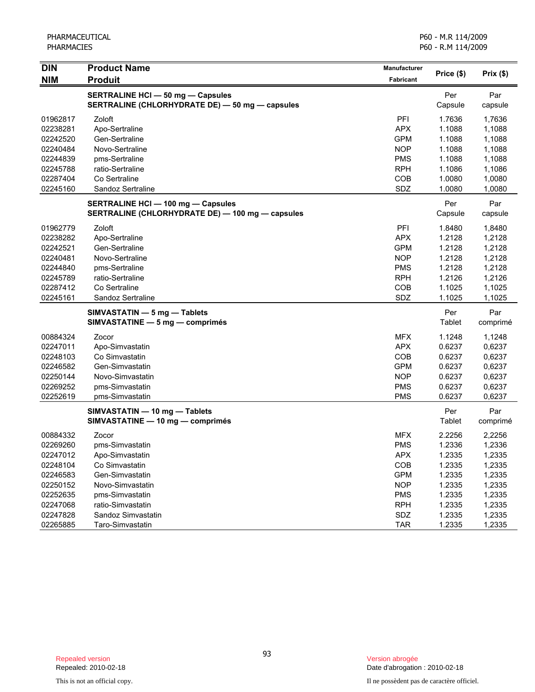| <b>DIN</b> | <b>Product Name</b>                              | Manufacturer     |            |          |
|------------|--------------------------------------------------|------------------|------------|----------|
| <b>NIM</b> | <b>Produit</b>                                   | <b>Fabricant</b> | Price (\$) | Prix(\$) |
|            | <b>SERTRALINE HCI - 50 mg - Capsules</b>         |                  | Per        | Par      |
|            | SERTRALINE (CHLORHYDRATE DE) - 50 mg - capsules  |                  | Capsule    | capsule  |
| 01962817   | Zoloft                                           | PFI              | 1.7636     | 1,7636   |
| 02238281   | Apo-Sertraline                                   | <b>APX</b>       | 1.1088     | 1,1088   |
| 02242520   | Gen-Sertraline                                   | <b>GPM</b>       | 1.1088     | 1,1088   |
| 02240484   | Novo-Sertraline                                  | <b>NOP</b>       | 1.1088     | 1,1088   |
| 02244839   | pms-Sertraline                                   | <b>PMS</b>       | 1.1088     | 1,1088   |
| 02245788   | ratio-Sertraline                                 | <b>RPH</b>       | 1.1086     | 1,1086   |
| 02287404   | Co Sertraline                                    | COB              | 1.0080     | 1,0080   |
| 02245160   | Sandoz Sertraline                                | SDZ              | 1.0080     | 1,0080   |
|            | <b>SERTRALINE HCI - 100 mg - Capsules</b>        |                  | Per        | Par      |
|            | SERTRALINE (CHLORHYDRATE DE) - 100 mg - capsules |                  | Capsule    | capsule  |
| 01962779   | Zoloft                                           | PFI              | 1.8480     | 1,8480   |
| 02238282   | Apo-Sertraline                                   | <b>APX</b>       | 1.2128     | 1,2128   |
| 02242521   | Gen-Sertraline                                   | <b>GPM</b>       | 1.2128     | 1,2128   |
| 02240481   | Novo-Sertraline                                  | <b>NOP</b>       | 1.2128     | 1,2128   |
| 02244840   | pms-Sertraline                                   | <b>PMS</b>       | 1.2128     | 1,2128   |
| 02245789   | ratio-Sertraline                                 | <b>RPH</b>       | 1.2126     | 1,2126   |
| 02287412   | Co Sertraline                                    | COB              | 1.1025     | 1,1025   |
| 02245161   | Sandoz Sertraline                                | SDZ              | 1.1025     | 1,1025   |
|            | SIMVASTATIN - 5 mg - Tablets                     |                  | Per        | Par      |
|            | SIMVASTATINE - 5 mg - comprimés                  |                  | Tablet     | comprimé |
| 00884324   | Zocor                                            | <b>MFX</b>       | 1.1248     | 1,1248   |
| 02247011   | Apo-Simvastatin                                  | <b>APX</b>       | 0.6237     | 0,6237   |
| 02248103   | Co Simvastatin                                   | COB              | 0.6237     | 0,6237   |
| 02246582   | Gen-Simvastatin                                  | <b>GPM</b>       | 0.6237     | 0,6237   |
| 02250144   | Novo-Simvastatin                                 | <b>NOP</b>       | 0.6237     | 0,6237   |
| 02269252   | pms-Simvastatin                                  | <b>PMS</b>       | 0.6237     | 0,6237   |
| 02252619   | pms-Simvastatin                                  | <b>PMS</b>       | 0.6237     | 0,6237   |
|            | SIMVASTATIN - 10 mg - Tablets                    |                  | Per        | Par      |
|            | SIMVASTATINE - 10 mg - comprimés                 |                  | Tablet     | comprimé |
| 00884332   | Zocor                                            | <b>MFX</b>       | 2.2256     | 2,2256   |
| 02269260   | pms-Simvastatin                                  | <b>PMS</b>       | 1.2336     | 1,2336   |
| 02247012   | Apo-Simvastatin                                  | <b>APX</b>       | 1.2335     | 1,2335   |
| 02248104   | Co Simvastatin                                   | COB              | 1.2335     | 1,2335   |
| 02246583   | Gen-Simvastatin                                  | <b>GPM</b>       | 1.2335     | 1,2335   |
| 02250152   | Novo-Simvastatin                                 | <b>NOP</b>       | 1.2335     | 1,2335   |
| 02252635   | pms-Simvastatin                                  | <b>PMS</b>       | 1.2335     | 1,2335   |
| 02247068   | ratio-Simvastatin                                | <b>RPH</b>       | 1.2335     | 1,2335   |
| 02247828   | Sandoz Simvastatin                               | SDZ              | 1.2335     | 1,2335   |
| 02265885   | Taro-Simvastatin                                 | <b>TAR</b>       | 1.2335     | 1,2335   |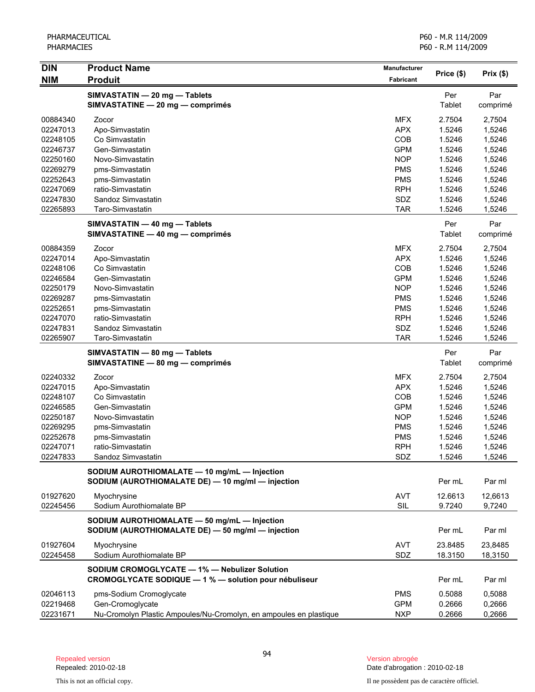| <b>DIN</b> | <b>Product Name</b>                                                                                    | Manufacturer |               | Prix(\$)        |
|------------|--------------------------------------------------------------------------------------------------------|--------------|---------------|-----------------|
| <b>NIM</b> | <b>Produit</b>                                                                                         | Fabricant    | Price (\$)    |                 |
|            | SIMVASTATIN - 20 mg - Tablets<br>SIMVASTATINE - 20 mg - comprimés                                      |              | Per<br>Tablet | Par<br>comprimé |
| 00884340   | Zocor                                                                                                  | <b>MFX</b>   | 2.7504        | 2,7504          |
| 02247013   | Apo-Simvastatin                                                                                        | <b>APX</b>   | 1.5246        | 1,5246          |
| 02248105   | Co Simvastatin                                                                                         | COB          | 1.5246        | 1,5246          |
| 02246737   | Gen-Simvastatin                                                                                        | <b>GPM</b>   | 1.5246        | 1,5246          |
| 02250160   | Novo-Simvastatin                                                                                       | <b>NOP</b>   | 1.5246        | 1,5246          |
| 02269279   | pms-Simvastatin                                                                                        | <b>PMS</b>   | 1.5246        | 1,5246          |
| 02252643   | pms-Simvastatin                                                                                        | <b>PMS</b>   | 1.5246        | 1,5246          |
| 02247069   | ratio-Simvastatin                                                                                      | <b>RPH</b>   | 1.5246        | 1,5246          |
| 02247830   | Sandoz Simvastatin                                                                                     | SDZ          | 1.5246        | 1,5246          |
| 02265893   | Taro-Simvastatin                                                                                       | <b>TAR</b>   | 1.5246        | 1,5246          |
|            | SIMVASTATIN - 40 mg - Tablets<br>SIMVASTATINE - 40 mg - comprimés                                      |              | Per<br>Tablet | Par<br>comprimé |
| 00884359   | Zocor                                                                                                  | <b>MFX</b>   | 2.7504        | 2,7504          |
| 02247014   | Apo-Simvastatin                                                                                        | <b>APX</b>   | 1.5246        | 1,5246          |
| 02248106   | Co Simvastatin                                                                                         | COB          | 1.5246        | 1,5246          |
| 02246584   | Gen-Simvastatin                                                                                        | <b>GPM</b>   | 1.5246        | 1,5246          |
| 02250179   | Novo-Simvastatin                                                                                       | <b>NOP</b>   | 1.5246        | 1,5246          |
| 02269287   | pms-Simvastatin                                                                                        | <b>PMS</b>   | 1.5246        | 1,5246          |
| 02252651   | pms-Simvastatin                                                                                        | <b>PMS</b>   | 1.5246        | 1,5246          |
| 02247070   | ratio-Simvastatin                                                                                      | <b>RPH</b>   | 1.5246        | 1,5246          |
| 02247831   | Sandoz Simvastatin                                                                                     | SDZ          | 1.5246        | 1,5246          |
| 02265907   | Taro-Simvastatin                                                                                       | <b>TAR</b>   | 1.5246        | 1,5246          |
|            | SIMVASTATIN - 80 mg - Tablets<br>SIMVASTATINE - 80 mg - comprimés                                      |              | Per<br>Tablet | Par<br>comprimé |
| 02240332   | Zocor                                                                                                  | <b>MFX</b>   | 2.7504        | 2,7504          |
| 02247015   | Apo-Simvastatin                                                                                        | <b>APX</b>   | 1.5246        | 1,5246          |
| 02248107   | Co Simvastatin                                                                                         | COB          | 1.5246        | 1,5246          |
| 02246585   | Gen-Simvastatin                                                                                        | <b>GPM</b>   | 1.5246        | 1,5246          |
| 02250187   | Novo-Simvastatin                                                                                       | <b>NOP</b>   | 1.5246        | 1,5246          |
| 02269295   | pms-Simvastatin                                                                                        | <b>PMS</b>   | 1.5246        | 1,5246          |
| 02252678   | pms-Simvastatin                                                                                        | <b>PMS</b>   | 1.5246        | 1,5246          |
| 02247071   | ratio-Simvastatin                                                                                      | <b>RPH</b>   | 1.5246        | 1,5246          |
| 02247833   | Sandoz Simvastatin                                                                                     | SDZ          | 1.5246        | 1,5246          |
|            | SODIUM AUROTHIOMALATE - 10 mg/mL - Injection<br>SODIUM (AUROTHIOMALATE DE) - 10 mg/ml - injection      |              | Per mL        | Par ml          |
| 01927620   | Myochrysine                                                                                            | <b>AVT</b>   | 12.6613       | 12,6613         |
| 02245456   | Sodium Aurothiomalate BP                                                                               | SIL          | 9.7240        | 9,7240          |
|            | SODIUM AUROTHIOMALATE - 50 mg/mL - Injection<br>SODIUM (AUROTHIOMALATE DE) - 50 mg/ml - injection      |              | Per mL        | Par ml          |
| 01927604   | Myochrysine                                                                                            | <b>AVT</b>   | 23.8485       | 23,8485         |
| 02245458   | Sodium Aurothiomalate BP                                                                               | <b>SDZ</b>   | 18.3150       | 18,3150         |
|            | SODIUM CROMOGLYCATE - 1% - Nebulizer Solution<br>CROMOGLYCATE SODIQUE - 1 % - solution pour nébuliseur |              | Per mL        | Par ml          |
| 02046113   | pms-Sodium Cromoglycate                                                                                | <b>PMS</b>   | 0.5088        | 0,5088          |
| 02219468   | Gen-Cromoglycate                                                                                       | <b>GPM</b>   | 0.2666        | 0,2666          |
| 02231671   | Nu-Cromolyn Plastic Ampoules/Nu-Cromolyn, en ampoules en plastique                                     | <b>NXP</b>   | 0.2666        | 0,2666          |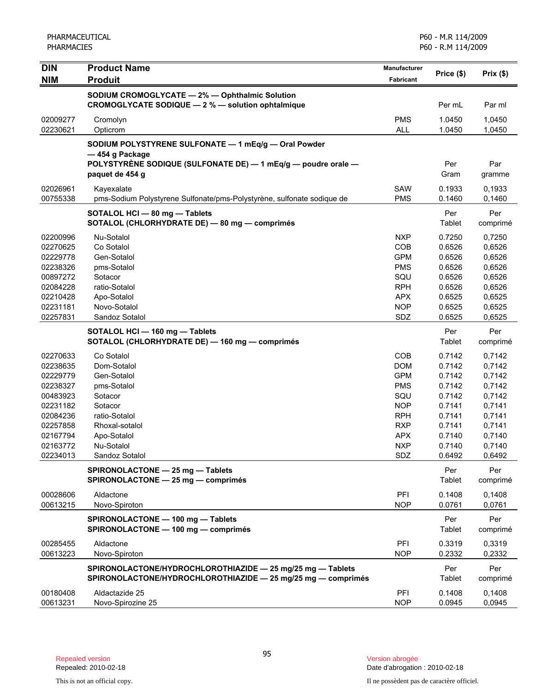| <b>DIN</b><br><b>NIM</b> | <b>Product Name</b><br><b>Produit</b>                                                                                      | <b>Manufacturer</b><br>Fabricant | Price (\$)       | Prix(\$)         |
|--------------------------|----------------------------------------------------------------------------------------------------------------------------|----------------------------------|------------------|------------------|
|                          | SODIUM CROMOGLYCATE - 2% - Ophthalmic Solution                                                                             |                                  |                  |                  |
|                          | CROMOGLYCATE SODIQUE - 2 % - solution ophtalmique                                                                          |                                  | Per mL           | Par ml           |
| 02009277<br>02230621     | Cromolyn<br>Opticrom                                                                                                       | <b>PMS</b><br><b>ALL</b>         | 1.0450<br>1.0450 | 1,0450<br>1,0450 |
|                          | SODIUM POLYSTYRENE SULFONATE - 1 mEq/g - Oral Powder                                                                       |                                  |                  |                  |
|                          | -454 g Package                                                                                                             |                                  |                  |                  |
|                          | POLYSTYRÈNE SODIQUE (SULFONATE DE) - 1 mEq/g - poudre orale -<br>paquet de 454 q                                           |                                  | Per<br>Gram      | Par<br>gramme    |
| 02026961<br>00755338     | Kayexalate<br>pms-Sodium Polystyrene Sulfonate/pms-Polystyrène, sulfonate sodique de                                       | SAW<br><b>PMS</b>                | 0.1933<br>0.1460 | 0,1933<br>0,1460 |
|                          | SOTALOL HCI - 80 mg - Tablets<br>SOTALOL (CHLORHYDRATE DE) - 80 mg - comprimés                                             |                                  | Per<br>Tablet    | Per<br>comprimé  |
|                          |                                                                                                                            |                                  |                  |                  |
| 02200996<br>02270625     | Nu-Sotalol<br>Co Sotalol                                                                                                   | <b>NXP</b><br>COB                | 0.7250<br>0.6526 | 0,7250           |
| 02229778                 | Gen-Sotalol                                                                                                                | <b>GPM</b>                       | 0.6526           | 0,6526<br>0,6526 |
| 02238326                 | pms-Sotalol                                                                                                                | <b>PMS</b>                       | 0.6526           | 0,6526           |
| 00897272                 | Sotacor                                                                                                                    | SQU                              | 0.6526           | 0,6526           |
| 02084228                 | ratio-Sotalol                                                                                                              | <b>RPH</b>                       | 0.6526           | 0,6526           |
| 02210428                 | Apo-Sotalol                                                                                                                | <b>APX</b>                       | 0.6525           | 0,6525           |
| 02231181                 | Novo-Sotalol                                                                                                               | <b>NOP</b>                       | 0.6525           | 0,6525           |
| 02257831                 | Sandoz Sotalol                                                                                                             | SDZ                              | 0.6525           | 0,6525           |
|                          | SOTALOL HCI - 160 mg - Tablets                                                                                             |                                  | Per              | Per              |
|                          | SOTALOL (CHLORHYDRATE DE) - 160 mg - comprimés                                                                             |                                  | Tablet           | comprimé         |
| 02270633                 | Co Sotalol                                                                                                                 | <b>COB</b>                       | 0.7142           | 0,7142           |
| 02238635                 | Dom-Sotalol                                                                                                                | <b>DOM</b>                       | 0.7142           | 0,7142           |
| 02229779                 | Gen-Sotalol                                                                                                                | <b>GPM</b>                       | 0.7142           | 0,7142           |
| 02238327                 | pms-Sotalol                                                                                                                | <b>PMS</b>                       | 0.7142           | 0,7142           |
| 00483923                 | Sotacor                                                                                                                    | SQU                              | 0.7142           | 0,7142           |
| 02231182                 | Sotacor                                                                                                                    | <b>NOP</b>                       | 0.7141           | 0,7141           |
| 02084236                 | ratio-Sotalol                                                                                                              | <b>RPH</b>                       | 0.7141           | 0,7141           |
| 02257858                 | Rhoxal-sotalol                                                                                                             | <b>RXP</b>                       | 0.7141           | 0,7141           |
| 02167794                 | Apo-Sotalol                                                                                                                | <b>APX</b>                       | 0.7140           | 0,7140           |
| 02163772                 | Nu-Sotalol                                                                                                                 | <b>NXP</b>                       | 0.7140           | 0,7140           |
| 02234013                 | Sandoz Sotalol                                                                                                             | SDZ                              | 0.6492           | 0,6492           |
|                          | SPIRONOLACTONE - 25 mg - Tablets<br>SPIRONOLACTONE - 25 mg - comprimés                                                     |                                  | Per<br>Tablet    | Per<br>comprimé  |
| 00028606                 | Aldactone                                                                                                                  | PFI                              | 0.1408           | 0.1408           |
| 00613215                 | Novo-Spiroton                                                                                                              | <b>NOP</b>                       | 0.0761           | 0,0761           |
|                          | SPIRONOLACTONE - 100 mg - Tablets<br>SPIRONOLACTONE - 100 mg - comprimés                                                   |                                  | Per<br>Tablet    | Per<br>comprimé  |
|                          |                                                                                                                            |                                  |                  |                  |
| 00285455<br>00613223     | Aldactone<br>Novo-Spiroton                                                                                                 | PFI<br><b>NOP</b>                | 0.3319<br>0.2332 | 0,3319<br>0,2332 |
|                          |                                                                                                                            |                                  |                  |                  |
|                          | SPIRONOLACTONE/HYDROCHLOROTHIAZIDE - 25 mg/25 mg - Tablets<br>SPIRONOLACTONE/HYDROCHLOROTHIAZIDE - 25 mg/25 mg - comprimés |                                  | Per<br>Tablet    | Per<br>comprimé  |
| 00180408                 | Aldactazide 25                                                                                                             | PFI                              | 0.1408           | 0,1408           |
| 00613231                 | Novo-Spirozine 25                                                                                                          | <b>NOP</b>                       | 0.0945           | 0,0945           |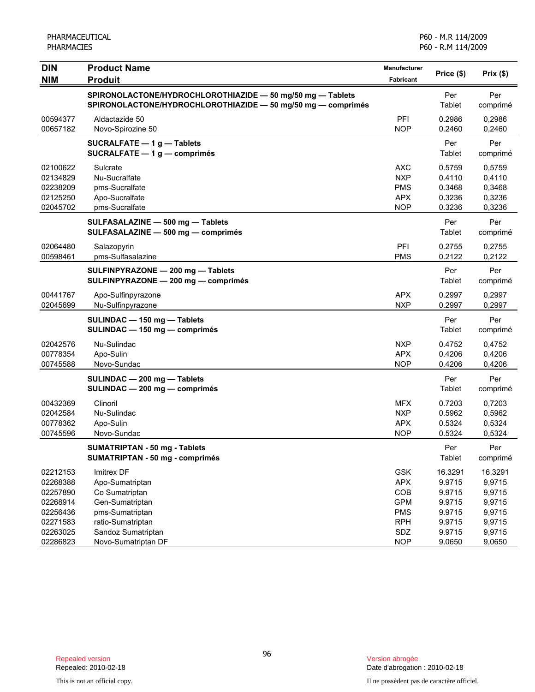| <b>DIN</b>           | <b>Product Name</b>                                                                                                        | Manufacturer<br><b>Fabricant</b> | Price (\$)       | Prix(\$)         |
|----------------------|----------------------------------------------------------------------------------------------------------------------------|----------------------------------|------------------|------------------|
| <b>NIM</b>           | <b>Produit</b>                                                                                                             |                                  |                  |                  |
|                      | SPIRONOLACTONE/HYDROCHLOROTHIAZIDE - 50 mg/50 mg - Tablets<br>SPIRONOLACTONE/HYDROCHLOROTHIAZIDE - 50 mg/50 mg - comprimés |                                  | Per<br>Tablet    | Per<br>comprimé  |
| 00594377<br>00657182 | Aldactazide 50<br>Novo-Spirozine 50                                                                                        | PFI<br><b>NOP</b>                | 0.2986<br>0.2460 | 0,2986<br>0,2460 |
|                      | <b>SUCRALFATE - 1g - Tablets</b>                                                                                           |                                  | Per              | Per              |
|                      | SUCRALFATE $-1$ g $-$ comprimés                                                                                            |                                  | Tablet           | comprimé         |
| 02100622             | Sulcrate                                                                                                                   | AXC                              | 0.5759           | 0,5759           |
| 02134829             | Nu-Sucralfate                                                                                                              | <b>NXP</b>                       | 0.4110           | 0,4110           |
| 02238209             | pms-Sucralfate                                                                                                             | <b>PMS</b>                       | 0.3468           | 0,3468           |
| 02125250             | Apo-Sucralfate                                                                                                             | <b>APX</b>                       | 0.3236           | 0,3236           |
| 02045702             | pms-Sucralfate                                                                                                             | <b>NOP</b>                       | 0.3236           | 0,3236           |
|                      | SULFASALAZINE - 500 mg - Tablets<br>SULFASALAZINE - 500 mg - comprimés                                                     |                                  | Per<br>Tablet    | Per              |
|                      |                                                                                                                            |                                  |                  | comprimé         |
| 02064480             | Salazopyrin                                                                                                                | PFI                              | 0.2755           | 0,2755           |
| 00598461             | pms-Sulfasalazine                                                                                                          | <b>PMS</b>                       | 0.2122           | 0,2122           |
|                      | SULFINPYRAZONE - 200 mg - Tablets<br>SULFINPYRAZONE - 200 mg - comprimés                                                   |                                  | Per<br>Tablet    | Per<br>comprimé  |
| 00441767             | Apo-Sulfinpyrazone                                                                                                         | <b>APX</b>                       | 0.2997           | 0.2997           |
| 02045699             | Nu-Sulfinpyrazone                                                                                                          | <b>NXP</b>                       | 0.2997           | 0.2997           |
|                      | SULINDAC - 150 mg - Tablets                                                                                                |                                  | Per              | Per              |
|                      | SULINDAC - 150 mg - comprimés                                                                                              |                                  | Tablet           | comprimé         |
| 02042576             | Nu-Sulindac                                                                                                                | <b>NXP</b>                       | 0.4752           | 0,4752           |
| 00778354             | Apo-Sulin                                                                                                                  | <b>APX</b>                       | 0.4206           | 0,4206           |
| 00745588             | Novo-Sundac                                                                                                                | <b>NOP</b>                       | 0.4206           | 0,4206           |
|                      | SULINDAC - 200 mg - Tablets                                                                                                |                                  | Per              | Per              |
|                      | SULINDAC - 200 mg - comprimés                                                                                              |                                  | Tablet           | comprimé         |
| 00432369             | Clinoril                                                                                                                   | MFX.                             | 0.7203           | 0,7203           |
| 02042584             | Nu-Sulindac                                                                                                                | <b>NXP</b>                       | 0.5962           | 0,5962           |
| 00778362             | Apo-Sulin                                                                                                                  | <b>APX</b>                       | 0.5324           | 0,5324           |
| 00745596             | Novo-Sundac                                                                                                                | <b>NOP</b>                       | 0.5324           | 0,5324           |
|                      | <b>SUMATRIPTAN - 50 mg - Tablets</b>                                                                                       |                                  | Per              | Per              |
|                      | <b>SUMATRIPTAN - 50 mg - comprimés</b>                                                                                     |                                  | Tablet           | comprimé         |
| 02212153             | Imitrex DF                                                                                                                 | <b>GSK</b>                       | 16.3291          | 16,3291          |
| 02268388             | Apo-Sumatriptan                                                                                                            | <b>APX</b>                       | 9.9715           | 9,9715           |
| 02257890             | Co Sumatriptan                                                                                                             | COB                              | 9.9715           | 9,9715           |
| 02268914             | Gen-Sumatriptan                                                                                                            | <b>GPM</b>                       | 9.9715           | 9,9715           |
| 02256436             | pms-Sumatriptan                                                                                                            | <b>PMS</b>                       | 9.9715           | 9,9715           |
| 02271583             | ratio-Sumatriptan                                                                                                          | <b>RPH</b>                       | 9.9715           | 9,9715           |
| 02263025             | Sandoz Sumatriptan                                                                                                         | SDZ                              | 9.9715           | 9,9715           |
| 02286823             | Novo-Sumatriptan DF                                                                                                        | <b>NOP</b>                       | 9.0650           | 9,0650           |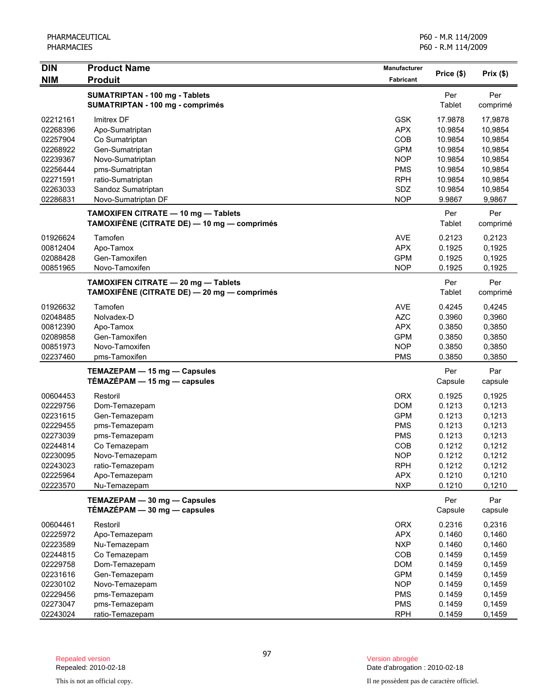| <b>DIN</b> | <b>Product Name</b>                         | Manufacturer |            | Prix(\$) |
|------------|---------------------------------------------|--------------|------------|----------|
| <b>NIM</b> | <b>Produit</b>                              | Fabricant    | Price (\$) |          |
|            | <b>SUMATRIPTAN - 100 mg - Tablets</b>       |              | Per        | Per      |
|            | SUMATRIPTAN - 100 mg - comprimés            |              | Tablet     | comprimé |
| 02212161   | Imitrex DF                                  | <b>GSK</b>   | 17.9878    | 17,9878  |
| 02268396   | Apo-Sumatriptan                             | <b>APX</b>   | 10.9854    | 10,9854  |
| 02257904   | Co Sumatriptan                              | COB          | 10.9854    | 10,9854  |
| 02268922   | Gen-Sumatriptan                             | <b>GPM</b>   | 10.9854    | 10,9854  |
| 02239367   | Novo-Sumatriptan                            | <b>NOP</b>   | 10.9854    | 10,9854  |
| 02256444   | pms-Sumatriptan                             | <b>PMS</b>   | 10.9854    | 10,9854  |
| 02271591   | ratio-Sumatriptan                           | <b>RPH</b>   | 10.9854    | 10,9854  |
| 02263033   | Sandoz Sumatriptan                          | SDZ          | 10.9854    | 10,9854  |
| 02286831   | Novo-Sumatriptan DF                         | <b>NOP</b>   | 9.9867     | 9,9867   |
|            | TAMOXIFEN CITRATE - 10 mg - Tablets         |              | Per        | Per      |
|            | TAMOXIFÈNE (CITRATE DE) — 10 mg — comprimés |              | Tablet     | comprimé |
| 01926624   | Tamofen                                     | <b>AVE</b>   | 0.2123     | 0,2123   |
| 00812404   | Apo-Tamox                                   | <b>APX</b>   | 0.1925     | 0,1925   |
| 02088428   | Gen-Tamoxifen                               | <b>GPM</b>   | 0.1925     | 0,1925   |
| 00851965   | Novo-Tamoxifen                              | <b>NOP</b>   | 0.1925     | 0,1925   |
|            | TAMOXIFEN CITRATE - 20 mg - Tablets         |              | Per        | Per      |
|            | TAMOXIFÈNE (CITRATE DE) — 20 mg — comprimés |              | Tablet     | comprimé |
| 01926632   | Tamofen                                     | <b>AVE</b>   | 0.4245     | 0,4245   |
| 02048485   | Nolvadex-D                                  | <b>AZC</b>   | 0.3960     | 0,3960   |
| 00812390   | Apo-Tamox                                   | <b>APX</b>   | 0.3850     | 0,3850   |
| 02089858   | Gen-Tamoxifen                               | <b>GPM</b>   | 0.3850     | 0,3850   |
| 00851973   | Novo-Tamoxifen                              | <b>NOP</b>   | 0.3850     | 0,3850   |
| 02237460   | pms-Tamoxifen                               | <b>PMS</b>   | 0.3850     | 0,3850   |
|            | TEMAZEPAM - 15 mg - Capsules                |              | Per        | Par      |
|            | $TÉMAZÉPAM - 15 mg - capsules$              |              | Capsule    | capsule  |
| 00604453   | Restoril                                    | <b>ORX</b>   | 0.1925     | 0,1925   |
| 02229756   | Dom-Temazepam                               | <b>DOM</b>   | 0.1213     | 0,1213   |
| 02231615   | Gen-Temazepam                               | <b>GPM</b>   | 0.1213     | 0,1213   |
| 02229455   | pms-Temazepam                               | <b>PMS</b>   | 0.1213     | 0,1213   |
| 02273039   | pms-Temazepam                               | <b>PMS</b>   | 0.1213     | 0,1213   |
| 02244814   | Co Temazepam                                | COB          | 0.1212     | 0,1212   |
| 02230095   | Novo-Temazepam                              | <b>NOP</b>   | 0.1212     | 0,1212   |
| 02243023   | ratio-Temazepam                             | <b>RPH</b>   | 0.1212     | 0,1212   |
| 02225964   | Apo-Temazepam                               | <b>APX</b>   | 0.1210     | 0,1210   |
| 02223570   | Nu-Temazepam                                | <b>NXP</b>   | 0.1210     | 0,1210   |
|            | TEMAZEPAM - 30 mg - Capsules                |              | Per        | Par      |
|            | $TÉMAZÉPAM - 30 mg - capsules$              |              | Capsule    | capsule  |
| 00604461   | Restoril                                    | <b>ORX</b>   | 0.2316     | 0,2316   |
| 02225972   | Apo-Temazepam                               | <b>APX</b>   | 0.1460     | 0,1460   |
| 02223589   | Nu-Temazepam                                | <b>NXP</b>   | 0.1460     | 0,1460   |
| 02244815   | Co Temazepam                                | COB          | 0.1459     | 0,1459   |
| 02229758   | Dom-Temazepam                               | <b>DOM</b>   | 0.1459     | 0,1459   |
| 02231616   | Gen-Temazepam                               | <b>GPM</b>   | 0.1459     | 0,1459   |
| 02230102   | Novo-Temazepam                              | <b>NOP</b>   | 0.1459     | 0,1459   |
| 02229456   | pms-Temazepam                               | <b>PMS</b>   | 0.1459     | 0,1459   |
| 02273047   | pms-Temazepam                               | <b>PMS</b>   | 0.1459     | 0,1459   |
| 02243024   | ratio-Temazepam                             | <b>RPH</b>   | 0.1459     | 0,1459   |

Date d'abrogation : 2010-02-18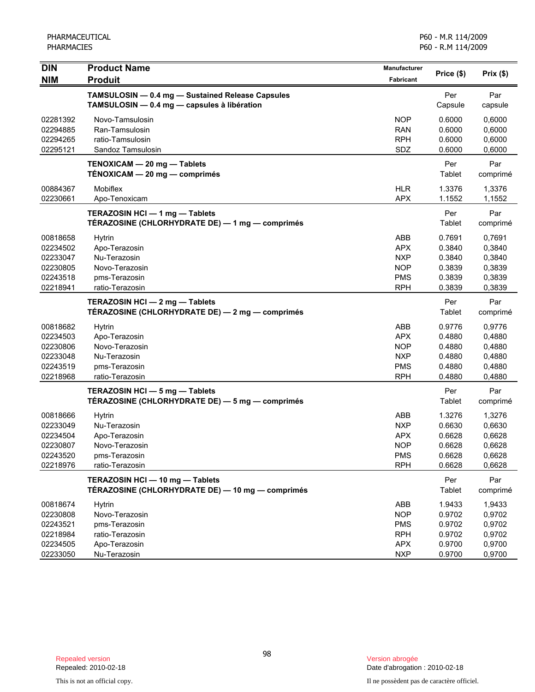| <b>DIN</b><br><b>NIM</b>                                             | <b>Product Name</b><br><b>Produit</b>                                                                | <b>Manufacturer</b><br>Fabricant                                                 | Price (\$)                                               | Prix(\$)                                                 |
|----------------------------------------------------------------------|------------------------------------------------------------------------------------------------------|----------------------------------------------------------------------------------|----------------------------------------------------------|----------------------------------------------------------|
|                                                                      | TAMSULOSIN - 0.4 mg - Sustained Release Capsules<br>TAMSULOSIN - 0.4 mg - capsules à libération      |                                                                                  | Per<br>Capsule                                           | Par<br>capsule                                           |
| 02281392<br>02294885<br>02294265<br>02295121                         | Novo-Tamsulosin<br>Ran-Tamsulosin<br>ratio-Tamsulosin<br>Sandoz Tamsulosin                           | <b>NOP</b><br><b>RAN</b><br><b>RPH</b><br>SDZ                                    | 0.6000<br>0.6000<br>0.6000<br>0.6000                     | 0,6000<br>0,6000<br>0,6000<br>0,6000                     |
|                                                                      | TENOXICAM - 20 mg - Tablets<br>TÉNOXICAM - 20 mg - comprimés                                         |                                                                                  | Per<br>Tablet                                            | Par<br>comprimé                                          |
| 00884367<br>02230661                                                 | Mobiflex<br>Apo-Tenoxicam                                                                            | <b>HLR</b><br><b>APX</b>                                                         | 1.3376<br>1.1552                                         | 1,3376<br>1,1552                                         |
|                                                                      | TERAZOSIN HCI - 1 mg - Tablets<br>TÉRAZOSINE (CHLORHYDRATE DE) — 1 mg — comprimés                    |                                                                                  | Per<br>Tablet                                            | Par<br>comprimé                                          |
| 00818658<br>02234502<br>02233047<br>02230805<br>02243518<br>02218941 | Hytrin<br>Apo-Terazosin<br>Nu-Terazosin<br>Novo-Terazosin<br>pms-Terazosin<br>ratio-Terazosin        | ABB<br><b>APX</b><br><b>NXP</b><br><b>NOP</b><br><b>PMS</b><br><b>RPH</b>        | 0.7691<br>0.3840<br>0.3840<br>0.3839<br>0.3839<br>0.3839 | 0,7691<br>0,3840<br>0,3840<br>0,3839<br>0,3839<br>0,3839 |
|                                                                      | TERAZOSIN HCI - 2 mg - Tablets<br>TÉRAZOSINE (CHLORHYDRATE DE) — 2 mg — comprimés                    |                                                                                  | Per<br>Tablet                                            | Par<br>comprimé                                          |
| 00818682<br>02234503<br>02230806<br>02233048<br>02243519<br>02218968 | <b>Hytrin</b><br>Apo-Terazosin<br>Novo-Terazosin<br>Nu-Terazosin<br>pms-Terazosin<br>ratio-Terazosin | <b>ABB</b><br><b>APX</b><br><b>NOP</b><br><b>NXP</b><br><b>PMS</b><br><b>RPH</b> | 0.9776<br>0.4880<br>0.4880<br>0.4880<br>0.4880<br>0.4880 | 0,9776<br>0,4880<br>0,4880<br>0,4880<br>0,4880<br>0,4880 |
|                                                                      | TERAZOSIN HCI - 5 mg - Tablets<br>TÉRAZOSINE (CHLORHYDRATE DE) — 5 mg — comprimés                    |                                                                                  | Per<br>Tablet                                            | Par<br>comprimé                                          |
| 00818666<br>02233049<br>02234504<br>02230807<br>02243520<br>02218976 | <b>Hytrin</b><br>Nu-Terazosin<br>Apo-Terazosin<br>Novo-Terazosin<br>pms-Terazosin<br>ratio-Terazosin | ABB<br><b>NXP</b><br>APX<br><b>NOP</b><br><b>PMS</b><br><b>RPH</b>               | 1.3276<br>0.6630<br>0.6628<br>0.6628<br>0.6628<br>0.6628 | 1,3276<br>0,6630<br>0,6628<br>0,6628<br>0,6628<br>0,6628 |
|                                                                      | TERAZOSIN HCI - 10 mg - Tablets<br>TÉRAZOSINE (CHLORHYDRATE DE) - 10 mg - comprimés                  |                                                                                  | Per<br>Tablet                                            | Par<br>comprimé                                          |
| 00818674<br>02230808<br>02243521<br>02218984<br>02234505<br>02233050 | <b>Hytrin</b><br>Novo-Terazosin<br>pms-Terazosin<br>ratio-Terazosin<br>Apo-Terazosin<br>Nu-Terazosin | ABB<br><b>NOP</b><br><b>PMS</b><br><b>RPH</b><br><b>APX</b><br><b>NXP</b>        | 1.9433<br>0.9702<br>0.9702<br>0.9702<br>0.9700<br>0.9700 | 1,9433<br>0,9702<br>0,9702<br>0,9702<br>0,9700<br>0,9700 |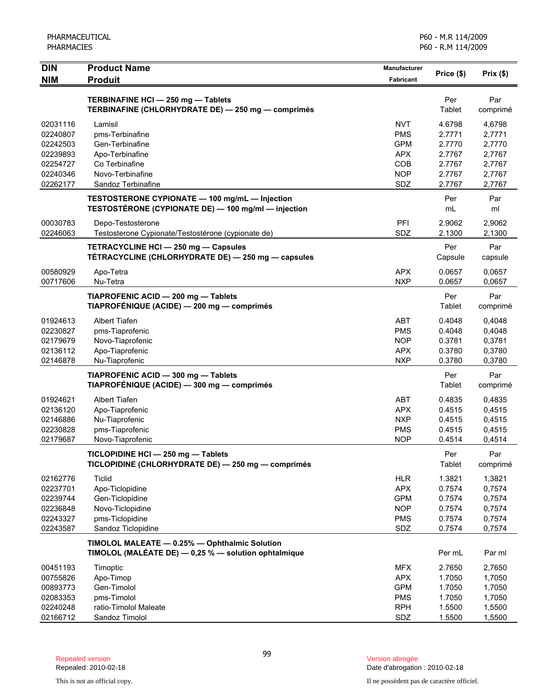| <b>PHARMACIES</b>                                                                |                                                                                                                              | P60 - R.M 114/2009                                                        |                                                                    |                                                                    |  |
|----------------------------------------------------------------------------------|------------------------------------------------------------------------------------------------------------------------------|---------------------------------------------------------------------------|--------------------------------------------------------------------|--------------------------------------------------------------------|--|
| <b>DIN</b><br><b>NIM</b>                                                         | <b>Product Name</b><br><b>Produit</b>                                                                                        | Manufacturer<br><b>Fabricant</b>                                          | Price (\$)                                                         | Prix(\$)                                                           |  |
|                                                                                  | TERBINAFINE HCI-250 mg-Tablets<br>TERBINAFINE (CHLORHYDRATE DE) - 250 mg - comprimés                                         |                                                                           | Per<br>Tablet                                                      | Par<br>comprimé                                                    |  |
| 02031116<br>02240807<br>02242503<br>02239893<br>02254727<br>02240346<br>02262177 | Lamisil<br>pms-Terbinafine<br>Gen-Terbinafine<br>Apo-Terbinafine<br>Co Terbinafine<br>Novo-Terbinafine<br>Sandoz Terbinafine | NVT<br><b>PMS</b><br><b>GPM</b><br><b>APX</b><br>COB<br><b>NOP</b><br>SDZ | 4.6798<br>2.7771<br>2.7770<br>2.7767<br>2.7767<br>2.7767<br>2.7767 | 4,6798<br>2,7771<br>2,7770<br>2,7767<br>2,7767<br>2,7767<br>2,7767 |  |
|                                                                                  | TESTOSTERONE CYPIONATE - 100 mg/mL - Injection<br>TESTOSTÉRONE (CYPIONATE DE) - 100 mg/ml - injection                        |                                                                           | Per<br>mL                                                          | Par<br>ml                                                          |  |
| 00030783<br>02246063                                                             | Depo-Testosterone<br>Testosterone Cypionate/Testostérone (cypionate de)                                                      | PFI<br>SDZ                                                                | 2.9062<br>2.1300                                                   | 2,9062<br>2,1300                                                   |  |
|                                                                                  | TETRACYCLINE HCI - 250 mg - Capsules<br>TÉTRACYCLINE (CHLORHYDRATE DE) - 250 mg - capsules                                   |                                                                           | Per<br>Capsule                                                     | Par<br>capsule                                                     |  |
| 00580929<br>00717606                                                             | Apo-Tetra<br>Nu-Tetra                                                                                                        | <b>APX</b><br><b>NXP</b>                                                  | 0.0657<br>0.0657                                                   | 0,0657<br>0,0657                                                   |  |
|                                                                                  | TIAPROFENIC ACID - 200 mg - Tablets<br>TIAPROFÉNIQUE (ACIDE) — 200 mg — comprimés                                            |                                                                           | Per<br>Tablet                                                      | Par<br>comprimé                                                    |  |
| 01924613<br>02230827<br>02179679<br>02136112<br>02146878                         | <b>Albert Tiafen</b><br>pms-Tiaprofenic<br>Novo-Tiaprofenic<br>Apo-Tiaprofenic<br>Nu-Tiaprofenic                             | <b>ABT</b><br><b>PMS</b><br><b>NOP</b><br><b>APX</b><br><b>NXP</b>        | 0.4048<br>0.4048<br>0.3781<br>0.3780<br>0.3780                     | 0,4048<br>0,4048<br>0,3781<br>0,3780<br>0,3780                     |  |
|                                                                                  | TIAPROFENIC ACID - 300 mg - Tablets<br>TIAPROFÉNIQUE (ACIDE) - 300 mg - comprimés                                            |                                                                           | Per<br>Tablet                                                      | Par<br>comprimé                                                    |  |
| 01924621<br>02136120<br>02146886<br>02230828<br>02179687                         | <b>Albert Tiafen</b><br>Apo-Tiaprofenic<br>Nu-Tiaprofenic<br>pms-Tiaprofenic<br>Novo-Tiaprofenic                             | <b>ABT</b><br><b>APX</b><br><b>NXP</b><br><b>PMS</b><br><b>NOP</b>        | 0.4835<br>0.4515<br>0.4515<br>0.4515<br>0.4514                     | 0,4835<br>0,4515<br>0,4515<br>0,4515<br>0,4514                     |  |
|                                                                                  | TICLOPIDINE HCI - 250 mg - Tablets<br>TICLOPIDINE (CHLORHYDRATE DE) - 250 mg - comprimés                                     |                                                                           | Per<br>Tablet                                                      | Par<br>comprimé                                                    |  |
| 02162776<br>02237701<br>02239744<br>02236848<br>02243327<br>02243587             | Ticlid<br>Apo-Ticlopidine<br>Gen-Ticlopidine<br>Novo-Ticlopidine<br>pms-Ticlopidine<br>Sandoz Ticlopidine                    | <b>HLR</b><br><b>APX</b><br><b>GPM</b><br><b>NOP</b><br><b>PMS</b><br>SDZ | 1.3821<br>0.7574<br>0.7574<br>0.7574<br>0.7574<br>0.7574           | 1,3821<br>0,7574<br>0,7574<br>0,7574<br>0,7574<br>0,7574           |  |
|                                                                                  | TIMOLOL MALEATE - 0.25% - Ophthalmic Solution<br>TIMOLOL (MALÉATE DE) $-$ 0,25 % $-$ solution ophtalmique                    |                                                                           | Per mL                                                             | Par ml                                                             |  |
| 00451193<br>00755826<br>00893773<br>02083353<br>02240248                         | Timoptic<br>Apo-Timop<br>Gen-Timolol<br>pms-Timolol<br>ratio-Timolol Maleate                                                 | <b>MFX</b><br><b>APX</b><br><b>GPM</b><br><b>PMS</b><br><b>RPH</b>        | 2.7650<br>1.7050<br>1.7050<br>1.7050<br>1.5500                     | 2,7650<br>1,7050<br>1,7050<br>1,7050<br>1,5500                     |  |
| 02166712                                                                         | Sandoz Timolol                                                                                                               | SDZ                                                                       | 1.5500                                                             | 1,5500                                                             |  |

PHARMACEUTICAL

Date d'abrogation : 2010-02-18

This is not an official copy. Il ne possèdent pas de caractère officiel.

P60 - M.R 114/2009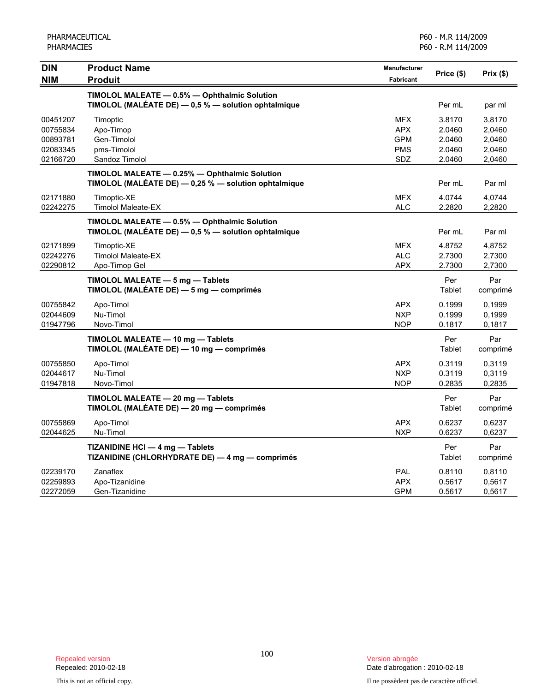| <b>DIN</b> | <b>Product Name</b>                                  | Manufacturer     |            |          |
|------------|------------------------------------------------------|------------------|------------|----------|
| <b>NIM</b> | <b>Produit</b>                                       | <b>Fabricant</b> | Price (\$) | Prix(\$) |
|            | TIMOLOL MALEATE - 0.5% - Ophthalmic Solution         |                  |            |          |
|            | TIMOLOL (MALÉATE DE) - 0,5 % - solution ophtalmique  |                  | Per mL     | par ml   |
| 00451207   | Timoptic                                             | <b>MFX</b>       | 3.8170     | 3,8170   |
| 00755834   | Apo-Timop                                            | <b>APX</b>       | 2.0460     | 2,0460   |
| 00893781   | Gen-Timolol                                          | <b>GPM</b>       | 2.0460     | 2,0460   |
| 02083345   | pms-Timolol                                          | <b>PMS</b>       | 2.0460     | 2,0460   |
| 02166720   | Sandoz Timolol                                       | SDZ              | 2.0460     | 2,0460   |
|            | TIMOLOL MALEATE - 0.25% - Ophthalmic Solution        |                  |            |          |
|            | TIMOLOL (MALÉATE DE) - 0,25 % - solution ophtalmique |                  | Per mL     | Par ml   |
| 02171880   | Timoptic-XE                                          | <b>MFX</b>       | 4.0744     | 4,0744   |
| 02242275   | <b>Timolol Maleate-EX</b>                            | <b>ALC</b>       | 2.2820     | 2,2820   |
|            | TIMOLOL MALEATE - 0.5% - Ophthalmic Solution         |                  |            |          |
|            | TIMOLOL (MALÉATE DE) - 0,5 % - solution ophtalmique  |                  | Per mL     | Par ml   |
| 02171899   | Timoptic-XE                                          | <b>MFX</b>       | 4.8752     | 4,8752   |
| 02242276   | <b>Timolol Maleate-EX</b>                            | <b>ALC</b>       | 2.7300     | 2,7300   |
| 02290812   | Apo-Timop Gel                                        | <b>APX</b>       | 2.7300     | 2,7300   |
|            | TIMOLOL MALEATE - 5 mg - Tablets                     |                  | Per        | Par      |
|            | TIMOLOL (MALÉATE DE) - 5 mg - comprimés              |                  | Tablet     | comprimé |
| 00755842   | Apo-Timol                                            | <b>APX</b>       | 0.1999     | 0.1999   |
| 02044609   | Nu-Timol                                             | <b>NXP</b>       | 0.1999     | 0,1999   |
| 01947796   | Novo-Timol                                           | <b>NOP</b>       | 0.1817     | 0,1817   |
|            | TIMOLOL MALEATE - 10 mg - Tablets                    |                  | Per        | Par      |
|            | TIMOLOL (MALÉATE DE) - 10 mg - comprimés             |                  | Tablet     | comprimé |
| 00755850   | Apo-Timol                                            | <b>APX</b>       | 0.3119     | 0,3119   |
| 02044617   | Nu-Timol                                             | <b>NXP</b>       | 0.3119     | 0,3119   |
| 01947818   | Novo-Timol                                           | <b>NOP</b>       | 0.2835     | 0,2835   |
|            | TIMOLOL MALEATE - 20 mg - Tablets                    |                  | Per        | Par      |
|            | TIMOLOL (MALÉATE DE) - 20 mg - comprimés             |                  | Tablet     | comprimé |
| 00755869   | Apo-Timol                                            | <b>APX</b>       | 0.6237     | 0,6237   |
| 02044625   | Nu-Timol                                             | <b>NXP</b>       | 0.6237     | 0,6237   |
|            | TIZANIDINE HCI - 4 mg - Tablets                      |                  | Per        | Par      |
|            | TIZANIDINE (CHLORHYDRATE DE) - 4 mg - comprimés      |                  | Tablet     | comprimé |
| 02239170   | Zanaflex                                             | PAL              | 0.8110     | 0,8110   |
| 02259893   | Apo-Tizanidine                                       | <b>APX</b>       | 0.5617     | 0,5617   |
| 02272059   | Gen-Tizanidine                                       | <b>GPM</b>       | 0.5617     | 0,5617   |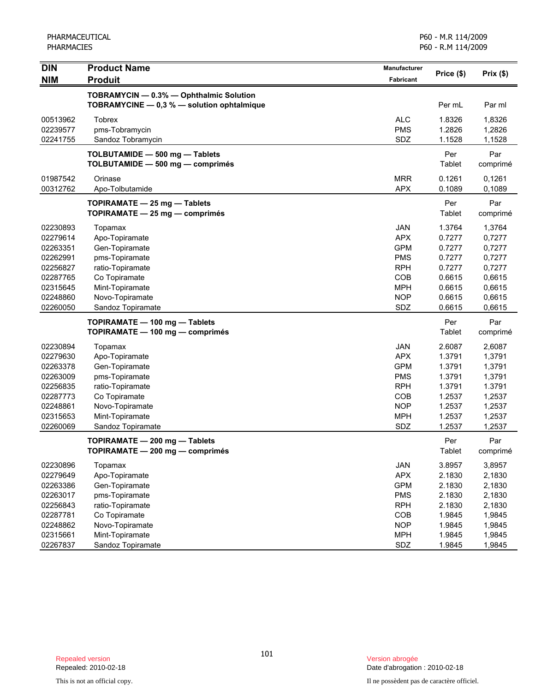PHARMACEUTICAL PHARMACIES

| <b>DIN</b>                       | <b>Product Name</b>                                                                   | Manufacturer                    | Price (\$)                 | Prix $($ \$)               |
|----------------------------------|---------------------------------------------------------------------------------------|---------------------------------|----------------------------|----------------------------|
| <b>NIM</b>                       | <b>Produit</b>                                                                        | Fabricant                       |                            |                            |
|                                  | TOBRAMYCIN - 0.3% - Ophthalmic Solution<br>TOBRAMYCINE - 0,3 % - solution ophtalmique |                                 | Per mL                     | Par ml                     |
| 00513962<br>02239577<br>02241755 | <b>Tobrex</b><br>pms-Tobramycin<br>Sandoz Tobramycin                                  | <b>ALC</b><br><b>PMS</b><br>SDZ | 1.8326<br>1.2826<br>1.1528 | 1,8326<br>1,2826<br>1,1528 |
|                                  | TOLBUTAMIDE - 500 mg - Tablets<br>TOLBUTAMIDE - 500 mg - comprimés                    |                                 | Per<br>Tablet              | Par<br>comprimé            |
| 01987542<br>00312762             | Orinase<br>Apo-Tolbutamide                                                            | <b>MRR</b><br><b>APX</b>        | 0.1261<br>0.1089           | 0,1261<br>0,1089           |
|                                  | TOPIRAMATE - 25 mg - Tablets<br>TOPIRAMATE - 25 mg - comprimés                        |                                 | Per<br><b>Tablet</b>       | Par<br>comprimé            |
| 02230893                         | Topamax                                                                               | <b>JAN</b>                      | 1.3764                     | 1,3764                     |
| 02279614                         | Apo-Topiramate                                                                        | <b>APX</b>                      | 0.7277                     | 0,7277                     |
| 02263351                         | Gen-Topiramate                                                                        | <b>GPM</b>                      | 0.7277                     | 0,7277                     |
| 02262991                         | pms-Topiramate                                                                        | <b>PMS</b>                      | 0.7277                     | 0,7277                     |
| 02256827                         | ratio-Topiramate                                                                      | <b>RPH</b>                      | 0.7277                     | 0,7277                     |
| 02287765                         | Co Topiramate                                                                         | COB                             | 0.6615                     | 0,6615                     |
| 02315645                         | Mint-Topiramate                                                                       | <b>MPH</b>                      | 0.6615                     | 0,6615                     |
| 02248860                         | Novo-Topiramate                                                                       | <b>NOP</b>                      | 0.6615                     | 0,6615                     |
| 02260050                         | Sandoz Topiramate                                                                     | SDZ                             | 0.6615                     | 0,6615                     |
|                                  | TOPIRAMATE - 100 mg - Tablets                                                         |                                 | Per                        | Par                        |
|                                  | TOPIRAMATE - 100 mg - comprimés                                                       |                                 | Tablet                     | comprimé                   |
| 02230894                         | Topamax                                                                               | <b>JAN</b>                      | 2.6087                     | 2,6087                     |
| 02279630                         | Apo-Topiramate                                                                        | <b>APX</b>                      | 1.3791                     | 1,3791                     |
| 02263378                         | Gen-Topiramate                                                                        | <b>GPM</b>                      | 1.3791                     | 1,3791                     |
| 02263009                         | pms-Topiramate                                                                        | <b>PMS</b>                      | 1.3791                     | 1,3791                     |
| 02256835                         | ratio-Topiramate                                                                      | <b>RPH</b>                      | 1.3791                     | 1.3791                     |
| 02287773                         | Co Topiramate                                                                         | COB                             | 1.2537                     | 1,2537                     |
| 02248861                         | Novo-Topiramate                                                                       | <b>NOP</b>                      | 1.2537                     | 1,2537                     |
| 02315653                         | Mint-Topiramate                                                                       | <b>MPH</b>                      | 1.2537                     | 1,2537                     |
| 02260069                         | Sandoz Topiramate                                                                     | SDZ                             | 1.2537                     | 1,2537                     |
|                                  | TOPIRAMATE - 200 mg - Tablets                                                         |                                 | Per                        | Par                        |
|                                  | TOPIRAMATE — 200 mg — comprimés                                                       |                                 | Tablet                     | comprimé                   |
| 02230896                         | Topamax                                                                               | JAN                             | 3.8957                     | 3,8957                     |
| 02279649                         | Apo-Topiramate                                                                        | <b>APX</b>                      | 2.1830                     | 2,1830                     |
| 02263386                         | Gen-Topiramate                                                                        | <b>GPM</b>                      | 2.1830                     | 2,1830                     |
| 02263017                         | pms-Topiramate                                                                        | <b>PMS</b>                      | 2.1830                     | 2,1830                     |
| 02256843                         | ratio-Topiramate                                                                      | <b>RPH</b>                      | 2.1830                     | 2,1830                     |
| 02287781                         | Co Topiramate                                                                         | COB                             | 1.9845                     | 1,9845                     |
| 02248862                         | Novo-Topiramate                                                                       | <b>NOP</b>                      | 1.9845                     | 1,9845                     |
| 02315661                         | Mint-Topiramate                                                                       | <b>MPH</b>                      | 1.9845                     | 1,9845                     |
| 02267837                         | Sandoz Topiramate                                                                     | SDZ                             | 1.9845                     | 1,9845                     |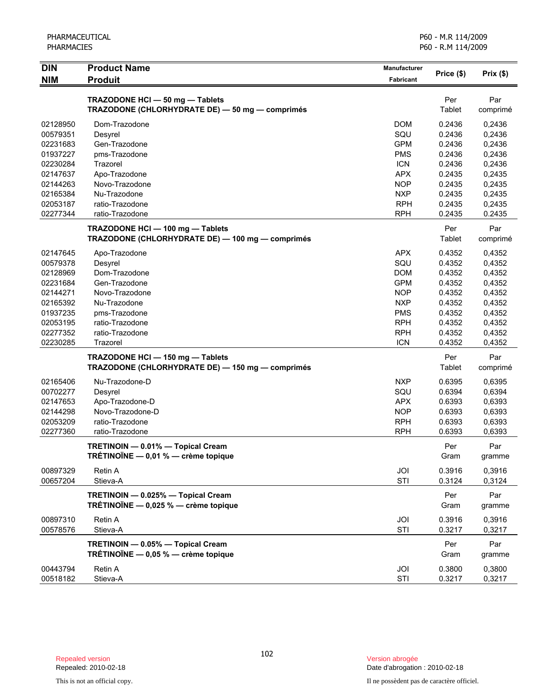| PHARMACEUTICAL |
|----------------|
| PHARMACIES     |

| <b>DIN</b>           | <b>Product Name</b>                                                          | Manufacturer     | Price (\$)       |                  |
|----------------------|------------------------------------------------------------------------------|------------------|------------------|------------------|
| <b>NIM</b>           | <b>Produit</b>                                                               | <b>Fabricant</b> |                  | Prix(\$)         |
|                      | TRAZODONE HCI - 50 mg - Tablets                                              |                  | Per              | Par              |
|                      | TRAZODONE (CHLORHYDRATE DE) - 50 mg - comprimés                              |                  | Tablet           | comprimé         |
| 02128950             | Dom-Trazodone                                                                | <b>DOM</b>       | 0.2436           | 0,2436           |
| 00579351             | Desyrel                                                                      | SQU              | 0.2436           | 0,2436           |
| 02231683             | Gen-Trazodone                                                                | <b>GPM</b>       | 0.2436           | 0,2436           |
| 01937227             | pms-Trazodone                                                                | <b>PMS</b>       | 0.2436           | 0,2436           |
| 02230284             | Trazorel                                                                     | <b>ICN</b>       | 0.2436           | 0,2436           |
| 02147637             | Apo-Trazodone                                                                | APX              | 0.2435           | 0,2435           |
| 02144263             | Novo-Trazodone                                                               | <b>NOP</b>       | 0.2435           | 0,2435           |
| 02165384             | Nu-Trazodone                                                                 | <b>NXP</b>       | 0.2435           | 0,2435           |
| 02053187             | ratio-Trazodone                                                              | <b>RPH</b>       | 0.2435           | 0,2435           |
| 02277344             | ratio-Trazodone                                                              | <b>RPH</b>       | 0.2435           | 0.2435           |
|                      | TRAZODONE HCI - 100 mg - Tablets                                             |                  | Per              | Par              |
|                      | TRAZODONE (CHLORHYDRATE DE) - 100 mg - comprimés                             |                  | Tablet           | comprimé         |
| 02147645             | Apo-Trazodone                                                                | <b>APX</b>       | 0.4352           | 0,4352           |
| 00579378             | Desyrel                                                                      | SQU              | 0.4352           | 0,4352           |
| 02128969             | Dom-Trazodone                                                                | <b>DOM</b>       | 0.4352           | 0,4352           |
| 02231684             | Gen-Trazodone                                                                | <b>GPM</b>       | 0.4352           | 0,4352           |
| 02144271             | Novo-Trazodone                                                               | <b>NOP</b>       | 0.4352           | 0,4352           |
| 02165392             | Nu-Trazodone                                                                 | <b>NXP</b>       | 0.4352           | 0,4352           |
| 01937235             | pms-Trazodone                                                                | <b>PMS</b>       | 0.4352           | 0,4352           |
| 02053195             | ratio-Trazodone                                                              | <b>RPH</b>       | 0.4352           | 0,4352           |
| 02277352             | ratio-Trazodone                                                              | <b>RPH</b>       | 0.4352           | 0,4352           |
| 02230285             | Trazorel                                                                     | <b>ICN</b>       | 0.4352           | 0,4352           |
|                      | TRAZODONE HCI - 150 mg - Tablets                                             |                  | Per              | Par              |
|                      | TRAZODONE (CHLORHYDRATE DE) - 150 mg - comprimés                             |                  | Tablet           | comprimé         |
| 02165406             | Nu-Trazodone-D                                                               | <b>NXP</b>       | 0.6395           | 0,6395           |
| 00702277             | Desyrel                                                                      | SQU              | 0.6394           | 0,6394           |
| 02147653             | Apo-Trazodone-D                                                              | <b>APX</b>       | 0.6393           | 0,6393           |
| 02144298             | Novo-Trazodone-D                                                             | <b>NOP</b>       | 0.6393           | 0,6393           |
| 02053209             | ratio-Trazodone                                                              | <b>RPH</b>       | 0.6393           | 0,6393           |
| 02277360             | ratio-Trazodone                                                              | <b>RPH</b>       | 0.6393           | 0,6393           |
|                      | TRETINOIN - 0.01% - Topical Cream                                            |                  | Per              | Par              |
|                      | TRETINOINE — 0,01 % — crème topique                                          |                  | Gram             | gramme           |
| 00897329             | Retin A                                                                      | JOI              | 0.3916           | 0,3916           |
| 00657204             | Stieva-A                                                                     | STI              | 0.3124           | 0,3124           |
|                      | TRETINOIN - 0.025% - Topical Cream<br>TRÉTINOÏNE - 0,025 % - crème topique   |                  | Per<br>Gram      | Par<br>gramme    |
|                      |                                                                              |                  |                  |                  |
| 00897310<br>00578576 | Retin A<br>Stieva-A                                                          | JOI<br>STI       | 0.3916<br>0.3217 | 0,3916<br>0,3217 |
|                      |                                                                              |                  |                  |                  |
|                      | TRETINOIN - 0.05% - Topical Cream<br>TRÉTINOÏNE $-$ 0,05 % $-$ crème topique |                  | Per<br>Gram      | Par<br>gramme    |
| 00443794<br>00518182 | Retin A<br>Stieva-A                                                          | JOI<br>STI       | 0.3800<br>0.3217 | 0,3800<br>0,3217 |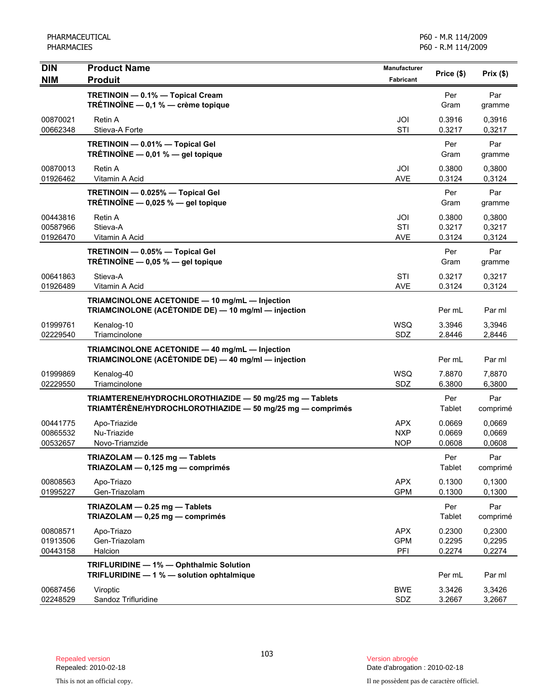| <b>DIN</b>                       | <b>Product Name</b>                                                                                                  | <b>Manufacturer</b>                    | Price (\$)                 | Prix(\$)                   |
|----------------------------------|----------------------------------------------------------------------------------------------------------------------|----------------------------------------|----------------------------|----------------------------|
| <b>NIM</b>                       | <b>Produit</b>                                                                                                       | Fabricant                              |                            |                            |
|                                  | TRETINOIN - 0.1% - Topical Cream<br>TRÉTINOÏNE - 0,1 % - crème topique                                               |                                        | Per<br>Gram                | Par<br>gramme              |
| 00870021<br>00662348             | Retin A<br>Stieva-A Forte                                                                                            | JOI<br>STI                             | 0.3916<br>0.3217           | 0,3916<br>0,3217           |
|                                  | TRETINOIN - 0.01% - Topical Gel<br>TRÉTINOÏNE $-$ 0,01 % $-$ gel topique                                             |                                        | Per<br>Gram                | Par<br>gramme              |
| 00870013<br>01926462             | Retin A<br>Vitamin A Acid                                                                                            | JOI<br><b>AVE</b>                      | 0.3800<br>0.3124           | 0.3800<br>0,3124           |
|                                  | TRETINOIN - 0.025% - Topical Gel<br>TRÉTINOÏNE $-$ 0,025 % $-$ gel topique                                           |                                        | Per<br>Gram                | Par<br>gramme              |
| 00443816<br>00587966<br>01926470 | Retin A<br>Stieva-A<br>Vitamin A Acid                                                                                | JOI<br><b>STI</b><br>AVE               | 0.3800<br>0.3217<br>0.3124 | 0,3800<br>0,3217<br>0,3124 |
|                                  | TRETINOIN - 0.05% - Topical Gel<br>TRÉTINOÏNE $-$ 0,05 % $-$ gel topique                                             |                                        | Per<br>Gram                | Par<br>gramme              |
| 00641863<br>01926489             | Stieva-A<br>Vitamin A Acid                                                                                           | STI<br><b>AVE</b>                      | 0.3217<br>0.3124           | 0,3217<br>0,3124           |
|                                  | TRIAMCINOLONE ACETONIDE - 10 mg/mL - Injection<br>TRIAMCINOLONE (ACÉTONIDE DE) - 10 mg/ml - injection                |                                        | Per mL                     | Par ml                     |
| 01999761<br>02229540             | Kenalog-10<br>Triamcinolone                                                                                          | <b>WSQ</b><br>SDZ                      | 3.3946<br>2.8446           | 3,3946<br>2,8446           |
|                                  | TRIAMCINOLONE ACETONIDE - 40 mg/mL - Injection<br>TRIAMCINOLONE (ACÉTONIDE DE) - 40 mg/ml - injection                |                                        | Per mL                     | Par ml                     |
| 01999869<br>02229550             | Kenalog-40<br>Triamcinolone                                                                                          | <b>WSQ</b><br>SDZ                      | 7.8870<br>6.3800           | 7,8870<br>6,3800           |
|                                  | TRIAMTERENE/HYDROCHLOROTHIAZIDE - 50 mg/25 mg - Tablets<br>TRIAMTÉRÈNE/HYDROCHLOROTHIAZIDE - 50 mg/25 mg - comprimés |                                        | Per<br>Tablet              | Par<br>comprimé            |
| 00441775<br>00865532<br>00532657 | Apo-Triazide<br>Nu-Triazide<br>Novo-Triamzide                                                                        | <b>APX</b><br><b>NXP</b><br><b>NOP</b> | 0.0669<br>0.0669<br>0.0608 | 0,0669<br>0,0669<br>0,0608 |
|                                  | TRIAZOLAM - 0.125 mg - Tablets<br>TRIAZOLAM - 0,125 mg - comprimés                                                   |                                        | Per<br><b>Tablet</b>       | Par<br>comprimé            |
| 00808563<br>01995227             | Apo-Triazo<br>Gen-Triazolam                                                                                          | <b>APX</b><br><b>GPM</b>               | 0.1300<br>0.1300           | 0,1300<br>0,1300           |
|                                  | TRIAZOLAM - 0.25 mg - Tablets<br>TRIAZOLAM - 0,25 mg - comprimés                                                     |                                        | Per<br><b>Tablet</b>       | Par<br>comprimé            |
| 00808571<br>01913506<br>00443158 | Apo-Triazo<br>Gen-Triazolam<br>Halcion                                                                               | <b>APX</b><br><b>GPM</b><br>PFI        | 0.2300<br>0.2295<br>0.2274 | 0,2300<br>0,2295<br>0,2274 |
|                                  | TRIFLURIDINE - 1% - Ophthalmic Solution<br>TRIFLURIDINE - 1 % - solution ophtalmique                                 |                                        | Per mL                     | Par ml                     |
| 00687456<br>02248529             | Viroptic<br>Sandoz Trifluridine                                                                                      | <b>BWE</b><br>SDZ                      | 3.3426<br>3.2667           | 3,3426<br>3,2667           |

Date d'abrogation : 2010-02-18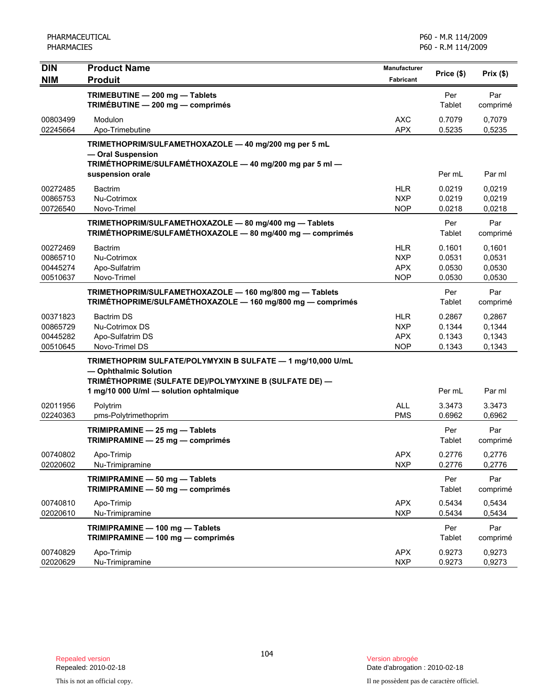| <b>DIN</b><br><b>NIM</b>                     | <b>Product Name</b><br><b>Produit</b>                                                                                                                                                     | <b>Manufacturer</b><br><b>Fabricant</b>              | Price (\$)                           | Prix(\$)                             |
|----------------------------------------------|-------------------------------------------------------------------------------------------------------------------------------------------------------------------------------------------|------------------------------------------------------|--------------------------------------|--------------------------------------|
|                                              | TRIMEBUTINE - 200 mg - Tablets<br>TRIMÉBUTINE - 200 mg - comprimés                                                                                                                        |                                                      | Per<br>Tablet                        | Par<br>comprimé                      |
| 00803499<br>02245664                         | Modulon<br>Apo-Trimebutine                                                                                                                                                                | <b>AXC</b><br><b>APX</b>                             | 0.7079<br>0.5235                     | 0,7079<br>0,5235                     |
|                                              | TRIMETHOPRIM/SULFAMETHOXAZOLE - 40 mg/200 mg per 5 mL<br>- Oral Suspension<br>TRIMÉTHOPRIME/SULFAMÉTHOXAZOLE - 40 mg/200 mg par 5 ml -                                                    |                                                      |                                      |                                      |
|                                              | suspension orale                                                                                                                                                                          |                                                      | Per mL                               | Par ml                               |
| 00272485<br>00865753<br>00726540             | <b>Bactrim</b><br>Nu-Cotrimox<br>Novo-Trimel                                                                                                                                              | <b>HLR</b><br><b>NXP</b><br><b>NOP</b>               | 0.0219<br>0.0219<br>0.0218           | 0,0219<br>0,0219<br>0,0218           |
|                                              | TRIMETHOPRIM/SULFAMETHOXAZOLE - 80 mg/400 mg - Tablets<br>TRIMÉTHOPRIME/SULFAMÉTHOXAZOLE - 80 mg/400 mg - comprimés                                                                       |                                                      | Per<br>Tablet                        | Par<br>comprimé                      |
| 00272469<br>00865710<br>00445274<br>00510637 | <b>Bactrim</b><br>Nu-Cotrimox<br>Apo-Sulfatrim<br>Novo-Trimel                                                                                                                             | <b>HLR</b><br><b>NXP</b><br><b>APX</b><br><b>NOP</b> | 0.1601<br>0.0531<br>0.0530<br>0.0530 | 0,1601<br>0,0531<br>0,0530<br>0,0530 |
|                                              | TRIMETHOPRIM/SULFAMETHOXAZOLE - 160 mg/800 mg - Tablets<br>TRIMÉTHOPRIME/SULFAMÉTHOXAZOLE - 160 mg/800 mg - comprimés                                                                     |                                                      | Per<br>Tablet                        | Par<br>comprimé                      |
| 00371823<br>00865729<br>00445282<br>00510645 | <b>Bactrim DS</b><br>Nu-Cotrimox DS<br>Apo-Sulfatrim DS<br>Novo-Trimel DS                                                                                                                 | <b>HLR</b><br><b>NXP</b><br><b>APX</b><br><b>NOP</b> | 0.2867<br>0.1344<br>0.1343<br>0.1343 | 0,2867<br>0,1344<br>0,1343<br>0,1343 |
|                                              | TRIMETHOPRIM SULFATE/POLYMYXIN B SULFATE - 1 mg/10,000 U/mL<br>- Ophthalmic Solution<br>TRIMÉTHOPRIME (SULFATE DE)/POLYMYXINE B (SULFATE DE) —<br>1 mg/10 000 U/ml - solution ophtalmique |                                                      | Per mL                               | Par ml                               |
| 02011956<br>02240363                         | Polytrim<br>pms-Polytrimethoprim                                                                                                                                                          | <b>ALL</b><br><b>PMS</b>                             | 3.3473<br>0.6962                     | 3.3473<br>0,6962                     |
|                                              | TRIMIPRAMINE - 25 mg - Tablets<br>TRIMIPRAMINE - 25 mg - comprimés                                                                                                                        |                                                      | Per<br>Tablet                        | Par<br>comprimé                      |
| 00740802<br>02020602                         | Apo-Trimip<br>Nu-Trimipramine                                                                                                                                                             | <b>APX</b><br><b>NXP</b>                             | 0.2776<br>0.2776                     | 0,2776<br>0,2776                     |
|                                              | TRIMIPRAMINE - 50 mg - Tablets<br>TRIMIPRAMINE - 50 mg - comprimés                                                                                                                        |                                                      | Per<br>Tablet                        | Par<br>comprimé                      |
| 00740810<br>02020610                         | Apo-Trimip<br>Nu-Trimipramine                                                                                                                                                             | <b>APX</b><br><b>NXP</b>                             | 0.5434<br>0.5434                     | 0,5434<br>0,5434                     |
|                                              | TRIMIPRAMINE - 100 mg - Tablets<br>TRIMIPRAMINE - 100 mg - comprimés                                                                                                                      |                                                      | Per<br>Tablet                        | Par<br>comprimé                      |
| 00740829<br>02020629                         | Apo-Trimip<br>Nu-Trimipramine                                                                                                                                                             | <b>APX</b><br><b>NXP</b>                             | 0.9273<br>0.9273                     | 0,9273<br>0,9273                     |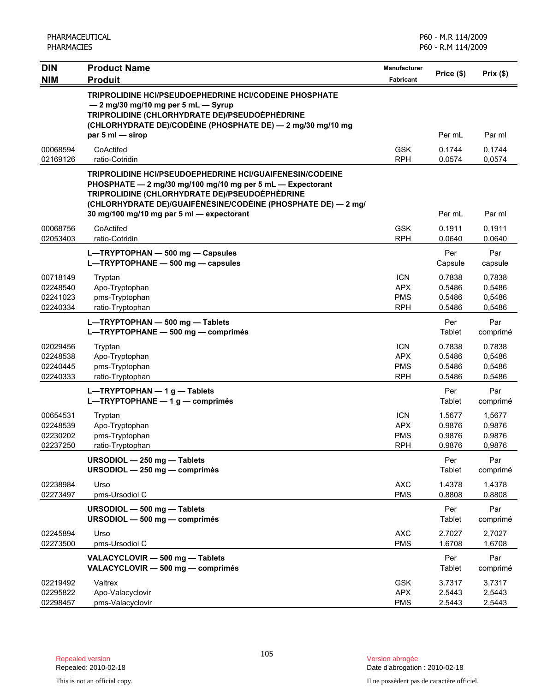| <b>DIN</b>                                   | <b>Product Name</b>                                                                                                                                                                                                                                                                           | <b>Manufacturer</b>                                  |                                      |                                      |
|----------------------------------------------|-----------------------------------------------------------------------------------------------------------------------------------------------------------------------------------------------------------------------------------------------------------------------------------------------|------------------------------------------------------|--------------------------------------|--------------------------------------|
| <b>NIM</b>                                   | <b>Produit</b>                                                                                                                                                                                                                                                                                | Fabricant                                            | Price (\$)                           | Prix(\$)                             |
|                                              | TRIPROLIDINE HCI/PSEUDOEPHEDRINE HCI/CODEINE PHOSPHATE<br>- 2 mg/30 mg/10 mg per 5 mL - Syrup<br>TRIPROLIDINE (CHLORHYDRATE DE)/PSEUDOÉPHÉDRINE<br>(CHLORHYDRATE DE)/CODÉINE (PHOSPHATE DE) — 2 mg/30 mg/10 mg<br>par $5 \text{ ml}$ $-$ sirop                                                |                                                      | Per mL                               | Par ml                               |
| 00068594                                     | CoActifed                                                                                                                                                                                                                                                                                     | <b>GSK</b>                                           | 0.1744                               | 0,1744                               |
| 02169126                                     | ratio-Cotridin                                                                                                                                                                                                                                                                                | <b>RPH</b>                                           | 0.0574                               | 0,0574                               |
|                                              | <b>TRIPROLIDINE HCI/PSEUDOEPHEDRINE HCI/GUAIFENESIN/CODEINE</b><br>PHOSPHATE - 2 mg/30 mg/100 mg/10 mg per 5 mL - Expectorant<br>TRIPROLIDINE (CHLORHYDRATE DE)/PSEUDOÉPHÉDRINE<br>(CHLORHYDRATE DE)/GUAIFÉNÉSINE/CODÉINE (PHOSPHATE DE) — 2 mg/<br>30 mg/100 mg/10 mg par 5 ml - expectorant |                                                      | Per mL                               | Par ml                               |
| 00068756<br>02053403                         | CoActifed<br>ratio-Cotridin                                                                                                                                                                                                                                                                   | <b>GSK</b><br><b>RPH</b>                             | 0.1911<br>0.0640                     | 0,1911<br>0,0640                     |
|                                              | L-TRYPTOPHAN - 500 mg - Capsules<br>L-TRYPTOPHANE - 500 mg - capsules                                                                                                                                                                                                                         |                                                      | Per<br>Capsule                       | Par<br>capsule                       |
| 00718149<br>02248540<br>02241023<br>02240334 | Tryptan<br>Apo-Tryptophan<br>pms-Tryptophan<br>ratio-Tryptophan                                                                                                                                                                                                                               | <b>ICN</b><br><b>APX</b><br><b>PMS</b><br><b>RPH</b> | 0.7838<br>0.5486<br>0.5486<br>0.5486 | 0,7838<br>0,5486<br>0,5486<br>0,5486 |
|                                              | L-TRYPTOPHAN - 500 mg - Tablets<br>L-TRYPTOPHANE - 500 mg - comprimés                                                                                                                                                                                                                         |                                                      | Per<br>Tablet                        | Par<br>comprimé                      |
| 02029456<br>02248538<br>02240445<br>02240333 | Tryptan<br>Apo-Tryptophan<br>pms-Tryptophan<br>ratio-Tryptophan                                                                                                                                                                                                                               | <b>ICN</b><br><b>APX</b><br><b>PMS</b><br><b>RPH</b> | 0.7838<br>0.5486<br>0.5486<br>0.5486 | 0,7838<br>0,5486<br>0,5486<br>0,5486 |
|                                              | $L$ -TRYPTOPHAN - 1 g - Tablets<br>L-TRYPTOPHANE - 1 g - comprimés                                                                                                                                                                                                                            |                                                      | Per<br>Tablet                        | Par<br>comprimé                      |
| 00654531<br>02248539<br>02230202<br>02237250 | Tryptan<br>Apo-Tryptophan<br>pms-Tryptophan<br>ratio-Tryptophan                                                                                                                                                                                                                               | <b>ICN</b><br><b>APX</b><br><b>PMS</b><br><b>RPH</b> | 1.5677<br>0.9876<br>0.9876<br>0.9876 | 1,5677<br>0,9876<br>0,9876<br>0,9876 |
|                                              | URSODIOL - 250 mg - Tablets<br>URSODIOL - 250 mg - comprimés                                                                                                                                                                                                                                  |                                                      | Per<br>Tablet                        | Par<br>comprimé                      |
| 02238984<br>02273497                         | Urso<br>pms-Ursodiol C                                                                                                                                                                                                                                                                        | $\mathsf{AXC}$<br><b>PMS</b>                         | 1.4378<br>0.8808                     | 1,4378<br>0,8808                     |
|                                              | URSODIOL - 500 mg - Tablets<br>URSODIOL - 500 mg - comprimés                                                                                                                                                                                                                                  |                                                      | Per<br>Tablet                        | Par<br>comprimé                      |
| 02245894<br>02273500                         | Urso<br>pms-Ursodiol C                                                                                                                                                                                                                                                                        | <b>AXC</b><br><b>PMS</b>                             | 2.7027<br>1.6708                     | 2,7027<br>1,6708                     |
|                                              | VALACYCLOVIR - 500 mg - Tablets<br>VALACYCLOVIR - 500 mg - comprimés                                                                                                                                                                                                                          |                                                      | Per<br><b>Tablet</b>                 | Par<br>comprimé                      |
| 02219492<br>02295822<br>02298457             | Valtrex<br>Apo-Valacyclovir<br>pms-Valacyclovir                                                                                                                                                                                                                                               | <b>GSK</b><br><b>APX</b><br><b>PMS</b>               | 3.7317<br>2.5443<br>2.5443           | 3,7317<br>2,5443<br>2,5443           |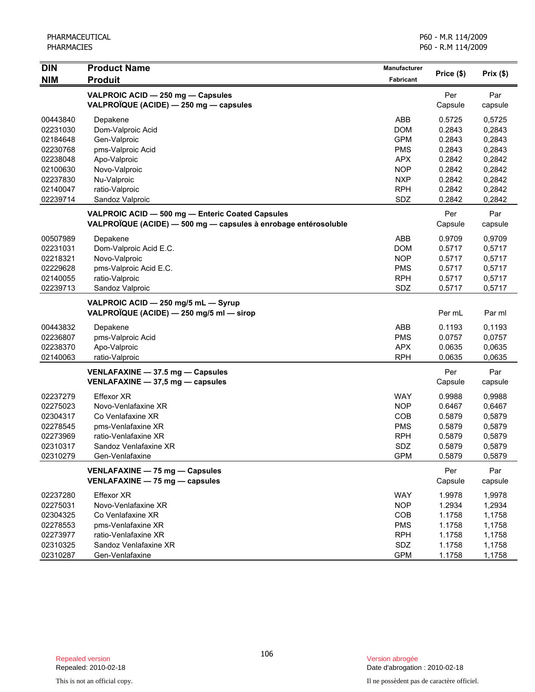| <b>DIN</b> | <b>Product Name</b>                                             | <b>Manufacturer</b> |            | Prix(\$) |
|------------|-----------------------------------------------------------------|---------------------|------------|----------|
| <b>NIM</b> | <b>Produit</b>                                                  | <b>Fabricant</b>    | Price (\$) |          |
|            | VALPROIC ACID - 250 mg - Capsules                               |                     | Per        | Par      |
|            | VALPROÏQUE (ACIDE) - 250 mg - capsules                          |                     | Capsule    | capsule  |
| 00443840   | Depakene                                                        | ABB                 | 0.5725     | 0,5725   |
| 02231030   | Dom-Valproic Acid                                               | <b>DOM</b>          | 0.2843     | 0,2843   |
| 02184648   | Gen-Valproic                                                    | <b>GPM</b>          | 0.2843     | 0,2843   |
| 02230768   | pms-Valproic Acid                                               | <b>PMS</b>          | 0.2843     | 0,2843   |
| 02238048   | Apo-Valproic                                                    | <b>APX</b>          | 0.2842     | 0,2842   |
| 02100630   | Novo-Valproic                                                   | <b>NOP</b>          | 0.2842     | 0,2842   |
| 02237830   | Nu-Valproic                                                     | <b>NXP</b>          | 0.2842     | 0,2842   |
| 02140047   | ratio-Valproic                                                  | <b>RPH</b>          | 0.2842     | 0,2842   |
| 02239714   | Sandoz Valproic                                                 | SDZ                 | 0.2842     | 0,2842   |
|            | VALPROIC ACID - 500 mg - Enteric Coated Capsules                |                     | Per        | Par      |
|            | VALPROÏQUE (ACIDE) - 500 mg - capsules à enrobage entérosoluble |                     | Capsule    | capsule  |
| 00507989   | Depakene                                                        | ABB                 | 0.9709     | 0,9709   |
| 02231031   | Dom-Valproic Acid E.C.                                          | <b>DOM</b>          | 0.5717     | 0,5717   |
| 02218321   | Novo-Valproic                                                   | <b>NOP</b>          | 0.5717     | 0,5717   |
| 02229628   | pms-Valproic Acid E.C.                                          | <b>PMS</b>          | 0.5717     | 0,5717   |
| 02140055   | ratio-Valproic                                                  | <b>RPH</b>          | 0.5717     | 0,5717   |
| 02239713   | Sandoz Valproic                                                 | SDZ                 | 0.5717     | 0,5717   |
|            | VALPROIC ACID - 250 mg/5 mL - Syrup                             |                     |            |          |
|            | VALPROÏQUE (ACIDE) — 250 mg/5 ml — sirop                        |                     | Per mL     | Par ml   |
| 00443832   | Depakene                                                        | ABB                 | 0.1193     | 0,1193   |
| 02236807   | pms-Valproic Acid                                               | <b>PMS</b>          | 0.0757     | 0,0757   |
| 02238370   | Apo-Valproic                                                    | <b>APX</b>          | 0.0635     | 0,0635   |
| 02140063   | ratio-Valproic                                                  | <b>RPH</b>          | 0.0635     | 0,0635   |
|            | VENLAFAXINE - 37.5 mg - Capsules                                |                     | Per        | Par      |
|            | VENLAFAXINE $-$ 37,5 mg $-$ capsules                            |                     | Capsule    | capsule  |
| 02237279   | Effexor XR                                                      | <b>WAY</b>          | 0.9988     | 0,9988   |
| 02275023   | Novo-Venlafaxine XR                                             | <b>NOP</b>          | 0.6467     | 0,6467   |
| 02304317   | Co Venlafaxine XR                                               | <b>COB</b>          | 0.5879     | 0,5879   |
| 02278545   | pms-Venlafaxine XR                                              | <b>PMS</b>          | 0.5879     | 0,5879   |
| 02273969   | ratio-Venlafaxine XR                                            | <b>RPH</b>          | 0.5879     | 0,5879   |
| 02310317   | Sandoz Venlafaxine XR                                           | SDZ                 | 0.5879     | 0,5879   |
| 02310279   | Gen-Venlafaxine                                                 | <b>GPM</b>          | 0.5879     | 0,5879   |
|            | VENLAFAXINE - 75 mg - Capsules                                  |                     | Per        | Par      |
|            | VENLAFAXINE - 75 mg - capsules                                  |                     | Capsule    | capsule  |
| 02237280   | Effexor XR                                                      | <b>WAY</b>          | 1.9978     | 1,9978   |
| 02275031   | Novo-Venlafaxine XR                                             | <b>NOP</b>          | 1.2934     | 1,2934   |
| 02304325   | Co Venlafaxine XR                                               | COB                 | 1.1758     | 1,1758   |
| 02278553   | pms-Venlafaxine XR                                              | <b>PMS</b>          | 1.1758     | 1,1758   |
| 02273977   | ratio-Venlafaxine XR                                            | <b>RPH</b>          | 1.1758     | 1,1758   |
| 02310325   | Sandoz Venlafaxine XR                                           | SDZ                 | 1.1758     | 1,1758   |
| 02310287   | Gen-Venlafaxine                                                 | <b>GPM</b>          | 1.1758     | 1,1758   |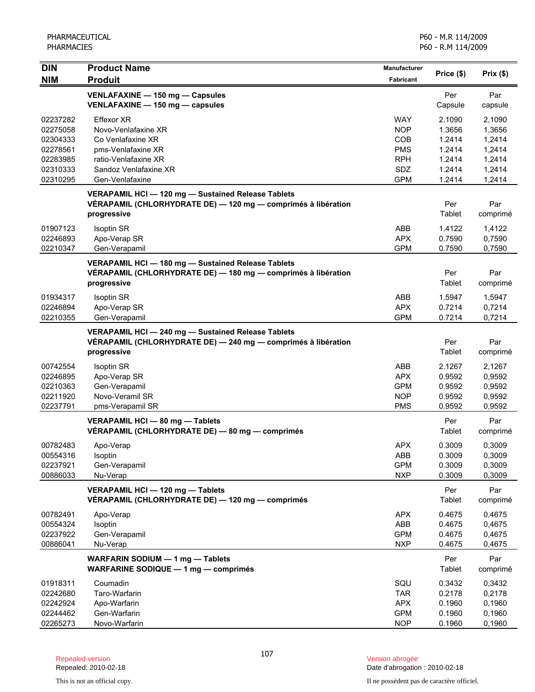| <b>DIN</b> | <b>Product Name</b>                                           | Manufacturer     | Price (\$) | Prix(\$) |
|------------|---------------------------------------------------------------|------------------|------------|----------|
| <b>NIM</b> | <b>Produit</b>                                                | <b>Fabricant</b> |            |          |
|            | VENLAFAXINE - 150 mg - Capsules                               |                  | Per        | Par      |
|            | VENLAFAXINE - 150 mg - capsules                               |                  | Capsule    | capsule  |
| 02237282   | Effexor XR                                                    | <b>WAY</b>       | 2.1090     | 2,1090   |
| 02275058   | Novo-Venlafaxine XR                                           | <b>NOP</b>       | 1.3656     | 1,3656   |
| 02304333   | Co Venlafaxine XR                                             | COB              | 1.2414     | 1,2414   |
| 02278561   | pms-Venlafaxine XR                                            | <b>PMS</b>       | 1.2414     | 1,2414   |
| 02283985   | ratio-Venlafaxine XR                                          | <b>RPH</b>       | 1.2414     | 1,2414   |
| 02310333   | Sandoz Venlafaxine XR                                         | <b>SDZ</b>       | 1.2414     | 1,2414   |
| 02310295   | Gen-Venlafaxine                                               | <b>GPM</b>       | 1.2414     | 1,2414   |
|            | VERAPAMIL HCI - 120 mg - Sustained Release Tablets            |                  |            |          |
|            | VÉRAPAMIL (CHLORHYDRATE DE) - 120 mg - comprimés à libération |                  | Per        | Par      |
|            | progressive                                                   |                  | Tablet     | comprimé |
| 01907123   | <b>Isoptin SR</b>                                             | ABB              | 1.4122     | 1,4122   |
| 02246893   | Apo-Verap SR                                                  | <b>APX</b>       | 0.7590     | 0,7590   |
| 02210347   | Gen-Verapamil                                                 | <b>GPM</b>       | 0.7590     | 0,7590   |
|            | VERAPAMIL HCI - 180 mg - Sustained Release Tablets            |                  |            |          |
|            | VÉRAPAMIL (CHLORHYDRATE DE) — 180 mg — comprimés à libération |                  | Per        | Par      |
|            | progressive                                                   |                  | Tablet     | comprimé |
|            |                                                               |                  |            |          |
| 01934317   | <b>Isoptin SR</b>                                             | ABB              | 1.5947     | 1,5947   |
| 02246894   | Apo-Verap SR                                                  | <b>APX</b>       | 0.7214     | 0.7214   |
| 02210355   | Gen-Verapamil                                                 | <b>GPM</b>       | 0.7214     | 0,7214   |
|            | VERAPAMIL HCI - 240 mg - Sustained Release Tablets            |                  |            |          |
|            | VÉRAPAMIL (CHLORHYDRATE DE) - 240 mg - comprimés à libération |                  | Per        | Par      |
|            | progressive                                                   |                  | Tablet     | comprimé |
| 00742554   | <b>Isoptin SR</b>                                             | ABB              | 2.1267     | 2,1267   |
| 02246895   | Apo-Verap SR                                                  | <b>APX</b>       | 0.9592     | 0,9592   |
| 02210363   | Gen-Verapamil                                                 | <b>GPM</b>       | 0.9592     | 0,9592   |
| 02211920   | Novo-Veramil SR                                               | <b>NOP</b>       | 0.9592     | 0,9592   |
| 02237791   | pms-Verapamil SR                                              | <b>PMS</b>       | 0.9592     | 0,9592   |
|            | VERAPAMIL HCI - 80 mg - Tablets                               |                  | Per        | Par      |
|            | VÉRAPAMIL (CHLORHYDRATE DE) - 80 mg - comprimés               |                  | Tablet     | comprimé |
| 00782483   | Apo-Verap                                                     | <b>APX</b>       | 0.3009     | 0,3009   |
| 00554316   | Isoptin                                                       | ABB              | 0.3009     | 0,3009   |
| 02237921   | Gen-Verapamil                                                 | <b>GPM</b>       | 0.3009     | 0,3009   |
| 00886033   | Nu-Verap                                                      | <b>NXP</b>       | 0.3009     | 0,3009   |
|            | VERAPAMIL HCI - 120 mg - Tablets                              |                  | Per        | Par      |
|            | VÉRAPAMIL (CHLORHYDRATE DE) — 120 mg — comprimés              |                  | Tablet     | comprimé |
|            |                                                               |                  |            |          |
| 00782491   | Apo-Verap                                                     | <b>APX</b>       | 0.4675     | 0,4675   |
| 00554324   | Isoptin                                                       | ABB              | 0.4675     | 0,4675   |
| 02237922   | Gen-Verapamil                                                 | <b>GPM</b>       | 0.4675     | 0,4675   |
| 00886041   | Nu-Verap                                                      | <b>NXP</b>       | 0.4675     | 0,4675   |
|            | WARFARIN SODIUM - 1 mg - Tablets                              |                  | Per        | Par      |
|            | WARFARINE SODIQUE - 1 mg - comprimés                          |                  | Tablet     | comprimé |
| 01918311   | Coumadin                                                      | SQU              | 0.3432     | 0,3432   |
| 02242680   | Taro-Warfarin                                                 | <b>TAR</b>       | 0.2178     | 0,2178   |
| 02242924   | Apo-Warfarin                                                  | <b>APX</b>       | 0.1960     | 0,1960   |
| 02244462   | Gen-Warfarin                                                  | <b>GPM</b>       | 0.1960     | 0,1960   |
| 02265273   | Novo-Warfarin                                                 | <b>NOP</b>       | 0.1960     | 0,1960   |

Date d'abrogation : 2010-02-18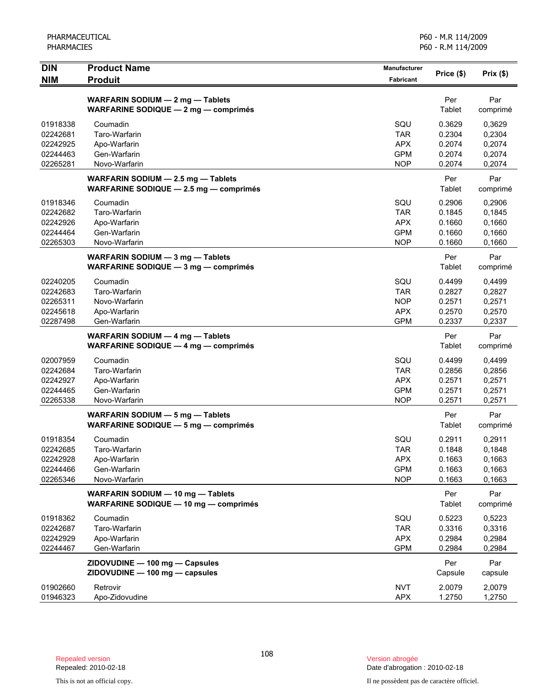| <b>DIN</b><br><b>NIM</b> | <b>Product Name</b><br><b>Produit</b>                                        | <b>Manufacturer</b><br>Fabricant | Price (\$)       | Prix(\$)         |
|--------------------------|------------------------------------------------------------------------------|----------------------------------|------------------|------------------|
|                          |                                                                              |                                  |                  |                  |
|                          | WARFARIN SODIUM - 2 mg - Tablets                                             |                                  | Per              | Par              |
|                          | <b>WARFARINE SODIQUE - 2 mg - comprimés</b>                                  |                                  | Tablet           | comprimé         |
| 01918338                 | Coumadin                                                                     | SQU                              | 0.3629           | 0,3629           |
| 02242681                 | Taro-Warfarin                                                                | <b>TAR</b><br><b>APX</b>         | 0.2304           | 0,2304           |
| 02242925<br>02244463     | Apo-Warfarin<br>Gen-Warfarin                                                 | <b>GPM</b>                       | 0.2074<br>0.2074 | 0,2074<br>0,2074 |
| 02265281                 | Novo-Warfarin                                                                | <b>NOP</b>                       | 0.2074           | 0,2074           |
|                          | WARFARIN SODIUM - 2.5 mg - Tablets                                           |                                  | Per              | Par              |
|                          | WARFARINE SODIQUE $-2.5$ mg $-$ comprimés                                    |                                  | Tablet           | comprimé         |
| 01918346                 | Coumadin                                                                     | SQU                              | 0.2906           | 0,2906           |
| 02242682                 | Taro-Warfarin                                                                | <b>TAR</b>                       | 0.1845           | 0,1845           |
| 02242926                 | Apo-Warfarin                                                                 | <b>APX</b>                       | 0.1660           | 0,1660           |
| 02244464                 | Gen-Warfarin                                                                 | <b>GPM</b>                       | 0.1660           | 0,1660           |
| 02265303                 | Novo-Warfarin                                                                | <b>NOP</b>                       | 0.1660           | 0,1660           |
|                          | WARFARIN SODIUM - 3 mg - Tablets                                             |                                  | Per              | Par              |
|                          | WARFARINE SODIQUE - 3 mg - comprimés                                         |                                  | Tablet           | comprimé         |
| 02240205                 | Coumadin                                                                     | SQU                              | 0.4499           | 0,4499           |
| 02242683                 | Taro-Warfarin                                                                | <b>TAR</b>                       | 0.2827           | 0,2827           |
| 02265311                 | Novo-Warfarin                                                                | <b>NOP</b>                       | 0.2571           | 0,2571           |
| 02245618<br>02287498     | Apo-Warfarin<br>Gen-Warfarin                                                 | <b>APX</b><br><b>GPM</b>         | 0.2570<br>0.2337 | 0,2570<br>0,2337 |
|                          |                                                                              |                                  |                  |                  |
|                          | WARFARIN SODIUM - 4 mg - Tablets<br>WARFARINE SODIQUE $-$ 4 mg $-$ comprimes |                                  | Per<br>Tablet    | Par<br>comprimé  |
| 02007959                 | Coumadin                                                                     | SQU                              | 0.4499           | 0,4499           |
| 02242684                 | Taro-Warfarin                                                                | <b>TAR</b>                       | 0.2856           | 0,2856           |
| 02242927                 | Apo-Warfarin                                                                 | <b>APX</b>                       | 0.2571           | 0,2571           |
| 02244465                 | Gen-Warfarin                                                                 | <b>GPM</b>                       | 0.2571           | 0,2571           |
| 02265338                 | Novo-Warfarin                                                                | <b>NOP</b>                       | 0.2571           | 0,2571           |
|                          | WARFARIN SODIUM - 5 mg - Tablets                                             |                                  | Per              | Par              |
|                          | WARFARINE SODIQUE - 5 mg - comprimés                                         |                                  | Tablet           | comprimé         |
| 01918354                 | Coumadin                                                                     | SQU                              | 0.2911           | 0,2911           |
| 02242685                 | Taro-Warfarin                                                                | <b>TAR</b>                       | 0.1848           | 0,1848           |
| 02242928                 | Apo-Warfarin                                                                 | <b>APX</b>                       | 0.1663           | 0,1663           |
| 02244466                 | Gen-Warfarin                                                                 | <b>GPM</b>                       | 0.1663           | 0,1663           |
| 02265346                 | Novo-Warfarin                                                                | <b>NOP</b>                       | 0.1663           | 0,1663           |
|                          | WARFARIN SODIUM - 10 mg - Tablets                                            |                                  | Per              | Par              |
|                          | WARFARINE SODIQUE - 10 mg - comprimés                                        |                                  | Tablet           | comprimé         |
| 01918362                 | Coumadin                                                                     | SQU                              | 0.5223           | 0,5223           |
| 02242687                 | Taro-Warfarin                                                                | <b>TAR</b>                       | 0.3316           | 0,3316           |
| 02242929                 | Apo-Warfarin                                                                 | <b>APX</b>                       | 0.2984           | 0,2984           |
| 02244467                 | Gen-Warfarin                                                                 | <b>GPM</b>                       | 0.2984           | 0,2984           |
|                          | ZIDOVUDINE - 100 mg - Capsules                                               |                                  | Per              | Par              |
|                          | ZIDOVUDINE - 100 mg - capsules                                               |                                  | Capsule          | capsule          |
| 01902660                 | Retrovir                                                                     | <b>NVT</b>                       | 2.0079           | 2,0079           |
| 01946323                 | Apo-Zidovudine                                                               | <b>APX</b>                       | 1.2750           | 1,2750           |